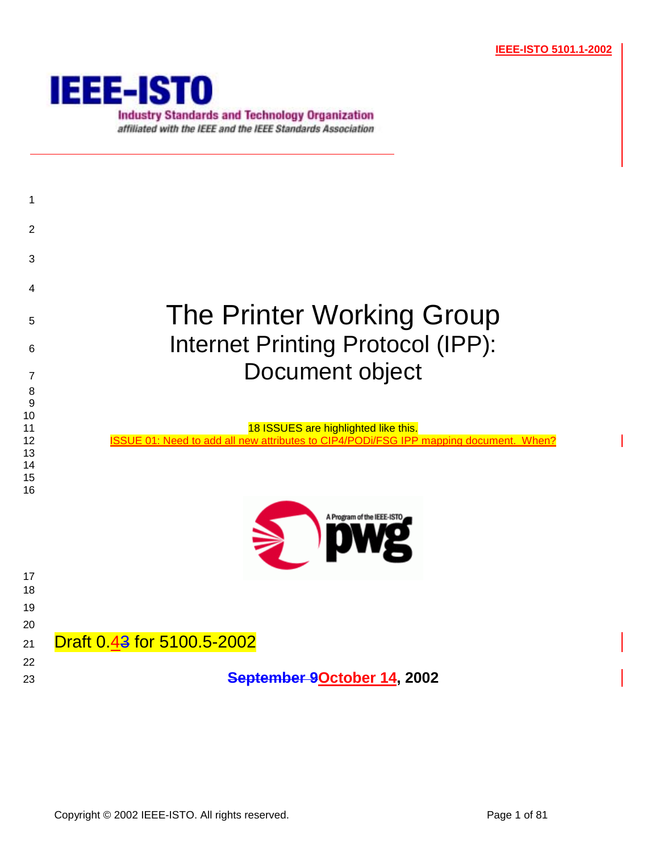

**Industry Standards and Technology Organization** affiliated with the IEEE and the IEEE Standards Association

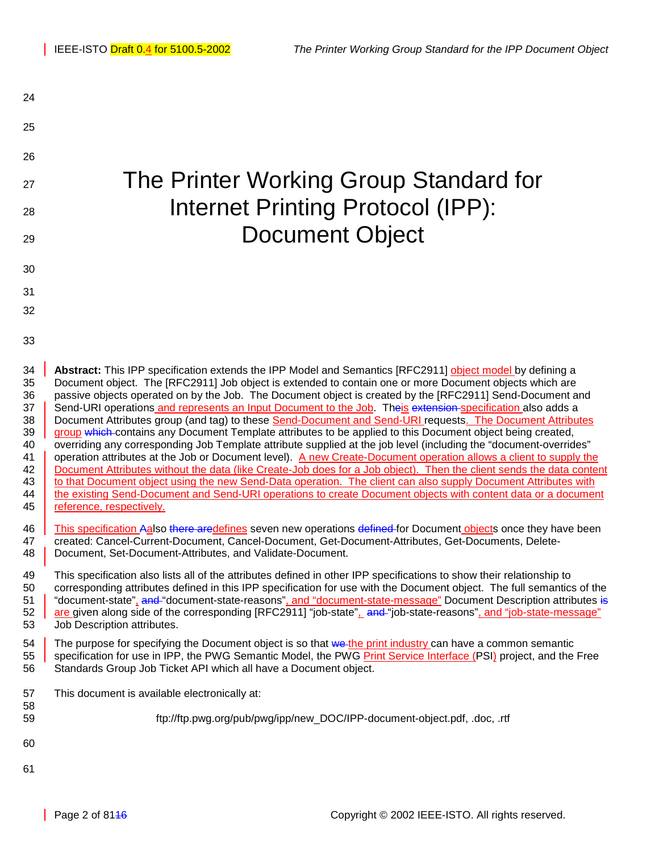| 24                                                                                                       |                                                                                                                                                                                                                                                                                                                                                                                                                                                                                                                                                                                                                                                                                                                                                                                                                                                                                                                                                                                                                                                                                                                                                                                                                                                                                                                                                                                                                                                                                                                                                                                                                                                                                                                                                                                                                                                                                                                                                                         |
|----------------------------------------------------------------------------------------------------------|-------------------------------------------------------------------------------------------------------------------------------------------------------------------------------------------------------------------------------------------------------------------------------------------------------------------------------------------------------------------------------------------------------------------------------------------------------------------------------------------------------------------------------------------------------------------------------------------------------------------------------------------------------------------------------------------------------------------------------------------------------------------------------------------------------------------------------------------------------------------------------------------------------------------------------------------------------------------------------------------------------------------------------------------------------------------------------------------------------------------------------------------------------------------------------------------------------------------------------------------------------------------------------------------------------------------------------------------------------------------------------------------------------------------------------------------------------------------------------------------------------------------------------------------------------------------------------------------------------------------------------------------------------------------------------------------------------------------------------------------------------------------------------------------------------------------------------------------------------------------------------------------------------------------------------------------------------------------------|
| 25                                                                                                       |                                                                                                                                                                                                                                                                                                                                                                                                                                                                                                                                                                                                                                                                                                                                                                                                                                                                                                                                                                                                                                                                                                                                                                                                                                                                                                                                                                                                                                                                                                                                                                                                                                                                                                                                                                                                                                                                                                                                                                         |
| 26                                                                                                       |                                                                                                                                                                                                                                                                                                                                                                                                                                                                                                                                                                                                                                                                                                                                                                                                                                                                                                                                                                                                                                                                                                                                                                                                                                                                                                                                                                                                                                                                                                                                                                                                                                                                                                                                                                                                                                                                                                                                                                         |
| 27                                                                                                       | The Printer Working Group Standard for                                                                                                                                                                                                                                                                                                                                                                                                                                                                                                                                                                                                                                                                                                                                                                                                                                                                                                                                                                                                                                                                                                                                                                                                                                                                                                                                                                                                                                                                                                                                                                                                                                                                                                                                                                                                                                                                                                                                  |
| 28                                                                                                       | <b>Internet Printing Protocol (IPP):</b>                                                                                                                                                                                                                                                                                                                                                                                                                                                                                                                                                                                                                                                                                                                                                                                                                                                                                                                                                                                                                                                                                                                                                                                                                                                                                                                                                                                                                                                                                                                                                                                                                                                                                                                                                                                                                                                                                                                                |
| 29                                                                                                       | <b>Document Object</b>                                                                                                                                                                                                                                                                                                                                                                                                                                                                                                                                                                                                                                                                                                                                                                                                                                                                                                                                                                                                                                                                                                                                                                                                                                                                                                                                                                                                                                                                                                                                                                                                                                                                                                                                                                                                                                                                                                                                                  |
| 30                                                                                                       |                                                                                                                                                                                                                                                                                                                                                                                                                                                                                                                                                                                                                                                                                                                                                                                                                                                                                                                                                                                                                                                                                                                                                                                                                                                                                                                                                                                                                                                                                                                                                                                                                                                                                                                                                                                                                                                                                                                                                                         |
| 31                                                                                                       |                                                                                                                                                                                                                                                                                                                                                                                                                                                                                                                                                                                                                                                                                                                                                                                                                                                                                                                                                                                                                                                                                                                                                                                                                                                                                                                                                                                                                                                                                                                                                                                                                                                                                                                                                                                                                                                                                                                                                                         |
| 32                                                                                                       |                                                                                                                                                                                                                                                                                                                                                                                                                                                                                                                                                                                                                                                                                                                                                                                                                                                                                                                                                                                                                                                                                                                                                                                                                                                                                                                                                                                                                                                                                                                                                                                                                                                                                                                                                                                                                                                                                                                                                                         |
| 33                                                                                                       |                                                                                                                                                                                                                                                                                                                                                                                                                                                                                                                                                                                                                                                                                                                                                                                                                                                                                                                                                                                                                                                                                                                                                                                                                                                                                                                                                                                                                                                                                                                                                                                                                                                                                                                                                                                                                                                                                                                                                                         |
| 34<br>35<br>36<br>37<br>38<br>39<br>40<br>41<br>42<br>43<br>44<br>45<br>46<br>47<br>48<br>49<br>50<br>51 | Abstract: This IPP specification extends the IPP Model and Semantics [RFC2911] object model by defining a<br>Document object. The [RFC2911] Job object is extended to contain one or more Document objects which are<br>passive objects operated on by the Job. The Document object is created by the [RFC2911] Send-Document and<br>Send-URI operations and represents an Input Document to the Job. Theis extension-specification also adds a<br>Document Attributes group (and tag) to these Send-Document and Send-URI requests. The Document Attributes<br>group which contains any Document Template attributes to be applied to this Document object being created,<br>overriding any corresponding Job Template attribute supplied at the job level (including the "document-overrides"<br>operation attributes at the Job or Document level). A new Create-Document operation allows a client to supply the<br>Document Attributes without the data (like Create-Job does for a Job object). Then the client sends the data content<br>to that Document object using the new Send-Data operation. The client can also supply Document Attributes with<br>the existing Send-Document and Send-URI operations to create Document objects with content data or a document<br>reference, respectively.<br>This specification Aalso there aredefines seven new operations defined for Document objects once they have been<br>created: Cancel-Current-Document, Cancel-Document, Get-Document-Attributes, Get-Documents, Delete-<br>Document, Set-Document-Attributes, and Validate-Document.<br>This specification also lists all of the attributes defined in other IPP specifications to show their relationship to<br>corresponding attributes defined in this IPP specification for use with the Document object. The full semantics of the<br>"document-state", and "document-state-reasons", and "document-state-message" Document Description attributes is |
| 52<br>53                                                                                                 | are given along side of the corresponding [RFC2911] "job-state", and "job-state-reasons", and "job-state-message"<br>Job Description attributes.                                                                                                                                                                                                                                                                                                                                                                                                                                                                                                                                                                                                                                                                                                                                                                                                                                                                                                                                                                                                                                                                                                                                                                                                                                                                                                                                                                                                                                                                                                                                                                                                                                                                                                                                                                                                                        |
| 54<br>55<br>56                                                                                           | The purpose for specifying the Document object is so that we the print industry can have a common semantic<br>specification for use in IPP, the PWG Semantic Model, the PWG Print Service Interface (PSI) project, and the Free<br>Standards Group Job Ticket API which all have a Document object.                                                                                                                                                                                                                                                                                                                                                                                                                                                                                                                                                                                                                                                                                                                                                                                                                                                                                                                                                                                                                                                                                                                                                                                                                                                                                                                                                                                                                                                                                                                                                                                                                                                                     |
| 57<br>58                                                                                                 | This document is available electronically at:                                                                                                                                                                                                                                                                                                                                                                                                                                                                                                                                                                                                                                                                                                                                                                                                                                                                                                                                                                                                                                                                                                                                                                                                                                                                                                                                                                                                                                                                                                                                                                                                                                                                                                                                                                                                                                                                                                                           |
| 59                                                                                                       | ftp://ftp.pwg.org/pub/pwg/ipp/new_DOC/IPP-document-object.pdf, .doc, .rtf                                                                                                                                                                                                                                                                                                                                                                                                                                                                                                                                                                                                                                                                                                                                                                                                                                                                                                                                                                                                                                                                                                                                                                                                                                                                                                                                                                                                                                                                                                                                                                                                                                                                                                                                                                                                                                                                                               |
| 60                                                                                                       |                                                                                                                                                                                                                                                                                                                                                                                                                                                                                                                                                                                                                                                                                                                                                                                                                                                                                                                                                                                                                                                                                                                                                                                                                                                                                                                                                                                                                                                                                                                                                                                                                                                                                                                                                                                                                                                                                                                                                                         |
| 61                                                                                                       |                                                                                                                                                                                                                                                                                                                                                                                                                                                                                                                                                                                                                                                                                                                                                                                                                                                                                                                                                                                                                                                                                                                                                                                                                                                                                                                                                                                                                                                                                                                                                                                                                                                                                                                                                                                                                                                                                                                                                                         |
|                                                                                                          |                                                                                                                                                                                                                                                                                                                                                                                                                                                                                                                                                                                                                                                                                                                                                                                                                                                                                                                                                                                                                                                                                                                                                                                                                                                                                                                                                                                                                                                                                                                                                                                                                                                                                                                                                                                                                                                                                                                                                                         |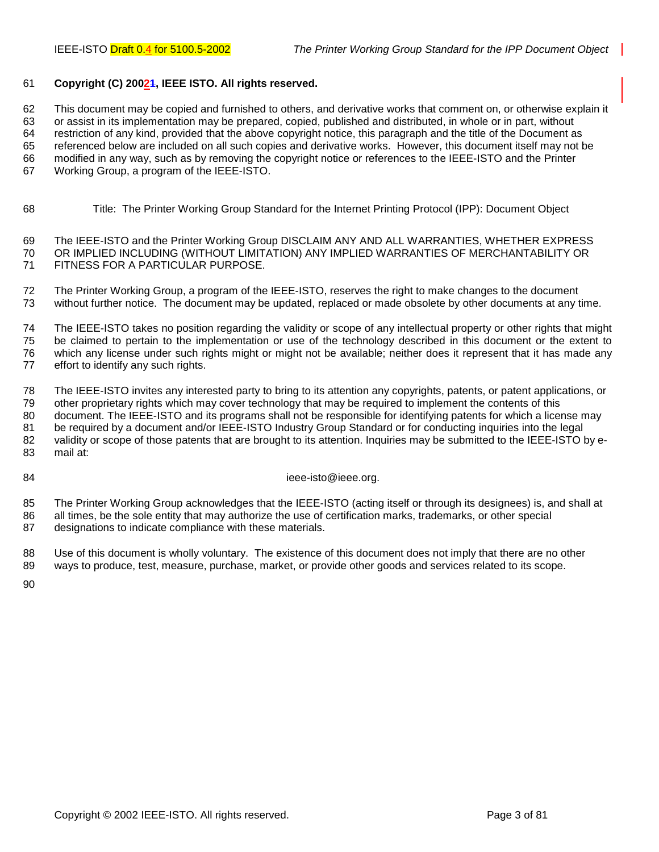#### 61 **Copyright (C) 20021, IEEE ISTO. All rights reserved.**

62 This document may be copied and furnished to others, and derivative works that comment on, or otherwise explain it 63 or assist in its implementation may be prepared, copied, published and distributed, in whole or in part, without 64 restriction of any kind, provided that the above copyright notice, this paragraph and the title of the Document as 65 referenced below are included on all such copies and derivative works. However, this document itself may not be 66 modified in any way, such as by removing the copyright notice or references to the IEEE-ISTO and the Printer 67 Working Group, a program of the IEEE-ISTO.

68 Title: The Printer Working Group Standard for the Internet Printing Protocol (IPP): Document Object

69 The IEEE-ISTO and the Printer Working Group DISCLAIM ANY AND ALL WARRANTIES, WHETHER EXPRESS 70 OR IMPLIED INCLUDING (WITHOUT LIMITATION) ANY IMPLIED WARRANTIES OF MERCHANTABILITY OR 71 FITNESS FOR A PARTICULAR PURPOSE.

72 The Printer Working Group, a program of the IEEE-ISTO, reserves the right to make changes to the document 73 without further notice. The document may be updated, replaced or made obsolete by other documents at any time.

74 The IEEE-ISTO takes no position regarding the validity or scope of any intellectual property or other rights that might 75 be claimed to pertain to the implementation or use of the technology described in this document or the extent to 76 which any license under such rights might or might not be available; neither does it represent that it has made any 77 effort to identify any such rights.

78 The IEEE-ISTO invites any interested party to bring to its attention any copyrights, patents, or patent applications, or 79 other proprietary rights which may cover technology that may be required to implement the contents of this 80 document. The IEEE-ISTO and its programs shall not be responsible for identifying patents for which a license may 81 be required by a document and/or IEEE-ISTO Industry Group Standard or for conducting inquiries into the legal 82 validity or scope of those patents that are brought to its attention. Inquiries may be submitted to the IEEE-ISTO by e-83 mail at:

84 ieee-isto@ieee.org.

85 The Printer Working Group acknowledges that the IEEE-ISTO (acting itself or through its designees) is, and shall at 86 all times, be the sole entity that may authorize the use of certification marks, trademarks, or other special 87 designations to indicate compliance with these materials.

88 Use of this document is wholly voluntary. The existence of this document does not imply that there are no other 89 ways to produce, test, measure, purchase, market, or provide other goods and services related to its scope.

90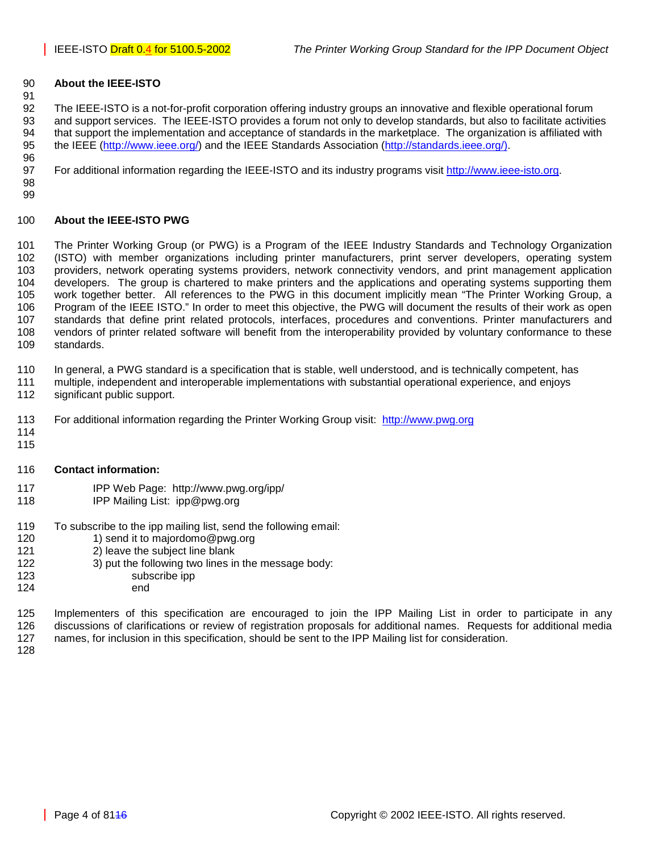#### 90 **About the IEEE-ISTO**

92 The IEEE-ISTO is a not-for-profit corporation offering industry groups an innovative and flexible operational forum 93 and support services. The IEEE-ISTO provides a forum not only to develop standards, but also to facilitate activities 94 that support the implementation and acceptance of standards in the marketplace. The organization is affiliated with 95 the IEEE ([http://www.ieee.org/\)](http://www.ieee.org/) and the IEEE Standards Association ([http://standards.ieee.org/\).](http://standards.ieee.org/))

97 For additional information regarding the IEEE-ISTO and its industry programs visit [http://www.ieee-isto.org.](http://www.ieee-isto.org/)

98 99

96

91

### 100 **About the IEEE-ISTO PWG**

101 The Printer Working Group (or PWG) is a Program of the IEEE Industry Standards and Technology Organization 102 (ISTO) with member organizations including printer manufacturers, print server developers, operating system 103 providers, network operating systems providers, network connectivity vendors, and print management application 104 developers. The group is chartered to make printers and the applications and operating systems supporting them 105 work together better. All references to the PWG in this document implicitly mean "The Printer Working Group, a 106 Program of the IEEE ISTO." In order to meet this objective, the PWG will document the results of their work as open 107 standards that define print related protocols, interfaces, procedures and conventions. Printer manufacturers and 108 vendors of printer related software will benefit from the interoperability provided by voluntary conformance to these 109 standards.

110 In general, a PWG standard is a specification that is stable, well understood, and is technically competent, has

- 111 multiple, independent and interoperable implementations with substantial operational experience, and enjoys
- 112 significant public support.
- 113 For additional information regarding the Printer Working Group visit: http://www.pwg.org
- 114 115

#### 116 **Contact information:**

- 117 IPP Web Page: http://www.pwg.org/ipp/
- 118 IPP Mailing List: ipp@pwg.org
- 119 To subscribe to the ipp mailing list, send the following email:
- 120 1) send it to majordomo@pwg.org
- 121 2) leave the subject line blank
- 122 3) put the following two lines in the message body:
- 123 subscribe ipp
- 124 end

125 Implementers of this specification are encouraged to join the IPP Mailing List in order to participate in any 126 discussions of clarifications or review of registration proposals for additional names. Requests for additional media 127 names, for inclusion in this specification, should be sent to the IPP Mailing list for consideration.

128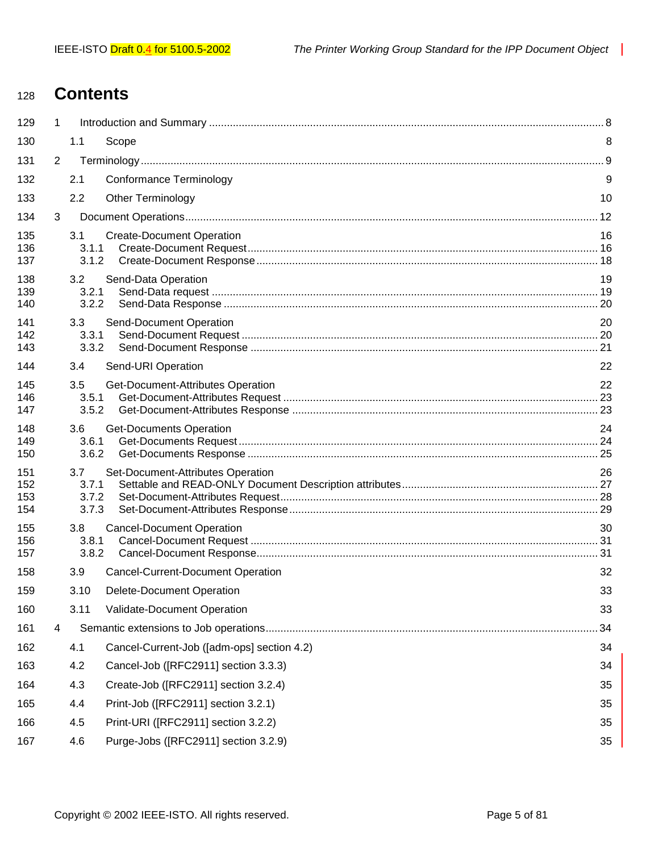# <sup>128</sup>**Contents**

| 129                      | 1              |                                |                                            |    |  |  |  |  |  |
|--------------------------|----------------|--------------------------------|--------------------------------------------|----|--|--|--|--|--|
| 130                      |                | 1.1                            | Scope                                      | 8  |  |  |  |  |  |
| 131                      | $\overline{2}$ |                                |                                            |    |  |  |  |  |  |
| 132                      |                | 2.1                            | Conformance Terminology                    | 9  |  |  |  |  |  |
| 133                      |                | 2.2                            | <b>Other Terminology</b>                   | 10 |  |  |  |  |  |
| 134                      | 3              |                                |                                            |    |  |  |  |  |  |
| 135<br>136<br>137        |                | 3.1<br>3.1.1<br>3.1.2          | <b>Create-Document Operation</b>           | 16 |  |  |  |  |  |
| 138<br>139<br>140        |                | 3.2<br>3.2.1<br>3.2.2          | Send-Data Operation                        | 19 |  |  |  |  |  |
| 141<br>142<br>143        |                | 3.3<br>3.3.1<br>3.3.2          | Send-Document Operation                    | 20 |  |  |  |  |  |
| 144                      |                | 3.4                            | Send-URI Operation                         | 22 |  |  |  |  |  |
| 145<br>146<br>147        |                | 3.5<br>3.5.1<br>3.5.2          | Get-Document-Attributes Operation          | 22 |  |  |  |  |  |
| 148<br>149<br>150        |                | 3.6<br>3.6.1<br>3.6.2          | <b>Get-Documents Operation</b>             | 24 |  |  |  |  |  |
| 151<br>152<br>153<br>154 |                | 3.7<br>3.7.1<br>3.7.2<br>3.7.3 | Set-Document-Attributes Operation          | 26 |  |  |  |  |  |
| 155<br>156<br>157        |                | 3.8<br>3.8.1<br>3.8.2          | <b>Cancel-Document Operation</b>           | 30 |  |  |  |  |  |
| 158                      |                | 3.9                            | <b>Cancel-Current-Document Operation</b>   | 32 |  |  |  |  |  |
| 159                      |                | 3.10                           | Delete-Document Operation                  | 33 |  |  |  |  |  |
| 160                      |                | 3.11                           | Validate-Document Operation                | 33 |  |  |  |  |  |
| 161                      | 4              |                                |                                            | 34 |  |  |  |  |  |
| 162                      |                | 4.1                            | Cancel-Current-Job ([adm-ops] section 4.2) | 34 |  |  |  |  |  |
| 163                      |                | 4.2                            | Cancel-Job ([RFC2911] section 3.3.3)       | 34 |  |  |  |  |  |
| 164                      |                | 4.3                            | Create-Job ([RFC2911] section 3.2.4)       | 35 |  |  |  |  |  |
| 165                      |                | 4.4                            | Print-Job ([RFC2911] section 3.2.1)        | 35 |  |  |  |  |  |
| 166                      |                | 4.5                            | Print-URI ([RFC2911] section 3.2.2)        | 35 |  |  |  |  |  |
| 167                      |                | 4.6                            | Purge-Jobs ([RFC2911] section 3.2.9)       | 35 |  |  |  |  |  |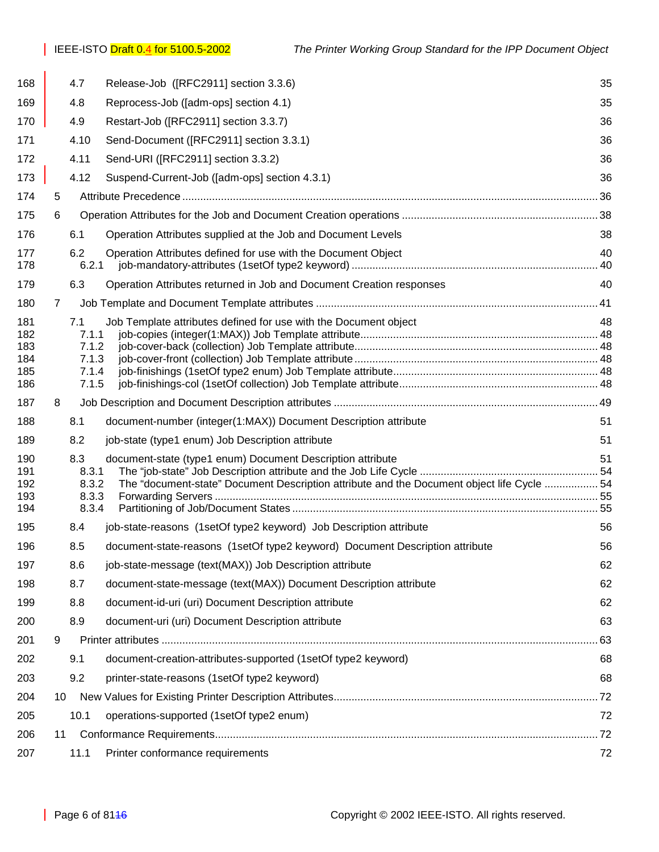| 168        |    | 4.7            | Release-Job ([RFC2911] section 3.3.6)                                                      | 35       |
|------------|----|----------------|--------------------------------------------------------------------------------------------|----------|
| 169        |    | 4.8            | Reprocess-Job ([adm-ops] section 4.1)                                                      | 35       |
| 170        |    | 4.9            | Restart-Job ([RFC2911] section 3.3.7)                                                      | 36       |
| 171        |    | 4.10           | Send-Document ([RFC2911] section 3.3.1)                                                    | 36       |
| 172        |    | 4.11           | Send-URI ([RFC2911] section 3.3.2)                                                         | 36       |
| 173        |    | 4.12           | Suspend-Current-Job ([adm-ops] section 4.3.1)                                              | 36       |
| 174        | 5  |                |                                                                                            |          |
| 175        | 6  |                |                                                                                            |          |
| 176        |    | 6.1            | Operation Attributes supplied at the Job and Document Levels                               | 38       |
| 177<br>178 |    | 6.2<br>6.2.1   | Operation Attributes defined for use with the Document Object                              | 40<br>40 |
| 179        |    | 6.3            | Operation Attributes returned in Job and Document Creation responses                       | 40       |
| 180        | 7  |                |                                                                                            |          |
| 181        |    | 7.1            | Job Template attributes defined for use with the Document object                           | 48       |
| 182<br>183 |    | 7.1.1<br>7.1.2 |                                                                                            |          |
| 184        |    | 7.1.3          |                                                                                            |          |
| 185<br>186 |    | 7.1.4<br>7.1.5 |                                                                                            |          |
| 187        | 8  |                |                                                                                            |          |
| 188        |    | 8.1            | document-number (integer(1:MAX)) Document Description attribute                            | 51       |
| 189        |    | 8.2            | job-state (type1 enum) Job Description attribute                                           | 51       |
| 190        |    | 8.3            | document-state (type1 enum) Document Description attribute                                 | 51       |
| 191        |    | 8.3.1          |                                                                                            |          |
| 192<br>193 |    | 8.3.2<br>8.3.3 | The "document-state" Document Description attribute and the Document object life Cycle  54 |          |
| 194        |    | 8.3.4          |                                                                                            |          |
| 195        |    | 8.4            | job-state-reasons (1setOf type2 keyword) Job Description attribute                         | 56       |
| 196        |    | 8.5            | document-state-reasons (1setOf type2 keyword) Document Description attribute               | 56       |
| 197        |    | 8.6            | job-state-message (text(MAX)) Job Description attribute                                    | 62       |
| 198        |    | 8.7            | document-state-message (text(MAX)) Document Description attribute                          | 62       |
| 199        |    | 8.8            | document-id-uri (uri) Document Description attribute                                       | 62       |
| 200        |    | 8.9            | document-uri (uri) Document Description attribute                                          | 63       |
| 201        | 9  |                |                                                                                            | 63       |
| 202        |    | 9.1            | document-creation-attributes-supported (1setOf type2 keyword)                              | 68       |
| 203        |    | 9.2            | printer-state-reasons (1setOf type2 keyword)                                               | 68       |
| 204        | 10 |                |                                                                                            |          |
| 205        |    | 10.1           | operations-supported (1setOf type2 enum)                                                   | 72       |
| 206        | 11 |                |                                                                                            |          |
| 207        |    | 11.1           | Printer conformance requirements                                                           | 72       |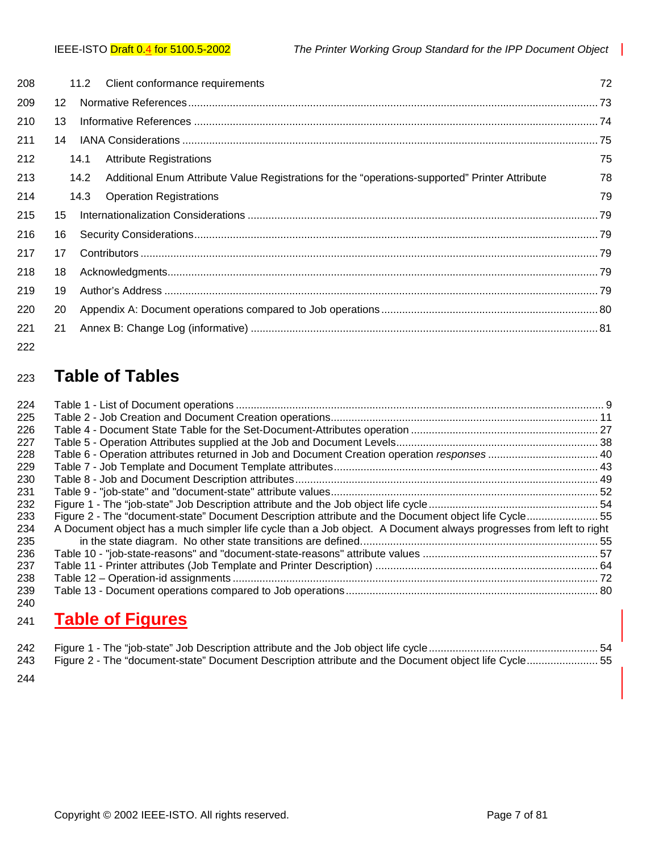|                   |                                                                                                | 72                              |
|-------------------|------------------------------------------------------------------------------------------------|---------------------------------|
| $12 \overline{ }$ |                                                                                                |                                 |
| 13                |                                                                                                |                                 |
| 14                |                                                                                                |                                 |
|                   | <b>Attribute Registrations</b>                                                                 | 75                              |
|                   | Additional Enum Attribute Value Registrations for the "operations-supported" Printer Attribute | 78                              |
|                   | <b>Operation Registrations</b>                                                                 | 79                              |
| 15                |                                                                                                |                                 |
| 16                |                                                                                                |                                 |
| 17                |                                                                                                |                                 |
| 18                |                                                                                                |                                 |
| 19                |                                                                                                |                                 |
| 20                |                                                                                                |                                 |
| 21                |                                                                                                |                                 |
|                   | 11.2<br>14.1<br>14.2<br>14.3                                                                   | Client conformance requirements |

## 222

# <sup>223</sup>**Table of Tables**

| 224 |                                                                                                                    |  |
|-----|--------------------------------------------------------------------------------------------------------------------|--|
| 225 |                                                                                                                    |  |
| 226 |                                                                                                                    |  |
| 227 |                                                                                                                    |  |
| 228 | Table 6 - Operation attributes returned in Job and Document Creation operation responses 40                        |  |
| 229 |                                                                                                                    |  |
| 230 |                                                                                                                    |  |
| 231 |                                                                                                                    |  |
| 232 |                                                                                                                    |  |
| 233 | Figure 2 - The "document-state" Document Description attribute and the Document object life Cycle 55               |  |
| 234 | A Document object has a much simpler life cycle than a Job object. A Document always progresses from left to right |  |
| 235 |                                                                                                                    |  |
| 236 |                                                                                                                    |  |
| 237 |                                                                                                                    |  |
| 238 |                                                                                                                    |  |
| 239 |                                                                                                                    |  |
| 240 |                                                                                                                    |  |

# <sup>241</sup>**Table of Figures**

| 243 Figure 2 - The "document-state" Document Description attribute and the Document object life Cycle 55 |  |
|----------------------------------------------------------------------------------------------------------|--|

244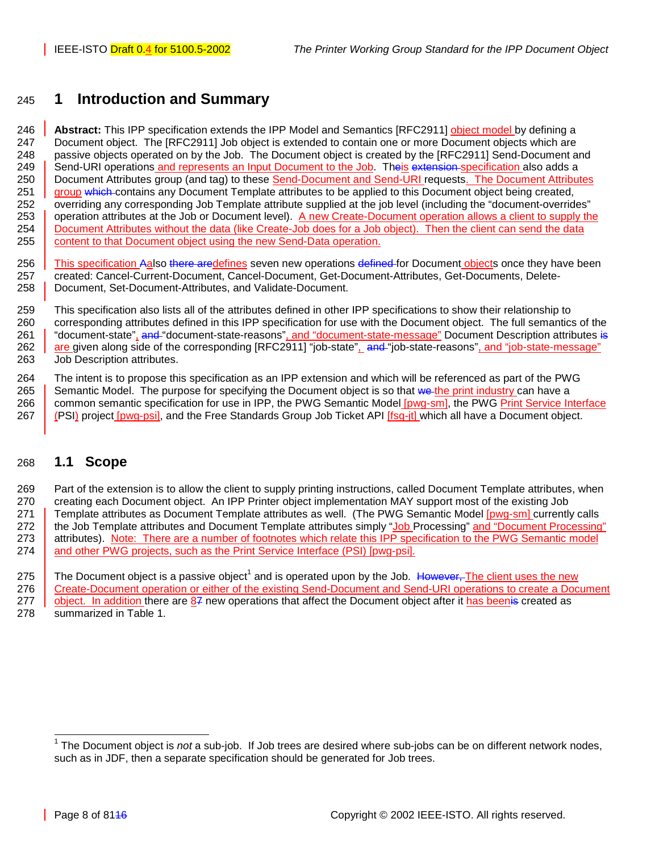## <span id="page-7-0"></span>245 **1 Introduction and Summary**

246 **Abstract:** This IPP specification extends the IPP Model and Semantics [RFC2911] object model by defining a 247 Document object. The [RFC2911] Job object is extended to contain one or more Document objects which are 248 passive objects operated on by the Job. The Document object is created by the [RFC2911] Send-Document and 249 Send-URI operations and represents an Input Document to the Job. Theis extension specification also adds a 250 Document Attributes group (and tag) to these Send-Document and Send-URI requests. The Document Attributes 251 group which contains any Document Template attributes to be applied to this Document object being created, 252 overriding any corresponding Job Template attribute supplied at the job level (including the "document-overrides" 253 operation attributes at the Job or Document level). A new Create-Document operation allows a client to supply the 254 Document Attributes without the data (like Create-Job does for a Job object). Then the client can send the data 255 **content to that Document object using the new Send-Data operation.** 

256 This specification Aalso there aredefines seven new operations defined for Document objects once they have been 257 created: Cancel-Current-Document, Cancel-Document, Get-Document-Attributes, Get-Documents, Delete-258 | Document, Set-Document-Attributes, and Validate-Document.

259 This specification also lists all of the attributes defined in other IPP specifications to show their relationship to 260 corresponding attributes defined in this IPP specification for use with the Document object. The full semantics of the 261 | "document-state", and "document-state-reasons", and "document-state-message" Document Description attributes is 262 are given along side of the corresponding [RFC2911] "job-state", and "job-state-reasons", and "job-state-message" 263 Job Description attributes.

264 The intent is to propose this specification as an IPP extension and which will be referenced as part of the PWG 265 Semantic Model. The purpose for specifying the Document object is so that we the print industry can have a 266 common semantic specification for use in IPP, the PWG Semantic Model [pwg-sm], the PWG Print Service Interface 267 (PSI) project [pwg-psi], and the Free Standards Group Job Ticket API [fsg-jt] which all have a Document object.

## 268 **1.1 Scope**

269 Part of the extension is to allow the client to supply printing instructions, called Document Template attributes, when 270 creating each Document object. An IPP Printer object implementation MAY support most of the existing Job 271 Template attributes as Document Template attributes as well. (The PWG Semantic Model [pwg-sm] currently calls 272 the Job Template attributes and Document Template attributes simply "Job Processing" and "Document Processing" 273 attributes). Note: There are a number of footnotes which relate this IPP specification to the PWG Semantic model 274 and other PWG projects, such as the Print Service Interface (PSI) [pwg-psi].

275 The Document object is a passive object<sup>1</sup> and is operated upon by the Job. However, The client uses the new 276 Create-Document operation or either of the existing Send-Document and Send-URI operations to create a Document 277 object. In addition there are 87 new operations that affect the Document object after it has beenis created as 278 summarized in [Table 1.](#page-8-0)

 1 The Document object is *not* a sub-job. If Job trees are desired where sub-jobs can be on different network nodes, such as in JDF, then a separate specification should be generated for Job trees.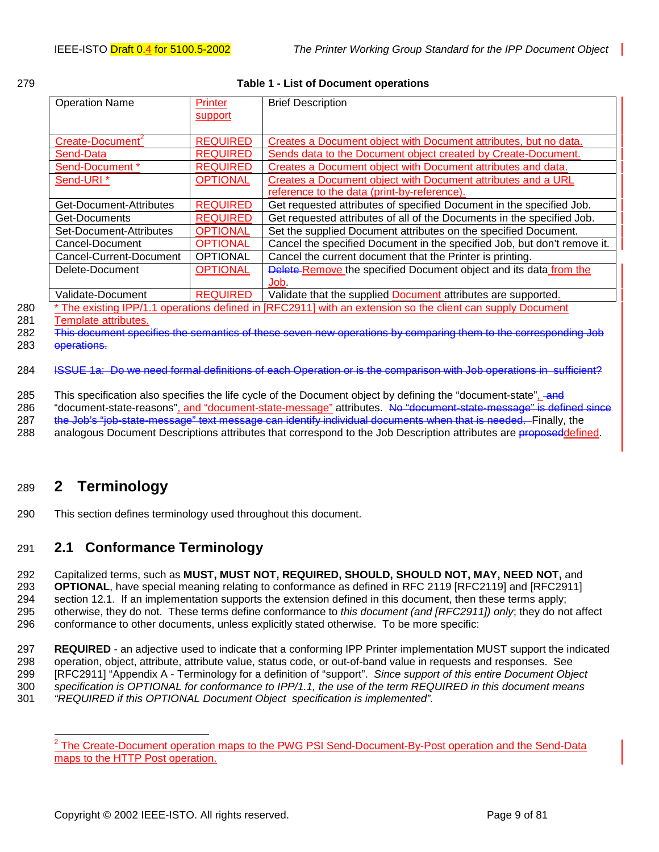<span id="page-8-0"></span>

|  | ۰. |
|--|----|

#### **Table 1 - List of Document operations**

| <b>Operation Name</b>        | Printer         | <b>Brief Description</b>                                                                                 |
|------------------------------|-----------------|----------------------------------------------------------------------------------------------------------|
|                              | support         |                                                                                                          |
|                              |                 |                                                                                                          |
| Create-Document <sup>2</sup> | <b>REQUIRED</b> | Creates a Document object with Document attributes, but no data.                                         |
| Send-Data                    | <b>REQUIRED</b> | Sends data to the Document object created by Create-Document.                                            |
| Send-Document *              | <b>REQUIRED</b> | Creates a Document object with Document attributes and data.                                             |
| Send-URI <sup>*</sup>        | <b>OPTIONAL</b> | Creates a Document object with Document attributes and a URL                                             |
|                              |                 | reference to the data (print-by-reference).                                                              |
| Get-Document-Attributes      | <b>REQUIRED</b> | Get requested attributes of specified Document in the specified Job.                                     |
| Get-Documents                | <b>REQUIRED</b> | Get requested attributes of all of the Documents in the specified Job.                                   |
| Set-Document-Attributes      | <b>OPTIONAL</b> | Set the supplied Document attributes on the specified Document.                                          |
| Cancel-Document              | <b>OPTIONAL</b> | Cancel the specified Document in the specified Job, but don't remove it.                                 |
| Cancel-Current-Document      | <b>OPTIONAL</b> | Cancel the current document that the Printer is printing.                                                |
| Delete-Document              | <b>OPTIONAL</b> | Delete-Remove the specified Document object and its data from the                                        |
|                              |                 | Job.                                                                                                     |
| Validate-Document            | <b>REQUIRED</b> | Validate that the supplied Document attributes are supported.                                            |
|                              |                 | The existing IPP/1.1 operations defined in [RFC2911] with an extension so the client can supply Document |

281 Template attributes.

282 This document specifies the semantics of these seven new operations by comparing them to the corresponding Job

283 operations.

284 ISSUE 1a: Do we need formal definitions of each Operation or is the comparison with Job operations in [s](#page-11-0)ufficient?

285 This specification also specifies the life cycle of the Document object by defining the "document-state", and

286 "document-state-reasons", and "document-state-message" attributes. No "document-state-message" is defined since 287 the Job's "job-state-message" text message can identify individual documents when that is needed. Finally, the

288 analogous Document Descriptions attributes that correspond to the Job Description attributes are proposeddefined.

## 289 **2 Terminology**

290 This section defines terminology used throughout this document.

## 291 **2.1 Conformance Terminology**

292 Capitalized terms, such as **MUST, MUST NOT, REQUIRED, SHOULD, SHOULD NOT, MAY, NEED NOT,** and 293 **OPTIONAL**, have special meaning relating to conformance as defined in RFC 2119 [RFC2119] and [RFC2911] 294 section 12.1. If an implementation supports the extension defined in this document, then these terms apply; 295 otherwise, they do not. These terms define conformance to *this document (and [RFC2911]) only*; they do not affect 296 conformance to other documents, unless explicitly stated otherwise. To be more specific:

297 **REQUIRED** - an adjective used to indicate that a conforming IPP Printer implementation MUST support the indicated 298 operation, object, attribute, attribute value, status code, or out-of-band value in requests and responses. See 299 [RFC2911] "Appendix A - Terminology for a definition of "support". *Since support of this entire Document Object*  300 *specification is OPTIONAL for conformance to IPP/1.1, the use of the term REQUIRED in this document means*  301 *"REQUIRED if this OPTIONAL Document Object specification is implemented".*

<sup>&</sup>lt;sup>2</sup> The Create-Document operation maps to the PWG PSI Send-Document-By-Post operation and the Send-Data maps to the HTTP Post operation.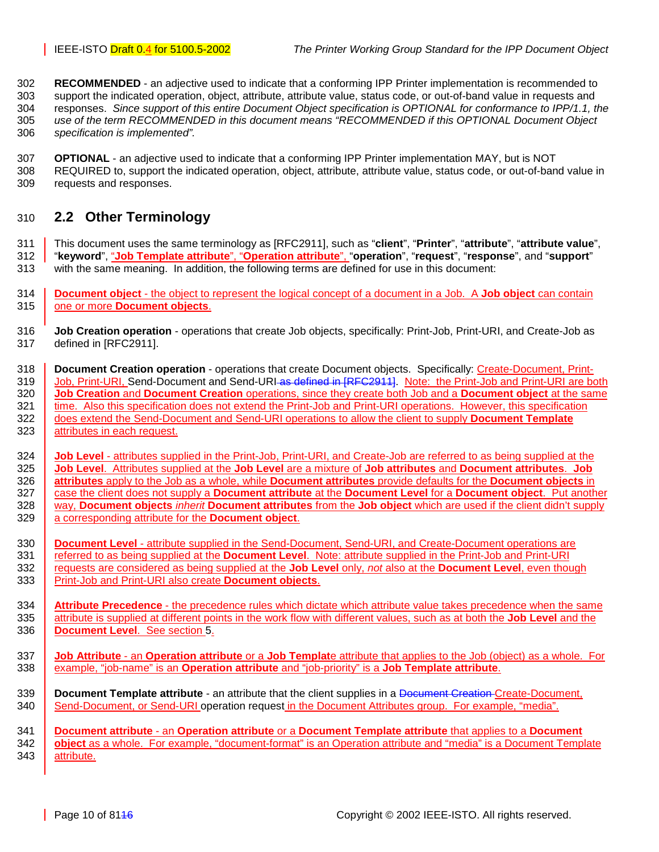<span id="page-9-0"></span>302 **RECOMMENDED** - an adjective used to indicate that a conforming IPP Printer implementation is recommended to 303 support the indicated operation, object, attribute, attribute value, status code, or out-of-band value in requests and 304 responses. *Since support of this entire Document Object specification is OPTIONAL for conformance to IPP/1.1, the*  305 *use of the term RECOMMENDED in this document means "RECOMMENDED if this OPTIONAL Document Object*  306 *specification is implemented".*

307 **OPTIONAL** - an adjective used to indicate that a conforming IPP Printer implementation MAY, but is NOT 308 REQUIRED to, support the indicated operation, object, attribute, attribute value, status code, or out-of-band value in 309 requests and responses.

## 310 **2.2 Other Terminology**

311 This document uses the same terminology as [RFC2911], such as "**client**", "**Printer**", "**attribute**", "**attribute value**", 312 "**keyword**", "**Job Template attribute**", "**Operation attribute**", "**operation**", "**request**", "**response**", and "**support**"

- 313 with the same meaning. In addition, the following terms are defined for use in this document:
- 314 **Document object** the object to represent the logical concept of a document in a Job. A **Job object** can contain 315 one or more **Document objects**.
- 316 **Job Creation operation** operations that create Job objects, specifically: Print-Job, Print-URI, and Create-Job as 317 defined in [RFC2911].

318 **Document Creation operation** - operations that create Document objects. Specifically: Create-Document, Print-319 Job, Print-URI, Send-Document and Send-URI-as defined in [RFC2911]. Note: the Print-Job and Print-URI are both 320 **Job Creation** and **Document Creation** operations, since they create both Job and a **Document object** at the same 321 time. Also this specification does not extend the Print-Job and Print-URI operations. However, this specification 322 does extend the Send-Document and Send-URI operations to allow the client to supply **Document Template** 323 attributes in each request.

324 **Job Level** - attributes supplied in the Print-Job, Print-URI, and Create-Job are referred to as being supplied at the 325 **Job Level**. Attributes supplied at the **Job Level** are a mixture of **Job attributes** and **Document attributes**. **Job**  326 **attributes** apply to the Job as a whole, while **Document attributes** provide defaults for the **Document objects** in 327 case the client does not supply a **Document attribute** at the **Document Level** for a **Document object**. Put another 328 way, **Document objects** *inherit* **Document attributes** from the **Job object** which are used if the client didn't supply 329 a corresponding attribute for the **Document object**.

330 **Document Level** - attribute supplied in the Send-Document, Send-URI, and Create-Document operations are 331 referred to as being supplied at the **Document Level**. Note: attribute supplied in the Print-Job and Print-URI 332 requests are considered as being supplied at the **Job Level** only, *not* also at the **Document Level**, even though 333 Print-Job and Print-URI also create **Document objects**.

334 **Attribute Precedence** - the precedence rules which dictate which attribute value takes precedence when the same 335 attribute is supplied at different points in the work flow with different values, such as at both the **Job Level** and the 336 **Document Level**. See section [5.](#page-35-0)

337 **Job Attribute** - an **Operation attribute** or a **Job Templat**e attribute that applies to the Job (object) as a whole. For 338 example, "job-name" is an **Operation attribute** and "job-priority" is a **Job Template attribute**.

339 **Document Template attribute** - an attribute that the client supplies in a Document Creation Create-Document, 340 Send-Document, or Send-URI operation request in the Document Attributes group. For example, "media".

341 **Document attribute** - an **Operation attribute** or a **Document Template attribute** that applies to a **Document**  342 **object** as a whole. For example, "document-format" is an Operation attribute and "media" is a Document Template 343 attribute.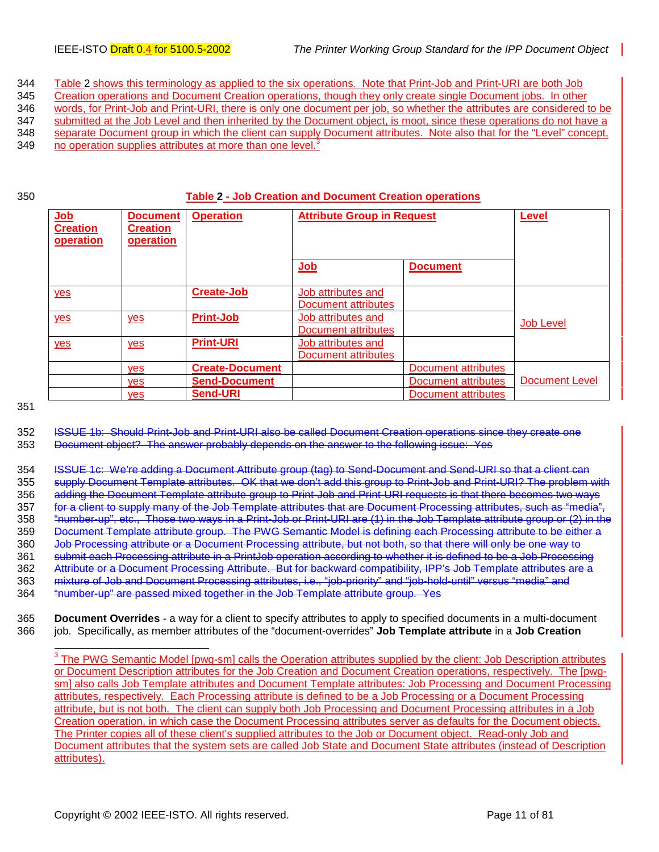<span id="page-10-0"></span>344 Table 2 shows this terminology as applied to the six operations. Note that Print-Job and Print-URI are both Job

345 Creation operations and Document Creation operations, though they only create single Document jobs. In other 346 words, for Print-Job and Print-URI, there is only one document per job, so whether the attributes are considered to be

347 submitted at the Job Level and then inherited by the Document object, is moot, since these operations do not have a

348 separate Document group in which the client can supply Document attributes. Note also that for the "Level" concept,

- 349 no operation supplies attributes at more than one level.<sup>3</sup>
- 

#### 350 **Table 2 - Job Creation and Document Creation operations**

| Job<br><b>Creation</b><br>operation | <b>Document</b><br><b>Creation</b><br>operation | <b>Operation</b>       | <b>Attribute Group in Request</b>         |                     | <b>Level</b>          |
|-------------------------------------|-------------------------------------------------|------------------------|-------------------------------------------|---------------------|-----------------------|
|                                     |                                                 |                        | Job                                       | <b>Document</b>     |                       |
| yes                                 |                                                 | <b>Create-Job</b>      | Job attributes and<br>Document attributes |                     |                       |
| yes                                 | yes                                             | <b>Print-Job</b>       | Job attributes and<br>Document attributes |                     | <b>Job Level</b>      |
| yes                                 | yes                                             | <b>Print-URI</b>       | Job attributes and<br>Document attributes |                     |                       |
|                                     | yes                                             | <b>Create-Document</b> |                                           | Document attributes |                       |
|                                     | yes                                             | <b>Send-Document</b>   |                                           | Document attributes | <b>Document Level</b> |
|                                     | yes                                             | <b>Send-URI</b>        |                                           | Document attributes |                       |

351

352 ISSUE 1b: Should Print-Job and Print-URI also be called Document Creation operations since they create one 353 Document object? The answer probably depends on the answer to the following issue: Yes

354 ISSUE 1c: We're adding a Document Attribute group (tag) to Send-Document and Send-URI so that a client can 355 supply Document Template attributes. OK that we don't add this group to Print-Job and Print-URI? The problem with 356 adding the Document Template attribute group to Print-Job and Print-URI requests is that there becomes two ways 357 for a client to supply many of the Job Template attributes that are Document Processing attributes, such as "media", 358 "number-up", etc., Those two ways in a Print-Job or Print-URI are (1) in the Job Template attribute group or (2) in the 359 Document Template attribute group. The PWG Semantic Model is defining each Processing attribute to be either a 360 Job Processing attribute or a Document Processing attribute, but not both, so that there will only be one way to 361 submit each Processing attribute in a PrintJob operation according to whether it is defined to be a Job Processing 362 Attribute or a Document Processing Attribute. But for backward compatibility, IPP's Job Template attributes are a 363 mixture of Job and Document Processing attributes, i.e., "job-priority" and "job-hold-until" versus "media" and 364 "number-up" are passed mixed together in the Job Template attribute group. Yes

365 **Document Overrides** - a way for a client to specify attributes to apply to specified documents in a multi-document 366 job. Specifically, as member attributes of the "document-overrides" **Job Template attribute** in a **Job Creation**

į <sup>3</sup> The PWG Semantic Model [pwg-sm] calls the Operation attributes supplied by the client: Job Description attributes or Document Description attributes for the Job Creation and Document Creation operations, respectively. The [pwgsm] also calls Job Template attributes and Document Template attributes: Job Processing and Document Processing attributes, respectively. Each Processing attribute is defined to be a Job Processing or a Document Processing attribute, but is not both. The client can supply both Job Processing and Document Processing attributes in a Job Creation operation, in which case the Document Processing attributes server as defaults for the Document objects. The Printer copies all of these client's supplied attributes to the Job or Document object. Read-only Job and Document attributes that the system sets are called Job State and Document State attributes (instead of Description attributes).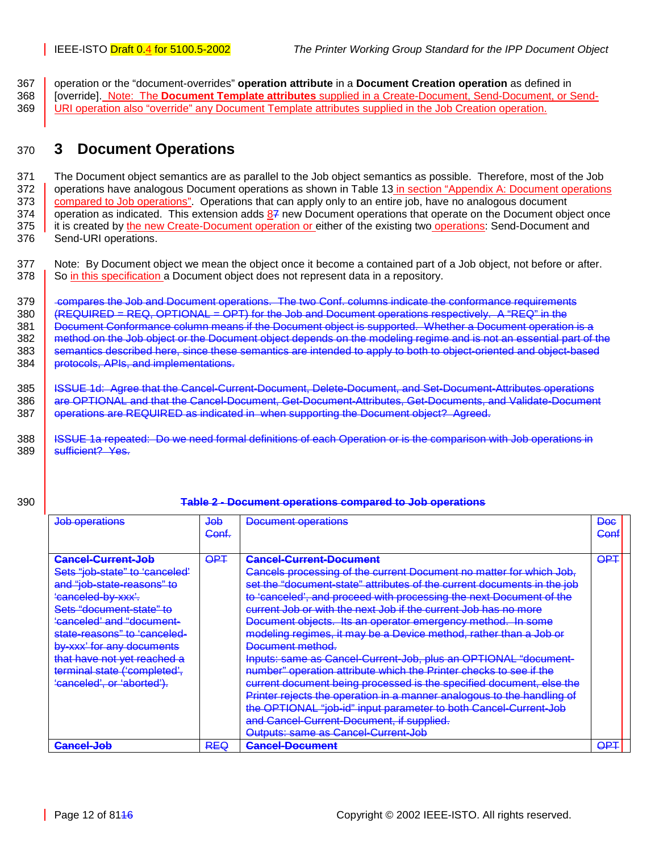<span id="page-11-0"></span>367 operation or the "document-overrides" **operation attribute** in a **Document Creation operation** as defined in 368 [override]. Note: The **Document Template attributes** supplied in a Create-Document, Send-Document, or Send-369 URI operation also "override" any Document Template attributes supplied in the Job Creation operation.

## 370 **3 Document Operations**

371 The Document object semantics are as parallel to the Job object semantics as possible. Therefore, most of the Job 372 operations have analogous Document operations as shown in [Table 13](#page-79-0) in section "Appendix A: Document operations" 373 [compared to Job operations"](#page-79-0). Operations that can apply only to an entire job, have no analogous document  $374$  operation as indicated. This extension adds  $87$  new Document operations that operate on the Document object once 375 it is created by the new Create-Document operation or either of the existing two operations: Send-Document and 376 Send-URI operations.

377 Note: By Document object we mean the object once it become a contained part of a Job object, not before or after. 378 So in this specification a Document object does not represent data in a repository.

379 compares the Job and Document operations. The two Conf. columns indicate the conformance requirements 380  $\left\{\right.$  (REQUIRED = REQ, OPTIONAL = OPT) for the Job and Document operations respectively. A "REQ" in the 381 **Document Conformance column means if the Document object is supported. Whether a Document operation is a** 382 method on the Job object or the Document object depends on the modeling regime and is not an essential part of the 383 semantics described here, since these semantics are intended to apply to both to object-oriented and object-based 384 protocols, APIs, and implementations.

385 | ISSUE 1d: Agree that the Cancel-Current-Document, Delete-Document, and Set-Document-Attributes operations 386 are OPTIONAL and that the Cancel-Document, Get-Document-Attributes, Get-Documents, and Validate-Document 387 **operations are REQUIRED as indicated in when supporting the Document object? Agreed.** 

388 **I** ISSUE 1a repeated: Do we need formal definitions of each Operation or is the comparison with Job operations in 389 | sufficient? Yes.

#### 390 **Table 2 - Document operations compared to Job operations**

| Job operations                       | <del>JOD</del><br>Cont. | Document operations                                                     | <del>Doc</del><br><del>Conf</del> |  |
|--------------------------------------|-------------------------|-------------------------------------------------------------------------|-----------------------------------|--|
|                                      |                         |                                                                         |                                   |  |
| <b>Cancel-Current-Job</b>            | <del>OP</del> ∓         | Cancel-Current-Document                                                 | <del>OP T</del>                   |  |
| Sets "job-state" to 'canceled'       |                         | Cancels processing of the current Document no matter for which Job,     |                                   |  |
| and "job-state-reasons" to           |                         | set the "document-state" attributes of the current documents in the job |                                   |  |
| 'canceled-by-xxx'.                   |                         | to 'canceled', and proceed with processing the next Document of the     |                                   |  |
| Sets "document-state" to             |                         | current Job or with the next Job if the current Job has no more         |                                   |  |
| <del>'canceled' and "document-</del> |                         | Document objects. Its an operator emergency method. In some             |                                   |  |
| state-reasons" to 'canceled-         |                         | modeling regimes, it may be a Device method, rather than a Job or       |                                   |  |
| by-xxx' for any documents            |                         | Document method.                                                        |                                   |  |
| that have not yet reached a          |                         | Inputs: same as Cancel-Current-Job, plus an OPTIONAL "document-         |                                   |  |
| terminal state ('completed',         |                         | number" operation attribute which the Printer checks to see if the      |                                   |  |
| 'canceled', or 'aborted').           |                         | current document being processed is the specified document, else the    |                                   |  |
|                                      |                         | Printer rejects the operation in a manner analogous to the handling of  |                                   |  |
|                                      |                         | the OPTIONAL "job-id" input parameter to both Cancel-Current-Job        |                                   |  |
|                                      |                         | and Cancel-Current-Document, if supplied.                               |                                   |  |
|                                      |                         | Outputs: same as Cancel-Current-Job                                     |                                   |  |
| Cancel-Job                           | <b>REQ</b>              | <b>Cancel-Document</b>                                                  | דפם<br>$\mathbf{v}$               |  |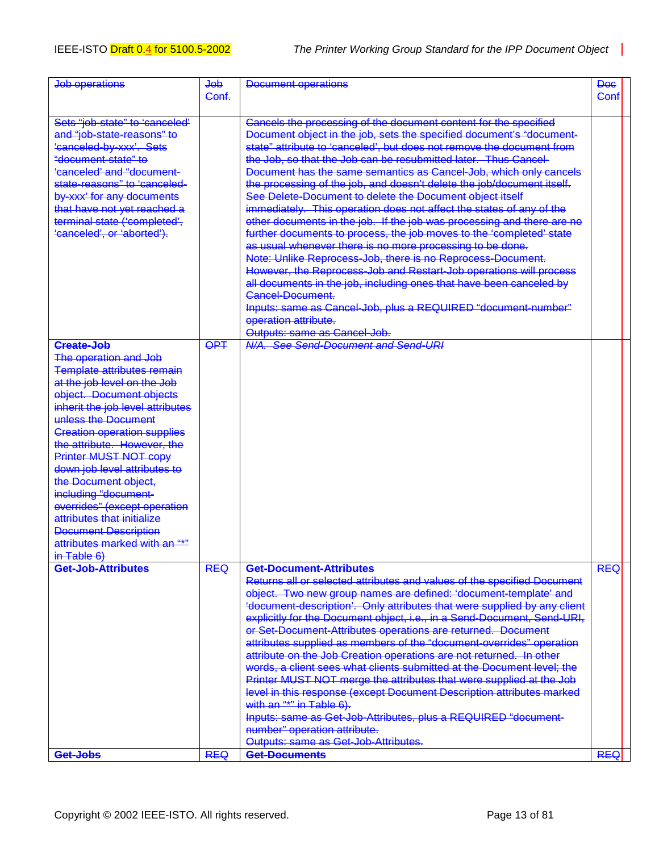| Job operations                                                                                                                                                                                                                                                                                                                                                                                                                                                                                           | $\overline{4\theta}$<br>Conf. | <b>Document operations</b>                                                                                                                                                                                                                                                                                                                                                                                                                                                                                                                                                                                                                                                                                                                                                                                                                                                                                                                                                                                                                                                                                      | Doe<br>Conf |  |
|----------------------------------------------------------------------------------------------------------------------------------------------------------------------------------------------------------------------------------------------------------------------------------------------------------------------------------------------------------------------------------------------------------------------------------------------------------------------------------------------------------|-------------------------------|-----------------------------------------------------------------------------------------------------------------------------------------------------------------------------------------------------------------------------------------------------------------------------------------------------------------------------------------------------------------------------------------------------------------------------------------------------------------------------------------------------------------------------------------------------------------------------------------------------------------------------------------------------------------------------------------------------------------------------------------------------------------------------------------------------------------------------------------------------------------------------------------------------------------------------------------------------------------------------------------------------------------------------------------------------------------------------------------------------------------|-------------|--|
| Sets "job-state" to 'canceled'<br>and "job-state-reasons" to<br>'canceled-by-xxx'. Sets<br>"document-state" to<br>'canceled' and "document-<br>state-reasons" to 'canceled-<br>by-xxx' for any documents<br>that have not yet reached a<br>terminal state ('completed',<br>'canceled', or 'aborted').                                                                                                                                                                                                    |                               | Cancels the processing of the document content for the specified<br>Document object in the job, sets the specified document's "document-<br>state" attribute to 'canceled', but does not remove the document from<br>the Job, so that the Job can be resubmitted later. Thus Cancel-<br>Document has the same semantics as Cancel-Job, which only cancels<br>the processing of the job, and doesn't delete the job/document itself.<br>See Delete-Document to delete the Document object itself<br>immediately. This operation does not affect the states of any of the<br>other documents in the job. If the job was processing and there are no<br>further documents to process, the job moves to the 'completed' state<br>as usual whenever there is no more processing to be done.<br>Note: Unlike Reprocess-Job, there is no Reprocess-Document.<br>However, the Reprocess-Job and Restart-Job operations will process<br>all documents in the job, including ones that have been canceled by<br>Cancel-Document-<br>Inputs: same as Cancel-Job, plus a REQUIRED "document-number"<br>operation attribute. |             |  |
| <b>Create-Job</b>                                                                                                                                                                                                                                                                                                                                                                                                                                                                                        | $\overline{OPT}$              | Outputs: same as Cancel-Job.<br>N/A. See Send-Document and Send-URI                                                                                                                                                                                                                                                                                                                                                                                                                                                                                                                                                                                                                                                                                                                                                                                                                                                                                                                                                                                                                                             |             |  |
| The operation and Job<br>Template attributes remain<br>at the job level on the Job<br>object. Document objects<br>inherit the job level attributes<br>unless the Document<br><b>Creation operation supplies</b><br>the attribute. However, the<br>Printer MUST NOT copy<br>down job level attributes to<br>the Document object,<br>including "document-<br>overrides" (except operation<br>attributes that initialize<br><b>Document Description</b><br>attributes marked with an "*"<br>$in$ Table $6)$ |                               |                                                                                                                                                                                                                                                                                                                                                                                                                                                                                                                                                                                                                                                                                                                                                                                                                                                                                                                                                                                                                                                                                                                 |             |  |
| Get-Job-Attributes                                                                                                                                                                                                                                                                                                                                                                                                                                                                                       | <b>REQ</b>                    | Get-Document-Attributes<br>Returns all or selected attributes and values of the specified Document<br>object. Two new group names are defined: 'document-template' and<br>'document-description'. Only attributes that were supplied by any client<br>explicitly for the Document object, i.e., in a Send-Document, Send-URI,<br>or Set-Document-Attributes operations are returned. Document<br>attributes supplied as members of the "document-overrides" operation<br>attribute on the Job Creation operations are not returned. In other<br>words, a client sees what clients submitted at the Document level; the<br>Printer MUST NOT merge the attributes that were supplied at the Job<br>level in this response (except Document Description attributes marked<br>with an "*" in Table 6).<br>Inputs: same as Get-Job-Attributes, plus a REQUIRED "document-<br>number" operation attribute.                                                                                                                                                                                                            | <b>REQ</b>  |  |
| Get-Jobs                                                                                                                                                                                                                                                                                                                                                                                                                                                                                                 | <b>REQ</b>                    | Outputs: same as Get-Job-Attributes.<br>Get-Documents                                                                                                                                                                                                                                                                                                                                                                                                                                                                                                                                                                                                                                                                                                                                                                                                                                                                                                                                                                                                                                                           | <b>REQ</b>  |  |
|                                                                                                                                                                                                                                                                                                                                                                                                                                                                                                          |                               |                                                                                                                                                                                                                                                                                                                                                                                                                                                                                                                                                                                                                                                                                                                                                                                                                                                                                                                                                                                                                                                                                                                 |             |  |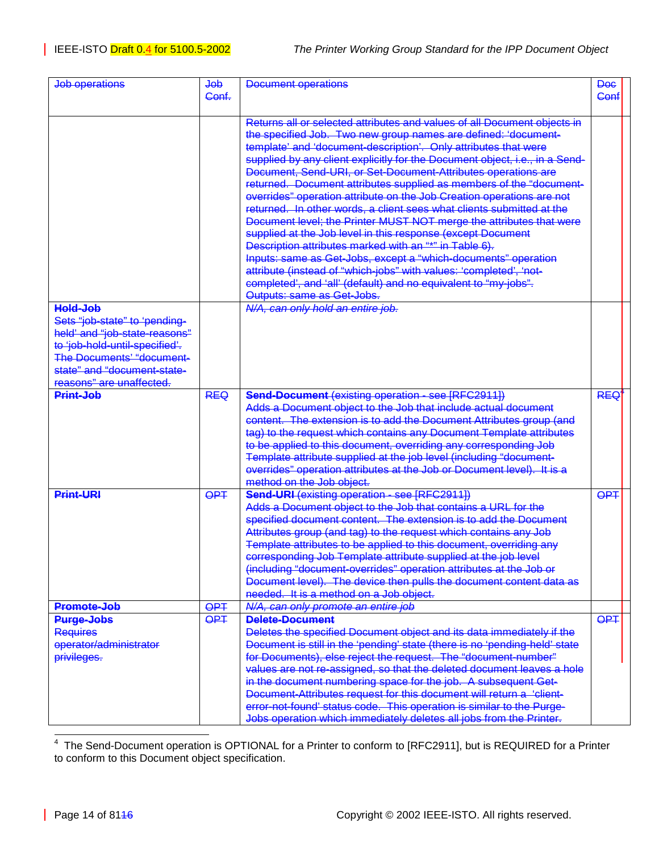| Job operations                                                                                                                                                                                              | dob<br>Conf.                         | <b>Document operations</b>                                                                                                                                                                                                                                                                                                                                                                                                                                                                                                                                                                                                                                                                                                                                                                                                                                                                                                                                                                                                      | <b>Dee</b><br>Conf |  |
|-------------------------------------------------------------------------------------------------------------------------------------------------------------------------------------------------------------|--------------------------------------|---------------------------------------------------------------------------------------------------------------------------------------------------------------------------------------------------------------------------------------------------------------------------------------------------------------------------------------------------------------------------------------------------------------------------------------------------------------------------------------------------------------------------------------------------------------------------------------------------------------------------------------------------------------------------------------------------------------------------------------------------------------------------------------------------------------------------------------------------------------------------------------------------------------------------------------------------------------------------------------------------------------------------------|--------------------|--|
|                                                                                                                                                                                                             |                                      | Returns all or selected attributes and values of all Document objects in<br>the specified Job. Two new group names are defined: 'document-<br>template' and 'document-description'. Only attributes that were<br>supplied by any client explicitly for the Document object, i.e., in a Send-<br>Document, Send-URI, or Set-Document-Attributes operations are<br>returned. Document attributes supplied as members of the "document-<br>overrides" operation attribute on the Job Creation operations are not<br>returned. In other words, a client sees what clients submitted at the<br>Document level; the Printer MUST NOT merge the attributes that were<br>supplied at the Job level in this response (except Document<br>Description attributes marked with an "*" in Table 6).<br>Inputs: same as Get-Jobs, except a "which-documents" operation<br>attribute (instead of "which-jobs" with values: 'completed', 'not-<br>completed', and 'all' (default) and no equivalent to "my-jobs".<br>Outputs: same as Get-Jobs. |                    |  |
| Hold-Job<br>Sets "job-state" to 'pending-<br>held' and "job-state-reasons"<br>to 'job-hold-until-specified'.<br><b>The Documents' "document-</b><br>state" and "document-state-<br>reasons" are unaffected. |                                      | N/A, can only hold an entire job.                                                                                                                                                                                                                                                                                                                                                                                                                                                                                                                                                                                                                                                                                                                                                                                                                                                                                                                                                                                               |                    |  |
| Print-Job                                                                                                                                                                                                   | <b>REQ</b>                           | Send-Document (existing operation - see [RFC2911])<br>Adds a Document object to the Job that include actual document<br>content. The extension is to add the Document Attributes group (and<br>tag) to the request which contains any Document Template attributes<br>to be applied to this document, overriding any corresponding Job<br>Template attribute supplied at the job level (including "document-<br>overrides" operation attributes at the Job or Document level). It is a<br>method on the Job object.                                                                                                                                                                                                                                                                                                                                                                                                                                                                                                             | <b>REQ</b>         |  |
| <b>Print-URI</b>                                                                                                                                                                                            | <b>OPT</b>                           | <b>Send-URI</b> (existing operation - see [RFC2911])<br>Adds a Document object to the Job that contains a URL for the<br>specified document content. The extension is to add the Document<br>Attributes group (and tag) to the request which contains any Job<br>Template attributes to be applied to this document, overriding any<br>corresponding Job Template attribute supplied at the job level<br>(including "document-overrides" operation attributes at the Job or<br>Document level). The device then pulls the document content data as<br>needed. It is a method on a Job object.                                                                                                                                                                                                                                                                                                                                                                                                                                   | <b>OPT</b>         |  |
| Promote-Job<br><b>Purge-Jobs</b><br><b>Requires</b>                                                                                                                                                         | $\overline{QPI}$<br>$\overline{OPT}$ | N/A, can only promote an entire job<br>Delete-Document<br>Deletes the specified Document object and its data immediately if the                                                                                                                                                                                                                                                                                                                                                                                                                                                                                                                                                                                                                                                                                                                                                                                                                                                                                                 | <b>OPT</b>         |  |
| eperator/administrator<br>privileges.                                                                                                                                                                       |                                      | Document is still in the 'pending' state (there is no 'pending-held' state<br>for Documents), else reject the request. The "document-number"<br>values are not re-assigned, so that the deleted document leaves a hole<br>in the document numbering space for the job. A subsequent Get-<br>Document-Attributes request for this document will return a 'client-<br>error-not-found' status code. This operation is similar to the Purge-<br>Jobs operation which immediately deletes all jobs from the Printer.                                                                                                                                                                                                                                                                                                                                                                                                                                                                                                                |                    |  |

 4 The Send-Document operation is OPTIONAL for a Printer to conform to [RFC2911], but is REQUIRED for a Printer to conform to this Document object specification.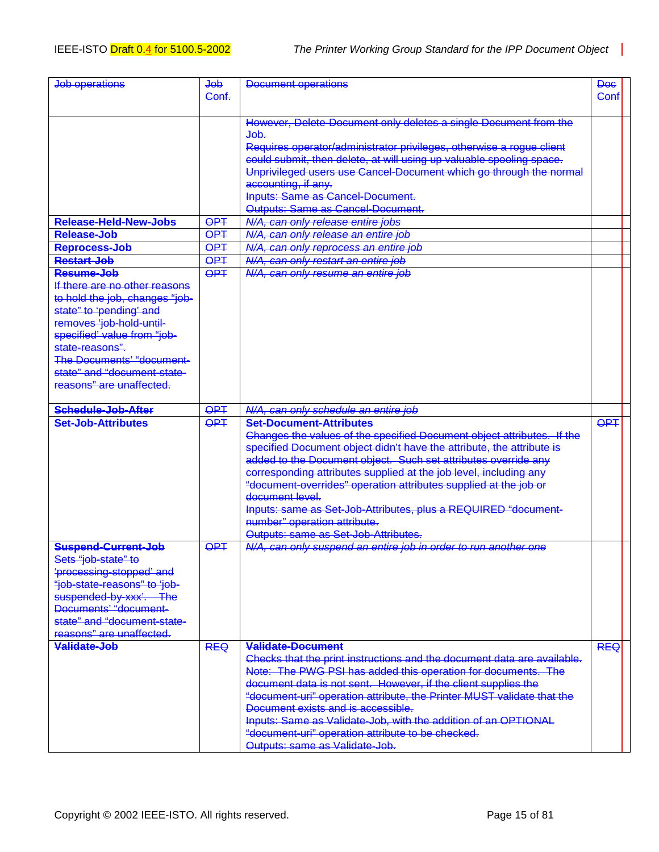| <b>Job operations</b>            | $\overline{\text{de}}$<br>Conf. | Document operations                                                                 |            |  |
|----------------------------------|---------------------------------|-------------------------------------------------------------------------------------|------------|--|
|                                  |                                 | However, Delete-Document only deletes a single Document from the                    |            |  |
|                                  |                                 | $\overline{ab}$ .                                                                   |            |  |
|                                  |                                 | Requires operator/administrator privileges, otherwise a rogue client                |            |  |
|                                  |                                 | could submit, then delete, at will using up valuable spooling space.                |            |  |
|                                  |                                 | Unprivileged users use Cancel-Document which go through the normal                  |            |  |
|                                  |                                 | accounting, if any.                                                                 |            |  |
|                                  |                                 | <b>Inputs: Same as Cancel-Document.</b>                                             |            |  |
|                                  |                                 | Outputs: Same as Cancel-Document.                                                   |            |  |
| Release-Held-New-Jobs            | <b>OPT</b>                      | N/A, can only release entire jobs                                                   |            |  |
| Release-Job                      | $\overline{QPT}$                | N/A, can only release an entire job                                                 |            |  |
| Reprocess-Job                    | <b>OPT</b>                      | N/A, can only reprocess an entire job                                               |            |  |
| <b>Restart-Job</b>               | $\overline{OPT}$                | N/A, can only restart an entire job                                                 |            |  |
| Resume-Job                       | <b>OPT</b>                      | N/A, can only resume an entire job                                                  |            |  |
| If there are no other reasons    |                                 |                                                                                     |            |  |
| to hold the job, changes "job-   |                                 |                                                                                     |            |  |
| state" to 'pending' and          |                                 |                                                                                     |            |  |
| removes 'job-hold-until-         |                                 |                                                                                     |            |  |
| specified' value from "job-      |                                 |                                                                                     |            |  |
| state-reasons".                  |                                 |                                                                                     |            |  |
| <b>The Documents' "document-</b> |                                 |                                                                                     |            |  |
| state" and "document-state-      |                                 |                                                                                     |            |  |
| reasons" are unaffected.         |                                 |                                                                                     |            |  |
| Schedule-Job-After               | $\overline{OPT}$                | N/A, can only schedule an entire job                                                |            |  |
| <b>Set-Job-Attributes</b>        | <b>OPT</b>                      | <b>Set-Document-Attributes</b>                                                      | <b>OPT</b> |  |
|                                  |                                 | Changes the values of the specified Document object attributes. If the              |            |  |
|                                  |                                 | specified Document object didn't have the attribute, the attribute is               |            |  |
|                                  |                                 |                                                                                     |            |  |
|                                  |                                 |                                                                                     |            |  |
|                                  |                                 | added to the Document object. Such set attributes override any                      |            |  |
|                                  |                                 | corresponding attributes supplied at the job level, including any                   |            |  |
|                                  |                                 | "document-overrides" operation attributes supplied at the job or<br>document level. |            |  |
|                                  |                                 |                                                                                     |            |  |
|                                  |                                 | Inputs: same as Set-Job-Attributes, plus a REQUIRED "document-                      |            |  |
|                                  |                                 | number" operation attribute.                                                        |            |  |
| Suspend-Current-Job              | <b>OPT</b>                      | Outputs: same as Set-Job-Attributes.                                                |            |  |
| Sets "job-state" to              |                                 | N/A, can only suspend an entire job in order to run another one                     |            |  |
| 'processing-stopped' and         |                                 |                                                                                     |            |  |
| "job-state-reasons" to 'job-     |                                 |                                                                                     |            |  |
| suspended-by-xxx'. The           |                                 |                                                                                     |            |  |
| Documents' "document-            |                                 |                                                                                     |            |  |
| state" and "document-state-      |                                 |                                                                                     |            |  |
| reasons" are unaffected.         |                                 |                                                                                     |            |  |
| Validate-Job                     | <b>REQ</b>                      | Validate-Document                                                                   | <b>REQ</b> |  |
|                                  |                                 | Checks that the print instructions and the document data are available.             |            |  |
|                                  |                                 | Note: The PWG PSI has added this operation for documents. The                       |            |  |
|                                  |                                 | document data is not sent. However, if the client supplies the                      |            |  |
|                                  |                                 | "document-uri" operation attribute, the Printer MUST validate that the              |            |  |
|                                  |                                 | Document exists and is accessible.                                                  |            |  |
|                                  |                                 | Inputs: Same as Validate-Job, with the addition of an OPTIONAL                      |            |  |
|                                  |                                 | "document-uri" operation attribute to be checked.<br>Outputs: same as Validate-Job. |            |  |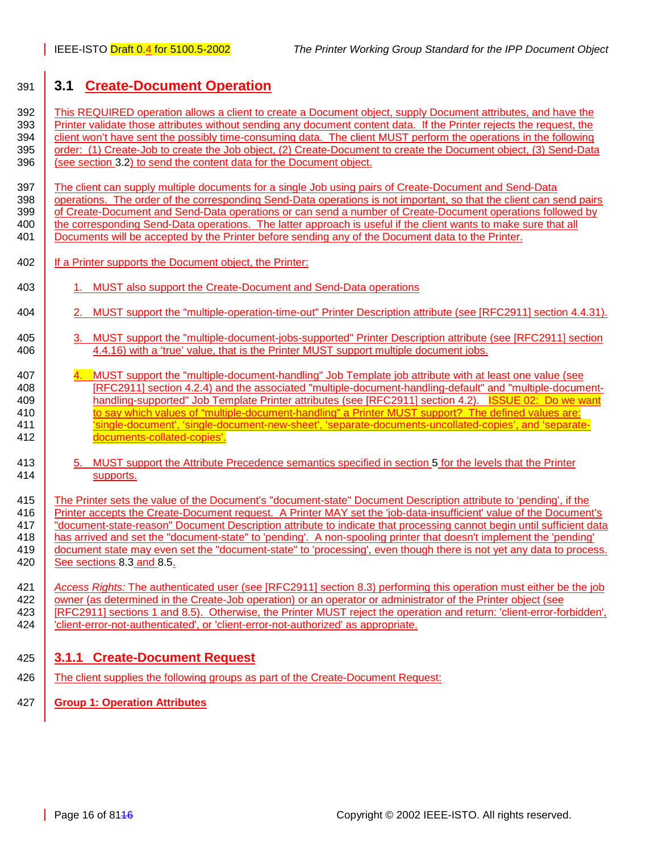## <span id="page-15-0"></span>391 **3.1 Create-Document Operation**

392 This REQUIRED operation allows a client to create a Document object, supply Document attributes, and have the 393 Printer validate those attributes without sending any document content data. If the Printer rejects the request, the 394 client won't have sent the possibly time-consuming data. The client MUST perform the operations in the following 395 order: (1) Create-Job to create the Job object, (2) Create-Document to create the Document object, (3) Send-Data 396 (see section [3.2\)](#page-18-0) to send the content data for the Document object.

397 The client can supply multiple documents for a single Job using pairs of Create-Document and Send-Data 398 operations. The order of the corresponding Send-Data operations is not important, so that the client can send pairs 399 of Create-Document and Send-Data operations or can send a number of Create-Document operations followed by 400 the corresponding Send-Data operations. The latter approach is useful if the client wants to make sure that all 401 Documents will be accepted by the Printer before sending any of the Document data to the Printer.

- 402 | If a Printer supports the Document object, the Printer:
- 403 1. MUST also support the Create-Document and Send-Data operations
- 404 2. MUST support the "multiple-operation-time-out" Printer Description attribute (see [RFC2911] section 4.4.31).
- 405 3. MUST support the "multiple-document-jobs-supported" Printer Description attribute (see [RFC2911] section 406 4.4.16) with a 'true' value, that is the Printer MUST support multiple document jobs.
- 4. MUST support the "multiple-document-handling" Job Template job attribute with at least one value (see 408 [RFC2911] section 4.2.4) and the associated "multiple-document-handling-default" and "multiple-document-409 **handling-supported" Job Template Printer attributes (see [RFC2911] section 4.2). ISSUE 02: Do we want** 410 to say which values of "multiple-document-handling" a Printer MUST support? The defined values are: 411 Single-document', 'single-document-new-sheet', 'separate-documents-uncollated-copies', and 'separate-412 documents-collated-copies'.
- 413 6. MUST support the Attribute Precedence semantics specified in section [5](#page-35-0) for the levels that the Printer 414 supports.

415 The Printer sets the value of the Document's "document-state" Document Description attribute to 'pending', if the 416 Printer accepts the Create-Document request. A Printer MAY set the 'job-data-insufficient' value of the Document's 417 "document-state-reason" Document Description attribute to indicate that processing cannot begin until sufficient data has arrived and set the "document-state" to 'pending'. A non-spooling printer that doesn't implement the 'pending'<br>419 document state may even set the "document-state" to 'processing', even though there is not vet any data document state may even set the "document-state" to 'processing', even though there is not yet any data to process. 420 See sections [8.3](#page-50-0) and [8.5.](#page-55-0)

421 *Access Rights:* The authenticated user (see [RFC2911] section 8.3) performing this operation must either be the job 422 owner (as determined in the Create-Job operation) or an operator or administrator of the Printer object (see 423 [RFC2911] sections 1 and 8.5). Otherwise, the Printer MUST reject the operation and return: 'client-error-forbidden', 424 'client-error-not-authenticated', or 'client-error-not-authorized' as appropriate.

### 425 **3.1.1 Create-Document Request**

- 426 The client supplies the following groups as part of the Create-Document Request:
- 427 **Group 1: Operation Attributes**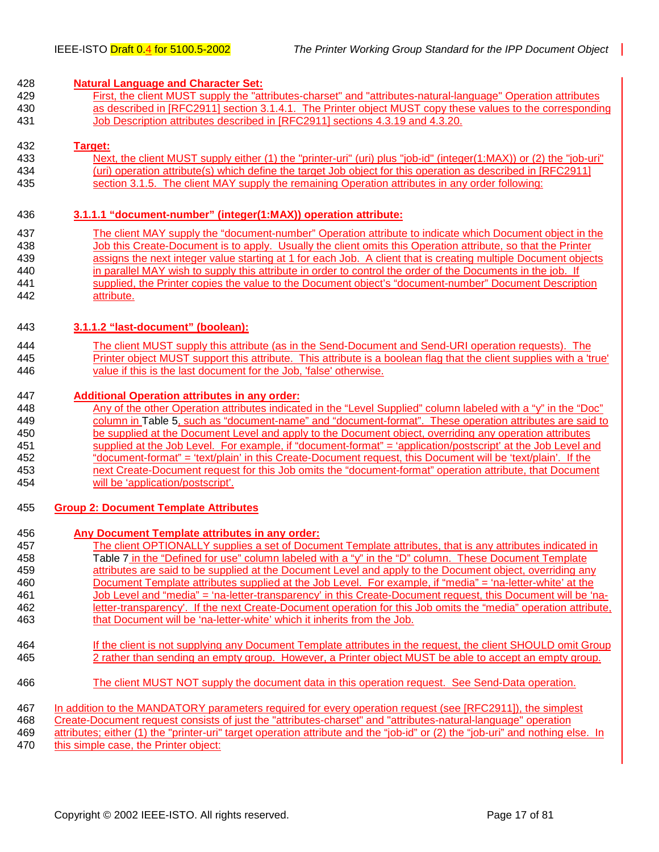#### <span id="page-16-0"></span>428 **Natural Language and Character Set:**

429 First, the client MUST supply the "attributes-charset" and "attributes-natural-language" Operation attributes 430 as described in [RFC2911] section 3.1.4.1. The Printer object MUST copy these values to the corresponding 431 Job Description attributes described in [RFC2911] sections 4.3.19 and 4.3.20.

#### 432 **Target:**

433 Next, the client MUST supply either (1) the "printer-uri" (uri) plus "job-id" (integer(1:MAX)) or (2) the "job-uri" 434 (uri) operation attribute(s) which define the target Job object for this operation as described in [RFC2911] 435 section 3.1.5. The client MAY supply the remaining Operation attributes in any order following:

#### 436 **3.1.1.1 "document-number" (integer(1:MAX)) operation attribute:**

437 The client MAY supply the "document-number" Operation attribute to indicate which Document object in the 438 Job this Create-Document is to apply. Usually the client omits this Operation attribute, so that the Printer 439 assigns the next integer value starting at 1 for each Job. A client that is creating multiple Document objects 440 in parallel MAY wish to supply this attribute in order to control the order of the Documents in the job. If 441 supplied, the Printer copies the value to the Document object's "document-number" Document Description 442 attribute.

#### 443 **3.1.1.2 "last-document" (boolean):**

444 The client MUST supply this attribute (as in the Send-Document and Send-URI operation requests). The 445 Printer object MUST support this attribute. This attribute is a boolean flag that the client supplies with a 'true' 446 value if this is the last document for the Job, 'false' otherwise.

#### 447 **Additional Operation attributes in any order:**

448 Any of the other Operation attributes indicated in the "Level Supplied" column labeled with a "y" in the "Doc" 449 column in [Table 5,](#page-37-0) such as "document-name" and "document-format". These operation attributes are said to 450 be supplied at the Document Level and apply to the Document object, overriding any operation attributes 451 supplied at the Job Level. For example, if "document-format" = 'application/postscript' at the Job Level and 452 "document-format" = 'text/plain' in this Create-Document request, this Document will be 'text/plain'. If the 453 next Create-Document request for this Job omits the "document-format" operation attribute, that Document 454 will be 'application/postscript'.

#### 455 **Group 2: Document Template Attributes**

456 **Any Document Template attributes in any order:** 457 The client OPTIONALLY supplies a set of Document Template attributes, that is any attributes indicated in 458 [Table 7](#page-42-0) in the "Defined for use" column labeled with a "y" in the "D" column. These Document Template 459 attributes are said to be supplied at the Document Level and apply to the Document object, overriding any 460 Document Template attributes supplied at the Job Level. For example, if "media" = 'na-letter-white' at the 461 Job Level and "media" = 'na-letter-transparency' in this Create-Document request, this Document will be 'na-462 letter-transparency'. If the next Create-Document operation for this Job omits the "media" operation attribute, 463 that Document will be 'na-letter-white' which it inherits from the Job. 464 If the client is not supplying any Document Template attributes in the request, the client SHOULD omit Group 465 2 rather than sending an empty group. However, a Printer object MUST be able to accept an empty group. 466 The client MUST NOT supply the document data in this operation request. See Send-Data operation. 467 In addition to the MANDATORY parameters required for every operation request (see [RFC2911]), the simplest 468 Create-Document request consists of just the "attributes-charset" and "attributes-natural-language" operation 469 attributes; either (1) the "printer-uri" target operation attribute and the "job-id" or (2) the "job-uri" and nothing else. In 470 this simple case, the Printer object: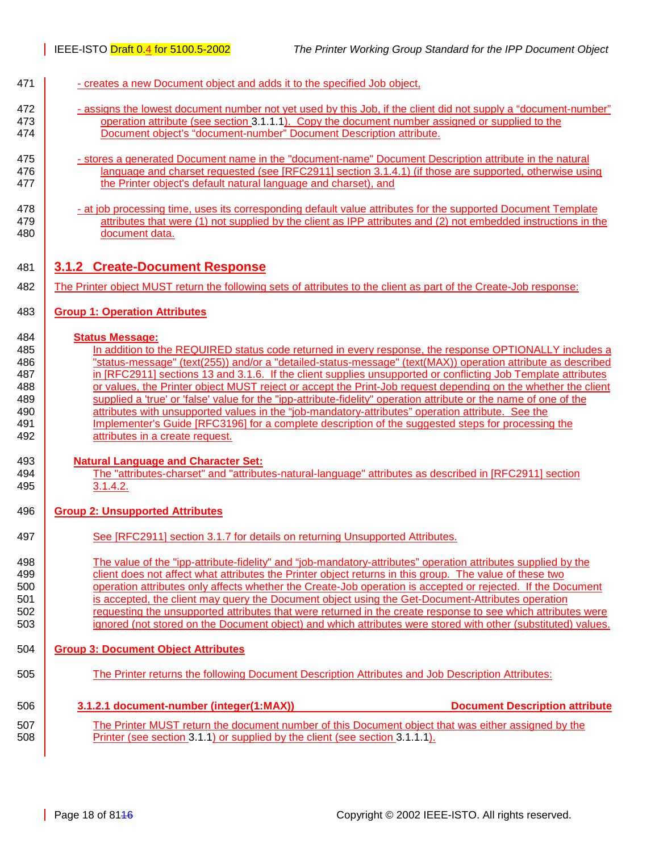- <span id="page-17-0"></span>471 - creates a new Document object and adds it to the specified Job object,
- 472 assigns the lowest document number not yet used by this Job, if the client did not supply a "document-number" 473 operation attribute (see section [3.1.1.1\)](#page-16-0). Copy the document number assigned or supplied to the 474 Document object's "document-number" Document Description attribute.
- 475 stores a generated Document name in the "document-name" Document Description attribute in the natural 476 **language and charset requested (see [RFC2911] section 3.1.4.1) (if those are supported, otherwise using** 477 **the Printer object's default natural language and charset), and**
- 478 **at job processing time, uses its corresponding default value attributes for the supported Document Template** 479 **attributes that were (1) not supplied by the client as IPP attributes and (2) not embedded instructions in the** 480 document data.

#### 481 **3.1.2 Create-Document Response**

482 The Printer object MUST return the following sets of attributes to the client as part of the Create-Job response:

#### 483 **Group 1: Operation Attributes**

#### 484 **Status Message:**

485 In addition to the REQUIRED status code returned in every response, the response OPTIONALLY includes a **Status-message" (text(255)) and/or a "detailed-status-message" (text(MAX)) operation attribute as described in IRFC2911** sections 13 and 3.1.6. If the client supplies unsupported or conflicting Job Template attributes **or values, the Printer object MUST reject or accept the Print-Job request depending on the whether the client** 489 supplied a 'true' or 'false' value for the "ipp-attribute-fidelity" operation attribute or the name of one of the **attributes with unsupported values in the "job-mandatory-attributes" operation attribute. See the** 491 Implementer's Guide [RFC3196] for a complete description of the suggested steps for processing the **attributes in a create request.** 

#### 493 **Natural Language and Character Set:**

494 The "attributes-charset" and "attributes-natural-language" attributes as described in [RFC2911] section 495 3.1.4.2.

#### 496 **Group 2: Unsupported Attributes**

497 See [RFC2911] section 3.1.7 for details on returning Unsupported Attributes.

498 The value of the "ipp-attribute-fidelity" and "job-mandatory-attributes" operation attributes supplied by the 499 client does not affect what attributes the Printer object returns in this group. The value of these two 500 operation attributes only affects whether the Create-Job operation is accepted or rejected. If the Document 501 is accepted, the client may query the Document object using the Get-Document-Attributes operation 502 requesting the unsupported attributes that were returned in the create response to see which attributes were 503 **ignored** (not stored on the Document object) and which attributes were stored with other (substituted) values.

#### 504 **Group 3: Document Object Attributes**

505 The Printer returns the following Document Description Attributes and Job Description Attributes:

#### 506 **3.1.2.1 document-number (integer(1:MAX)) Document Description attribute**

507 The Printer MUST return the document number of this Document object that was either assigned by the 508 **Printer (see section [3.1.1\)](#page-15-0) or supplied by the client (see section [3.1.1.1\)](#page-16-0).**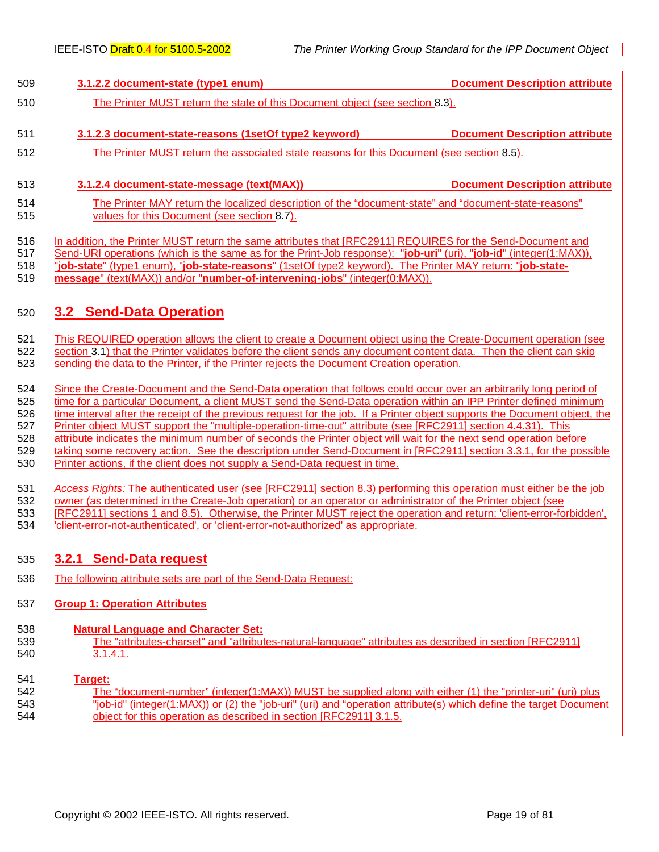<span id="page-18-0"></span>

| 509        | 3.1.2.2 document-state (type1 enum)                                                                                                                  | <b>Document Description attribute</b> |  |
|------------|------------------------------------------------------------------------------------------------------------------------------------------------------|---------------------------------------|--|
| 510        | The Printer MUST return the state of this Document object (see section 8.3).                                                                         |                                       |  |
| 511        | 3.1.2.3 document-state-reasons (1setOf type2 keyword)                                                                                                | <b>Document Description attribute</b> |  |
| 512        | The Printer MUST return the associated state reasons for this Document (see section 8.5).                                                            |                                       |  |
| 513        | 3.1.2.4 document-state-message (text(MAX))                                                                                                           | <b>Document Description attribute</b> |  |
| 514<br>515 | The Printer MAY return the localized description of the "document-state" and "document-state-reasons"<br>values for this Document (see section 8.7). |                                       |  |

516 In addition, the Printer MUST return the same attributes that [RFC2911] REQUIRES for the Send-Document and

517 Send-URI operations (which is the same as for the Print-Job response): "**job-uri**" (uri), "**job-id**" (integer(1:MAX)), 518 "**job-state**" (type1 enum), "**job-state-reasons**" (1setOf type2 keyword). The Printer MAY return: "**job-state-**

519 **message**" (text(MAX)) and/or "**number-of-intervening-jobs**" (integer(0:MAX)).

## 520 **3.2 Send-Data Operation**

521 This REQUIRED operation allows the client to create a Document object using the Create-Document operation (see 522 section [3.1\)](#page-15-0) that the Printer validates before the client sends any document content data. Then the client can skip 523 sending the data to the Printer, if the Printer rejects the Document Creation operation.

524 Since the Create-Document and the Send-Data operation that follows could occur over an arbitrarily long period of 525 time for a particular Document, a client MUST send the Send-Data operation within an IPP Printer defined minimum 526 time interval after the receipt of the previous request for the job. If a Printer object supports the Document object, the 527 Printer object MUST support the "multiple-operation-time-out" attribute (see [RFC2911] section 4.4.31). This 528 attribute indicates the minimum number of seconds the Printer object will wait for the next send operation before 529 taking some recovery action. See the description under Send-Document in [RFC2911] section 3.3.1, for the possible 530 Printer actions, if the client does not supply a Send-Data request in time.

531 *Access Rights:* The authenticated user (see [RFC2911] section 8.3) performing this operation must either be the job 532 owner (as determined in the Create-Job operation) or an operator or administrator of the Printer object (see 533 [RFC2911] sections 1 and 8.5). Otherwise, the Printer MUST reject the operation and return: 'client-error-forbidden', 534 'client-error-not-authenticated', or 'client-error-not-authorized' as appropriate.

## 535 **3.2.1 Send-Data request**

536 The following attribute sets are part of the Send-Data Request:

## 537 **Group 1: Operation Attributes**

- 538 **Natural Language and Character Set:**
- 539 The "attributes-charset" and "attributes-natural-language" attributes as described in section [RFC2911] 540 3.1.4.1.

## 541 **Target:**

542 The "document-number" (integer(1:MAX)) MUST be supplied along with either (1) the "printer-uri" (uri) plus 543 "job-id" (integer(1:MAX)) or (2) the "job-uri" (uri) and "operation attribute(s) which define the target Document 544 object for this operation as described in section [RFC2911] 3.1.5.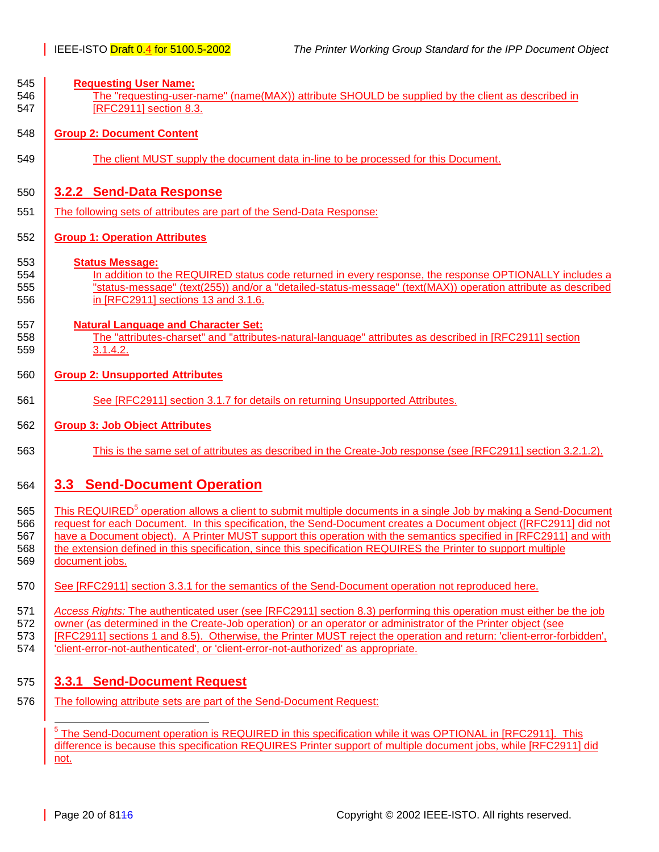<span id="page-19-0"></span>

| 545<br>546<br>547               | <b>Requesting User Name:</b><br>The "requesting-user-name" (name(MAX)) attribute SHOULD be supplied by the client as described in<br>[RFC2911] section 8.3.                                                                                                                                                                                                                                                                                                                                              |  |  |  |
|---------------------------------|----------------------------------------------------------------------------------------------------------------------------------------------------------------------------------------------------------------------------------------------------------------------------------------------------------------------------------------------------------------------------------------------------------------------------------------------------------------------------------------------------------|--|--|--|
| 548                             | <b>Group 2: Document Content</b>                                                                                                                                                                                                                                                                                                                                                                                                                                                                         |  |  |  |
| 549                             | The client MUST supply the document data in-line to be processed for this Document.                                                                                                                                                                                                                                                                                                                                                                                                                      |  |  |  |
| 550<br>551                      | 3.2.2 Send-Data Response<br>The following sets of attributes are part of the Send-Data Response:                                                                                                                                                                                                                                                                                                                                                                                                         |  |  |  |
| 552                             | <b>Group 1: Operation Attributes</b>                                                                                                                                                                                                                                                                                                                                                                                                                                                                     |  |  |  |
| 553<br>554<br>555<br>556        | <b>Status Message:</b><br>In addition to the REQUIRED status code returned in every response, the response OPTIONALLY includes a<br>"status-message" (text(255)) and/or a "detailed-status-message" (text(MAX)) operation attribute as described<br>in [RFC2911] sections 13 and 3.1.6.                                                                                                                                                                                                                  |  |  |  |
| 557<br>558<br>559               | <b>Natural Language and Character Set:</b><br>The "attributes-charset" and "attributes-natural-language" attributes as described in [RFC2911] section<br>3.1.4.2.                                                                                                                                                                                                                                                                                                                                        |  |  |  |
| 560                             | <b>Group 2: Unsupported Attributes</b>                                                                                                                                                                                                                                                                                                                                                                                                                                                                   |  |  |  |
| 561                             | See [RFC2911] section 3.1.7 for details on returning Unsupported Attributes.                                                                                                                                                                                                                                                                                                                                                                                                                             |  |  |  |
| 562                             | <b>Group 3: Job Object Attributes</b>                                                                                                                                                                                                                                                                                                                                                                                                                                                                    |  |  |  |
| 563                             | This is the same set of attributes as described in the Create-Job response (see [RFC2911] section 3.2.1.2).                                                                                                                                                                                                                                                                                                                                                                                              |  |  |  |
| 564                             | 3.3 Send-Document Operation                                                                                                                                                                                                                                                                                                                                                                                                                                                                              |  |  |  |
| 565<br>566<br>567<br>568<br>569 | This REQUIRED <sup>5</sup> operation allows a client to submit multiple documents in a single Job by making a Send-Document<br>request for each Document. In this specification, the Send-Document creates a Document object ([RFC2911] did not<br>have a Document object). A Printer MUST support this operation with the semantics specified in [RFC2911] and with<br>the extension defined in this specification, since this specification REQUIRES the Printer to support multiple<br>document jobs. |  |  |  |
| 570                             | See [RFC2911] section 3.3.1 for the semantics of the Send-Document operation not reproduced here.                                                                                                                                                                                                                                                                                                                                                                                                        |  |  |  |
| 571<br>572<br>573<br>574        | Access Rights: The authenticated user (see [RFC2911] section 8.3) performing this operation must either be the job<br>owner (as determined in the Create-Job operation) or an operator or administrator of the Printer object (see<br>[RFC2911] sections 1 and 8.5). Otherwise, the Printer MUST reject the operation and return: 'client-error-forbidden',<br>'client-error-not-authenticated', or 'client-error-not-authorized' as appropriate.                                                        |  |  |  |
| 575<br>576                      | 3.3.1 Send-Document Request<br>The following attribute sets are part of the Send-Document Request:                                                                                                                                                                                                                                                                                                                                                                                                       |  |  |  |

<sup>5</sup><br><sup>5</sup> The Send-Document operation is REQUIRED in this specification while it was OPTIONAL in [RFC2911]. This difference is because this specification REQUIRES Printer support of multiple document jobs, while [RFC2911] did not.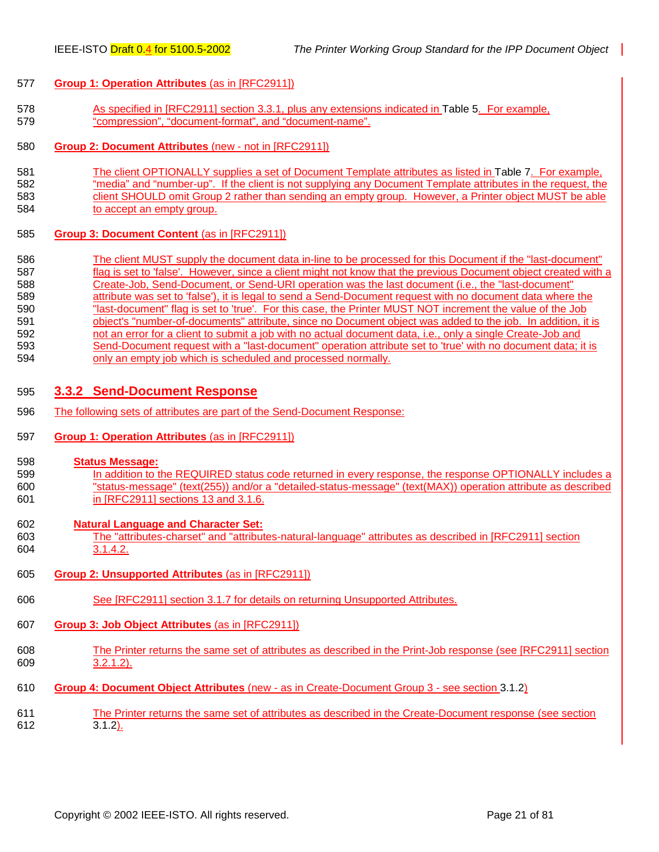#### <span id="page-20-0"></span>577 **Group 1: Operation Attributes** (as in [RFC2911])

- 578 As specified in [RFC2911] section 3.3.1, plus any extensions indicated in [Table 5.](#page-37-0) For example, 579 "compression", "document-format", and "document-name".
- 580 **Group 2: Document Attributes** (new not in [RFC2911])
- 581 The client OPTIONALLY supplies a set of Document Template attributes as listed in [Table 7.](#page-42-0) For example, 582 "media" and "number-up". If the client is not supplying any Document Template attributes in the request, the 583 client SHOULD omit Group 2 rather than sending an empty group. However, a Printer object MUST be able 584 to accept an empty group.
- 585 **Group 3: Document Content** (as in [RFC2911])
- 586 The client MUST supply the document data in-line to be processed for this Document if the "last-document" 587 flag is set to 'false'. However, since a client might not know that the previous Document object created with a 588 Create-Job, Send-Document, or Send-URI operation was the last document (i.e., the "last-document" 589 attribute was set to 'false'), it is legal to send a Send-Document request with no document data where the 590 "last-document" flag is set to 'true'. For this case, the Printer MUST NOT increment the value of the Job 591 object's "number-of-documents" attribute, since no Document object was added to the job. In addition, it is 592 not an error for a client to submit a job with no actual document data, i.e., only a single Create-Job and 593 Send-Document request with a "last-document" operation attribute set to 'true' with no document data; it is 594 only an empty job which is scheduled and processed normally.

#### 595 **3.3.2 Send-Document Response**

- 596 The following sets of attributes are part of the Send-Document Response:
- 597 **Group 1: Operation Attributes** (as in [RFC2911])
- 598 **Status Message:**
- 599 In addition to the REQUIRED status code returned in every response, the response OPTIONALLY includes a 600 "status-message" (text(255)) and/or a "detailed-status-message" (text(MAX)) operation attribute as described 601 in [RFC2911] sections 13 and 3.1.6.
- 602 **Natural Language and Character Set:** 603 The "attributes-charset" and "attributes-natural-language" attributes as described in [RFC2911] section 604 3.1.4.2.
- 605 **Group 2: Unsupported Attributes** (as in [RFC2911])
- 606 See [RFC2911] section 3.1.7 for details on returning Unsupported Attributes.
- 607 **Group 3: Job Object Attributes** (as in [RFC2911])
- 608 The Printer returns the same set of attributes as described in the Print-Job response (see [RFC2911] section 609 3.2.1.2).
- 610 **Group 4: Document Object Attributes** (new as in Create-Document Group 3 see section [3.1.2\)](#page-17-0)
- 611 The Printer returns the same set of attributes as described in the Create-Document response (see section<br>612 3.1.2).  $3.1.2$ ).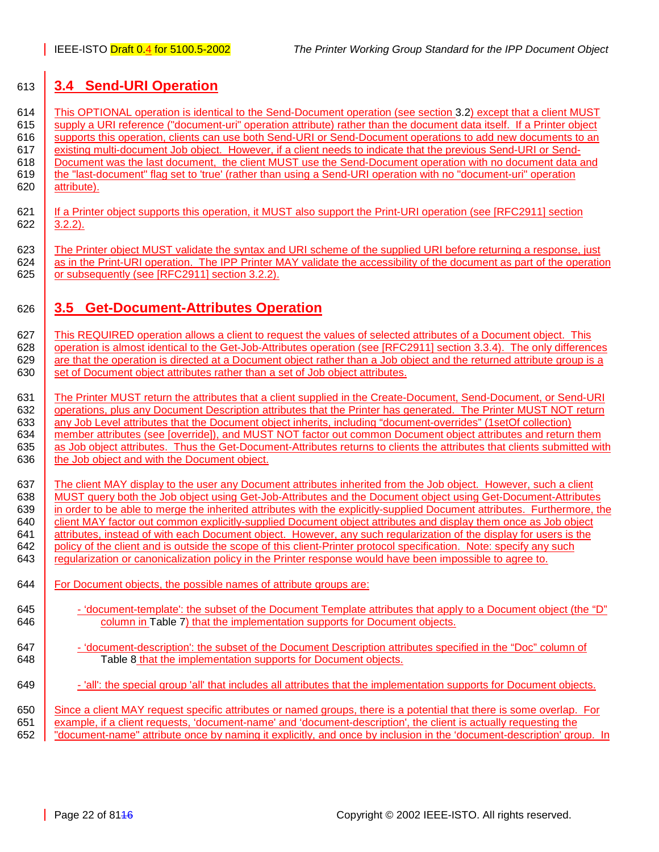## <span id="page-21-0"></span>613 **3.4 Send-URI Operation**

614 This OPTIONAL operation is identical to the Send-Document operation (see section [3.2\)](#page-18-0) except that a client MUST 615 supply a URI reference ("document-uri" operation attribute) rather than the document data itself. If a Printer object 616 supports this operation, clients can use both Send-URI or Send-Document operations to add new documents to an 617 existing multi-document Job object. However, if a client needs to indicate that the previous Send-URI or Send-618 Document was the last document, the client MUST use the Send-Document operation with no document data and 619 the "last-document" flag set to 'true' (rather than using a Send-URI operation with no "document-uri" operation 620 attribute).

- 621 | If a Printer object supports this operation, it MUST also support the Print-URI operation (see [RFC2911] section  $622$  3.2.2).
- 623 The Printer object MUST validate the syntax and URI scheme of the supplied URI before returning a response, just 624 as in the Print-URI operation. The IPP Printer MAY validate the accessibility of the document as part of the operation 625 or subsequently (see [RFC2911] section 3.2.2).

## 626 **3.5 Get-Document-Attributes Operation**

627 This REQUIRED operation allows a client to request the values of selected attributes of a Document object. This 628 operation is almost identical to the Get-Job-Attributes operation (see [RFC2911] section 3.3.4). The only differences 629 are that the operation is directed at a Document object rather than a Job object and the returned attribute group is a 630 set of Document object attributes rather than a set of Job object attributes.

631 The Printer MUST return the attributes that a client supplied in the Create-Document, Send-Document, or Send-URI 632 operations, plus any Document Description attributes that the Printer has generated. The Printer MUST NOT return 633 any Job Level attributes that the Document object inherits, including "document-overrides" (1setOf collection) 634 member attributes (see [override]), and MUST NOT factor out common Document object attributes and return them 635 as Job object attributes. Thus the Get-Document-Attributes returns to clients the attributes that clients submitted with 636 the Job object and with the Document object.

637 The client MAY display to the user any Document attributes inherited from the Job object. However, such a client 638 | MUST query both the Job object using Get-Job-Attributes and the Document object using Get-Document-Attributes 639 in order to be able to merge the inherited attributes with the explicitly-supplied Document attributes. Furthermore, the 640 client MAY factor out common explicitly-supplied Document object attributes and display them once as Job object 641 attributes, instead of with each Document object. However, any such regularization of the display for users is the 642 policy of the client and is outside the scope of this client-Printer protocol specification. Note: specify any such 643 **regularization or canonicalization policy in the Printer response would have been impossible to agree to.** 

- 644 **For Document objects, the possible names of attribute groups are:**
- 645 'document-template': the subset of the Document Template attributes that apply to a Document object (the "D" 646 column in [Table 7\)](#page-42-0) that the implementation supports for Document objects.
- 647  $\vert$  'document-description': the subset of the Document Description attributes specified in the "Doc" column of 648 **[Table 8](#page-48-0) that the implementation supports for Document objects.**
- 649 'all': the special group 'all' that includes all attributes that the implementation supports for Document objects.

650 Since a client MAY request specific attributes or named groups, there is a potential that there is some overlap. For 651 example, if a client requests, 'document-name' and 'document-description', the client is actually requesting the 652 "document-name" attribute once by naming it explicitly, and once by inclusion in the 'document-description' group. In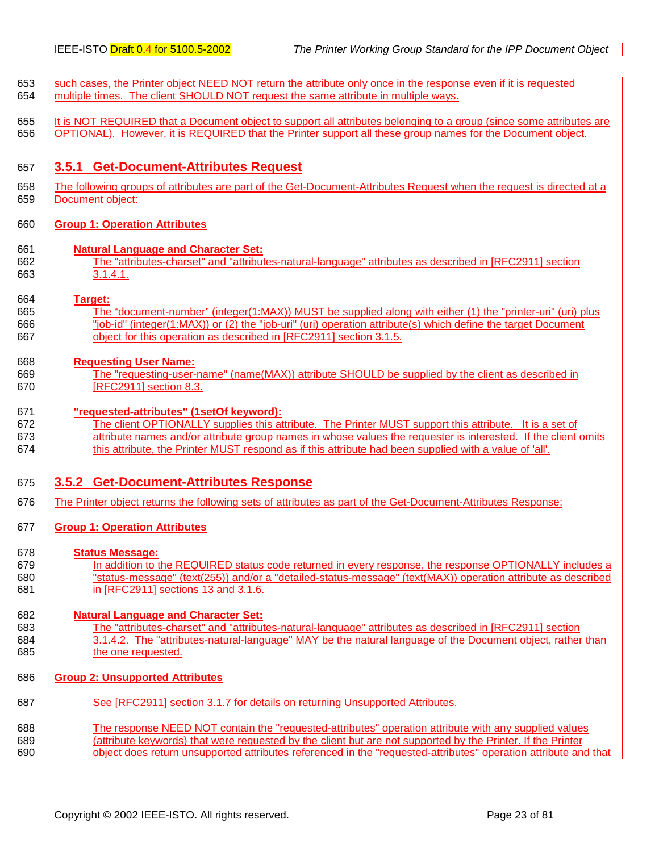- <span id="page-22-0"></span>653 such cases, the Printer object NEED NOT return the attribute only once in the response even if it is requested 654 multiple times. The client SHOULD NOT request the same attribute in multiple ways.
- 655 It is NOT REQUIRED that a Document object to support all attributes belonging to a group (since some attributes are 656 OPTIONAL). However, it is REQUIRED that the Printer support all these group names for the Document object.

#### 657 **3.5.1 Get-Document-Attributes Request**

658 The following groups of attributes are part of the Get-Document-Attributes Request when the request is directed at a 659 Document object:

#### 660 **Group 1: Operation Attributes**

- 661 **Natural Language and Character Set:**
- 662 The "attributes-charset" and "attributes-natural-language" attributes as described in [RFC2911] section 663 3.1.4.1.

#### 664 **Target:**

665 The "document-number" (integer(1:MAX)) MUST be supplied along with either (1) the "printer-uri" (uri) plus 666 "job-id" (integer(1:MAX)) or (2) the "job-uri" (uri) operation attribute(s) which define the target Document 667 object for this operation as described in [RFC2911] section 3.1.5.

#### 668 **Requesting User Name:**

669 The "requesting-user-name" (name(MAX)) attribute SHOULD be supplied by the client as described in 670 [RFC2911] section 8.3.

#### 671 **"requested-attributes" (1setOf keyword):**

672 The client OPTIONALLY supplies this attribute. The Printer MUST support this attribute. It is a set of 673 attribute names and/or attribute group names in whose values the requester is interested. If the client omits 674 this attribute, the Printer MUST respond as if this attribute had been supplied with a value of 'all'.

#### 675 **3.5.2 Get-Document-Attributes Response**

676 The Printer object returns the following sets of attributes as part of the Get-Document-Attributes Response:

#### 677 **Group 1: Operation Attributes**

#### 678 **Status Message:**

679 In addition to the REQUIRED status code returned in every response, the response OPTIONALLY includes a 680 "status-message" (text(255)) and/or a "detailed-status-message" (text(MAX)) operation attribute as described 681 in [RFC2911] sections 13 and 3.1.6.

#### 682 **Natural Language and Character Set:**

- 683 The "attributes-charset" and "attributes-natural-language" attributes as described in [RFC2911] section 684 3.1.4.2. The "attributes-natural-language" MAY be the natural language of the Document object, rather than 685 the one requested.
- 686 **Group 2: Unsupported Attributes**
- 687 See [RFC2911] section 3.1.7 for details on returning Unsupported Attributes.
- 688 The response NEED NOT contain the "requested-attributes" operation attribute with any supplied values 689 (attribute keywords) that were requested by the client but are not supported by the Printer. If the Printer 690 object does return unsupported attributes referenced in the "requested-attributes" operation attribute and that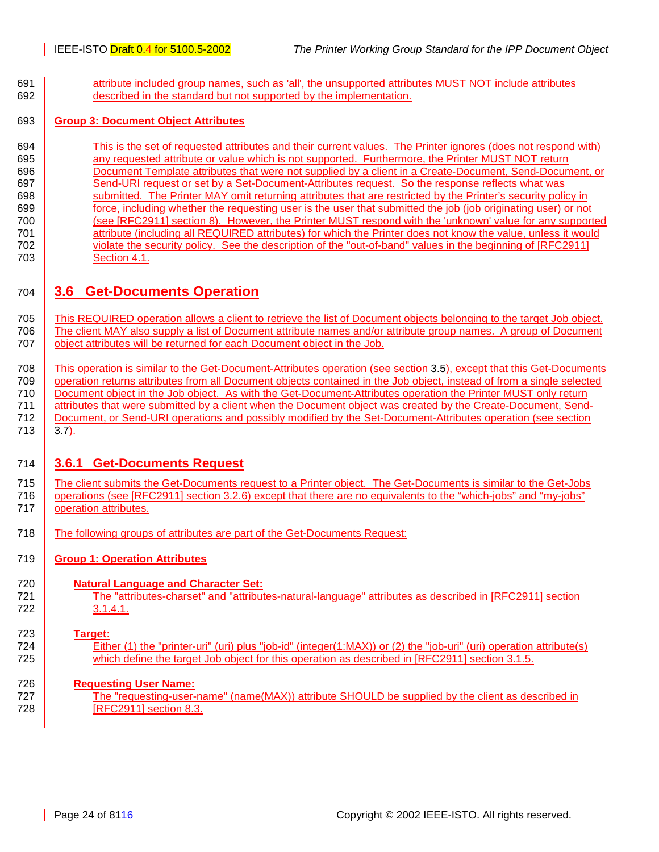<span id="page-23-0"></span>691 **attribute included group names, such as 'all', the unsupported attributes MUST NOT include attributes** 692 described in the standard but not supported by the implementation.

#### 693 **Group 3: Document Object Attributes**

694 This is the set of requested attributes and their current values. The Printer ignores (does not respond with) 695 any requested attribute or value which is not supported. Furthermore, the Printer MUST NOT return 696 Document Template attributes that were not supplied by a client in a Create-Document, Send-Document, or 697 Send-URI request or set by a Set-Document-Attributes request. So the response reflects what was 698 submitted. The Printer MAY omit returning attributes that are restricted by the Printer's security policy in 699 force, including whether the requesting user is the user that submitted the job (job originating user) or not 700 (see [RFC2911] section 8). However, the Printer MUST respond with the 'unknown' value for any supported 701 | attribute (including all REQUIRED attributes) for which the Printer does not know the value, unless it would 702 violate the security policy. See the description of the "out-of-band" values in the beginning of [RFC2911] 703 Section 4.1.

## 704 **3.6 Get-Documents Operation**

705 This REQUIRED operation allows a client to retrieve the list of Document objects belonging to the target Job object. 706 The client MAY also supply a list of Document attribute names and/or attribute group names. A group of Document 707 object attributes will be returned for each Document object in the Job.

708 This operation is similar to the Get-Document-Attributes operation (see section [3.5\)](#page-21-0), except that this Get-Documents 709 operation returns attributes from all Document objects contained in the Job object, instead of from a single selected 710 Document object in the Job object. As with the Get-Document-Attributes operation the Printer MUST only return 711 attributes that were submitted by a client when the Document object was created by the Create-Document, Send-712 Document, or Send-URI operations and possibly modified by the Set-Document-Attributes operation (see section  $713$  [3.7\)](#page-25-0).

## 714 **3.6.1 Get-Documents Request**

- 715 The client submits the Get-Documents request to a Printer object. The Get-Documents is similar to the Get-Jobs 716 operations (see [RFC2911] section 3.2.6) except that there are no equivalents to the "which-jobs" and "my-jobs" 717 | operation attributes.
- 718 The following groups of attributes are part of the Get-Documents Request:
- 719 **Group 1: Operation Attributes**

#### 720 **Natural Language and Character Set:**

721 **The "attributes-charset" and "attributes-natural-language" attributes as described in [RFC2911] section** 722 3.1.4.1.

#### 723 **Target:**

724 Either (1) the "printer-uri" (uri) plus "job-id" (integer(1:MAX)) or (2) the "job-uri" (uri) operation attribute(s) 725 which define the target Job object for this operation as described in [RFC2911] section 3.1.5.

#### 726 **Requesting User Name:**

727 The "requesting-user-name" (name(MAX)) attribute SHOULD be supplied by the client as described in 728 [RFC2911] section 8.3.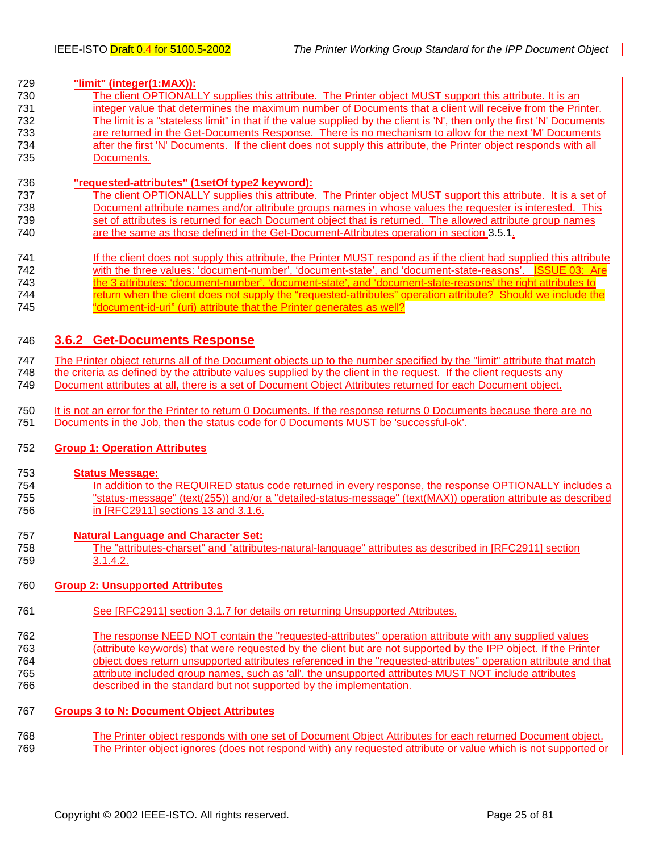#### <span id="page-24-0"></span>729 **"limit" (integer(1:MAX)):**

730 The client OPTIONALLY supplies this attribute. The Printer object MUST support this attribute. It is an 731 integer value that determines the maximum number of Documents that a client will receive from the Printer. 732 The limit is a "stateless limit" in that if the value supplied by the client is 'N', then only the first 'N' Documents 733 are returned in the Get-Documents Response. There is no mechanism to allow for the next 'M' Documents 734 after the first 'N' Documents. If the client does not supply this attribute, the Printer object responds with all 735 Documents.

#### 736 **"requested-attributes" (1setOf type2 keyword):**

- The client OPTIONALLY supplies this attribute. The Printer object MUST support this attribute. It is a set of 738 Document attribute names and/or attribute groups names in whose values the requester is interested. This 739 set of attributes is returned for each Document object that is returned. The allowed attribute group names 740 are the same as those defined in the Get-Document-Attributes operation in section [3.5.1.](#page-22-0)
- 741 If the client does not supply this attribute, the Printer MUST respond as if the client had supplied this attribute 742 with the three values: 'document-number', 'document-state', and 'document-state-reasons'. ISSUE 03: Are 743 the 3 attributes: 'document-number', 'document-state', and 'document-state-reasons' the right attributes to 744 return when the client does not supply the "requested-attributes" operation attribute? Should we include the 745 "document-id-uri" (uri) attribute that the Printer generates as well?

#### 746 **3.6.2 Get-Documents Response**

747 The Printer object returns all of the Document objects up to the number specified by the "limit" attribute that match 748 the criteria as defined by the attribute values supplied by the client in the request. If the client requests any<br>749 Document attributes at all, there is a set of Document Object Attributes returned for each Document Document attributes at all, there is a set of Document Object Attributes returned for each Document object.

750 It is not an error for the Printer to return 0 Documents. If the response returns 0 Documents because there are no 751 Documents in the Job, then the status code for 0 Documents MUST be 'successful-ok'.

#### 752 **Group 1: Operation Attributes**

#### 753 **Status Message:**

754 In addition to the REQUIRED status code returned in every response, the response OPTIONALLY includes a 755 "status-message" (text(255)) and/or a "detailed-status-message" (text(MAX)) operation attribute as described 756 in [RFC2911] sections 13 and 3.1.6.

#### 757 **Natural Language and Character Set:**

758 The "attributes-charset" and "attributes-natural-language" attributes as described in [RFC2911] section 759 3.1.4.2.

#### 760 **Group 2: Unsupported Attributes**

- 761 See [RFC2911] section 3.1.7 for details on returning Unsupported Attributes.
- 762 The response NEED NOT contain the "requested-attributes" operation attribute with any supplied values 763 (attribute keywords) that were requested by the client but are not supported by the IPP object. If the Printer 764 object does return unsupported attributes referenced in the "requested-attributes" operation attribute and that 765 attribute included group names, such as 'all', the unsupported attributes MUST NOT include attributes 766 described in the standard but not supported by the implementation.

#### 767 **Groups 3 to N: Document Object Attributes**

768 The Printer object responds with one set of Document Object Attributes for each returned Document object. 769 The Printer object ignores (does not respond with) any requested attribute or value which is not supported or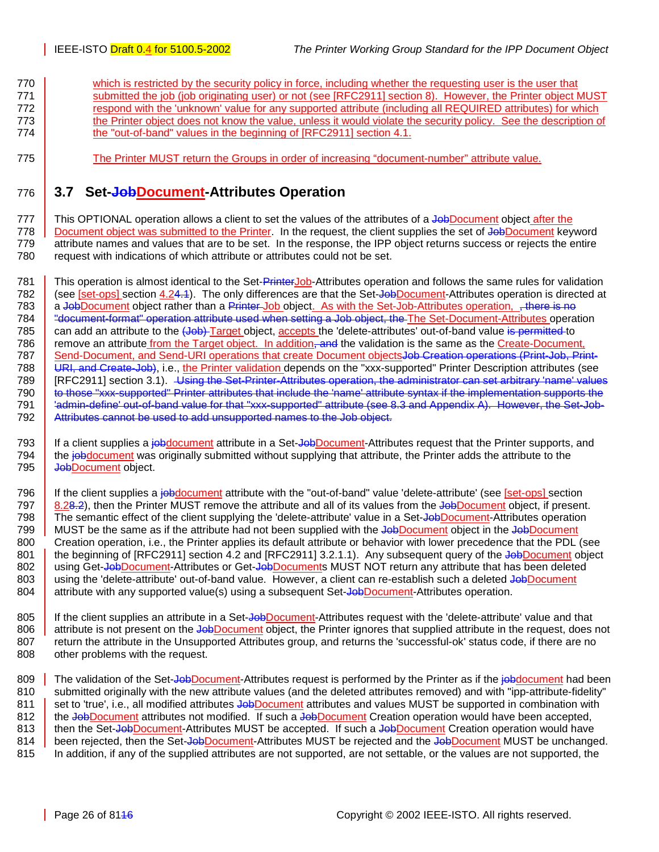- <span id="page-25-0"></span>770 which is restricted by the security policy in force, including whether the requesting user is the user that 771 submitted the job (job originating user) or not (see [RFC2911] section 8). However, the Printer object MUST 772 **Figure 1** respond with the 'unknown' value for any supported attribute (including all REQUIRED attributes) for which 773 the Printer object does not know the value, unless it would violate the security policy. See the description of 774 **the "out-of-band" values in the beginning of [RFC2911] section 4.1.**
- 775 The Printer MUST return the Groups in order of increasing "document-number" attribute value.

## 776 **3.7 Set-JobDocument-Attributes Operation**

777 This OPTIONAL operation allows a client to set the values of the attributes of a JobDocument object after the 778 Document object was submitted to the Printer. In the request, the client supplies the set of JobDocument keyword 779 attribute names and values that are to be set. In the response, the IPP object returns success or rejects the entire 780 request with indications of which attribute or attributes could not be set.

781 This operation is almost identical to the Set-PrinterJob-Attributes operation and follows the same rules for validation 782 (see [set-ops] section 4.24.4). The only differences are that the Set-JobDocument-Attributes operation is directed at 783 a JobDocument object rather than a Printer Job object. As with the Set-Job-Attributes operation, there is no 784 "document-format" operation attribute used when setting a Job object, the The Set-Document-Attributes operation 785 can add an attribute to the (Job) Target object, accepts the 'delete-attributes' out-of-band value is permitted to 786 remove an attribute from the Target object. In addition, and the validation is the same as the Create-Document, 787 Send-Document, and Send-URI operations that create Document objectsJob Creation operations (Print-Job, Print-<br>788 URL and Create-Job), i.e., the Printer validation depends on the "xxx-supported" Printer Description att URI, and Create-Job), i.e., the Printer validation depends on the "xxx-supported" Printer Description attributes (see 789 [RFC2911] section 3.1). Using the Set-Printer-Attributes operation, the administrator can set arbitrary 'name' values 790 to those "xxx-supported" Printer attributes that include the 'name' attribute syntax if the implementation supports the 791 'admin-define' out-of-band value for that "xxx-supported" attribute (see [8.3](#page-26-0) and Appendix A). However, the Set-Job-792 Attributes cannot be used to add unsupported names to the Job object.

The article of the client supplies a *jobdocument* attribute in a Set-JobDocument-Attributes request that the Printer supports, and the *iobdocument* was originally submitted without supplying that attribute. the Printer a the jobdocument was originally submitted without supplying that attribute, the Printer adds the attribute to the 795 | Job Document object.

796 If the client supplies a jobdocument attribute with the "out-of-band" value 'delete-attribute' (see [set-ops] section 797  $\parallel$  8.[28.2\)](#page-26-0), then the Printer MUST remove the attribute and all of its values from the JobDocument object, if present. 798 The semantic effect of the client supplying the 'delete-attribute' value in a Set-JobDocument-Attributes operation 799 MUST be the same as if the attribute had not been supplied with the JobDocument object in the JobDocument 800 Creation operation, i.e., the Printer applies its default attribute or behavior with lower precedence that the PDL (see 801 the beginning of [RFC2911] section 4.2 and [RFC2911] 3.2.1.1). Any subsequent query of the Job Document object 802 using Get-JobDocument-Attributes or Get-JobDocuments MUST NOT return any attribute that has been deleted 803 using the 'delete-attribute' out-of-band value. However, a client can re-establish such a deleted Job Document<br>804 attribute with any supported value(s) using a subsequent Set-Job Document-Attributes operation. attribute with any supported value(s) using a subsequent Set-Job Document-Attributes operation.

805 | If the client supplies an attribute in a Set-JobDocument-Attributes request with the 'delete-attribute' value and that 806 attribute is not present on the JobDocument object, the Printer ignores that supplied attribute in the request, does not 807 return the attribute in the Unsupported Attributes group, and returns the 'successful-ok' status code, if there are no 808 other problems with the request.

809 The validation of the Set-JobDocument-Attributes request is performed by the Printer as if the jobdocument had been<br>810 Submitted originally with the new attribute values (and the deleted attributes removed) and with " submitted originally with the new attribute values (and the deleted attributes removed) and with "ipp-attribute-fidelity" 811 set to 'true', i.e., all modified attributes JobDocument attributes and values MUST be supported in combination with 812 the JobDocument attributes not modified. If such a JobDocument Creation operation would have been accepted, 813 then the Set-JobDocument-Attributes MUST be accepted. If such a JobDocument Creation operation would have 814 been rejected, then the Set-JobDocument-Attributes MUST be rejected and the JobDocument MUST be unchanged. 815 In addition, if any of the supplied attributes are not supported, are not settable, or the values are not supported, the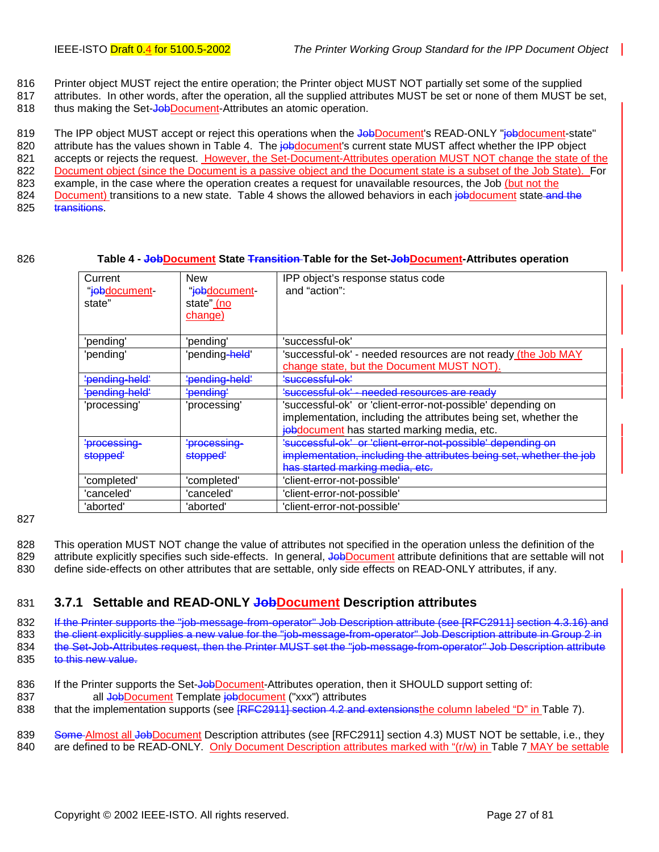- <span id="page-26-0"></span>816 Printer object MUST reject the entire operation; the Printer object MUST NOT partially set some of the supplied
- 817 attributes. In other words, after the operation, all the supplied attributes MUST be set or none of them MUST be set,
- 818 thus making the Set-JobDocument-Attributes an atomic operation.

819 The IPP object MUST accept or reject this operations when the JobDocument's READ-ONLY "*jobdocument-state*" 820 attribute has the values shown in Table 4. The jobdocument's current state MUST affect whether the IPP object 821 accepts or rejects the request. However, the Set-Document-Attributes operation MUST NOT change the state of the 822 Document object (since the Document is a passive object and the Document state is a subset of the Job State). For 823 example, in the case where the operation creates a request for unavailable resources, the Job (but not the 824 Document) transitions to a new state. Table 4 shows the allowed behaviors in each jobdocument state and the 825 transitions.

#### 826 **Table 4 - JobDocument State Transition Table for the Set-JobDocument-Attributes operation**

| Current<br>"jebdocument-<br>state" | New<br>"jebdocument-<br>state" (no<br>change) | IPP object's response status code<br>and "action":                                                                                                                            |
|------------------------------------|-----------------------------------------------|-------------------------------------------------------------------------------------------------------------------------------------------------------------------------------|
| 'pending'                          | 'pendina'                                     | 'successful-ok'                                                                                                                                                               |
| 'pending'                          | 'pending <del>-held</del> '                   | 'successful-ok' - needed resources are not ready (the Job MAY<br>change state, but the Document MUST NOT).                                                                    |
| 'pending-held'                     | ' <del>pending-held'</del>                    | <u>'successful-ok'</u>                                                                                                                                                        |
| ' <del>pending-held'</del>         | ' <del>pending'</del>                         | <del>'successful-ok'</del><br>needed resources are ready                                                                                                                      |
| 'processina'                       | 'processing'                                  | 'successful-ok' or 'client-error-not-possible' depending on<br>implementation, including the attributes being set, whether the<br>jobdocument has started marking media, etc. |
| ' <del>processing-</del>           | <del>processing-</del>                        | 'successful-ok' or 'client-error-not-possible' depending on                                                                                                                   |
| <del>stopped'</del>                | <del>stopped'</del>                           | implementation, including the attributes being set, whether the job                                                                                                           |
|                                    |                                               | has started marking media, etc.                                                                                                                                               |
| 'completed'                        | 'completed'                                   | 'client-error-not-possible'                                                                                                                                                   |
| 'canceled'                         | 'canceled'                                    | 'client-error-not-possible'                                                                                                                                                   |
| 'aborted'                          | 'aborted'                                     | 'client-error-not-possible'                                                                                                                                                   |

#### 827

828 This operation MUST NOT change the value of attributes not specified in the operation unless the definition of the 829 attribute explicitly specifies such side-effects. In general, JobDocument attribute definitions that are settable will not 830 define side-effects on other attributes that are settable, only side effects on READ-ONLY attributes, if any.

### 831 **3.7.1 Settable and READ-ONLY JobDocument Description attributes**

832 If the Printer supports the "job-message-from-operator" Job Description attribute (see [RFC2911] section 4.3.16) and 833 the client explicitly supplies a new value for the "job-message-from-operator" Job Description attribute in Group 2 in 834 the Set-Job-Attributes request, then the Printer MUST set the "job-message-from-operator" Job Description attribute 835 to this new value.

- 836 If the Printer supports the Set-JobDocument-Attributes operation, then it SHOULD support setting of: 837 all JobDocument Template jobdocument ("xxx") attributes
- 838 that the implementation supports (see **[RFC2911] section 4.2 and extensionsthe column labeled "D" in [Table 7\)](#page-42-0).**

839 Some Almost all JobDocument Description attributes (see [RFC2911] section 4.3) MUST NOT be settable, i.e., they 840 are defined to be READ-ONLY. Only Document Description attributes marked with "(r/w) in [Table 7](#page-42-0) MAY be settable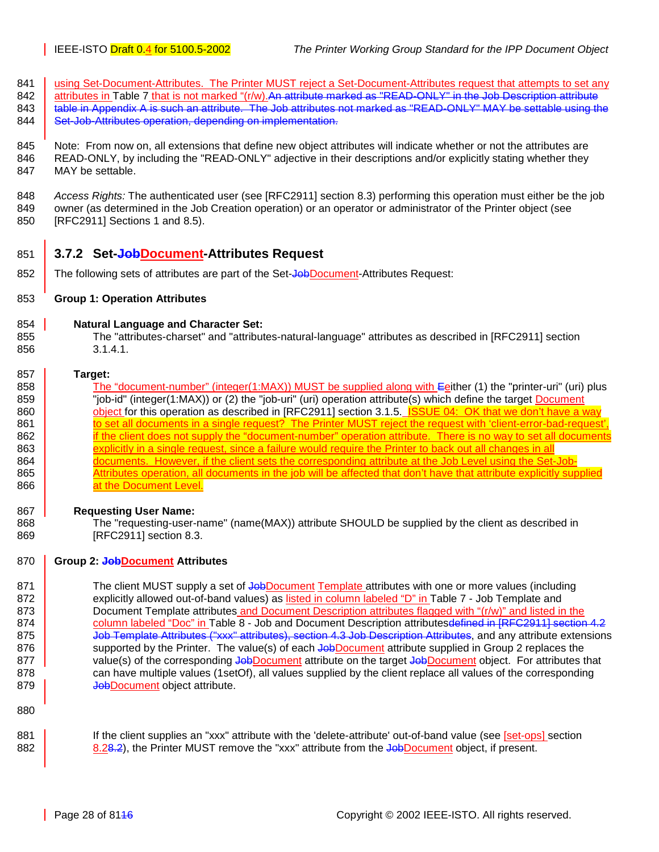- <span id="page-27-0"></span>841 using Set-Document-Attributes. The Printer MUST reject a Set-Document-Attributes request that attempts to set any
- 842 attributes in [Table 7](#page-42-0) that is not marked "(r/w).An attribute marked as "READ-ONLY" in the Job Description attribute 843 **table in Appendix A is such an attribute. The Job attributes not marked as "READ-ONLY" MAY be settable using the**
- 844 Set-Job-Attributes operation, depending on implementation.
- 845 Note: From now on, all extensions that define new object attributes will indicate whether or not the attributes are 846 READ-ONLY, by including the "READ-ONLY" adjective in their descriptions and/or explicitly stating whether they 847 MAY be settable.
- 848 *Access Rights:* The authenticated user (see [RFC2911] section 8.3) performing this operation must either be the job 849 owner (as determined in the Job Creation operation) or an operator or administrator of the Printer object (see 850 [RFC2911] Sections 1 and 8.5).
- 851 **3.7.2 Set-JobDocument-Attributes Request**
- 852 The following sets of attributes are part of the Set-JobDocument-Attributes Request:
- 853 **Group 1: Operation Attributes**
- 854 **Natural Language and Character Set:**
- 855 The "attributes-charset" and "attributes-natural-language" attributes as described in [RFC2911] section 856 3.1.4.1.

#### 857 **Target:**

- 858 The "document-number" (integer(1:MAX)) MUST be supplied along with Eeither (1) the "printer-uri" (uri) plus 859 **The Studie Universe** "job-id" (integer(1:MAX)) or (2) the "job-uri" (uri) operation attribute(s) which define the target Document 860 **object for this operation as described in [RFC2911] section 3.1.5.** ISSUE 04: OK that we don't have a way 861 to set all documents in a single request? The Printer MUST reject the request with 'client-error-bad-request', 862 if the client does not supply the "document-number" operation attribute. There is no way to set all documents 863 explicitly in a single request, since a failure would require the Printer to back out all changes in all 864 documents. However, if the client sets the corresponding attribute at the Job Level using the Set-Job-865 Attributes operation, all documents in the job will be affected that don't have that attribute explicitly supplied 866 **at the Document Level.**
- 867 **Requesting User Name:**
- 868 The "requesting-user-name" (name(MAX)) attribute SHOULD be supplied by the client as described in 869 [RFC2911] section 8.3.

#### 870 **Group 2: JobDocument Attributes**

- 871 The client MUST supply a set of Job Document Template attributes with one or more values (including 872 explicitly allowed out-of-band values) as listed in column labeled "D" in Table 7 - Job Template and 873 [Document Template attributes](#page-42-0) and Document Description attributes flagged with "(r/w)" and listed in the 874 column labeled "Doc" in [Table 8 - Job and Document Description attributesd](#page-48-0)efined in [RFC2911] section 4.2 875 **Job Template Attributes ("xxx" attributes), section 4.3 Job Description Attributes, and any attribute extensions** 876 supported by the Printer. The value(s) of each JobDocument attribute supplied in Group 2 replaces the 877 value(s) of the corresponding Job Document attribute on the target Job Document object. For attributes that 878 can have multiple values (1setOf), all values supplied by the client replace all values of the corresponding 879 **JobDocument** object attribute.
- 880
- 881 **If the client supplies an "xxx" attribute with the 'delete-attribute' out-of-band value (see [set-ops] section** 882 8.[28.2\)](#page-32-0), the Printer MUST remove the "xxx" attribute from the Job Document object, if present.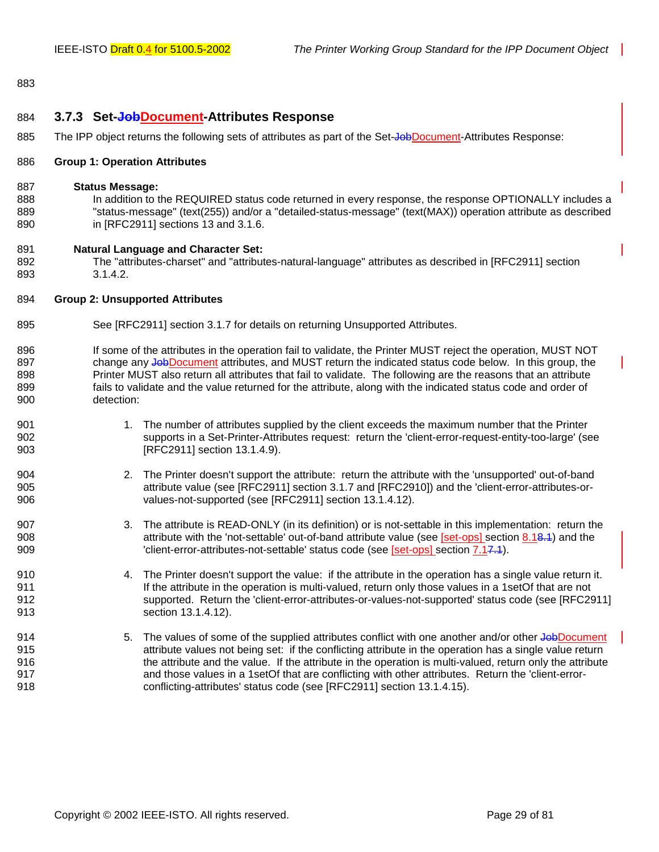#### <span id="page-28-0"></span>883

#### 884 **3.7.3 Set-JobDocument-Attributes Response**

885 The IPP object returns the following sets of attributes as part of the Set-Job Document-Attributes Response:

#### 886 **Group 1: Operation Attributes**

#### 887 **Status Message:**

888 In addition to the REQUIRED status code returned in every response, the response OPTIONALLY includes a 889 "status-message" (text(255)) and/or a "detailed-status-message" (text(MAX)) operation attribute as described 890 in [RFC2911] sections 13 and 3.1.6.

#### 891 **Natural Language and Character Set:**

892 The "attributes-charset" and "attributes-natural-language" attributes as described in [RFC2911] section 893 3.1.4.2.

#### 894 **Group 2: Unsupported Attributes**

- 895 See [RFC2911] section 3.1.7 for details on returning Unsupported Attributes.
- 896 If some of the attributes in the operation fail to validate, the Printer MUST reject the operation, MUST NOT 897 change any JobDocument attributes, and MUST return the indicated status code below. In this group, the 898 Printer MUST also return all attributes that fail to validate. The following are the reasons that an attribute 899 fails to validate and the value returned for the attribute, along with the indicated status code and order of 900 detection:
- 901 1. The number of attributes supplied by the client exceeds the maximum number that the Printer 902 supports in a Set-Printer-Attributes request: return the 'client-error-request-entity-too-large' (see 903 [RFC2911] section 13.1.4.9).
- 904 2. The Printer doesn't support the attribute: return the attribute with the 'unsupported' out-of-band 905 attribute value (see [RFC2911] section 3.1.7 and [RFC2910]) and the 'client-error-attributes-or-906 values-not-supported (see [RFC2911] section 13.1.4.12).
- 907 3. The attribute is READ-ONLY (in its definition) or is not-settable in this implementation: return the 908 308 908 attribute with the 'not-settable' out-of-band attribute value (see [set-ops] section 8.[18.1\)](#page-32-0) and the 909 'client-error-attributes-not-settable' status code (see [set-ops] section 7.[17.1\)](#page-32-0).
- 910 4. The Printer doesn't support the value: if the attribute in the operation has a single value return it. 911 If the attribute in the operation is multi-valued, return only those values in a 1setOf that are not 912 supported. Return the 'client-error-attributes-or-values-not-supported' status code (see [RFC2911] 913 **section 13.1.4.12**).
- 914 5. The values of some of the supplied attributes conflict with one another and/or other JobDocument 915 attribute values not being set: if the conflicting attribute in the operation has a single value return 916 the attribute and the value. If the attribute in the operation is multi-valued, return only the attribute 917 and those values in a 1setOf that are conflicting with other attributes. Return the 'client-error-918 conflicting-attributes' status code (see [RFC2911] section 13.1.4.15).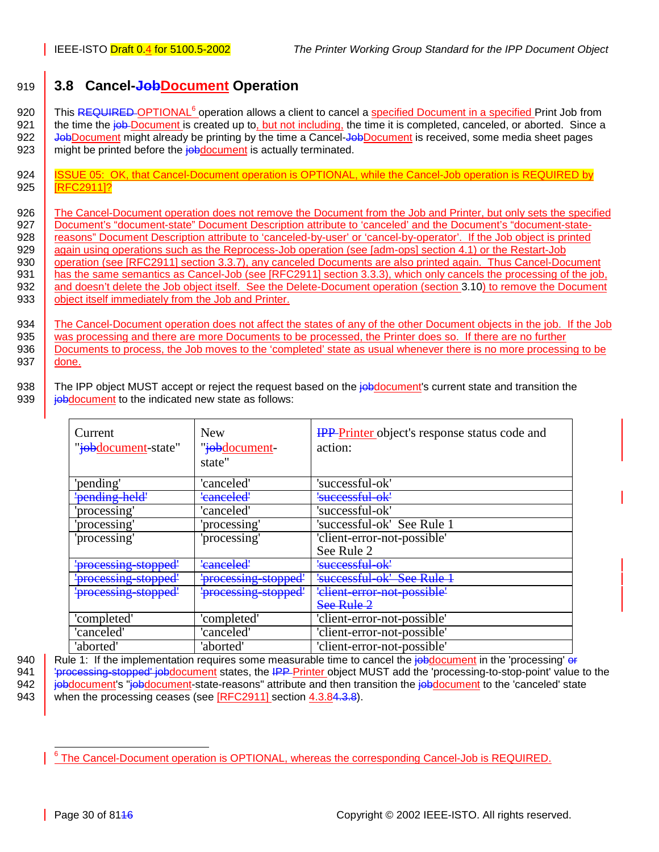## <span id="page-29-0"></span>919 **3.8 Cancel-JobDocument Operation**

920 This REQUIRED OPTIONAL<sup>6</sup> operation allows a client to cancel a specified Document in a specified Print Job from 921 the time the job Document is created up to, but not including, the time it is completed, canceled, or aborted. Since a 922 **JobDocument might already be printing by the time a Cancel-JobDocument is received, some media sheet pages** 923 might be printed before the job document is actually terminated.

924 | ISSUE 05: OK, that Cancel-Document operation is OPTIONAL, while the Cancel-Job operation is REQUIRED by 925 | **IRFC29111?** 

926 The Cancel-Document operation does not remove the Document from the Job and Printer, but only sets the specified 927 Document's "document-state" Document Description attribute to 'canceled' and the Document's "document-state-<br>928 reasons" Document Description attribute to 'canceled-by-user' or 'cancel-by-operator'. If the Job object reasons" Document Description attribute to 'canceled-by-user' or 'cancel-by-operator'. If the Job object is printed 929 again using operations such as the Reprocess-Job operation (see [adm-ops] section 4.1) or the Restart-Job 930 operation (see [RFC2911] section 3.3.7), any canceled Documents are also printed again. Thus Cancel-Document 931 has the same semantics as Cancel-Job (see [RFC2911] section 3.3.3), which only cancels the processing of the job, 932 and doesn't delete the Job object itself. See the Delete-Document operation (section [3.10\)](#page-32-0) to remove the Document 933 | object itself immediately from the Job and Printer.

934 The Cancel-Document operation does not affect the states of any of the other Document objects in the job. If the Job was processing and there are more Documents to be processed, the Printer does so. If there are no fur was processing and there are more Documents to be processed, the Printer does so. If there are no further 936 Documents to process, the Job moves to the 'completed' state as usual whenever there is no more processing to be 937 **done**.

938 The IPP object MUST accept or reject the request based on the jobdocument's current state and transition the 939 **journal is entity of the indicated new state as follows:** 

| Current<br>" <i>jobdocument</i> -state" | <b>New</b><br>" <del>job</del> document-<br>state" | <b>IPP</b> -Printer object's response status code and<br>action: |
|-----------------------------------------|----------------------------------------------------|------------------------------------------------------------------|
| 'pending'                               | 'canceled'                                         | 'successful-ok'                                                  |
| pending held'                           | 'eanceled'                                         | 'successful-ok'                                                  |
| 'processing'                            | 'canceled'                                         | 'successful-ok'                                                  |
| 'processing'                            | 'processing'                                       | 'successful-ok' See Rule 1                                       |
| 'processing'                            | 'processing'                                       | 'client-error-not-possible'<br>See Rule 2                        |
| <del>'processing stopped'</del>         | 'canceled'                                         | 'successful-ok'                                                  |
| 'processing stopped'                    | 'processing stopped'                               | $S_{\rho\alpha}$ Pula<br>' <del>successful-</del>                |
| <del>'processing stopped'</del>         | 'processing stopped'                               | 'elient error not possible'<br>See Rule 2                        |
| 'completed'                             | 'completed'                                        | 'client-error-not-possible'                                      |
| 'canceled'                              | 'canceled'                                         | 'client-error-not-possible'                                      |
| 'aborted'                               | 'aborted'                                          | 'client-error-not-possible'                                      |

940 | Rule 1: If the implementation requires some measurable time to cancel the jobdocument in the 'processing' or 941 | 'processing-stopped' jobdocument states, the IPP Printer object MUST add the 'processing-to-stop-point' value to the

942 **jobdocument's "jobdocument-state-reasons"** attribute and then transition the jobdocument to the 'canceled' state 943 when the processing ceases (see [RFC2911] section 4.3.[84.3.8\)](#page-50-0).

į <sup>6</sup> The Cancel-Document operation is OPTIONAL, whereas the corresponding Cancel-Job is REQUIRED.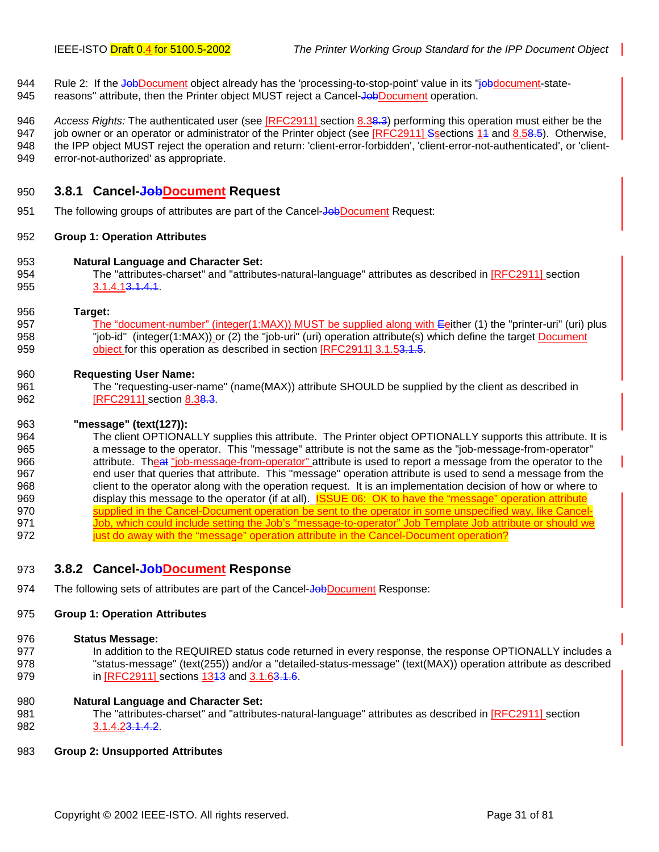- <span id="page-30-0"></span>944 Rule 2: If the Job Document object already has the 'processing-to-stop-point' value in its "job document-state-
- 945 reasons" attribute, then the Printer object MUST reject a Cancel-JobDocument operation.
- 946 *Access Rights:* The authenticated user (see [RFC2911] section 8.3[8.3\)](#page-50-0) performing this operation must either be the 947 job owner or an operator or administrator of the Printer object (see [RFC2911] Ssections 14 and 8.[58.5\)](#page-50-0). Otherwise, 948 the IPP object MUST reject the operation and return: 'client-error-forbidden', 'client-error-not-authenticated', or 'client-949 error-not-authorized' as appropriate.

#### 950 **3.8.1 Cancel-JobDocument Request**

951 The following groups of attributes are part of the Cancel-Job Document Request:

#### 952 **Group 1: Operation Attributes**

- 953 **Natural Language and Character Set:**
- 954 The "attributes-charset" and "attributes-natural-language" attributes as described in [RFC2911] section 955 3.1.4.1<del>3.1.4.1</del>

#### 956 **Target:**

957 The "document-number" (integer(1:MAX)) MUST be supplied along with Eeither (1) the "printer-uri" (uri) plus 958 "job-id" (integer(1:MAX)) or (2) the "job-uri" (uri) operation attribute(s) which define the target **Document** 959 object for this operation as described in section **[RFC2911] 3.1.[53.1.5.](#page-50-0)** 

#### 960 **Requesting User Name:**

961 The "requesting-user-name" (name(MAX)) attribute SHOULD be supplied by the client as described in 962 **[RFC2911]** section 8.[38.3.](#page-50-0)

#### 963 **"message" (text(127)):**

964 The client OPTIONALLY supplies this attribute. The Printer object OPTIONALLY supports this attribute. It is 965 a message to the operator. This "message" attribute is not the same as the "job-message-from-operator" 966 attribute. Theat "job-message-from-operator" attribute is used to report a message from the operator to the 967 end user that queries that attribute. This "message" operation attribute is used to send a message from the 968 client to the operator along with the operation request. It is an implementation decision of how or where to 969 display this message to the operator (if at all). ISSUE 06: OK to have the "message" operation attribute 970 supplied in the Cancel-Document operation be sent to the operator in some unspecified way, like Cancel-971 Job, which could include setting the Job's "message-to-operator" Job Template Job attribute or should we 972 just do away with the "message" operation attribute in the Cancel-Document operation?

### 973 **3.8.2 Cancel-JobDocument Response**

974 The following sets of attributes are part of the Cancel-JobDocument Response:

#### 975 **Group 1: Operation Attributes**

#### 976 **Status Message:**

977 In addition to the REQUIRED status code returned in every response, the response OPTIONALLY includes a 978 "status-message" (text(255)) and/or a "detailed-status-message" (text(MAX)) operation attribute as described 979 **in [RFC2911] sections 13<del>13</del>** and 3.1.[63.1.6.](#page-50-0)

#### 980 **Natural Language and Character Set:**

981 The "attributes-charset" and "attributes-natural-language" attributes as described in [RFC2911] section 982 3.1.4.2[3.1.4.2.](#page-50-0)

#### 983 **Group 2: Unsupported Attributes**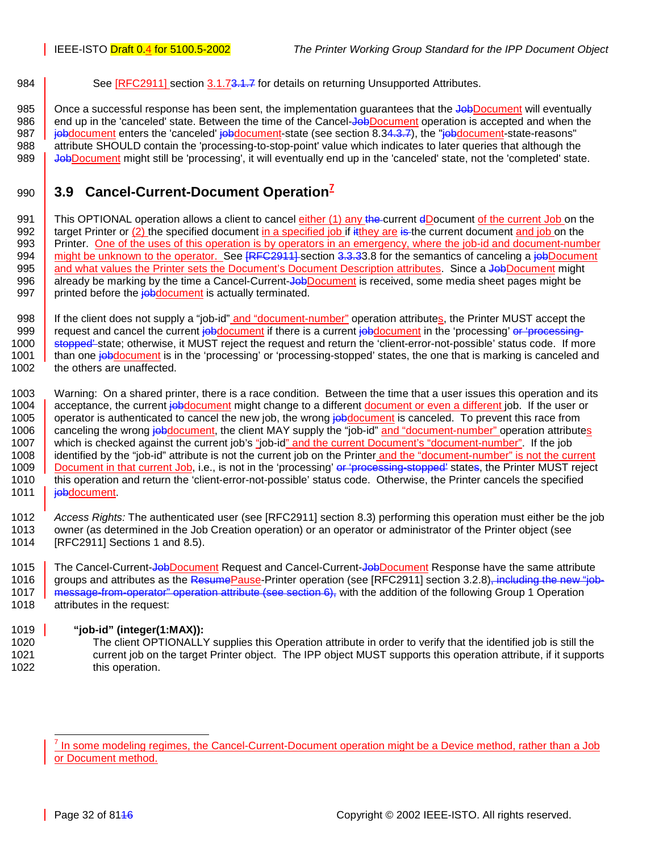<span id="page-31-0"></span>984 See [RFC2911] section 3.1.[73.1.7](#page-50-0) for details on returning Unsupported Attributes.

985 | Once a successful response has been sent, the implementation guarantees that the JobDocument will eventually 986 end up in the 'canceled' state. Between the time of the Cancel-JobDocument operation is accepted and when the 987 **jobdocument** enters the 'canceled' jobdocument-state (see section [8.3](#page-50-0)[4.3.7\)](#page-29-0), the "jobdocument-state-reasons" 988 attribute SHOULD contain the 'processing-to-stop-point' value which indicates to later queries that although the 989 JobDocument might still be 'processing', it will eventually end up in the 'canceled' state, not the 'completed' state.

## **3.9 Cancel-Current-Document Operation<sup>7</sup>** <sup>990</sup>

991 This OPTIONAL operation allows a client to cancel *either* (1) any the current dDocument of the current Job on the 992  $\parallel$  target Printer or (2) the specified document in a specified job if it they are is the current document and job on the 993 Printer. One of the uses of this operation is by operators in an emergency, where the job-id and document-number 994 might be unknown to the operator. See [RFC2911] section 3.3.[33.8](#page-29-0) for the semantics of canceling a job Document 995 and what values the Printer sets the Document's Document Description attributes. Since a JobDocument might 996 already be marking by the time a Cancel-Current-JobDocument is received, some media sheet pages might be 997 | printed before the **job** document is actually terminated.

998 If the client does not supply a "job-id" and "document-number" operation attributes, the Printer MUST accept the 999 request and cancel the current jobdocument if there is a current jobdocument in the 'processing' or 'processing-1000 stopped state; otherwise, it MUST reject the request and return the 'client-error-not-possible' status code. If more 1001 than one job document is in the 'processing' or 'processing-stopped' states, the one that is marking is canceled and 1002 the others are unaffected.

1003 Warning: On a shared printer, there is a race condition. Between the time that a user issues this operation and its 1004 acceptance, the current jobdocument might change to a different document or even a different job. If the user or 1005 operator is authenticated to cancel the new job, the wrong jobdocument is canceled. To prevent this race from 1006 canceling the wrong jobdocument, the client MAY supply the "job-id" and "document-number" operation attributes 1007 which is checked against the current job's "job-id" and the current Document's "document-number". If the job 1008 identified by the "job-id" attribute is not the current job on the Printer and the "document-number" is not the current<br>1009 Document in that current Job. i.e., is not in the 'processing' or 'processing-stopped' state Document in that current Job, i.e., is not in the 'processing' or 'processing-stopped' states, the Printer MUST reject 1010 this operation and return the 'client-error-not-possible' status code. Otherwise, the Printer cancels the specified 1011 | jobdocument.

1012 *Access Rights:* The authenticated user (see [RFC2911] section 8.3) performing this operation must either be the job 1013 owner (as determined in the Job Creation operation) or an operator or administrator of the Printer object (see 1014 [RFC2911] Sections 1 and 8.5).

1015 The Cancel-Current-JobDocument Request and Cancel-Current-JobDocument Response have the same attribute 1016 groups and attributes as the ResumePause-Printer operation (see [RFC2911] section 3.2.8)<del>, including the new "job-</del> 1017 message-from-operator" operation attribute (see section [6\)](#page-29-0), with the addition of the following Group 1 Operation 1018 attributes in the request:

#### 1019 **"job-id" (integer(1:MAX)):**

1020 The client OPTIONALLY supplies this Operation attribute in order to verify that the identified job is still the 1021 current job on the target Printer object. The IPP object MUST supports this operation attribute, if it supports 1022 this operation.

l

<sup>7</sup> In some modeling regimes, the Cancel-Current-Document operation might be a Device method, rather than a Job or Document method.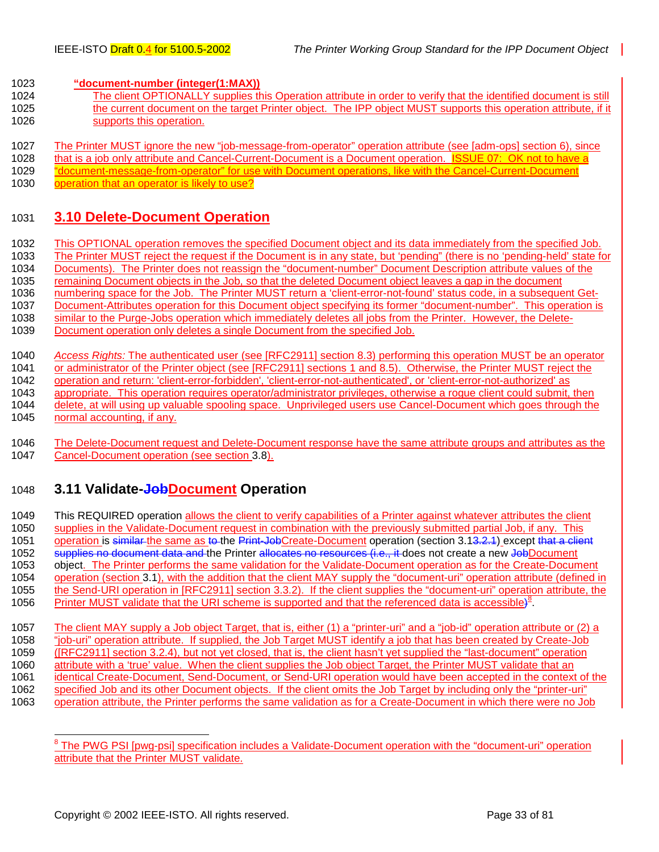<span id="page-32-0"></span>1023 **"document-number (integer(1:MAX))**

- 1024 The client OPTIONALLY supplies this Operation attribute in order to verify that the identified document is still 1025 the current document on the target Printer object. The IPP object MUST supports this operation attribute, if it 1026 supports this operation.
- 1027 The Printer MUST ignore the new "job-message-from-operator" operation attribute (see [adm-ops] section 6), since
- 1028 that is a job only attribute and Cancel-Current-Document is a Document operation. ISSUE 07: OK not to have a
- 1029 "document-message-from-operator" for use with Document operations, like with the Cancel-Current-Document
- 1030 operation that an operator is likely to use?

## 1031 **3.10 Delete-Document Operation**

1032 This OPTIONAL operation removes the specified Document object and its data immediately from the specified Job. 1033 The Printer MUST reject the request if the Document is in any state, but 'pending" (there is no 'pending-held' state for 1034 Documents). The Printer does not reassign the "document-number" Document Description attribute values of the 1035 remaining Document objects in the Job, so that the deleted Document object leaves a gap in the document 1036 numbering space for the Job. The Printer MUST return a 'client-error-not-found' status code, in a subsequent Get-1037 Document-Attributes operation for this Document object specifying its former "document-number". This operation is 1038 similar to the Purge-Jobs operation which immediately deletes all jobs from the Printer. However, the Delete-1039 Document operation only deletes a single Document from the specified Job.

1040 *Access Rights:* The authenticated user (see [RFC2911] section 8.3) performing this operation MUST be an operator 1041 or administrator of the Printer object (see [RFC2911] sections 1 and 8.5). Otherwise, the Printer MUST reject the 1042 operation and return: 'client-error-forbidden', 'client-error-not-authenticated', or 'client-error-not-authorized' as 1043 appropriate. This operation requires operator/administrator privileges, otherwise a rogue client could submit, then 1044 delete, at will using up valuable spooling space. Unprivileged users use Cancel-Document which goes through the 1045 normal accounting, if any.

1046 The Delete-Document request and Delete-Document response have the same attribute groups and attributes as the 1047 Cancel-Document operation (see section 3.8). Cancel-Document operation (see section [3.8\)](#page-29-0).

## 1048 **3.11 Validate-JobDocument Operation**

1049 This REQUIRED operation allows the client to verify capabilities of a Printer against whatever attributes the client 1050 supplies in the Validate-Document request in combination with the previously submitted partial Job, if any. This 1051 operation is similar the same as to the Print-JobCreate-Document operation (section 3.13.2.4) except that a client 1052 supplies no document data and the Printer allocates no resources (i.e., it does not create a new JobDocument 1053 object. The Printer performs the same validation for the Validate-Document operation as for the Create-Document 1054 operation (section [3.1\)](#page-15-0), with the addition that the client MAY supply the "document-uri" operation attribute (defined in 1055 the Send-URI operation in [RFC2911] section 3.3.2). If the client supplies the "document-uri" operation attribute, the 1056 Printer MUST validate that the URI scheme is supported and that the referenced data is accessible)<sup>8</sup> 1057 The client MAY supply a Job object Target, that is, either (1) a "printer-uri" and a "job-id" operation attribute or (2) a 1058 "job-uri" operation attribute. If supplied, the Job Target MUST identify a job that has been created by Create-Job 1059 ([RFC2911] section 3.2.4), but not yet closed, that is, the client hasn't yet supplied the "last-document" operation 1060 attribute with a 'true' value. When the client supplies the Job object Target, the Printer MUST validate that an

- 1061 identical Create-Document, Send-Document, or Send-URI operation would have been accepted in the context of the
- 1062 specified Job and its other Document objects. If the client omits the Job Target by including only the "printer-uri"
- 1063 operation attribute, the Printer performs the same validation as for a Create-Document in which there were no Job

<sup>&</sup>lt;sup>8</sup> The PWG PSI [pwg-psi] specification includes a Validate-Document operation with the "document-uri" operation attribute that the Printer MUST validate.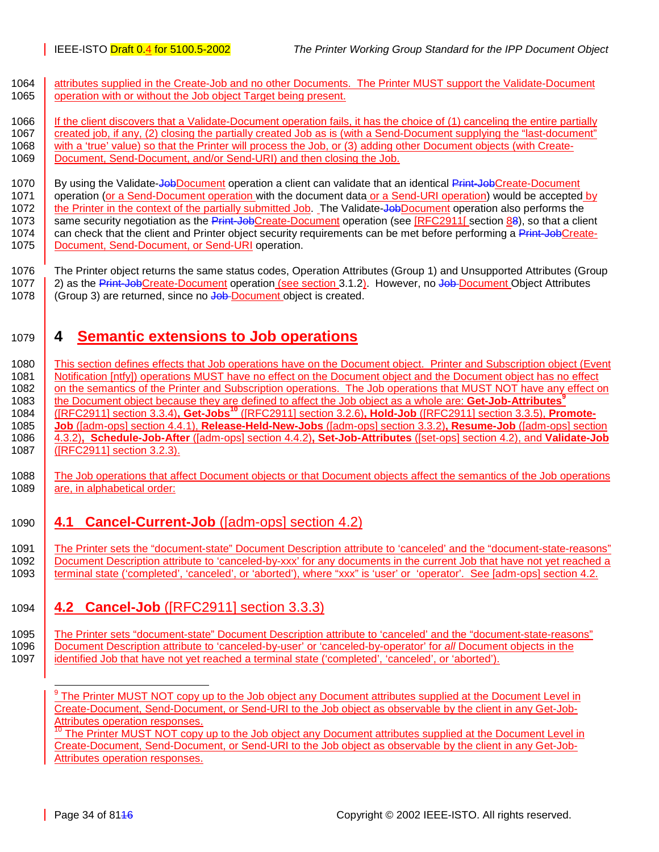<span id="page-33-0"></span>1064 attributes supplied in the Create-Job and no other Documents. The Printer MUST support the Validate-Document 1065 operation with or without the Job object Target being present.

1066 If the client discovers that a Validate-Document operation fails, it has the choice of (1) canceling the entire partially 1067 created job, if any, (2) closing the partially created Job as is (with a Send-Document supplying the "last-document" 1068 with a 'true' value) so that the Printer will process the Job, or (3) adding other Document objects (with Create-1069 Document, Send-Document, and/or Send-URI) and then closing the Job.

1070 By using the Validate-Job Document operation a client can validate that an identical Print-Job Create-Document 1071 operation (or a Send-Document operation with the document data or a Send-URI operation) would be accepted by 1072 the Printer in the context of the partially submitted Job. The Validate-JobDocument operation also performs the 1073 same security negotiation as the Print-JobCreate-Document operation (see [RFC2911] section [88\)](#page-17-0), so that a client 1074 can check that the client and Printer object security requirements can be met before performing a Print-JobCreate-1075 | Document, Send-Document, or Send-URI operation.

1076 The Printer object returns the same status codes, Operation Attributes (Group 1) and Unsupported Attributes (Group 1077 2) as the Print-JobCreate-Document operation (see section [3.1.2\)](#page-17-0). However, no Job-Document Object Attributes 1078 (Group 3) are returned, since no Job Document object is created.

# 1079 **4 Semantic extensions to Job operations**

1080 This section defines effects that Job operations have on the Document object. Printer and Subscription object (Event 1081 Notification [ntfy]) operations MUST have no effect on the Document object and the Document object has no effect 1082 on the semantics of the Printer and Subscription operations. The Job operations that MUST NOT have any effect on the Document object because they are defined to affect the Job object as a whole are: **Get-Job-Attributes<sup>9</sup>** 1083 1084 **GENET 3.3.4)**, Get-Jobs<sup>10</sup> ([RFC2911] section 3.2.6), Hold-Job ([RFC2911] section 3.3.5), Promote-1085 **Job** ([adm-ops] section 4.4.1), **Release-Held-New-Jobs** ([adm-ops] section 3.3.2)**, Resume-Job** ([adm-ops] section 1086 4.3.2)**, Schedule-Job-After** ([adm-ops] section 4.4.2)**, Set-Job-Attributes** ([set-ops] section 4.2), and **Validate-Job** 1087 **(FREC2911** section 3.2.3).

1088 The Job operations that affect Document objects or that Document objects affect the semantics of the Job operations 1089 are, in alphabetical order:

1090 **4.1 Cancel-Current-Job** ([adm-ops] section 4.2)

1091 The Printer sets the "document-state" Document Description attribute to 'canceled' and the "document-state-reasons" 1092 Document Description attribute to 'canceled-by-xxx' for any documents in the current Job that have not yet reached a 1093 terminal state ('completed', 'canceled', or 'aborted'), where "xxx" is 'user' or 'operator'. See [adm-ops] section 4.2.

1094 **4.2 Cancel-Job** ([RFC2911] section 3.3.3)

1095 The Printer sets "document-state" Document Description attribute to 'canceled' and the "document-state-reasons"<br>1096 Document Description attribute to 'canceled-by-user' or 'canceled-by-operator' for all Document obje Document Description attribute to 'canceled-by-user' or 'canceled-by-operator' for *all* Document objects in the 1097 identified Job that have not yet reached a terminal state ('completed', 'canceled', or 'aborted').

l <sup>9</sup> The Printer MUST NOT copy up to the Job object any Document attributes supplied at the Document Level in Create-Document, Send-Document, or Send-URI to the Job object as observable by the client in any Get-Job-Attributes operation responses.

The Printer MUST NOT copy up to the Job object any Document attributes supplied at the Document Level in Create-Document, Send-Document, or Send-URI to the Job object as observable by the client in any Get-Job-Attributes operation responses.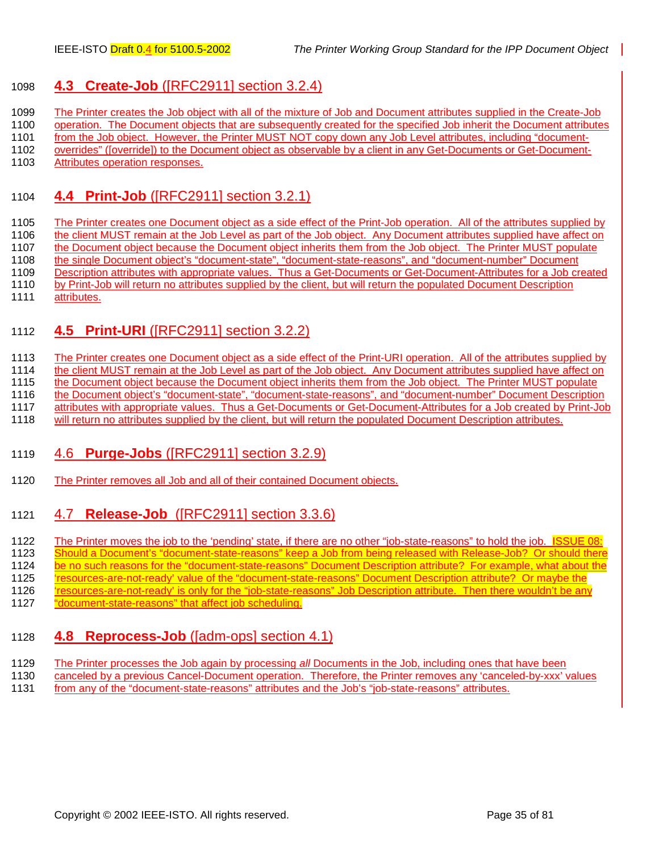## <span id="page-34-0"></span>1098 **4.3 Create-Job** ([RFC2911] section 3.2.4)

1099 The Printer creates the Job object with all of the mixture of Job and Document attributes supplied in the Create-Job

1100 operation. The Document objects that are subsequently created for the specified Job inherit the Document attributes

1101 from the Job object. However, the Printer MUST NOT copy down any Job Level attributes, including "document-

1102 overrides" ([override]) to the Document object as observable by a client in any Get-Documents or Get-Document-1103 Attributes operation responses.

## 1104 **4.4 Print-Job** ([RFC2911] section 3.2.1)

1105 The Printer creates one Document object as a side effect of the Print-Job operation. All of the attributes supplied by 1106 the client MUST remain at the Job Level as part of the Job object. Any Document attributes supplied have affect on 1107 the Document object because the Document object inherits them from the Job object. The Printer MUST populate<br>1108 the single Document object's "document-state", "document-state-reasons", and "document-number" Document the single Document object's "document-state", "document-state-reasons", and "document-number" Document 1109 Description attributes with appropriate values. Thus a Get-Documents or Get-Document-Attributes for a Job created 1110 by Print-Job will return no attributes supplied by the client, but will return the populated Document Description

## 1111 attributes.

## 1112 **4.5 Print-URI** ([RFC2911] section 3.2.2)

1113 The Printer creates one Document object as a side effect of the Print-URI operation. All of the attributes supplied by

1114 the client MUST remain at the Job Level as part of the Job object. Any Document attributes supplied have affect on

1115 the Document object because the Document object inherits them from the Job object. The Printer MUST populate

1116 the Document object's "document-state", "document-state-reasons", and "document-number" Document Description 1117 attributes with appropriate values. Thus a Get-Documents or Get-Document-Attributes for a Job created by Print-Job

1118 will return no attributes supplied by the client, but will return the populated Document Description attributes.

## 1119 4.6 **Purge-Jobs** ([RFC2911] section 3.2.9)

1120 The Printer removes all Job and all of their contained Document objects.

## 1121 4.7 **Release-Job** ([RFC2911] section 3.3.6)

1122 The Printer moves the job to the 'pending' state, if there are no other "job-state-reasons" to hold the job. ISSUE 08:

1123 Should a Document's "document-state-reasons" keep a Job from being released with Release-Job? Or should there

1124 be no such reasons for the "document-state-reasons" Document Description attribute? For example, what about the

1125 'resources-are-not-ready' value of the "document-state-reasons" Document Description attribute? Or maybe the

1126 'resources-are-not-ready' is only for the "job-state-reasons" Job Description attribute. Then there wouldn't be any

1127 "document-state-reasons" that affect job scheduling.

## 1128 **4.8 Reprocess-Job** ([adm-ops] section 4.1)

1129 The Printer processes the Job again by processing *all* Documents in the Job, including ones that have been

- 1130 canceled by a previous Cancel-Document operation. Therefore, the Printer removes any 'canceled-by-xxx' values
- 1131 from any of the "document-state-reasons" attributes and the Job's "job-state-reasons" attributes.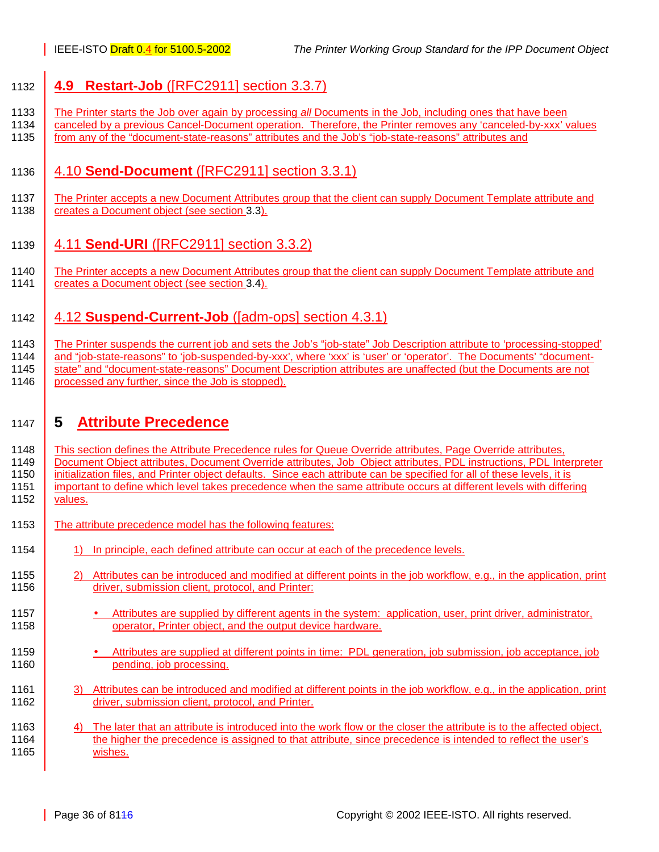## <span id="page-35-0"></span>1132 **4.9 Restart-Job** ([RFC2911] section 3.3.7)

- 1133 The Printer starts the Job over again by processing *all* Documents in the Job, including ones that have been
- 1134 canceled by a previous Cancel-Document operation. Therefore, the Printer removes any 'canceled-by-xxx' values 1135 from any of the "document-state-reasons" attributes and the Job's "job-state-reasons" attributes and

## 1136 4.10 **Send-Document** ([RFC2911] section 3.3.1)

- 1137 The Printer accepts a new Document Attributes group that the client can supply Document Template attribute and 1138 **creates a Document object (see section [3.3\)](#page-19-0).**
- 1139 4.11 **Send-URI** ([RFC2911] section 3.3.2)
- 1140 The Printer accepts a new Document Attributes group that the client can supply Document Template attribute and 1141 **creates a Document object (see section [3.4\)](#page-21-0).**

## 1142 4.12 **Suspend-Current-Job** ([adm-ops] section 4.3.1)

1143 The Printer suspends the current job and sets the Job's "job-state" Job Description attribute to 'processing-stopped' 1144 and "job-state-reasons" to 'job-suspended-by-xxx', where 'xxx' is 'user' or 'operator'. The Documents' "document-1145 state" and "document-state-reasons" Document Description attributes are unaffected (but the Documents are not 1146 processed any further, since the Job is stopped).

## 1147 **5 Attribute Precedence**

- 1148 This section defines the Attribute Precedence rules for Queue Override attributes, Page Override attributes, 1149 Document Object attributes, Document Override attributes, Job Object attributes, PDL instructions, PDL Interpreter 1150 initialization files, and Printer object defaults. Since each attribute can be specified for all of these levels, it is 1151 important to define which level takes precedence when the same attribute occurs at different levels with differing 1152 values.
- 1153 The attribute precedence model has the following features:
- 1154 1) In principle, each defined attribute can occur at each of the precedence levels.
- 1155 2) Attributes can be introduced and modified at different points in the job workflow, e.g., in the application, print 1156 **driver, submission client, protocol, and Printer:**
- 1157 Attributes are supplied by different agents in the system: application, user, print driver, administrator, 1158 **Fig. 2.1158** operator, Printer object, and the output device hardware.
- 1159 Attributes are supplied at different points in time: PDL generation, job submission, job acceptance, job 1160 **pending** iob processing.
- 1161 3) Attributes can be introduced and modified at different points in the job workflow, e.g., in the application, print 1162 **driver, submission client, protocol, and Printer.**
- 1163 4) The later that an attribute is introduced into the work flow or the closer the attribute is to the affected object, 1164 the higher the precedence is assigned to that attribute, since precedence is intended to reflect the user's 1165 | wishes.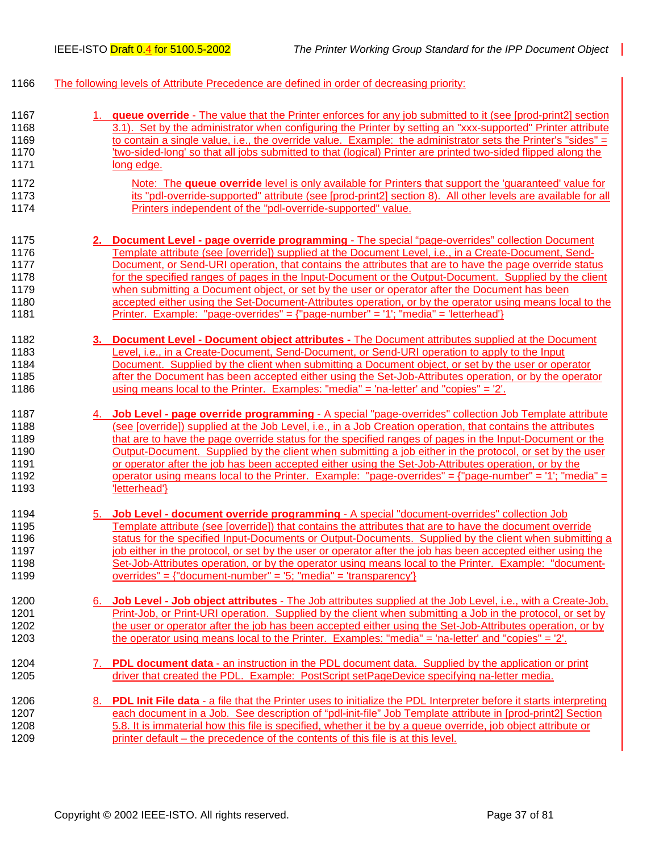- 1166 The following levels of Attribute Precedence are defined in order of decreasing priority:
- 1167 1. **queue override** The value that the Printer enforces for any job submitted to it (see [prod-print2] section 1168 3.1). Set by the administrator when configuring the Printer by setting an "xxx-supported" Printer attribute 1169 to contain a single value, i.e., the override value. Example: the administrator sets the Printer's "sides" = 1170 'two-sided-long' so that all jobs submitted to that (logical) Printer are printed two-sided flipped along the 1171 long edge.
- 1172 Note: The **queue override** level is only available for Printers that support the 'guaranteed' value for 1173 its "pdl-override-supported" attribute (see [prod-print2] section 8). All other levels are available for all 1174 Printers independent of the "pdl-override-supported" value.
- 1175 **2. Document Level page override programming** The special "page-overrides" collection Document 1176 Template attribute (see [override]) supplied at the Document Level, i.e., in a Create-Document, Send-1177 Document, or Send-URI operation, that contains the attributes that are to have the page override status 1178 for the specified ranges of pages in the Input-Document or the Output-Document. Supplied by the client 1179 when submitting a Document object, or set by the user or operator after the Document has been 1180 accepted either using the Set-Document-Attributes operation, or by the operator using means local to the 1181 Printer. Example: "page-overrides" = {"page-number" = '1'; "media" = 'letterhead'}
- 1182 **3. Document Level Document object attributes** The Document attributes supplied at the Document 1183 Level, i.e., in a Create-Document, Send-Document, or Send-URI operation to apply to the Input 1184 Document. Supplied by the client when submitting a Document object, or set by the user or operator 1185 after the Document has been accepted either using the Set-Job-Attributes operation, or by the operator 1186 using means local to the Printer. Examples: "media" = 'na-letter' and "copies" = '2'.
- 1187 4. **Job Level page override programming** A special "page-overrides" collection Job Template attribute 1188 (see [override]) supplied at the Job Level, i.e., in a Job Creation operation, that contains the attributes<br>1189 that are to have the page override status for the specified ranges of pages in the Input-Document or th that are to have the page override status for the specified ranges of pages in the Input-Document or the 1190 Output-Document. Supplied by the client when submitting a job either in the protocol, or set by the user 1191 or operator after the job has been accepted either using the Set-Job-Attributes operation, or by the 1192 operator using means local to the Printer. Example: "page-overrides" = {"page-number" = '1'; "media" = 1193 **Interface Interface**
- 1194 5. **Job Level document override programming** A special "document-overrides" collection Job 1195 Template attribute (see [override]) that contains the attributes that are to have the document override 1196 status for the specified Input-Documents or Output-Documents. Supplied by the client when submitting a 1197 job either in the protocol, or set by the user or operator after the job has been accepted either using the 1198 Set-Job-Attributes operation, or by the operator using means local to the Printer. Example: "document-1199 overrides" = {"document-number" = '5; "media" = 'transparency'}
- 1200 6. **Job Level Job object attributes**  The Job attributes supplied at the Job Level, i.e., with a Create-Job, 1201 Print-Job, or Print-URI operation. Supplied by the client when submitting a Job in the protocol, or set by 1202 the user or operator after the job has been accepted either using the Set-Job-Attributes operation, or by 1203 the operator using means local to the Printer. Examples: "media" = 'na-letter' and "copies" = '2'.
- 1204 7. **PDL document data**  an instruction in the PDL document data. Supplied by the application or print 1205 driver that created the PDL. Example: PostScript setPageDevice specifying na-letter media.
- 1206 8. **PDL Init File data**  a file that the Printer uses to initialize the PDL Interpreter before it starts interpreting 1207 each document in a Job. See description of "pdl-init-file" Job Template attribute in [prod-print2] Section 1208 5.8. It is immaterial how this file is specified, whether it be by a queue override, job object attribute or 1209 printer default – the precedence of the contents of this file is at this level.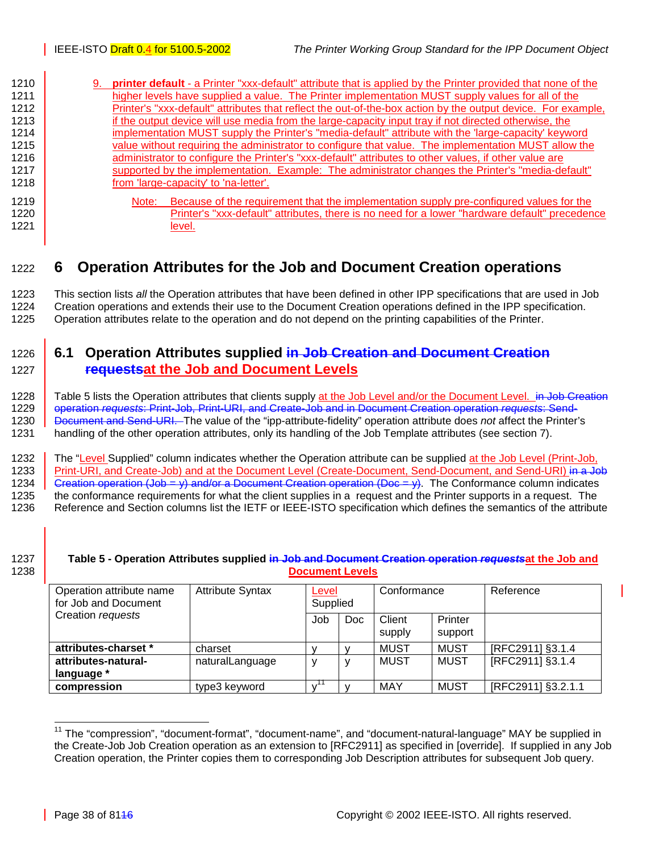<span id="page-37-0"></span>

| 1210 | 9. | <b>printer default</b> - a Printer "xxx-default" attribute that is applied by the Printer provided that none of the |
|------|----|---------------------------------------------------------------------------------------------------------------------|
| 1211 |    | higher levels have supplied a value. The Printer implementation MUST supply values for all of the                   |
| 1212 |    | Printer's "xxx-default" attributes that reflect the out-of-the-box action by the output device. For example,        |
| 1213 |    | if the output device will use media from the large-capacity input tray if not directed otherwise, the               |
| 1214 |    | implementation MUST supply the Printer's "media-default" attribute with the 'large-capacity' keyword                |
| 1215 |    | value without requiring the administrator to configure that value. The implementation MUST allow the                |
| 1216 |    | administrator to configure the Printer's "xxx-default" attributes to other values, if other value are               |
| 1217 |    | supported by the implementation. Example: The administrator changes the Printer's "media-default"                   |
| 1218 |    | from 'large-capacity' to 'na-letter'.                                                                               |
| 1219 |    | Because of the requirement that the implementation supply pre-configured values for the<br>Note:                    |
| 1220 |    | Printer's "xxx-default" attributes, there is no need for a lower "hardware default" precedence                      |
| 1221 |    | level.                                                                                                              |

# 1222 **6 Operation Attributes for the Job and Document Creation operations**

1223 This section lists *all* the Operation attributes that have been defined in other IPP specifications that are used in Job 1224 Creation operations and extends their use to the Document Creation operations defined in the IPP specification. 1225 Operation attributes relate to the operation and do not depend on the printing capabilities of the Printer.

# 1226 **6.1 Operation Attributes supplied in Job Creation and Document Creation**  1227 **requestsat the Job and Document Levels**

1228 Table 5 lists the Operation attributes that clients supply at the Job Level and/or the Document Level. in Job Creation 1229 operation *requests*: Print-Job, Print-URI, and Create-Job and in Document Creation operation *requests*: Send-1230 Document and Send-URI. The value of the "ipp-attribute-fidelity" operation attribute does *not* affect the Printer's 1231 handling of the other operation attributes, only its handling of the Job Template attributes (see section [7\)](#page-40-0).

1232 The "Level Supplied" column indicates whether the Operation attribute can be supplied at the Job Level (Print-Job, 1233 Print-URI, and Create-Job) and at the Document Level (Create-Document, Send-Document, and Send-URI) in a Job 1234 Creation operation (Job = y) and/or a Document Creation operation (Doc = y). The Conformance column indicates 1235 the conformance requirements for what the client supplies in a request and the Printer supports in a request. The 1236 Reference and Section columns list the IETF or IEEE-ISTO specification which defines the semantics of the attribute

### 1237 **Table 5 - Operation Attributes supplied in Job and Document Creation operation** *requests***at the Job and**  1238 **Document Levels**

| Operation attribute name<br>for Job and Document | <b>Attribute Syntax</b> | Level<br>Supplied |            | Conformance      |                    | Reference          |
|--------------------------------------------------|-------------------------|-------------------|------------|------------------|--------------------|--------------------|
| Creation requests                                |                         | Job               | <b>Doc</b> | Client<br>supply | Printer<br>support |                    |
| attributes-charset *                             | charset                 |                   |            | <b>MUST</b>      | MUST               | [RFC2911] §3.1.4   |
| attributes-natural-                              | naturalLanguage         |                   | v          | MUST             | MUST               | [RFC2911] §3.1.4   |
| language *                                       |                         |                   |            |                  |                    |                    |
| compression                                      | type3 keyword           |                   |            | <b>MAY</b>       | <b>MUST</b>        | [RFC2911] §3.2.1.1 |

<sup>&</sup>lt;sup>11</sup> The "compression", "document-format", "document-name", and "document-natural-language" MAY be supplied in the Create-Job Job Creation operation as an extension to [RFC2911] as specified in [override]. If supplied in any Job Creation operation, the Printer copies them to corresponding Job Description attributes for subsequent Job query.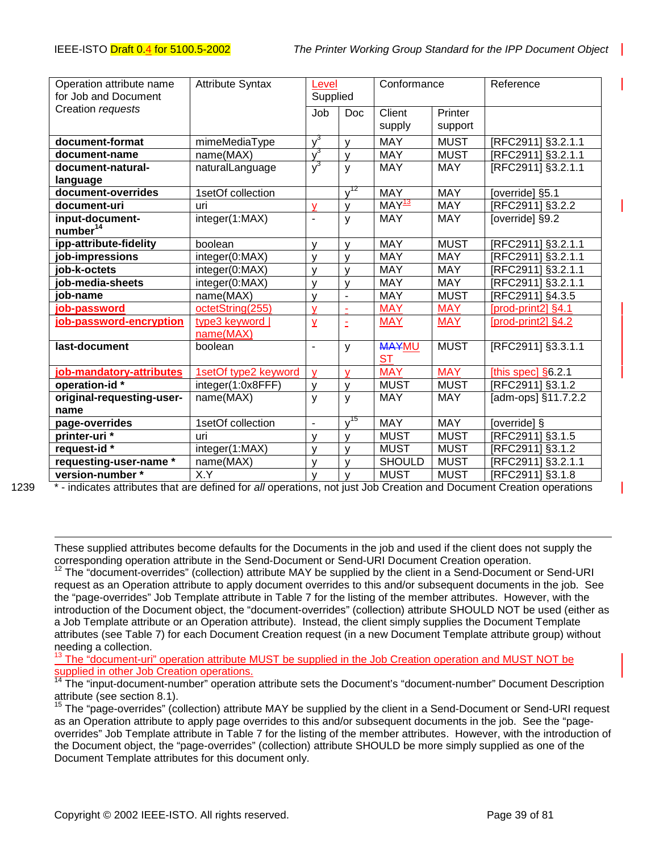| Operation attribute name  | <b>Attribute Syntax</b><br>Level |                          |                          | Conformance         |             | Reference           |
|---------------------------|----------------------------------|--------------------------|--------------------------|---------------------|-------------|---------------------|
| for Job and Document      |                                  | Supplied                 |                          |                     |             |                     |
| Creation requests         |                                  | Job                      | <b>Doc</b>               | Client              | Printer     |                     |
|                           |                                  |                          |                          | supply              | support     |                     |
| document-format           | mimeMediaType                    | $v^3$                    | V                        | <b>MAY</b>          | <b>MUST</b> | [RFC2911] §3.2.1.1  |
| document-name             | name(MAX)                        | $\sqrt{3}$               | y                        | <b>MAY</b>          | <b>MUST</b> | [RFC2911] §3.2.1.1  |
| document-natural-         | naturalLanguage                  | $\sqrt{3}$               | y                        | <b>MAY</b>          | <b>MAY</b>  | [RFC2911] §3.2.1.1  |
| language                  |                                  |                          |                          |                     |             |                     |
| document-overrides        | 1setOf collection                |                          | $v^{12}$                 | <b>MAY</b>          | <b>MAY</b>  | [override] §5.1     |
| document-uri              | uri                              | V                        | V                        | $MAY$ <sup>13</sup> | <b>MAY</b>  | [RFC2911] §3.2.2    |
| input-document-           | integer(1:MAX)                   | $\blacksquare$           | y                        | <b>MAY</b>          | <b>MAY</b>  | [override] §9.2     |
| $n$ umber <sup>14</sup>   |                                  |                          |                          |                     |             |                     |
| ipp-attribute-fidelity    | boolean                          | $\mathsf{V}$             | y                        | <b>MAY</b>          | <b>MUST</b> | [RFC2911] §3.2.1.1  |
| job-impressions           | integer(0:MAX)                   | v                        | $\mathsf{V}$             | <b>MAY</b>          | <b>MAY</b>  | [RFC2911] §3.2.1.1  |
| job-k-octets              | integer(0:MAX)                   | $\mathsf{V}$             | y                        | <b>MAY</b>          | <b>MAY</b>  | [RFC2911] §3.2.1.1  |
| job-media-sheets          | integer(0:MAX)                   | $\mathsf{V}$             | $\mathsf{y}$             | MAY                 | <b>MAY</b>  | [RFC2911] §3.2.1.1  |
| job-name                  | name(MAX)                        | V                        | $\overline{\phantom{a}}$ | <b>MAY</b>          | <b>MUST</b> | [RFC2911] §4.3.5    |
| job-password              | octetString(255)                 | v                        | $\mathbf{r}$             | <b>MAY</b>          | <b>MAY</b>  | [prod-print2] §4.1  |
| job-password-encryption   | type3 keyword                    | $\overline{Y}$           | Ë                        | <b>MAY</b>          | <b>MAY</b>  | [prod-print2] §4.2  |
|                           | name(MAX)                        |                          |                          |                     |             |                     |
| last-document             | boolean                          | $\blacksquare$           | y                        | <b>MAYMU</b>        | <b>MUST</b> | [RFC2911] §3.3.1.1  |
|                           |                                  |                          |                          | <b>ST</b>           |             |                     |
| job-mandatory-attributes  | 1setOf type2 keyword             | $\mathbf{V}$             | $\mathbf{V}$             | <b>MAY</b>          | <b>MAY</b>  | [this spec] §6.2.1  |
| operation-id*             | integer(1:0x8FFF)                | $\mathsf{V}$             | y                        | <b>MUST</b>         | <b>MUST</b> | [RFC2911] §3.1.2    |
| original-requesting-user- | name(MAX)                        | $\mathsf{y}$             | y                        | <b>MAY</b>          | <b>MAY</b>  | [adm-ops] §11.7.2.2 |
| name                      |                                  |                          |                          |                     |             |                     |
| page-overrides            | 1setOf collection                | $\overline{\phantom{a}}$ | $\sqrt{15}$              | <b>MAY</b>          | <b>MAY</b>  | [override] §        |
| printer-uri *             | uri                              | v                        | v                        | <b>MUST</b>         | <b>MUST</b> | RFC2911] §3.1.5     |
| request-id *              | integer(1:MAX)                   | $\mathsf{v}$             | V                        | <b>MUST</b>         | <b>MUST</b> | [RFC2911] §3.1.2    |
| requesting-user-name *    | name(MAX)                        | $\mathsf{V}$             | y                        | <b>SHOULD</b>       | <b>MUST</b> | [RFC2911] §3.2.1.1  |
| version-number *          | X.Y                              | $\mathsf{V}$             | $\mathsf{V}$             | <b>MUST</b>         | <b>MUST</b> | [RFC2911] §3.1.8    |

l

1239 \* - indicates attributes that are defined for *all* operations, not just Job Creation and Document Creation operations

These supplied attributes become defaults for the Documents in the job and used if the client does not supply the corresponding operation attribute in the Send-Document or Send-URI Document Creation operation.

 $12$  The "document-overrides" (collection) attribute MAY be supplied by the client in a Send-Document or Send-URI request as an Operation attribute to apply document overrides to this and/or subsequent documents in the job. See the "page-overrides" Job Template attribute in Table 7 for the listing of the member attributes. However, with the introduction of the Document object, the "document-overrides" (collection) attribute SHOULD NOT be used (either as a Job Template attribute or an Operation attribute). Instead, the client simply supplies the Document Template attributes (see Table 7) for each Document Creation request (in a new Document Template attribute group) without needing a collection.

<sup>13</sup> The "document-uri" operation attribute MUST be supplied in the Job Creation operation and MUST NOT be supplied in other Job Creation operations.

<sup>14</sup> The "input-document-number" operation attribute sets the Document's "document-number" Document Description attribute (see section 8.1).

15 The "page-overrides" (collection) attribute MAY be supplied by the client in a Send-Document or Send-URI request as an Operation attribute to apply page overrides to this and/or subsequent documents in the job. See the "pageoverrides" Job Template attribute in Table 7 for the listing of the member attributes. However, with the introduction of the Document object, the "page-overrides" (collection) attribute SHOULD be more simply supplied as one of the Document Template attributes for this document only.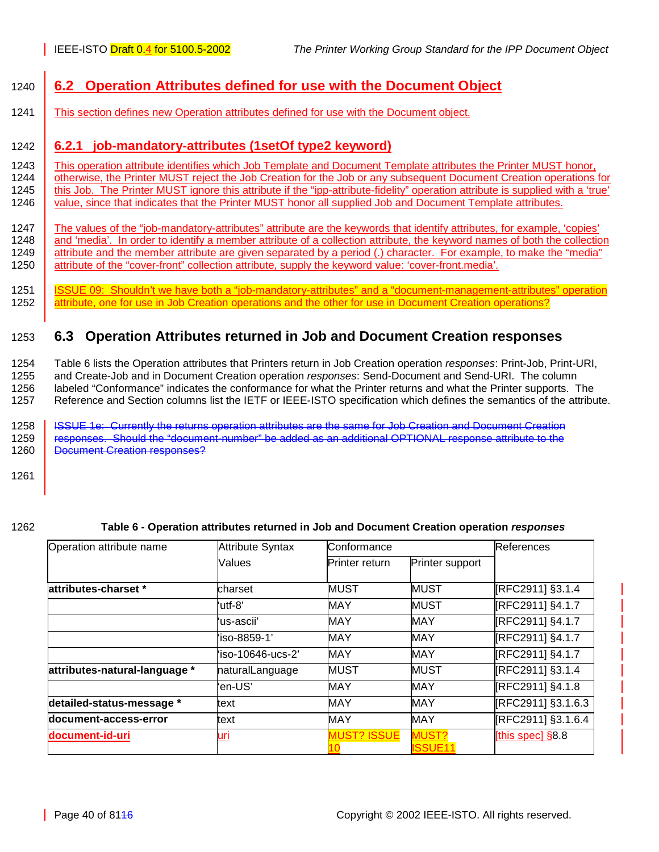# <span id="page-39-0"></span>1240 **6.2 Operation Attributes defined for use with the Document Object**

1241 This section defines new Operation attributes defined for use with the Document object.

## 1242 **6.2.1 job-mandatory-attributes (1setOf type2 keyword)**

1243 This operation attribute identifies which Job Template and Document Template attributes the Printer MUST honor, 1244 otherwise, the Printer MUST reject the Job Creation for the Job or any subsequent Document Creation otherwise, the Printer MUST reject the Job Creation for the Job or any subsequent Document Creation operations for 1245 | this Job. The Printer MUST ignore this attribute if the "ipp-attribute-fidelity" operation attribute is supplied with a 'true' 1246 value, since that indicates that the Printer MUST honor all supplied Job and Document Template attributes.

1247 The values of the "job-mandatory-attributes" attribute are the keywords that identify attributes, for example, 'copies' 1248 and 'media'. In order to identify a member attribute of a collection attribute, the keyword names of both the collection 1249 attribute and the member attribute are given separated by a period (.) character. For example, to make the "media" 1250 attribute of the "cover-front" collection attribute, supply the keyword value: 'cover-front.media'.

1251 | <u>ISSUE 09: Shouldn't we have both a "job-mandatory-attributes" and a "document-management-attributes" operation</u><br>1252 | attribute, one for use in Job Creation operations and the other for use in Document Creation op attribute, one for use in Job Creation operations and the other for use in Document Creation operations?

# 1253 **6.3 Operation Attributes returned in Job and Document Creation responses**

1254 Table 6 lists the Operation attributes that Printers return in Job Creation operation *responses*: Print-Job, Print-URI, 1255 and Create-Job and in Document Creation operation *responses*: Send-Document and Send-URI. The column 1256 labeled "Conformance" indicates the conformance for what the Printer returns and what the Printer supports. The 1257 Reference and Section columns list the IETF or IEEE-ISTO specification which defines the semantics of the attribute.

1258 | <del>ISSUE 1e: Currently the returns operation attributes are the same for Job Creation and Document Creation</del> 1259 responses. Should the "document-number" be added as an additional OPTIONAL response attribute to the

1260 **Document Creation responses?** 

1261

#### 1262 **Table 6 - Operation attributes returned in Job and Document Creation operation** *responses*

| Operation attribute name      | <b>Attribute Syntax</b> | Conformance           |                                |                                      |  |  |  |
|-------------------------------|-------------------------|-----------------------|--------------------------------|--------------------------------------|--|--|--|
|                               | Values                  | <b>Printer return</b> | Printer support                |                                      |  |  |  |
| attributes-charset *          | charset                 | MUST                  | <b>MUST</b>                    | [RFC2911] §3.1.4                     |  |  |  |
|                               | 'utf-8'                 | MAY                   | <b>MUST</b>                    | [RFC2911] §4.1.7<br>[RFC2911] §4.1.7 |  |  |  |
|                               | ʻus-ascii'              | MAY                   | <b>MAY</b>                     |                                      |  |  |  |
|                               | 'iso-8859-1'            | MAY                   | <b>MAY</b>                     | [RFC2911] §4.1.7                     |  |  |  |
|                               | 'iso-10646-ucs-2'       | MAY                   | <b>MAY</b>                     | [RFC2911] §4.1.7                     |  |  |  |
| attributes-natural-language * | naturalLanguage         | <b>MUST</b>           | <b>MUST</b>                    | [RFC2911] §3.1.4                     |  |  |  |
|                               | 'en-US'                 | MAY                   | <b>MAY</b>                     | [RFC2911] §4.1.8                     |  |  |  |
| detailed-status-message *     | text                    | MAY                   | <b>MAY</b>                     | [RFC2911] §3.1.6.3                   |  |  |  |
| document-access-error         | text                    | MAY                   | <b>MAY</b>                     | [RFC2911] §3.1.6.4                   |  |  |  |
| document-id-uri               | <u>uri</u>              | <b>MUST? ISSUE</b>    | <b>MUST?</b><br><b>ISSUE11</b> | [this spec] $§8.8$                   |  |  |  |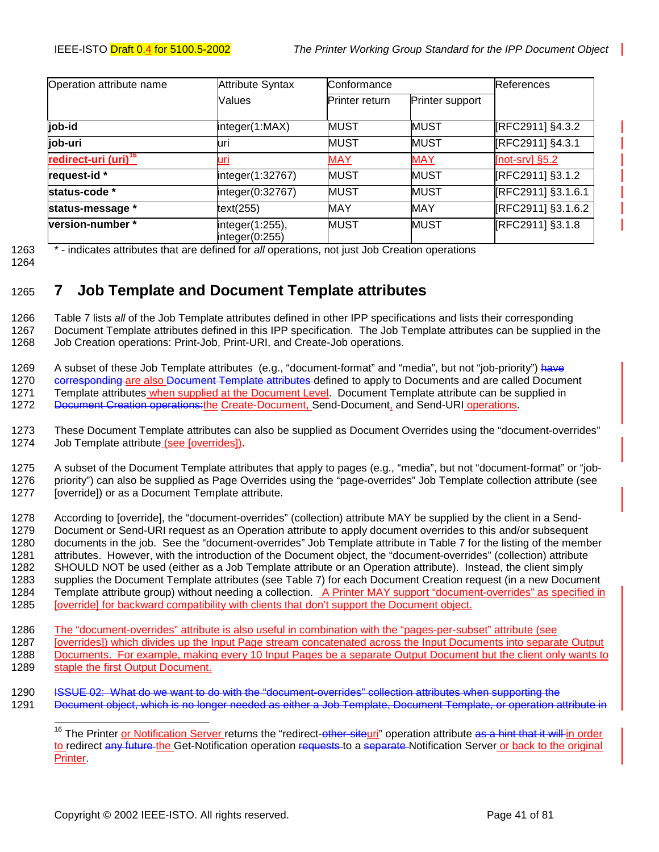<span id="page-40-0"></span>

| Operation attribute name         | <b>Attribute Syntax</b>           | Conformance    | <b>References</b> |                    |  |  |  |
|----------------------------------|-----------------------------------|----------------|-------------------|--------------------|--|--|--|
|                                  | Values                            | Printer return | Printer support   |                    |  |  |  |
| job-id                           | integer(1:MAX)                    | <b>MUST</b>    | <b>MUST</b>       | [RFC2911] §4.3.2   |  |  |  |
| job-uri                          | luri                              | <b>MUST</b>    | <b>MUST</b>       | [RFC2911] §4.3.1   |  |  |  |
| redirect-uri (uri) <sup>16</sup> | uri                               | <b>MAY</b>     | <b>MAY</b>        | [not-srv] $§5.2$   |  |  |  |
| request-id *                     | integer(1:32767)                  | <b>MUST</b>    | MUST              | [RFC2911] §3.1.2   |  |  |  |
| status-code *                    | integer(0:32767)                  | <b>MUST</b>    | <b>MUST</b>       | [RFC2911] §3.1.6.1 |  |  |  |
| status-message *                 | text(255)                         | MAY            | <b>MAY</b>        | [RFC2911] §3.1.6.2 |  |  |  |
| version-number *                 | integer(1:255),<br>integer(0:255) | <b>MUST</b>    | <b>MUST</b>       | [RFC2911] §3.1.8   |  |  |  |

1263 \* - indicates attributes that are defined for *all* operations, not just Job Creation operations

1264

# 1265 **7 Job Template and Document Template attributes**

1266 [Table 7](#page-42-0) lists *all* of the Job Template attributes defined in other IPP specifications and lists their corresponding 1267 Document Template attributes defined in this IPP specification. The Job Template attributes can be supplied in the 1268 Job Creation operations: Print-Job, Print-URI, and Create-Job operations.

1269 A subset of these Job Template attributes (e.g., "document-format" and "media", but not "job-priority") have

1270 corresponding are also Document Template attributes defined to apply to Documents and are called Document 1271 Template attributes when supplied at the Document Level. Document Template attribute can be supplied in

1272 Document Creation operations: the Create-Document, Send-Document, and Send-URI operations.

1273 These Document Template attributes can also be supplied as Document Overrides using the "document-overrides" 1274 Job Template attribute (see [overrides]).

1275 A subset of the Document Template attributes that apply to pages (e.g., "media", but not "document-format" or "job-1276 priority") can also be supplied as Page Overrides using the "page-overrides" Job Template collection attribute (see 1277 [override]) or as a Document Template attribute.

1278 According to [override], the "document-overrides" (collection) attribute MAY be supplied by the client in a Send-1279 Document or Send-URI request as an Operation attribute to apply document overrides to this and/or subsequent 1280 documents in the job. See the "document-overrides" Job Template attribute in [Table 7](#page-42-0) for the listing of the member 1281 attributes. However, with the introduction of the Document object, the "document-overrides" (collection) attribute 1282 SHOULD NOT be used (either as a Job Template attribute or an Operation attribute). Instead, the client simply 1283 supplies the Document Template attributes (see [Table 7\)](#page-42-0) for each Document Creation request (in a new Document 1284 Template attribute group) without needing a collection. A Printer MAY support "document-overrides" as specified in 1285 [override] for backward compatibility with clients that don't support the Document object.

1286 The "document-overrides" attribute is also useful in combination with the "pages-per-subset" attribute (see

1287 [overrides]) which divides up the Input Page stream concatenated across the Input Documents into separate Output 1288 Documents. For example, making every 10 Input Pages be a separate Output Document but the client only wants to 1289 staple the first Output Document.

1290 ISSUE 02: What do we want to do with the "document-overrides" collection attributes when supporting the 1291 Document object, which is no longer needed as either a Job Template, Document Template, or operation attribute in

l <sup>16</sup> The Printer <u>or Notification Server r</u>eturns the "redirect-other-siteuri" operation attribute <del>as a hint that it will i</del>n order to redirect any future the Get-Notification operation requests to a separate Notification Server or back to the original **Printer**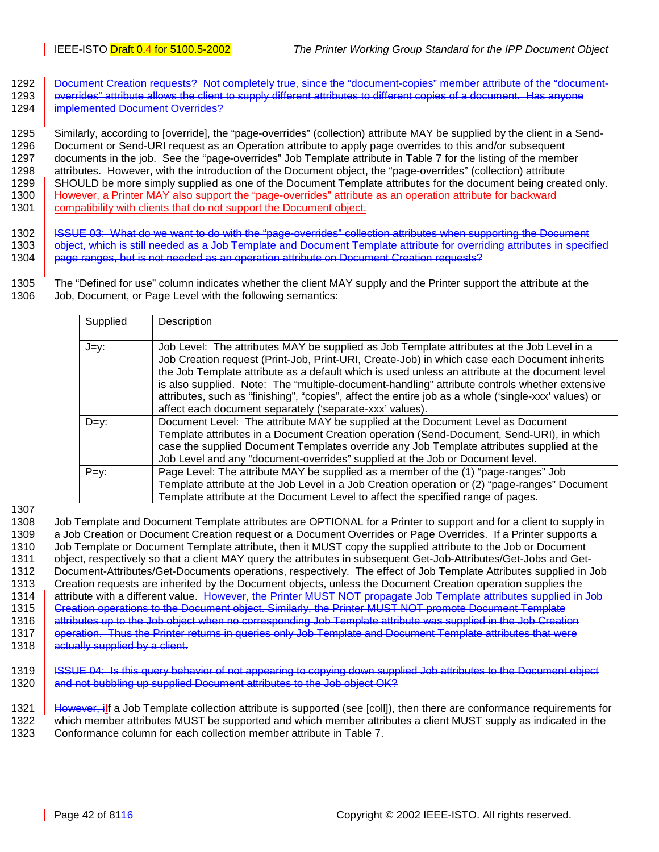- 1292 Document Creation requests? Not completely true, since the "document-copies" member attribute of the "document-
- 1293 overrides" attribute allows the client to supply different attributes to different copies of a document. Has anyone 1294 **implemented Document Overrides?**

1295 Similarly, according to [override], the "page-overrides" (collection) attribute MAY be supplied by the client in a Send-1296 Document or Send-URI request as an Operation attribute to apply page overrides to this and/or subsequent 1297 documents in the job. See the "page-overrides" Job Template attribute in [Table 7](#page-42-0) for the listing of the member 1298 attributes. However, with the introduction of the Document object, the "page-overrides" (collection) attribute 1299 SHOULD be more simply supplied as one of the Document Template attributes for the document being created only. 1300 However, a Printer MAY also support the "page-overrides" attribute as an operation attribute for backward 1301 | compatibility with clients that do not support the Document object.

1302 | ISSUE 03: What do we want to do with the "page-overrides" collection attributes when supporting the Document 1303 **object, which is still needed as a Job Template and Document Template attribute for overriding attributes in specified** 1304 **page ranges, but is not needed as an operation attribute on Document Creation requests**?

1305 The "Defined for use" column indicates whether the client MAY supply and the Printer support the attribute at the 1306 Job, Document, or Page Level with the following semantics:

| Supplied | Description                                                                                                                                                                                                                                                                                                                                                                                                                                                                                                                                                        |
|----------|--------------------------------------------------------------------------------------------------------------------------------------------------------------------------------------------------------------------------------------------------------------------------------------------------------------------------------------------------------------------------------------------------------------------------------------------------------------------------------------------------------------------------------------------------------------------|
| J=y:     | Job Level: The attributes MAY be supplied as Job Template attributes at the Job Level in a<br>Job Creation request (Print-Job, Print-URI, Create-Job) in which case each Document inherits<br>the Job Template attribute as a default which is used unless an attribute at the document level<br>is also supplied. Note: The "multiple-document-handling" attribute controls whether extensive<br>attributes, such as "finishing", "copies", affect the entire job as a whole ('single-xxx' values) or<br>affect each document separately ('separate-xxx' values). |
| $D=v$ :  | Document Level: The attribute MAY be supplied at the Document Level as Document<br>Template attributes in a Document Creation operation (Send-Document, Send-URI), in which<br>case the supplied Document Templates override any Job Template attributes supplied at the<br>Job Level and any "document-overrides" supplied at the Job or Document level.                                                                                                                                                                                                          |
| $P=y$ :  | Page Level: The attribute MAY be supplied as a member of the (1) "page-ranges" Job<br>Template attribute at the Job Level in a Job Creation operation or (2) "page-ranges" Document<br>Template attribute at the Document Level to affect the specified range of pages.                                                                                                                                                                                                                                                                                            |

1307

1308 Job Template and Document Template attributes are OPTIONAL for a Printer to support and for a client to supply in 1309 a Job Creation or Document Creation request or a Document Overrides or Page Overrides. If a Printer supports a 1310 Job Template or Document Template attribute, then it MUST copy the supplied attribute to the Job or Document 1311 object, respectively so that a client MAY query the attributes in subsequent Get-Job-Attributes/Get-Jobs and Get-1312 Document-Attributes/Get-Documents operations, respectively. The effect of Job Template Attributes supplied in Job 1313 Creation requests are inherited by the Document objects, unless the Document Creation operation supplies the 1314 attribute with a different value. However, the Printer MUST NOT propagate Job Template attributes supplied in Job 1315 | Creation operations to the Document object. Similarly, the Printer MUST NOT promote Document Template 1316 attributes up to the Job object when no corresponding Job Template attribute was supplied in the Job Creation 1317 | operation. Thus the Printer returns in queries only Job Template and Document Template attributes that were

1318 **actually supplied by a client.** 

1319 | <del>ISSUE 04: Is this query behavior of not appearing to copying down supplied Job attributes to the Document object</del> 1320 and not bubbling up supplied Document attributes to the Job object OK?

1321 However, ilf a Job Template collection attribute is supported (see [coll]), then there are conformance requirements for 1322 which member attributes MUST be supported and which member attributes a client MUST supply as indicated in the 1323 Conformance column for each collection member attribute in [Table 7.](#page-42-0)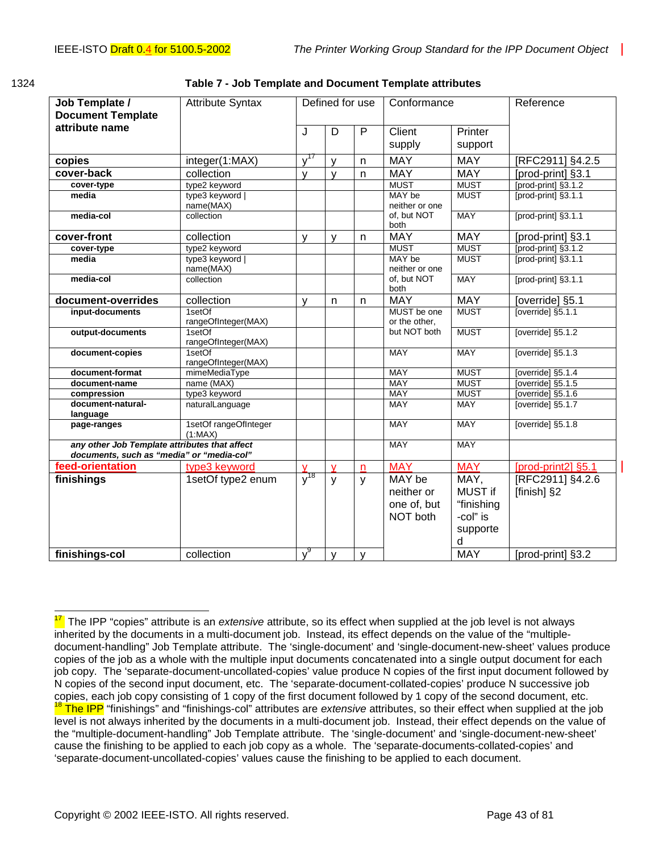| Job Template /<br><b>Document Template</b>                                                 | <b>Attribute Syntax</b>          |                | Defined for use         |              | Conformance                  |             | Reference           |
|--------------------------------------------------------------------------------------------|----------------------------------|----------------|-------------------------|--------------|------------------------------|-------------|---------------------|
| attribute name                                                                             |                                  | J              | D                       | P            | Client                       | Printer     |                     |
|                                                                                            |                                  |                |                         |              | supply                       | support     |                     |
| copies                                                                                     | integer(1:MAX)                   | $y^{17}$       | V                       | n            | <b>MAY</b>                   | <b>MAY</b>  | [RFC2911] §4.2.5    |
| cover-back                                                                                 | collection                       | $\mathsf{V}$   | V                       | $\mathsf{n}$ | <b>MAY</b>                   | <b>MAY</b>  | [prod-print] §3.1   |
| cover-type                                                                                 | type2 keyword                    |                |                         |              | <b>MUST</b>                  | <b>MUST</b> | [prod-print] §3.1.2 |
| media                                                                                      | type3 keyword  <br>name(MAX)     |                |                         |              | MAY be<br>neither or one     | <b>MUST</b> | [prod-print] §3.1.1 |
| media-col                                                                                  | collection                       |                |                         |              | of, but NOT<br>both          | <b>MAY</b>  | [prod-print] §3.1.1 |
| cover-front                                                                                | collection                       | $\mathsf{V}$   | <b>V</b>                | n.           | <b>MAY</b>                   | <b>MAY</b>  | [prod-print] §3.1   |
| cover-type                                                                                 | type2 keyword                    |                |                         |              | <b>MUST</b>                  | <b>MUST</b> | [prod-print] §3.1.2 |
| media                                                                                      | type3 keyword  <br>name(MAX)     |                |                         |              | MAY be<br>neither or one     | <b>MUST</b> | [prod-print] §3.1.1 |
| media-col                                                                                  | collection                       |                |                         |              | of, but NOT<br>both          | <b>MAY</b>  | [prod-print] §3.1.1 |
| document-overrides                                                                         | collection                       | $\mathsf{v}$   | n                       | n            | <b>MAY</b>                   | <b>MAY</b>  | [override] §5.1     |
| input-documents                                                                            | 1setOf<br>rangeOfInteger(MAX)    |                |                         |              | MUST be one<br>or the other, | <b>MUST</b> | [override] §5.1.1   |
| output-documents                                                                           | 1setOf<br>rangeOfInteger(MAX)    |                |                         |              | but NOT both                 | <b>MUST</b> | [override] §5.1.2   |
| document-copies                                                                            | 1setOf<br>rangeOfInteger(MAX)    |                |                         |              | <b>MAY</b>                   | <b>MAY</b>  | [override] §5.1.3   |
| document-format                                                                            | mimeMediaType                    |                |                         |              | <b>MAY</b>                   | <b>MUST</b> | [override] §5.1.4   |
| document-name                                                                              | name (MAX)                       |                |                         |              | <b>MAY</b>                   | <b>MUST</b> | [override] §5.1.5   |
| compression                                                                                | type3 keyword                    |                |                         |              | <b>MAY</b>                   | <b>MUST</b> | [override] $§5.1.6$ |
| document-natural-                                                                          | naturalLanguage                  |                |                         |              | <b>MAY</b>                   | <b>MAY</b>  | [override] §5.1.7   |
| language<br>page-ranges                                                                    | 1setOf rangeOfInteger<br>(1:MAX) |                |                         |              | <b>MAY</b>                   | <b>MAY</b>  | [override] §5.1.8   |
| any other Job Template attributes that affect<br>documents, such as "media" or "media-col" |                                  |                |                         |              | <b>MAY</b>                   | <b>MAY</b>  |                     |
| feed-orientation                                                                           | type3 keyword                    | $\mathsf{V}$   | $\overline{\mathsf{v}}$ | $\mathsf{n}$ | <b>MAY</b>                   | <b>MAY</b>  | [prod-print2] §5.1  |
| finishings                                                                                 | 1setOf type2 enum                | $\sqrt[7]{18}$ | $\mathsf{y}$            | y            | MAY be                       | MAY,        | [RFC2911] §4.2.6    |
|                                                                                            |                                  |                |                         |              | neither or                   | MUST if     | [finish] §2         |
|                                                                                            |                                  |                |                         |              | one of, but                  | "finishing  |                     |
|                                                                                            |                                  |                |                         |              | NOT both                     | -col" is    |                     |
|                                                                                            |                                  |                |                         |              |                              | supporte    |                     |
|                                                                                            |                                  |                |                         |              |                              | d           |                     |
| finishings-col                                                                             | collection                       | v <sup>9</sup> | $\mathsf{y}$            | y            |                              | <b>MAY</b>  | [prod-print] §3.2   |

<span id="page-42-0"></span>

| 1324 | Table 7 - Job Template and Document Template attributes |  |
|------|---------------------------------------------------------|--|
|------|---------------------------------------------------------|--|

<sup>&</sup>lt;sup>17</sup> The IPP "copies" attribute is an *extensive* attribute, so its effect when supplied at the job level is not always inherited by the documents in a multi-document job. Instead, its effect depends on the value of the "multipledocument-handling" Job Template attribute. The 'single-document' and 'single-document-new-sheet' values produce copies of the job as a whole with the multiple input documents concatenated into a single output document for each job copy. The 'separate-document-uncollated-copies' value produce N copies of the first input document followed by N copies of the second input document, etc. The 'separate-document-collated-copies' produce N successive job copies, each job copy consisting of 1 copy of the first document followed by 1 copy of the second document, etc. <sup>18</sup> The IPP "finishings" and "finishings-col" attributes are *extensive* attributes, so their effect when supplied at the job level is not always inherited by the documents in a multi-document job. Instead, their effect depends on the value of the "multiple-document-handling" Job Template attribute. The 'single-document' and 'single-document-new-sheet' cause the finishing to be applied to each job copy as a whole. The 'separate-documents-collated-copies' and 'separate-document-uncollated-copies' values cause the finishing to be applied to each document.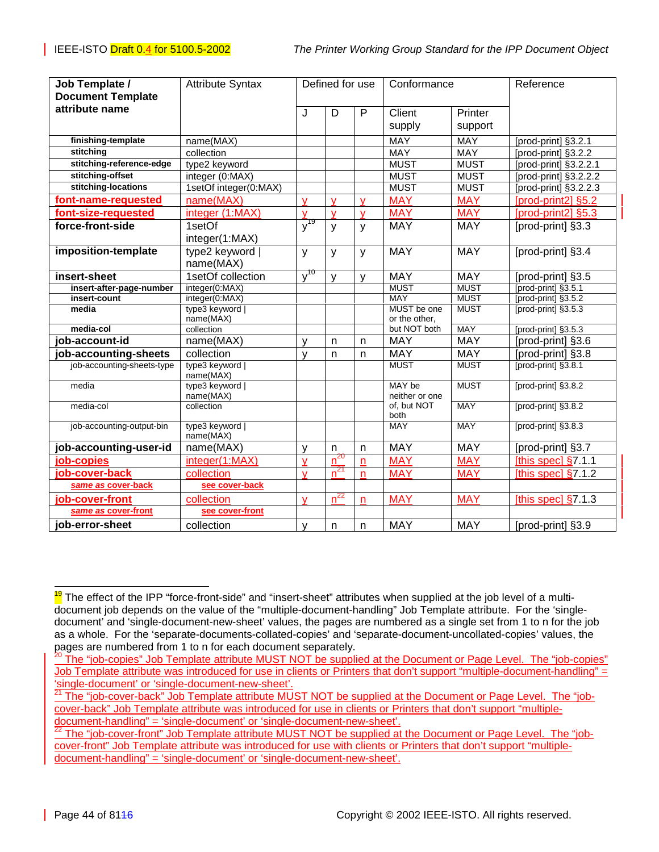| Job Template /             | <b>Attribute Syntax</b>      | Defined for use |          | Conformance  |                          | Reference   |                        |
|----------------------------|------------------------------|-----------------|----------|--------------|--------------------------|-------------|------------------------|
| <b>Document Template</b>   |                              |                 |          |              |                          |             |                        |
| attribute name             |                              | J               | D        | P            | Client                   | Printer     |                        |
|                            |                              |                 |          |              | supply                   | support     |                        |
|                            |                              |                 |          |              |                          |             |                        |
| finishing-template         | name(MAX)                    |                 |          |              | MAY                      | MAY         | [prod-print] §3.2.1    |
| stitching                  | collection                   |                 |          |              | <b>MAY</b>               | <b>MAY</b>  | [prod-print] §3.2.2    |
| stitching-reference-edge   | type2 keyword                |                 |          |              | <b>MUST</b>              | <b>MUST</b> | [prod-print] §3.2.2.1  |
| stitching-offset           | integer (0:MAX)              |                 |          |              | <b>MUST</b>              | <b>MUST</b> | [prod-print] §3.2.2.2  |
| stitching-locations        | 1setOf integer(0:MAX)        |                 |          |              | <b>MUST</b>              | <b>MUST</b> | [prod-print] §3.2.2.3  |
| font-name-requested        | name(MAX)                    | $\mathbf v$     | V        | $\mathsf{v}$ | <b>MAY</b>               | <b>MAY</b>  | [prod-print2] §5.2     |
| font-size-requested        | integer (1:MAX)              | $\mathbf{V}$    | v        | $\mathsf{V}$ | <b>MAY</b>               | <b>MAY</b>  | [prod-print2] §5.3     |
| force-front-side           | 1setOf                       | $y^{19}$        | y        | y            | <b>MAY</b>               | <b>MAY</b>  | [prod-print] §3.3      |
|                            | integer(1:MAX)               |                 |          |              |                          |             |                        |
| imposition-template        | type2 keyword                | y               | У        | y            | <b>MAY</b>               | <b>MAY</b>  | [prod-print] §3.4      |
|                            | name(MAX)                    |                 |          |              |                          |             |                        |
| insert-sheet               | 1setOf collection            | $\sqrt{10}$     | v        | v            | <b>MAY</b>               | <b>MAY</b>  | [prod-print] §3.5      |
| insert-after-page-number   | integer(0:MAX)               |                 |          |              | <b>MUST</b>              | <b>MUST</b> | [prod-print] §3.5.1    |
| insert-count               | integer(0:MAX)               |                 |          |              | <b>MAY</b>               | <b>MUST</b> | [prod-print] §3.5.2    |
| media                      | type3 keyword                |                 |          |              | MUST be one              | <b>MUST</b> | [prod-print] §3.5.3    |
|                            | name(MAX)                    |                 |          |              | or the other,            |             |                        |
| media-col                  | collection                   |                 |          |              | but NOT both             | <b>MAY</b>  | [prod-print] §3.5.3    |
| job-account-id             | name(MAX)                    | $\mathsf{V}$    | n        | n            | <b>MAY</b>               | <b>MAY</b>  | [prod-print] §3.6      |
| job-accounting-sheets      | collection                   | $\mathsf{V}$    | n        | n            | <b>MAY</b>               | <b>MAY</b>  | [prod-print] §3.8      |
| job-accounting-sheets-type | type3 keyword  <br>name(MAX) |                 |          |              | <b>MUST</b>              | <b>MUST</b> | [prod-print] §3.8.1    |
| media                      | type3 keyword  <br>name(MAX) |                 |          |              | MAY be<br>neither or one | <b>MUST</b> | [prod-print] §3.8.2    |
| media-col                  | collection                   |                 |          |              | of, but NOT<br>both      | <b>MAY</b>  | [prod-print] §3.8.2    |
| job-accounting-output-bin  | type3 keyword  <br>name(MAX) |                 |          |              | <b>MAY</b>               | <b>MAY</b>  | [prod-print] §3.8.3    |
| job-accounting-user-id     | name(MAX)                    | y               | n        | n            | <b>MAY</b>               | <b>MAY</b>  | [prod-print] §3.7      |
| job-copies                 | integer(1:MAX)               | $\mathbf{V}$    | $n^{20}$ | $\mathsf{n}$ | <b>MAY</b>               | <b>MAY</b>  | [this spec] $§7.1.1$   |
| job-cover-back             | collection                   | $\mathbf{V}$    | $n^{21}$ | $\mathsf{n}$ | <b>MAY</b>               | <b>MAY</b>  | [this spec] $\S$ 7.1.2 |
| same as cover-back         | see cover-back               |                 |          |              |                          |             |                        |
| job-cover-front            | collection                   | $\mathbf{V}$    | $n^{22}$ | n            | <b>MAY</b>               | <b>MAY</b>  | [this spec] $§7.1.3$   |
| same as cover-front        | see cover-front              |                 |          |              |                          |             |                        |
| job-error-sheet            | collection                   | y               | n        | n            | <b>MAY</b>               | <b>MAY</b>  | [prod-print] §3.9      |

l <sup>19</sup> The effect of the IPP "force-front-side" and "insert-sheet" attributes when supplied at the job level of a multidocument job depends on the value of the "multiple-document-handling" Job Template attribute. For the 'singledocument' and 'single-document-new-sheet' values, the pages are numbered as a single set from 1 to n for the job as a whole. For the 'separate-documents-collated-copies' and 'separate-document-uncollated-copies' values, the pages are numbered from 1 to n for each document separately.

The "job-copies" Job Template attribute MUST NOT be supplied at the Document or Page Level. The "job-copies" Job Template attribute was introduced for use in clients or Printers that don't support "multiple-document-handling" = 'single-document' or 'single-document-new-sheet'.

<sup>21</sup> The "job-cover-back" Job Template attribute MUST NOT be supplied at the Document or Page Level. The "jobcover-back" Job Template attribute was introduced for use in clients or Printers that don't support "multipledocument-handling" = 'single-document' or 'single-document-new-sheet'.

The "job-cover-front" Job Template attribute MUST NOT be supplied at the Document or Page Level. The "jobcover-front" Job Template attribute was introduced for use with clients or Printers that don't support "multipledocument-handling" = 'single-document' or 'single-document-new-sheet'.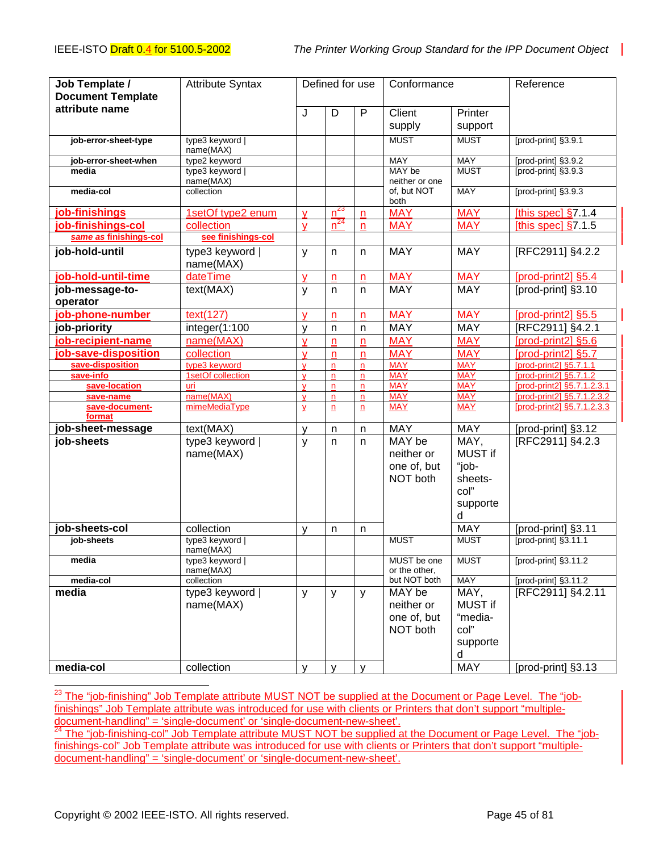| Job Template /<br><b>Document Template</b> | <b>Attribute Syntax</b>      | Defined for use              |                         | Conformance             |                                                 | Reference                                                           |                                                          |
|--------------------------------------------|------------------------------|------------------------------|-------------------------|-------------------------|-------------------------------------------------|---------------------------------------------------------------------|----------------------------------------------------------|
| attribute name                             |                              | J                            | D                       | P                       | Client                                          | Printer                                                             |                                                          |
|                                            |                              |                              |                         |                         | supply                                          | support                                                             |                                                          |
|                                            |                              |                              |                         |                         | <b>MUST</b>                                     | <b>MUST</b>                                                         | [prod-print] §3.9.1                                      |
| job-error-sheet-type                       | type3 keyword  <br>name(MAX) |                              |                         |                         |                                                 |                                                                     |                                                          |
| job-error-sheet-when                       | type2 keyword                |                              |                         |                         | MAY                                             | <b>MAY</b>                                                          | [prod-print] §3.9.2                                      |
| media                                      | type3 keyword                |                              |                         |                         | MAY be                                          | <b>MUST</b>                                                         | [prod-print] §3.9.3                                      |
| media-col                                  | name(MAX)<br>collection      |                              |                         |                         | neither or one<br>of, but NOT                   | <b>MAY</b>                                                          | [prod-print] §3.9.3                                      |
|                                            |                              |                              |                         |                         | both                                            |                                                                     |                                                          |
| job-finishings                             | 1setOf type2 enum            | $\overline{Y}$               | $n^{23}$                | $\mathsf{n}$            | <b>MAY</b>                                      | <b>MAY</b>                                                          | [this spec] $§7.1.4$                                     |
| job-finishings-col                         | collection                   | $\mathbf{\underline{V}}$     | $n^{24}$                | n                       | <b>MAY</b>                                      | <b>MAY</b>                                                          | [this spec] $§7.1.5$                                     |
| same as finishings-col                     | see finishings-col           |                              |                         |                         |                                                 |                                                                     |                                                          |
| job-hold-until                             | type3 keyword  <br>name(MAX) | y                            | n                       | n                       | <b>MAY</b>                                      | <b>MAY</b>                                                          | [RFC2911] §4.2.2                                         |
| job-hold-until-time                        | dateTime                     | $\mathsf{V}$                 | n                       | $\mathsf{n}$            | <b>MAY</b>                                      | <b>MAY</b>                                                          | [prod-print2] §5.4                                       |
| job-message-to-                            | text(MAX)                    | y                            | n                       | n                       | <b>MAY</b>                                      | <b>MAY</b>                                                          | [prod-print] §3.10                                       |
| operator                                   |                              |                              |                         |                         |                                                 |                                                                     |                                                          |
| job-phone-number                           | text(127)                    | $\mathbf v$                  | n                       | n                       | <b>MAY</b>                                      | <b>MAY</b>                                                          | [prod-print2] §5.5                                       |
| job-priority                               | integer(1:100                | V                            | n                       | n                       | <b>MAY</b>                                      | <b>MAY</b>                                                          | [RFC2911] §4.2.1                                         |
| job-recipient-name                         | name(MAX)                    | v                            | n                       | n                       | <b>MAY</b>                                      | <b>MAY</b>                                                          | [prod-print2] §5.6                                       |
| job-save-disposition                       | collection                   | $\mathbf v$                  | n                       | n                       | <b>MAY</b>                                      | <b>MAY</b>                                                          | [prod-print2] §5.7                                       |
| save-disposition                           | type3 keyword                | $\mathbf{v}$                 | n                       | n                       | <b>MAY</b>                                      | <b>MAY</b>                                                          | [prod-print2] §5.7.1.1                                   |
| save-info                                  | 1setOf collection            | $\mathbf v$                  | n                       | $\mathsf{n}$            | <b>MAY</b>                                      | <b>MAY</b>                                                          | [prod-print2] §5.7.1.2                                   |
| save-location<br>save-name                 | uri<br>name(MAX)             | $\mathbf{V}$<br>$\mathsf{V}$ | $\mathsf{n}$<br>n       | $\mathsf{n}$<br>n       | <b>MAY</b><br><b>MAY</b>                        | <b>MAY</b><br><b>MAY</b>                                            | [prod-print2] §5.7.1.2.3.1<br>[prod-print2] §5.7.1.2.3.2 |
| save-document-                             | mimeMediaType                | $\overline{Y}$               | $\overline{\mathbf{n}}$ | $\overline{\mathbf{n}}$ | <b>MAY</b>                                      | <b>MAY</b>                                                          | [prod-print2] §5.7.1.2.3.3                               |
| format                                     |                              |                              |                         |                         |                                                 |                                                                     |                                                          |
| job-sheet-message                          | text(MAX)                    | $\mathsf{V}$                 | n                       | n                       | <b>MAY</b>                                      | <b>MAY</b>                                                          | [prod-print] §3.12                                       |
| job-sheets                                 | type3 keyword  <br>name(MAX) | y                            | n                       | n                       | MAY be<br>neither or<br>one of, but<br>NOT both | MAY,<br><b>MUST if</b><br>"job-<br>sheets-<br>col"<br>supporte<br>d | [RFC2911] §4.2.3                                         |
| job-sheets-col                             | collection<br>type3 keyword  | V                            | n                       | n                       | <b>MUST</b>                                     | <b>MAY</b><br><b>MUST</b>                                           | [prod-print] §3.11<br>[prod-print] §3.11.1               |
| job-sheets                                 | name(MAX)                    |                              |                         |                         |                                                 |                                                                     |                                                          |
| media                                      | type3 keyword  <br>name(MAX) |                              |                         |                         | MUST be one<br>or the other,                    | <b>MUST</b>                                                         | [prod-print] §3.11.2                                     |
| media-col                                  | collection                   |                              |                         |                         | but NOT both                                    | <b>MAY</b>                                                          | [prod-print] §3.11.2                                     |
| media                                      | type3 keyword  <br>name(MAX) | y                            | У                       | y                       | MAY be<br>neither or<br>one of, but<br>NOT both | MAY,<br><b>MUST if</b><br>"media-<br>col"<br>supporte<br>d          | [RFC2911] §4.2.11                                        |
| media-col                                  | collection                   | $\mathsf{V}$                 | v                       | v                       |                                                 | <b>MAY</b>                                                          | [prod-print] §3.13                                       |

<sup>23</sup> The "job-finishing" Job Template attribute MUST NOT be supplied at the Document or Page Level. The "jobfinishings" Job Template attribute was introduced for use with clients or Printers that don't support "multipledocument-handling" = 'single-document' or 'single-document-new-sheet'.

<sup>24</sup> The "job-finishing-col" Job Template attribute MUST NOT be supplied at the Document or Page Level. The "jobfinishings-col" Job Template attribute was introduced for use with clients or Printers that don't support "multipledocument-handling" = 'single-document' or 'single-document-new-sheet'.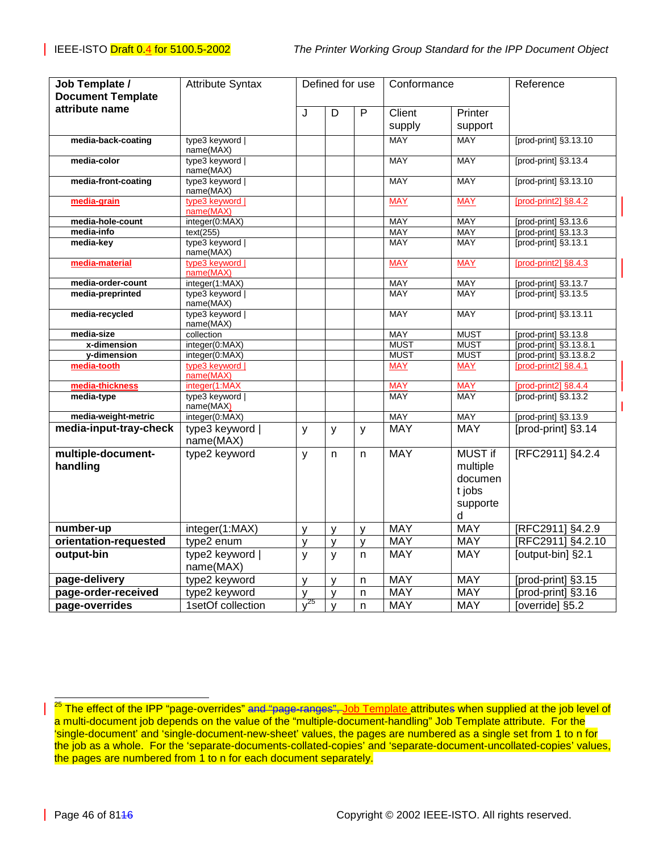| Job Template /                        | <b>Attribute Syntax</b>         | Defined for use     |                   | Conformance    |                          | Reference                |                                              |
|---------------------------------------|---------------------------------|---------------------|-------------------|----------------|--------------------------|--------------------------|----------------------------------------------|
| <b>Document Template</b>              |                                 |                     |                   |                |                          |                          |                                              |
| attribute name                        |                                 | J                   | $\overline{D}$    | $\overline{P}$ | Client                   | Printer                  |                                              |
|                                       |                                 |                     |                   |                | supply                   | support                  |                                              |
| media-back-coating                    | type3 keyword                   |                     |                   |                | <b>MAY</b>               | <b>MAY</b>               | [prod-print] §3.13.10                        |
|                                       | name(MAX)                       |                     |                   |                |                          |                          |                                              |
| media-color                           | type3 keyword                   |                     |                   |                | <b>MAY</b>               | <b>MAY</b>               | [prod-print] §3.13.4                         |
| media-front-coating                   | name(MAX)<br>type3 keyword      |                     |                   |                | MAY                      | MAY                      | [prod-print] §3.13.10                        |
|                                       | name(MAX)                       |                     |                   |                |                          |                          |                                              |
| media-grain                           | type3 keyword                   |                     |                   |                | <b>MAY</b>               | <b>MAY</b>               | [prod-print2] §8.4.2                         |
|                                       | name(MAX)                       |                     |                   |                |                          |                          |                                              |
| media-hole-count<br>media-info        | integer(0:MAX)<br>text(255)     |                     |                   |                | <b>MAY</b><br><b>MAY</b> | <b>MAY</b><br><b>MAY</b> | [prod-print] §3.13.6<br>[prod-print] §3.13.3 |
| media-key                             | type3 keyword                   |                     |                   |                | <b>MAY</b>               | <b>MAY</b>               | [prod-print] §3.13.1                         |
|                                       | name(MAX)                       |                     |                   |                |                          |                          |                                              |
| media-material                        | type3 keyword                   |                     |                   |                | <b>MAY</b>               | <b>MAY</b>               | [prod-print2] §8.4.3                         |
|                                       | name(MAX)                       |                     |                   |                |                          |                          |                                              |
| media-order-count<br>media-preprinted | integer(1:MAX)<br>type3 keyword |                     |                   |                | MAY<br>MAY               | MAY<br>MAY               | [prod-print] §3.13.7<br>[prod-print] §3.13.5 |
|                                       | name(MAX)                       |                     |                   |                |                          |                          |                                              |
| media-recycled                        | type3 keyword  <br>name(MAX)    |                     |                   |                | <b>MAY</b>               | <b>MAY</b>               | [prod-print] §3.13.11                        |
| media-size                            | collection                      |                     |                   |                | <b>MAY</b>               | <b>MUST</b>              | [prod-print] §3.13.8                         |
| x-dimension                           | integer(0:MAX)                  |                     |                   |                | <b>MUST</b>              | <b>MUST</b>              | [prod-print] §3.13.8.1                       |
| y-dimension                           | integer(0:MAX)                  |                     |                   |                | <b>MUST</b>              | <b>MUST</b>              | [prod-print] §3.13.8.2                       |
| media-tooth                           | type3 keyword  <br>name(MAX)    |                     |                   |                | <b>MAY</b>               | <b>MAY</b>               | [prod-print2] §8.4.1                         |
| media-thickness                       | integer(1:MAX                   |                     |                   |                | <b>MAY</b>               | <b>MAY</b>               | [prod-print2] §8.4.4                         |
| media-type                            | type3 keyword  <br>name(MAX)    |                     |                   |                | MAY                      | MAY                      | [prod-print] §3.13.2                         |
| media-weight-metric                   | integer(0:MAX)                  |                     |                   |                | <b>MAY</b>               | <b>MAY</b>               | [prod-print] §3.13.9                         |
| media-input-tray-check                | type3 keyword                   | $\mathsf{v}$        | y                 | y              | <b>MAY</b>               | <b>MAY</b>               | [prod-print] §3.14                           |
|                                       | name(MAX)                       |                     |                   |                |                          |                          |                                              |
| multiple-document-                    | type2 keyword                   | $\mathsf{y}$        | n.                | n              | <b>MAY</b>               | <b>MUST if</b>           | [RFC2911] §4.2.4                             |
| handling                              |                                 |                     |                   |                |                          | multiple                 |                                              |
|                                       |                                 |                     |                   |                |                          | documen                  |                                              |
|                                       |                                 |                     |                   |                |                          | t jobs                   |                                              |
|                                       |                                 |                     |                   |                |                          | supporte                 |                                              |
|                                       |                                 |                     |                   |                |                          | d                        |                                              |
| number-up                             | integer(1:MAX)                  | y                   | $\mathsf{v}$      | y              | <b>MAY</b>               | <b>MAY</b>               | [RFC2911] §4.2.9                             |
| orientation-requested                 | type2 enum                      | y                   | y                 | y              | <b>MAY</b>               | MAY                      | [RFC2911] §4.2.10                            |
| output-bin                            | type2 keyword  <br>name(MAX)    | $\mathsf{y}$        | y                 | n              | <b>MAY</b>               | <b>MAY</b>               | [output-bin] §2.1                            |
| page-delivery                         | type2 keyword                   | $\mathsf{y}$        | y                 | n              | <b>MAY</b>               | <b>MAY</b>               | [prod-print] §3.15                           |
| page-order-received                   | type2 keyword                   | y                   |                   | n              | <b>MAY</b>               | <b>MAY</b>               | [prod-print] §3.16                           |
| page-overrides                        | 1setOf collection               | $\overline{y^{25}}$ | y<br>$\mathbf{y}$ | n              | <b>MAY</b>               | <b>MAY</b>               | [override] §5.2                              |
|                                       |                                 |                     |                   |                |                          |                          |                                              |

<sup>25</sup> The effect of the IPP "page-overrides" <del>and "page-ranges", <u>Job Template a</u>ttributes when supplied at the job level of</del> a multi-document job depends on the value of the "multiple-document-handling" Job Template attribute. For the 'single-document' and 'single-document-new-sheet' values, the pages are numbered as a single set from 1 to n for the job as a whole. For the 'separate-documents-collated-copies' and 'separate-document-uncollated-copies' values, the pages are numbered from 1 to n for each document separately.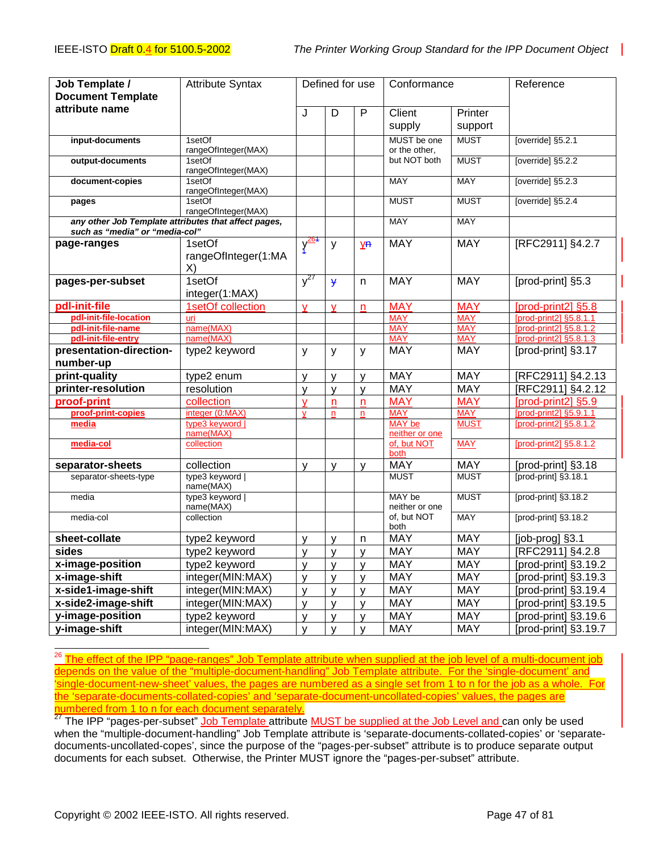| Job Template /<br><b>Document Template</b>                                             | <b>Attribute Syntax</b>             | Defined for use         |                |                | Conformance                     |             | Reference              |
|----------------------------------------------------------------------------------------|-------------------------------------|-------------------------|----------------|----------------|---------------------------------|-------------|------------------------|
| attribute name                                                                         |                                     |                         |                |                |                                 |             |                        |
|                                                                                        |                                     | J                       | $\overline{D}$ | $\overline{P}$ | Client                          | Printer     |                        |
|                                                                                        |                                     |                         |                |                | supply                          | support     |                        |
| input-documents                                                                        | 1setOf<br>rangeOfInteger(MAX)       |                         |                |                | MUST be one<br>or the other,    | <b>MUST</b> | [override] §5.2.1      |
| output-documents                                                                       | 1setOf<br>rangeOfInteger(MAX)       |                         |                |                | but NOT both                    | <b>MUST</b> | [override] §5.2.2      |
| document-copies                                                                        | 1setOf<br>rangeOfInteger(MAX)       |                         |                |                | MAY                             | MAY         | [override] §5.2.3      |
| pages                                                                                  | 1setOf<br>rangeOfInteger(MAX)       |                         |                |                | <b>MUST</b>                     | <b>MUST</b> | [override] §5.2.4      |
| any other Job Template attributes that affect pages,<br>such as "media" or "media-col" |                                     |                         |                |                | <b>MAY</b>                      | <b>MAY</b>  |                        |
| page-ranges                                                                            | 1setOf<br>rangeOfInteger(1:MA<br>X) | $\frac{\sqrt{264}}{1}$  | y              | у <del>п</del> | <b>MAY</b>                      | <b>MAY</b>  | [RFC2911] §4.2.7       |
| pages-per-subset                                                                       | 1setOf<br>integer(1:MAX)            | $y^{27}$                | $\overline{y}$ | n.             | <b>MAY</b>                      | <b>MAY</b>  | [prod-print] §5.3      |
| pdl-init-file                                                                          | 1setOf collection                   | $\overline{\mathsf{v}}$ | V              | n              | <b>MAY</b>                      | <b>MAY</b>  | [prod-print2] §5.8     |
| pdl-init-file-location                                                                 | uri                                 |                         |                |                | <b>MAY</b>                      | <b>MAY</b>  | [prod-print2] §5.8.1.1 |
| pdl-init-file-name                                                                     | name(MAX)                           |                         |                |                | <b>MAY</b>                      | <b>MAY</b>  | [prod-print2] §5.8.1.2 |
| pdl-init-file-entry                                                                    | name(MAX)                           |                         |                |                | <b>MAY</b>                      | <b>MAY</b>  | [prod-print2] §5.8.1.3 |
| presentation-direction-                                                                | type2 keyword                       | y                       | y              | y              | <b>MAY</b>                      | <b>MAY</b>  | [prod-print] §3.17     |
| number-up                                                                              |                                     |                         |                |                |                                 |             |                        |
| print-quality                                                                          | type2 enum                          | $\mathsf{V}$            | y              | y              | <b>MAY</b>                      | <b>MAY</b>  | [RFC2911] §4.2.13      |
| printer-resolution                                                                     | resolution                          | y                       | $\mathsf{y}$   | y              | <b>MAY</b>                      | <b>MAY</b>  | [RFC2911] §4.2.12      |
| proof-print                                                                            | collection                          | V                       | n              | n              | <b>MAY</b>                      | <b>MAY</b>  | [prod-print2] §5.9     |
| proof-print-copies                                                                     | integer (0:MAX)                     | v                       | $\mathsf{n}$   | n              | <b>MAY</b>                      | <b>MAY</b>  | [prod-print2] §5.9.1.1 |
| media                                                                                  | type3 keyword  <br>name(MAX)        |                         |                |                | <b>MAY</b> be<br>neither or one | <b>MUST</b> | [prod-print2] §5.8.1.2 |
| media-col                                                                              | collection                          |                         |                |                | of, but NOT<br>both             | <b>MAY</b>  | [prod-print2] §5.8.1.2 |
| separator-sheets                                                                       | collection                          | y                       | y              | y              | <b>MAY</b>                      | <b>MAY</b>  | [prod-print] §3.18     |
| separator-sheets-type                                                                  | type3 keyword  <br>name(MAX)        |                         |                |                | <b>MUST</b>                     | <b>MUST</b> | [prod-print] §3.18.1   |
| media                                                                                  | type3 keyword  <br>name(MAX)        |                         |                |                | MAY be<br>neither or one        | <b>MUST</b> | [prod-print] §3.18.2   |
| media-col                                                                              | collection                          |                         |                |                | of, but NOT<br>both             | <b>MAY</b>  | [prod-print] §3.18.2   |
| sheet-collate                                                                          | type2 keyword                       | y                       | $\mathsf{V}$   | n              | <b>MAY</b>                      | <b>MAY</b>  | [job-prog] §3.1        |
| sides                                                                                  | type2 keyword                       | y                       | y              | y              | <b>MAY</b>                      | <b>MAY</b>  | [RFC2911] §4.2.8       |
| x-image-position                                                                       | type2 keyword                       | y                       | y              | y              | <b>MAY</b>                      | <b>MAY</b>  | [prod-print] §3.19.2   |
| x-image-shift                                                                          | integer(MIN:MAX)                    | y                       | y              | У              | <b>MAY</b>                      | <b>MAY</b>  | [prod-print] §3.19.3   |
| x-side1-image-shift                                                                    | integer(MIN:MAX)                    | y                       | y              | y              | <b>MAY</b>                      | <b>MAY</b>  | [prod-print] §3.19.4   |
| x-side2-image-shift                                                                    | integer(MIN:MAX)                    | y                       | $\mathsf{y}$   | y              | <b>MAY</b>                      | <b>MAY</b>  | [prod-print] §3.19.5   |
| y-image-position                                                                       | type2 keyword                       | y                       | y              | У              | <b>MAY</b>                      | <b>MAY</b>  | [prod-print] §3.19.6   |
| y-image-shift                                                                          | integer(MIN:MAX)                    | $\mathsf{v}$            | $\mathsf{V}$   | y              | <b>MAY</b>                      | <b>MAY</b>  | [prod-print] §3.19.7   |

į <sup>26</sup> The effect of the IPP "page-ranges" Job Template attribute when supplied at the job level of a multi-document job depends on the value of the "multiple-document-handling" Job Template attribute. For the 'single-document' and 'single-document-new-sheet' values, the pages are numbered as a single set from 1 to n for the job as a whole. For the 'separate-documents-collated-copies' and 'separate-document-uncollated-copies' values, the pages are numbered from 1 to n for each document separately.

<sup>27</sup> The IPP "pages-per-subset" Job Template attribute MUST be supplied at the Job Level and can only be used when the "multiple-document-handling" Job Template attribute is 'separate-documents-collated-copies' or 'separatedocuments-uncollated-copes', since the purpose of the "pages-per-subset" attribute is to produce separate output documents for each subset. Otherwise, the Printer MUST ignore the "pages-per-subset" attribute.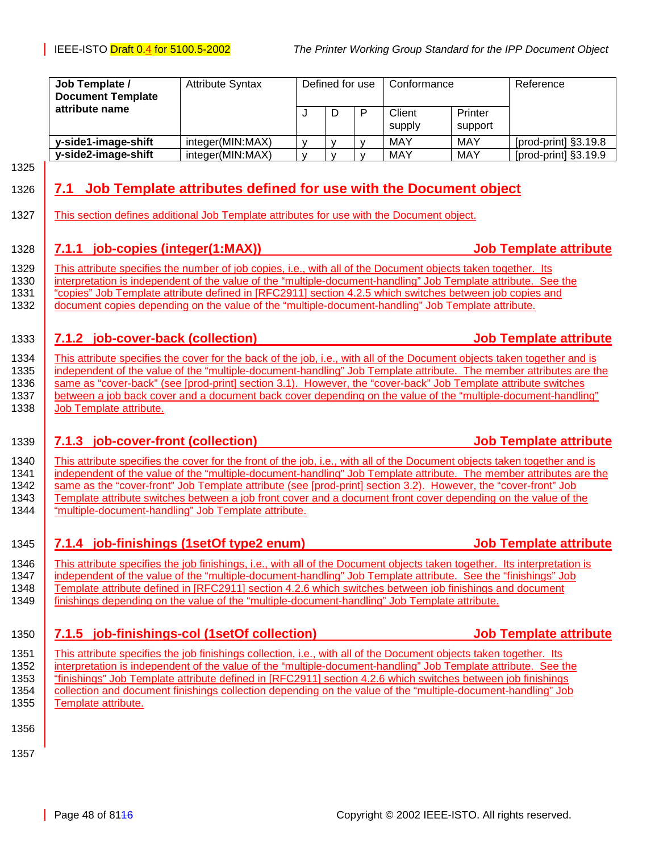<span id="page-47-0"></span>

| Job Template /<br><b>Document Template</b> | <b>Attribute Syntax</b> |              | Defined for use<br>Conformance |   | Reference        |                    |                      |
|--------------------------------------------|-------------------------|--------------|--------------------------------|---|------------------|--------------------|----------------------|
| attribute name                             |                         |              |                                | D | Client<br>supply | Printer<br>support |                      |
| y-side1-image-shift                        | integer(MIN:MAX)        | $\mathbf{v}$ |                                |   | MAY              | MAY                | [prod-print] §3.19.8 |
| y-side2-image-shift                        | integer(MIN:MAX)        |              |                                |   | MAY              | MAY                | [prod-print] §3.19.9 |

1325

### 1326 **7.1 Job Template attributes defined for use with the Document object**

1327 This section defines additional Job Template attributes for use with the Document object.

#### 1328 **7.1.1 job-copies (integer(1:MAX)) Job Template attribute**

1329 This attribute specifies the number of job copies, i.e., with all of the Document objects taken together. Its 1330 interpretation is independent of the value of the "multiple-document-handling" Job Template attribute. See the 1331 "copies" Job Template attribute defined in [RFC2911] section 4.2.5 which switches between job copies and 1332 document copies depending on the value of the "multiple-document-handling" Job Template attribute.

#### 1333 **7.1.2 job-cover-back (collection) Job Template attribute**

1334 This attribute specifies the cover for the back of the job, i.e., with all of the Document objects taken together and is 1335 independent of the value of the "multiple-document-handling" Job Template attribute. The member attributes are the 1336 same as "cover-back" (see [prod-print] section 3.1). However, the "cover-back" Job Template attribute switches 1337 | between a job back cover and a document back cover depending on the value of the "multiple-document-handling" 1338 Job Template attribute.

#### 1339 **7.1.3 job-cover-front (collection) Job Template attribute**

1340 This attribute specifies the cover for the front of the job, i.e., with all of the Document objects taken together and is<br>1341 independent of the value of the "multiple-document-handling" Job Template attribute. The m independent of the value of the "multiple-document-handling" Job Template attribute. The member attributes are the 1342 same as the "cover-front" Job Template attribute (see [prod-print] section 3.2). However, the "cover-front" Job 1343 Template attribute switches between a job front cover and a document front cover depending on the value of the 1344 "multiple-document-handling" Job Template attribute.

1345 **7.1.4 job-finishings (1setOf type2 enum) Job Template attribute**

1346 This attribute specifies the job finishings, i.e., with all of the Document objects taken together. Its interpretation is 1347 independent of the value of the "multiple-document-handling" Job Template attribute. See the "finishings" Job 1348 Template attribute defined in [RFC2911] section 4.2.6 which switches between job finishings and document 1349 finishings depending on the value of the "multiple-document-handling" Job Template attribute.

1350 **7.1.5 job-finishings-col (1setOf collection) Job Template attribute**

1351 This attribute specifies the job finishings collection, i.e., with all of the Document objects taken together. Its 1352 interpretation is independent of the value of the "multiple-document-handling" Job Template attribute. See the 1353 "finishings" Job Template attribute defined in [RFC2911] section 4.2.6 which switches between job finishings 1354 collection and document finishings collection depending on the value of the "multiple-document-handling" Job 1355 | Template attribute.

- 1356
- 1357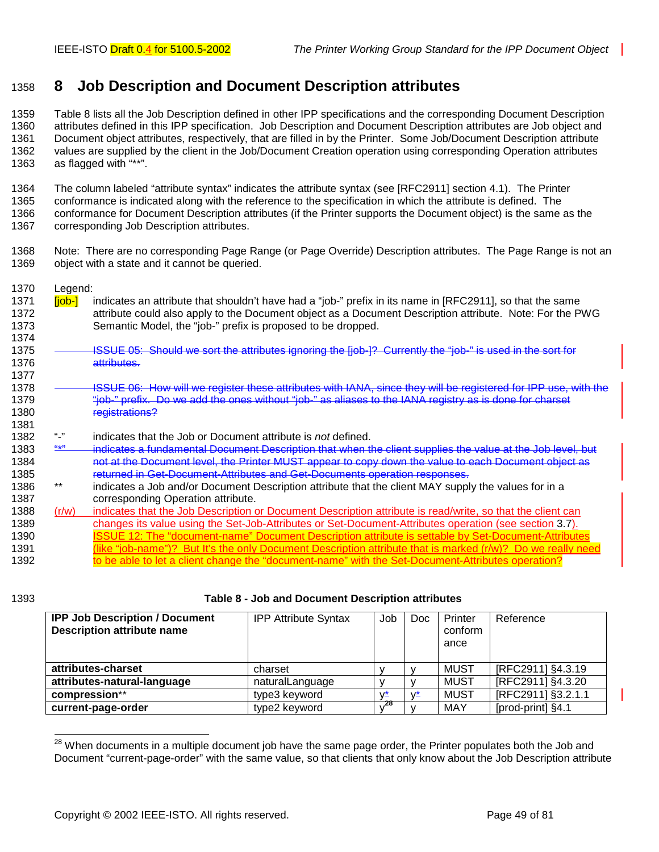# <span id="page-48-0"></span>1358 **8 Job Description and Document Description attributes**

1359 Table 8 lists all the Job Description defined in other IPP specifications and the corresponding Document Description 1360 attributes defined in this IPP specification. Job Description and Document Description attributes are Job object and 1361 Document object attributes, respectively, that are filled in by the Printer. Some Job/Document Description attribute 1362 values are supplied by the client in the Job/Document Creation operation using corresponding Operation attributes 1363 as flagged with "\*\*".

1364 The column labeled "attribute syntax" indicates the attribute syntax (see [RFC2911] section 4.1). The Printer 1365 conformance is indicated along with the reference to the specification in which the attribute is defined. The 1366 conformance for Document Description attributes (if the Printer supports the Document object) is the same as the

- 1367 corresponding Job Description attributes.
- 1368 Note: There are no corresponding Page Range (or Page Override) Description attributes. The Page Range is not an 1369 object with a state and it cannot be queried.
- 1370 Legend:
- 1371 **[job-]** indicates an attribute that shouldn't have had a "job-" prefix in its name in [RFC2911], so that the same 1372 attribute could also apply to the Document object as a Document Description attribute. Note: For the PWG 1373 Semantic Model, the "job-" prefix is proposed to be dropped.
- 1374 1375 **ISSUE 05: Should we sort the attributes ignoring the [job-]? Currently the "job-" is used in the sort for** 1376 attributes.
- 1378 **Inc. A. ISSUE 06: How will we register these attributes with IANA, since they will be registered for IPP use, with the** 1379 "iob-" prefix. Do we add the ones without "job-" as aliases to the IANA registry as is done for charset 1380 registrations?
- 1382 "-" indicates that the Job or Document attribute is *not* defined.
- 1383 "\*" indicates a fundamental Document Description that when the client supplies the value at the Job level, but 1384 not at the Document level, the Printer MUST appear to copy down the value to each Document object as 1385 **returned in Get-Document-Attributes and Get-Documents operation responses.**<br>1386 **by an indicates a Johand's Desument Description stribute that the elignt MAX supplements**
- 1386 \*\* indicates a Job and/or Document Description attribute that the client MAY supply the values for in a 1387 corresponding Operation attribute.
- 1388 (r/w) indicates that the Job Description or Document Description attribute is read/write, so that the client can 1389 changes its value using the Set-Job-Attributes or Set-Document-Attributes operation (see section [3.7\)](#page-25-0). 1390 **ISSUE 12: The "document-name" Document Description attribute is settable by Set-Document-Attributes** 1391 (like "job-name")? But It's the only Document Description attribute that is marked (r/w)? Do we really need 1392 to be able to let a client change the "document-name" with the Set-Document-Attributes operation?

1377

1381

#### 1393 **Table 8 - Job and Document Description attributes**

| <b>IPP Job Description / Document</b><br><b>Description attribute name</b> | <b>IPP Attribute Syntax</b> | Job | Doc. | Printer<br>conform<br>ance | Reference          |
|----------------------------------------------------------------------------|-----------------------------|-----|------|----------------------------|--------------------|
| attributes-charset                                                         | charset                     |     |      | MUST                       | [RFC2911] §4.3.19  |
| attributes-natural-language                                                | naturalLanguage             |     |      | MUST                       | [RFC2911] §4.3.20  |
| compression**                                                              | type3 keyword               | v*  | v≛   | MUST                       | [RFC2911] §3.2.1.1 |
| current-page-order                                                         | type2 keyword               | 28  |      | MAY                        | [prod-print] §4.1  |

l  $^{28}$  When documents in a multiple document job have the same page order, the Printer populates both the Job and Document "current-page-order" with the same value, so that clients that only know about the Job Description attribute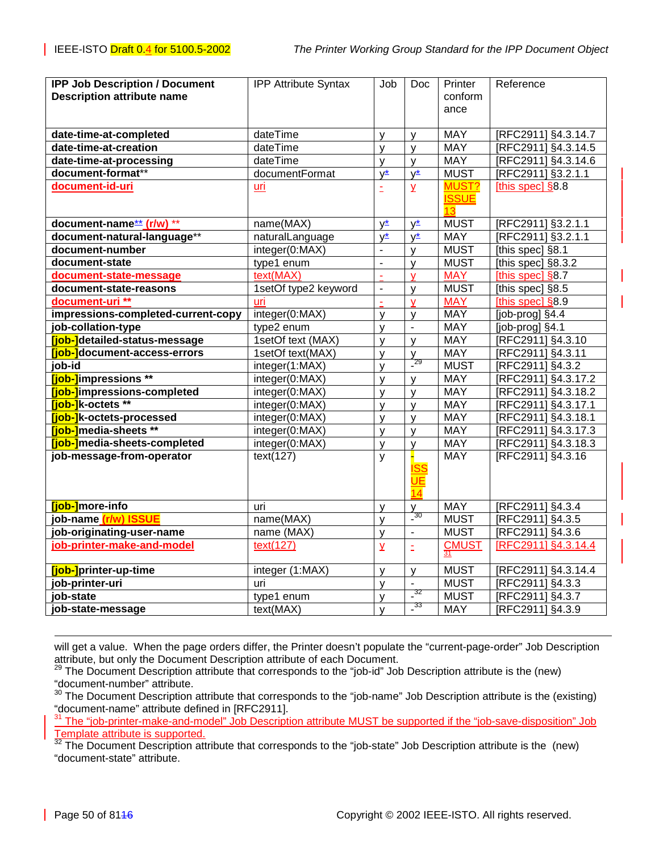| <b>IPP Job Description / Document</b> | <b>IPP Attribute Syntax</b> | Job                     | Doc                      | Printer                     | Reference           |
|---------------------------------------|-----------------------------|-------------------------|--------------------------|-----------------------------|---------------------|
| <b>Description attribute name</b>     |                             |                         |                          | conform                     |                     |
|                                       |                             |                         |                          | ance                        |                     |
|                                       |                             |                         |                          |                             |                     |
| date-time-at-completed                | dateTime                    | $\mathsf{V}$            | V                        | <b>MAY</b>                  | [RFC2911] §4.3.14.7 |
| date-time-at-creation                 | dateTime                    | y                       | y                        | <b>MAY</b>                  | [RFC2911] §4.3.14.5 |
| date-time-at-processing               | dateTime                    | y                       | $\mathsf{V}$             | <b>MAY</b>                  | [RFC2911] §4.3.14.6 |
| document-format**                     | documentFormat              | $y^*$                   | $y^*$                    | <b>MUST</b>                 | [RFC2911] §3.2.1.1  |
| document-id-uri                       | uri                         | Ë                       | $\overline{\mathsf{Y}}$  | MUST?<br><b>ISSUE</b><br>13 | [this spec] $§8.8$  |
| document-name** (r/w) **              | name(MAX)                   | y*                      | y*                       | <b>MUST</b>                 | [RFC2911] §3.2.1.1  |
| document-natural-language**           | naturalLanguage             | $y^*$                   | $V^*$                    | <b>MAY</b>                  | [RFC2911] §3.2.1.1  |
| document-number                       | integer(0:MAX)              |                         | $\mathsf{V}$             | <b>MUST</b>                 | [this spec] §8.1    |
| document-state                        | type1 enum                  | $\overline{a}$          | $\mathsf{v}$             | <b>MUST</b>                 | [this spec] §8.3.2  |
| document-state-message                | text(MAX)                   | $\tilde{\phantom{a}}$   | V                        | <b>MAY</b>                  | [this spec] $§8.7$  |
| document-state-reasons                | 1setOf type2 keyword        | $\blacksquare$          | $\mathsf{V}$             | <b>MUST</b>                 | [this spec] §8.5    |
| document-uri **                       | uri                         | $\mathbf{r}$            | v                        | <b>MAY</b>                  | [this spec] §8.9    |
| impressions-completed-current-copy    | integer(0:MAX)              | y                       | $\mathsf{y}$             | <b>MAY</b>                  | [job-prog] §4.4     |
| job-collation-type                    | type2 enum                  | y                       | $\overline{\phantom{a}}$ | <b>MAY</b>                  | [job-prog] §4.1     |
| [job-]detailed-status-message         | 1setOf text (MAX)           | y                       | $\mathsf{V}$             | MAY                         | [RFC2911] §4.3.10   |
| [job-]document-access-errors          | 1setOf text(MAX)            | y                       | V                        | <b>MAY</b>                  | [RFC2911] §4.3.11   |
| job-id                                | integer(1:MAX)              | $\mathsf{V}$            | $\frac{7}{29}$           | <b>MUST</b>                 | [RFC2911] §4.3.2    |
| [job-]impressions **                  | integer(0:MAX)              | y                       | $\mathsf{y}$             | <b>MAY</b>                  | [RFC2911] §4.3.17.2 |
| [job-]impressions-completed           | integer(0:MAX)              | y                       | $\mathsf{V}$             | <b>MAY</b>                  | [RFC2911] §4.3.18.2 |
| [job-]k-octets **                     | integer(0:MAX)              | y                       | y                        | <b>MAY</b>                  | [RFC2911] §4.3.17.1 |
| [job-]k-octets-processed              | integer(0:MAX)              | y                       | y                        | <b>MAY</b>                  | [RFC2911] §4.3.18.1 |
| <b>[job-]</b> media-sheets **         | integer(0:MAX)              | y                       | $\mathsf{V}$             | <b>MAY</b>                  | [RFC2911] §4.3.17.3 |
| [job-]media-sheets-completed          | integer(0:MAX)              | y                       | $\mathsf{V}$             | <b>MAY</b>                  | [RFC2911] §4.3.18.3 |
| job-message-from-operator             | text(127)                   | y                       |                          | <b>MAY</b>                  | [RFC2911] §4.3.16   |
|                                       |                             |                         | UΕ<br>14                 |                             |                     |
| [job-]more-info                       | uri                         | y                       | $\frac{y}{30}$           | <b>MAY</b>                  | [RFC2911] §4.3.4    |
| job-name (r/w) ISSUE                  | name(MAX)                   | y                       |                          | <b>MUST</b>                 | [RFC2911] §4.3.5    |
| job-originating-user-name             | name (MAX)                  | V                       | $\blacksquare$           | <b>MUST</b>                 | [RFC2911] §4.3.6    |
| job-printer-make-and-model            | text(127)                   | $\overline{\mathsf{X}}$ | Ë                        | $CMUST$ <sub>31</sub>       | [RFC2911] §4.3.14.4 |
| [job-]printer-up-time                 | integer (1:MAX)             | y                       | $\mathsf{y}$             | <b>MUST</b>                 | [RFC2911] §4.3.14.4 |
| job-printer-uri                       | uri                         | v                       |                          | <b>MUST</b>                 | [RFC2911] §4.3.3    |
| job-state                             | type1 enum                  | y                       | $\frac{32}{1}$           | <b>MUST</b>                 | [RFC2911] §4.3.7    |
| job-state-message                     | text(MAX)                   | y                       | $\frac{33}{2}$           | <b>MAY</b>                  | [RFC2911] §4.3.9    |

l will get a value. When the page orders differ, the Printer doesn't populate the "current-page-order" Job Description attribute, but only the Document Description attribute of each Document.

 $^{29}$  The Document Description attribute that corresponds to the "job-id" Job Description attribute is the (new) "document-number" attribute.

30 Description Comment Description attribute that corresponds to the "job-name" Job Description attribute is the (existing) "document-name" attribute defined in [RFC2911].

<sup>31</sup> The "job-printer-make-and-model" Job Description attribute MUST be supported if the "job-save-disposition" Job Template attribute is supported.

 $32$  The Document Description attribute that corresponds to the "job-state" Job Description attribute is the (new) "document-state" attribute.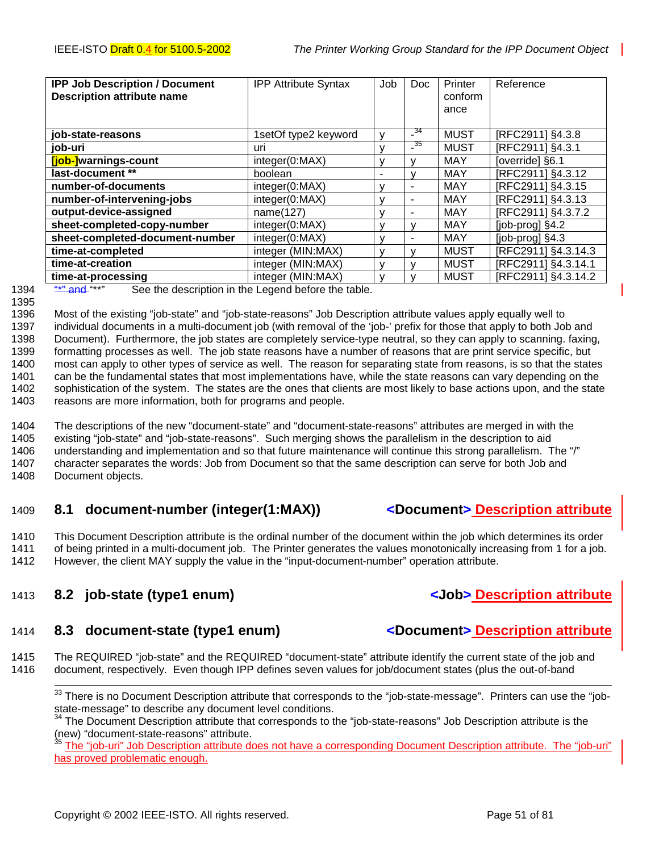<span id="page-50-0"></span>

| <b>IPP Job Description / Document</b><br><b>Description attribute name</b> | <b>IPP Attribute Syntax</b> | Job          | <b>Doc</b> | Printer<br>conform<br>ance | Reference             |
|----------------------------------------------------------------------------|-----------------------------|--------------|------------|----------------------------|-----------------------|
| job-state-reasons                                                          | 1setOf type2 keyword        | v            | $-34$      | <b>MUST</b>                | [RFC2911] §4.3.8      |
| job-uri                                                                    | uri                         |              | $-35$      | <b>MUST</b>                | [RFC2911] §4.3.1      |
| [job-]warnings-count                                                       | integer(0:MAX)              |              |            | MAY                        | [override] §6.1       |
| last-document **                                                           | boolean                     |              |            | <b>MAY</b>                 | [RFC2911] §4.3.12     |
| number-of-documents                                                        | integer(0:MAX)              | v            |            | MAY                        | [RFC2911] §4.3.15     |
| number-of-intervening-jobs                                                 | integer(0:MAX)              |              |            | MAY                        | [RFC2911] §4.3.13     |
| output-device-assigned                                                     | name(127)                   | $\mathbf{v}$ |            | MAY                        | [RFC2911] §4.3.7.2    |
| sheet-completed-copy-number                                                | integer(0:MAX)              |              |            | MAY                        | [job-prog] §4.2       |
| sheet-completed-document-number                                            | integer(0:MAX)              |              |            | MAY                        | $[job$ -prog $]$ §4.3 |
| time-at-completed                                                          | integer (MIN:MAX)           |              |            | <b>MUST</b>                | [RFC2911] §4.3.14.3   |
| time-at-creation                                                           | integer (MIN:MAX)           |              |            | <b>MUST</b>                | [RFC2911] §4.3.14.1   |
| time-at-processing                                                         | integer (MIN:MAX)<br>.      |              |            | <b>MUST</b>                | [RFC2911] §4.3.14.2   |

#### 1395

1394 **"\*" and "\*\*"** See the description in the Legend before the table.

1396 Most of the existing "job-state" and "job-state-reasons" Job Description attribute values apply equally well to 1397 individual documents in a multi-document job (with removal of the 'job-' prefix for those that apply to both Job and 1398 Document). Furthermore, the job states are completely service-type neutral, so they can apply to scanning. faxing, 1399 formatting processes as well. The job state reasons have a number of reasons that are print service specific, but 1400 most can apply to other types of service as well. The reason for separating state from reasons, is so that the states 1401 can be the fundamental states that most implementations have, while the state reasons can vary depending on the 1402 sophistication of the system. The states are the ones that clients are most likely to base actions upon, and the state 1403 reasons are more information, both for programs and people.

1404 The descriptions of the new "document-state" and "document-state-reasons" attributes are merged in with the 1405 existing "job-state" and "job-state-reasons". Such merging shows the parallelism in the description to aid 1406 understanding and implementation and so that future maintenance will continue this strong parallelism. The "/"

1407 character separates the words: Job from Document so that the same description can serve for both Job and 1408 Document objects.

# 1409 **8.1 document-number (integer(1:MAX)) <Document> Description attribute**

1410 This Document Description attribute is the ordinal number of the document within the job which determines its order 1411 of being printed in a multi-document job. The Printer generates the values monotonically increasing from 1 for a job. 1412 However, the client MAY supply the value in the "input-document-number" operation attribute.

# 1413 **8.2 job-state (type1 enum) <Job> Description attribute**

# 1414 **8.3 document-state (type1 enum) <Document> Description attribute**

1415 The REQUIRED "job-state" and the REQUIRED "document-state" attribute identify the current state of the job and 1416 document, respectively. Even though IPP defines seven values for job/document states (plus the out-of-band

<sup>33</sup> There is no Document Description attribute that corresponds to the "job-state-message". Printers can use the "jobstate-message" to describe any document level conditions.

The "job-uri" Job Description attribute does not have a corresponding Document Description attribute. The "job-uri" has proved problematic enough.

<sup>&</sup>lt;sup>34</sup> The Document Description attribute that corresponds to the "job-state-reasons" Job Description attribute is the (new) "document-state-reasons" attribute.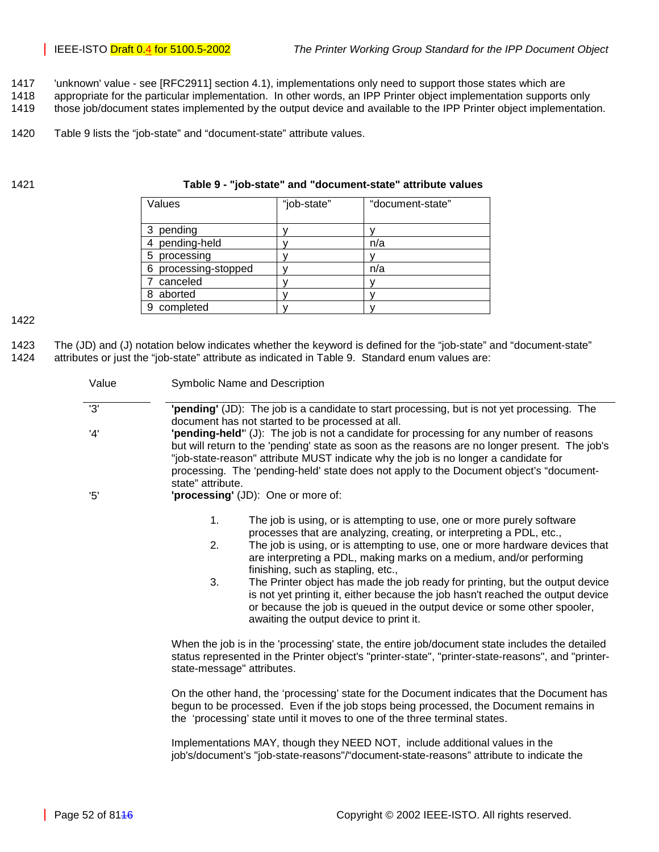- 1417 'unknown' value see [RFC2911] section 4.1), implementations only need to support those states which are
- 1418 appropriate for the particular implementation. In other words, an IPP Printer object implementation supports only
- 1419 those job/document states implemented by the output device and available to the IPP Printer object implementation.
- 1420 Table 9 lists the "job-state" and "document-state" attribute values.

#### 1421 **Table 9 - "job-state" and "document-state" attribute values**

| Values               | "job-state" | "document-state" |
|----------------------|-------------|------------------|
|                      |             |                  |
| 3 pending            |             |                  |
| pending-held         |             | n/a              |
| processing<br>5      |             |                  |
| 6 processing-stopped |             | n/a              |
| canceled             |             |                  |
| 8 aborted            |             |                  |
| 9 completed          |             |                  |

1422

1423 The (JD) and (J) notation below indicates whether the keyword is defined for the "job-state" and "document-state" 1424 attributes or just the "job-state" attribute as indicated in Table 9. Standard enum values are:

| Value | Symbolic Name and Description                                                                                                                                                                                                                                                                                                                                                                                                                                                                                                                                                                                                                            |
|-------|----------------------------------------------------------------------------------------------------------------------------------------------------------------------------------------------------------------------------------------------------------------------------------------------------------------------------------------------------------------------------------------------------------------------------------------------------------------------------------------------------------------------------------------------------------------------------------------------------------------------------------------------------------|
| '3'   | "pending" (JD): The job is a candidate to start processing, but is not yet processing. The<br>document has not started to be processed at all.                                                                                                                                                                                                                                                                                                                                                                                                                                                                                                           |
| '4'   | "pending-held" (J): The job is not a candidate for processing for any number of reasons<br>but will return to the 'pending' state as soon as the reasons are no longer present. The job's<br>"job-state-reason" attribute MUST indicate why the job is no longer a candidate for<br>processing. The 'pending-held' state does not apply to the Document object's "document-<br>state" attribute.                                                                                                                                                                                                                                                         |
| 5'    | 'processing' (JD): One or more of:                                                                                                                                                                                                                                                                                                                                                                                                                                                                                                                                                                                                                       |
|       | 1.<br>The job is using, or is attempting to use, one or more purely software<br>processes that are analyzing, creating, or interpreting a PDL, etc.,<br>2.<br>The job is using, or is attempting to use, one or more hardware devices that<br>are interpreting a PDL, making marks on a medium, and/or performing<br>finishing, such as stapling, etc.,<br>3.<br>The Printer object has made the job ready for printing, but the output device<br>is not yet printing it, either because the job hasn't reached the output device<br>or because the job is queued in the output device or some other spooler,<br>awaiting the output device to print it. |
|       | When the job is in the 'processing' state, the entire job/document state includes the detailed<br>status represented in the Printer object's "printer-state", "printer-state-reasons", and "printer-<br>state-message" attributes.                                                                                                                                                                                                                                                                                                                                                                                                                       |
|       | On the other hand, the 'processing' state for the Document indicates that the Document has<br>begun to be processed. Even if the job stops being processed, the Document remains in<br>the 'processing' state until it moves to one of the three terminal states.                                                                                                                                                                                                                                                                                                                                                                                        |
|       | Implementations MAY, though they NEED NOT, include additional values in the                                                                                                                                                                                                                                                                                                                                                                                                                                                                                                                                                                              |

job's/document's "job-state-reasons"/"document-state-reasons" attribute to indicate the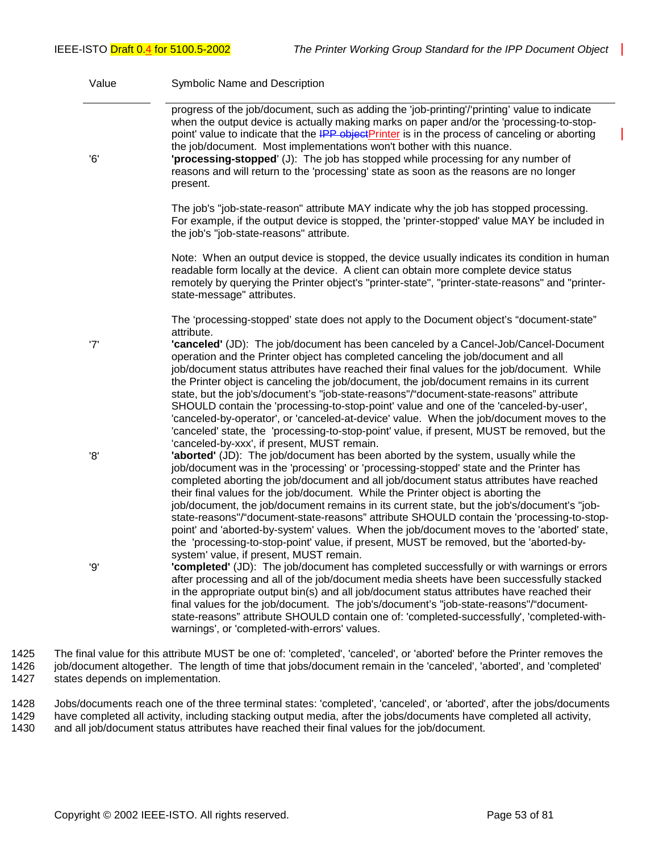| Value | Symbolic Name and Description                                                                                                                                                                                                                                                                                                                                                                                                                                                                                                                                                                                                                                                                                                                     |
|-------|---------------------------------------------------------------------------------------------------------------------------------------------------------------------------------------------------------------------------------------------------------------------------------------------------------------------------------------------------------------------------------------------------------------------------------------------------------------------------------------------------------------------------------------------------------------------------------------------------------------------------------------------------------------------------------------------------------------------------------------------------|
| '6'   | progress of the job/document, such as adding the 'job-printing'/'printing' value to indicate<br>when the output device is actually making marks on paper and/or the 'processing-to-stop-<br>point' value to indicate that the IPP object Printer is in the process of canceling or aborting<br>the job/document. Most implementations won't bother with this nuance.<br>'processing-stopped' (J): The job has stopped while processing for any number of<br>reasons and will return to the 'processing' state as soon as the reasons are no longer<br>present.                                                                                                                                                                                    |
|       | The job's "job-state-reason" attribute MAY indicate why the job has stopped processing.<br>For example, if the output device is stopped, the 'printer-stopped' value MAY be included in<br>the job's "job-state-reasons" attribute.                                                                                                                                                                                                                                                                                                                                                                                                                                                                                                               |
|       | Note: When an output device is stopped, the device usually indicates its condition in human<br>readable form locally at the device. A client can obtain more complete device status<br>remotely by querying the Printer object's "printer-state", "printer-state-reasons" and "printer-<br>state-message" attributes.                                                                                                                                                                                                                                                                                                                                                                                                                             |
| '7'   | The 'processing-stopped' state does not apply to the Document object's "document-state"<br>attribute.<br>'canceled' (JD): The job/document has been canceled by a Cancel-Job/Cancel-Document                                                                                                                                                                                                                                                                                                                                                                                                                                                                                                                                                      |
|       | operation and the Printer object has completed canceling the job/document and all<br>job/document status attributes have reached their final values for the job/document. While<br>the Printer object is canceling the job/document, the job/document remains in its current<br>state, but the job's/document's "job-state-reasons"/"document-state-reasons" attribute<br>SHOULD contain the 'processing-to-stop-point' value and one of the 'canceled-by-user',<br>'canceled-by-operator', or 'canceled-at-device' value. When the job/document moves to the<br>'canceled' state, the 'processing-to-stop-point' value, if present, MUST be removed, but the<br>'canceled-by-xxx', if present, MUST remain.                                      |
| '8'   | 'aborted' (JD): The job/document has been aborted by the system, usually while the<br>job/document was in the 'processing' or 'processing-stopped' state and the Printer has<br>completed aborting the job/document and all job/document status attributes have reached<br>their final values for the job/document. While the Printer object is aborting the<br>job/document, the job/document remains in its current state, but the job's/document's "job-<br>state-reasons"/"document-state-reasons" attribute SHOULD contain the 'processing-to-stop-<br>point' and 'aborted-by-system' values. When the job/document moves to the 'aborted' state,<br>the 'processing-to-stop-point' value, if present, MUST be removed, but the 'aborted-by- |
| '9'   | system' value, if present, MUST remain.<br>"completed" (JD): The job/document has completed successfully or with warnings or errors<br>after processing and all of the job/document media sheets have been successfully stacked<br>in the appropriate output bin(s) and all job/document status attributes have reached their<br>final values for the job/document. The job's/document's "job-state-reasons"/"document-<br>state-reasons" attribute SHOULD contain one of: 'completed-successfully', 'completed-with-<br>warnings', or 'completed-with-errors' values.                                                                                                                                                                            |

1425 The final value for this attribute MUST be one of: 'completed', 'canceled', or 'aborted' before the Printer removes the 1426 job/document altogether. The length of time that jobs/document remain in the 'canceled', 'aborted', and 'completed' 1427 states depends on implementation.

1428 Jobs/documents reach one of the three terminal states: 'completed', 'canceled', or 'aborted', after the jobs/documents 1429 have completed all activity, including stacking output media, after the jobs/documents have completed all activity,<br>1430 and all job/document status attributes have reached their final values for the job/document. and all job/document status attributes have reached their final values for the job/document.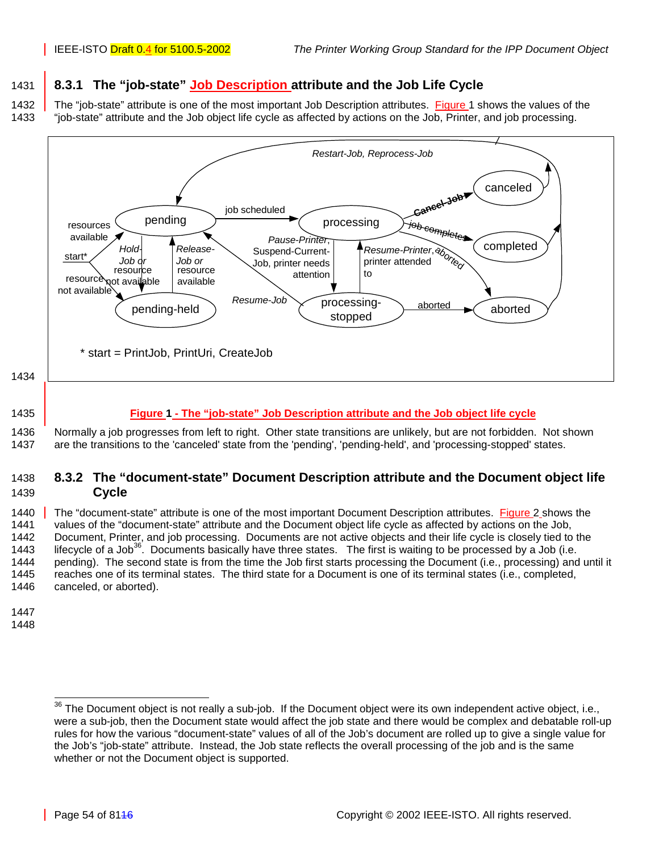# <span id="page-53-0"></span>1431 **8.3.1 The "job-state" Job Description attribute and the Job Life Cycle**

1432 The "job-state" attribute is one of the most important Job Description attributes. Figure 1 shows the values of the 1433 "job-state" attribute and the Job object life cycle as affected by actions on the Job, Printer, and job processing.



#### 1435 **Figure 1 - The "job-state" Job Description attribute and the Job object life cycle**

1436 Normally a job progresses from left to right. Other state transitions are unlikely, but are not forbidden. Not shown 1437 are the transitions to the 'canceled' state from the 'pending', 'pending-held', and 'processing-stopped' states.

### 1438 **8.3.2 The "document-state" Document Description attribute and the Document object life**  1439 **Cycle**

1440 The "document-state" attribute is one of the most important Document Description attributes. [Figure 2](#page-54-0) shows the 1441 values of the "document-state" attribute and the Document object life cycle as affected by actions on the Job, 1442 Document, Printer, and job processing. Documents are not active objects and their life cycle is closely tied to the<br>1443 lifecycle of a Job<sup>36</sup>. Documents basically have three states. The first is waiting to be proces lifecycle of a Job<sup>36</sup>. Documents basically have three states. The first is waiting to be processed by a Job (i.e. 1444 pending). The second state is from the time the Job first starts processing the Document (i.e., processing) and until it 1445 reaches one of its terminal states. The third state for a Document is one of its terminal states (i.e., completed, 1446 canceled, or aborted).

- 1447
- 1448

 $36$  The Document object is not really a sub-job. If the Document object were its own independent active object, i.e., were a sub-job, then the Document state would affect the job state and there would be complex and debatable roll-up rules for how the various "document-state" values of all of the Job's document are rolled up to give a single value for the Job's "job-state" attribute. Instead, the Job state reflects the overall processing of the job and is the same whether or not the Document object is supported.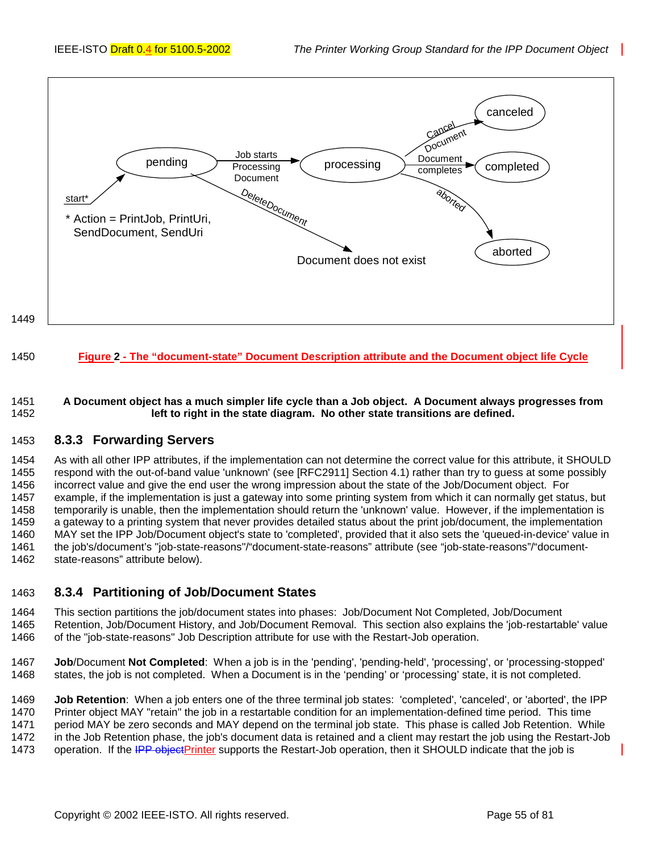<span id="page-54-0"></span>

#### 1450 **Figure 2 - The "document-state" Document Description attribute and the Document object life Cycle**

#### 1451 **A Document object has a much simpler life cycle than a Job object. A Document always progresses from**  1452 **left to right in the state diagram. No other state transitions are defined.**

#### 1453 **8.3.3 Forwarding Servers**

1454 As with all other IPP attributes, if the implementation can not determine the correct value for this attribute, it SHOULD 1455 respond with the out-of-band value 'unknown' (see [RFC2911] Section 4.1) rather than try to guess at some possibly 1456 incorrect value and give the end user the wrong impression about the state of the Job/Document object. For 1457 example, if the implementation is just a gateway into some printing system from which it can normally get status, but 1458 temporarily is unable, then the implementation should return the 'unknown' value. However, if the implementation is 1459 a gateway to a printing system that never provides detailed status about the print job/document, the implementation 1460 MAY set the IPP Job/Document object's state to 'completed', provided that it also sets the 'queued-in-device' value in 1461 the job's/document's "job-state-reasons"/"document-state-reasons" attribute (see "job-state-reasons"/"document-1462 state-reasons" attribute below).

### 1463 **8.3.4 Partitioning of Job/Document States**

1464 This section partitions the job/document states into phases: Job/Document Not Completed, Job/Document 1465 Retention, Job/Document History, and Job/Document Removal. This section also explains the 'job-restartable' value 1466 of the "job-state-reasons" Job Description attribute for use with the Restart-Job operation.

1467 **Job**/Document **Not Completed**: When a job is in the 'pending', 'pending-held', 'processing', or 'processing-stopped' 1468 states, the job is not completed. When a Document is in the 'pending' or 'processing' state, it is not completed.

1469 **Job Retention**: When a job enters one of the three terminal job states: 'completed', 'canceled', or 'aborted', the IPP 1470 Printer object MAY "retain" the job in a restartable condition for an implementation-defined time period. This time 1471 period MAY be zero seconds and MAY depend on the terminal job state. This phase is called Job Retention. While 1472 in the Job Retention phase, the job's document data is retained and a client may restart the job using the Restart-Job 1473 operation. If the IPP objectPrinter supports the Restart-Job operation, then it SHOULD indicate that the job is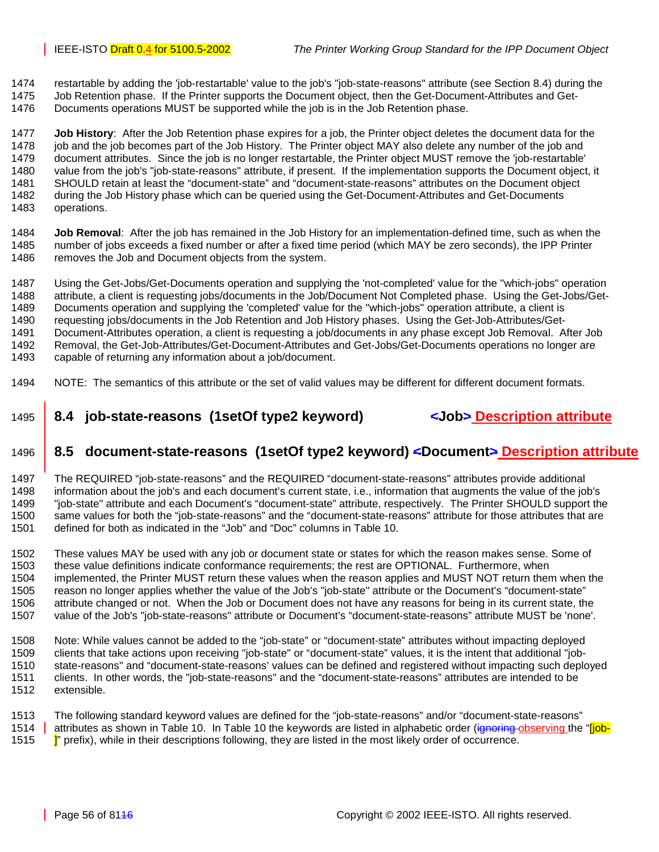<span id="page-55-0"></span>1474 restartable by adding the 'job-restartable' value to the job's "job-state-reasons" attribute (see Section 8.4) during the 1475 Job Retention phase. If the Printer supports the Document object, then the Get-Document-Attributes and Get-

1476 Documents operations MUST be supported while the job is in the Job Retention phase.

1477 **Job History**: After the Job Retention phase expires for a job, the Printer object deletes the document data for the 1478 job and the job becomes part of the Job History. The Printer object MAY also delete any number of the job and 1479 document attributes. Since the job is no longer restartable, the Printer object MUST remove the 'job-restartable' 1480 value from the job's "job-state-reasons" attribute, if present. If the implementation supports the Document object, it 1481 SHOULD retain at least the "document-state" and "document-state-reasons" attributes on the Document object 1482 during the Job History phase which can be queried using the Get-Document-Attributes and Get-Documents 1483 operations.

1484 **Job Removal**: After the job has remained in the Job History for an implementation-defined time, such as when the 1485 number of jobs exceeds a fixed number or after a fixed time period (which MAY be zero seconds), the IPP Printer 1486 removes the Job and Document objects from the system.

1487 Using the Get-Jobs/Get-Documents operation and supplying the 'not-completed' value for the "which-jobs" operation 1488 attribute, a client is requesting jobs/documents in the Job/Document Not Completed phase. Using the Get-Jobs/Get-1489 Documents operation and supplying the 'completed' value for the "which-jobs" operation attribute, a client is 1490 requesting jobs/documents in the Job Retention and Job History phases. Using the Get-Job-Attributes/Get-1491 Document-Attributes operation, a client is requesting a job/documents in any phase except Job Removal. After Job 1492 Removal, the Get-Job-Attributes/Get-Document-Attributes and Get-Jobs/Get-Documents operations no longer are 1493 capable of returning any information about a job/document.

1494 NOTE: The semantics of this attribute or the set of valid values may be different for different document formats.

# 1495 **8.4 job-state-reasons (1setOf type2 keyword) <Job> Description attribute**

# 1496 **8.5 document-state-reasons (1setOf type2 keyword) <Document> Description attribute**

1497 The REQUIRED "job-state-reasons" and the REQUIRED "document-state-reasons" attributes provide additional 1498 information about the job's and each document's current state, i.e., information that augments the value of the job's 1499 "job-state" attribute and each Document's "document-state" attribute, respectively. The Printer SHOULD support the 1500 same values for both the "job-state-reasons" and the "document-state-reasons" attribute for those attributes that are 1501 defined for both as indicated in the "Job" and "Doc" columns in [Table 10.](#page-56-0)

1502 These values MAY be used with any job or document state or states for which the reason makes sense. Some of 1503 these value definitions indicate conformance requirements; the rest are OPTIONAL. Furthermore, when 1504 implemented, the Printer MUST return these values when the reason applies and MUST NOT return them when the 1505 reason no longer applies whether the value of the Job's "job-state" attribute or the Document's "document-state" 1506 attribute changed or not. When the Job or Document does not have any reasons for being in its current state, the<br>1507 value of the Job's "job-state-reasons" attribute or Document's "document-state-reasons" attribute M value of the Job's "job-state-reasons" attribute or Document's "document-state-reasons" attribute MUST be 'none'.

1508 Note: While values cannot be added to the "job-state" or "document-state" attributes without impacting deployed 1509 clients that take actions upon receiving "job-state" or "document-state" values, it is the intent that additional "job-1510 state-reasons" and "document-state-reasons' values can be defined and registered without impacting such deployed 1511 clients. In other words, the "job-state-reasons" and the "document-state-reasons" attributes are intended to be 1512 extensible.

1513 The following standard keyword values are defined for the "job-state-reasons" and/or "document-state-reasons" 1514 attributes as shown in [Table 10.](#page-56-0) In [Table 10](#page-56-0) the keywords are listed in alphabetic order (ignoring observing the "[job-1515 **I**" prefix), while in their descriptions following, they are listed in the most likely order of occurrence.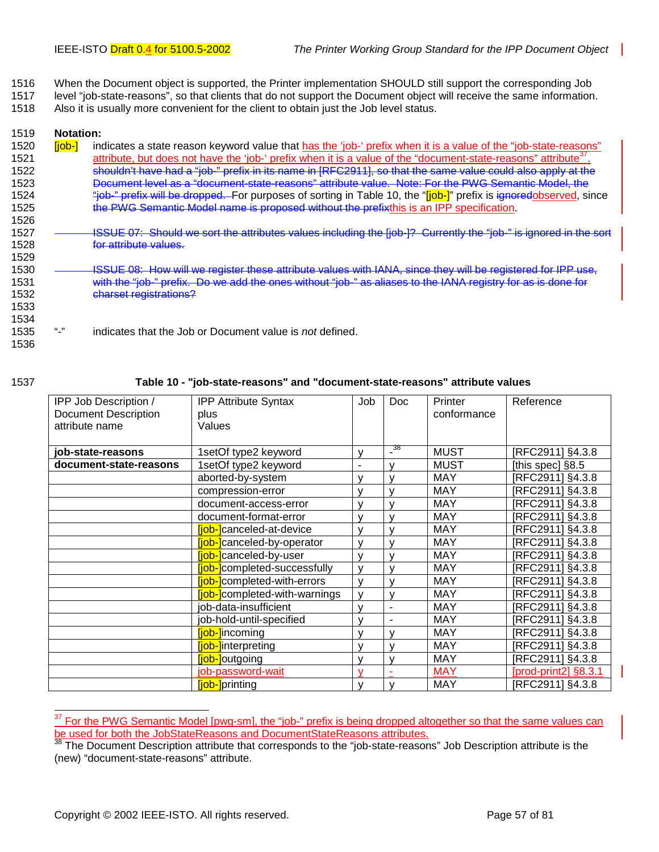- <span id="page-56-0"></span>1516 When the Document object is supported, the Printer implementation SHOULD still support the corresponding Job
- 1517 level "job-state-reasons", so that clients that do not support the Document object will receive the same information.
- 1518 Also it is usually more convenient for the client to obtain just the Job level status.

#### 1519 **Notation:**

- 1520 **[job-]** indicates a state reason keyword value that has the 'job-' prefix when it is a value of the "job-state-reasons" 1521 attribute, but does not have the 'job-' prefix when it is a value of the "document-state-reasons" attribute<sup>37</sup> 1522 shouldn't have had a "job-" prefix in its name in [RFC2911], so that the same value could also apply at the 1523 Document level as a "document-state-reasons" attribute value. Note: For the PWG Semantic Model, the 1524 "job-" prefix will be dropped. For purposes of sorting in Table 10, the "[job-]" prefix is ignoredobserved, since 1525 the PWG Semantic Model name is proposed without the prefixthis is an IPP specification. 1526 1527 **ISSUE 07: Should we sort the attributes values including the [job-]?** Currently the "job-" is ignored in the sort 1528 for attribute values.
- 1530 **ISSUE 08: How will we register these attribute values with IANA, since they will be registered for IPP use,** 1531 with the "job-" prefix. Do we add the ones without "job-" as aliases to the IANA registry for as is done for 1532 charset registrations?
- 1535 "-" indicates that the Job or Document value is *not* defined.

1536

1533 1534

1529

l

#### 1537 **Table 10 - "job-state-reasons" and "document-state-reasons" attribute values**

| IPP Job Description /       | <b>IPP Attribute Syntax</b>          | Job            | <b>Doc</b>   | Printer     | Reference               |
|-----------------------------|--------------------------------------|----------------|--------------|-------------|-------------------------|
| <b>Document Description</b> | plus                                 |                |              | conformance |                         |
| attribute name              | Values                               |                |              |             |                         |
|                             |                                      |                |              |             |                         |
| job-state-reasons           | 1setOf type2 keyword                 | ٧              | - 38         | <b>MUST</b> | [RFC2911] §4.3.8        |
| document-state-reasons      | 1setOf type2 keyword                 | $\blacksquare$ | v            | <b>MUST</b> | [this spec] §8.5        |
|                             | aborted-by-system                    | v              | ν            | <b>MAY</b>  | [RFC2911] §4.3.8        |
|                             | compression-error                    | v              | $\mathsf{v}$ | MAY         | [RFC2911] §4.3.8        |
|                             | document-access-error                |                | ν            | <b>MAY</b>  | [RFC2911] §4.3.8        |
|                             | document-format-error                |                | ν            | <b>MAY</b>  | [RFC2911] §4.3.8        |
|                             | [job-]canceled-at-device             | v              | v            | <b>MAY</b>  | [RFC2911] §4.3.8        |
|                             | <b>iob-l</b> canceled-by-operator    | v              | v            | <b>MAY</b>  | [RFC2911] §4.3.8        |
|                             | <b>iob-l</b> canceled-by-user        | v              | v            | <b>MAY</b>  | [RFC2911] §4.3.8        |
|                             | [job-]completed-successfully         | $\mathsf{v}$   | v            | <b>MAY</b>  | <b>IRFC2911] §4.3.8</b> |
|                             | <b>fiob-</b> completed-with-errors   | v              | ν            | <b>MAY</b>  | [RFC2911] §4.3.8        |
|                             | <b>fjob-</b> completed-with-warnings | $\mathsf{v}$   | v            | <b>MAY</b>  | [RFC2911] §4.3.8        |
|                             | job-data-insufficient                | v              |              | <b>MAY</b>  | [RFC2911] §4.3.8        |
|                             | job-hold-until-specified             |                |              | <b>MAY</b>  | [RFC2911] §4.3.8        |
|                             | [job-]incoming                       | v              | v            | <b>MAY</b>  | [RFC2911] §4.3.8        |
|                             | <b>iob-linterpreting</b>             | v              | ν            | <b>MAY</b>  | [RFC2911] §4.3.8        |
|                             | [job-]outgoing                       | v              | ν            | <b>MAY</b>  | [RFC2911] §4.3.8        |
|                             | job-password-wait                    | v              |              | <b>MAY</b>  | [prod-print2] §8.3.1    |
|                             | [job-]printing                       |                |              | <b>MAY</b>  | [RFC2911] §4.3.8        |

<sup>37</sup> For the PWG Semantic Model [pwg-sm], the "job-" prefix is being dropped altogether so that the same values can be used for both the JobStateReasons and DocumentStateReasons attributes.

The Document Description attribute that corresponds to the "job-state-reasons" Job Description attribute is the (new) "document-state-reasons" attribute.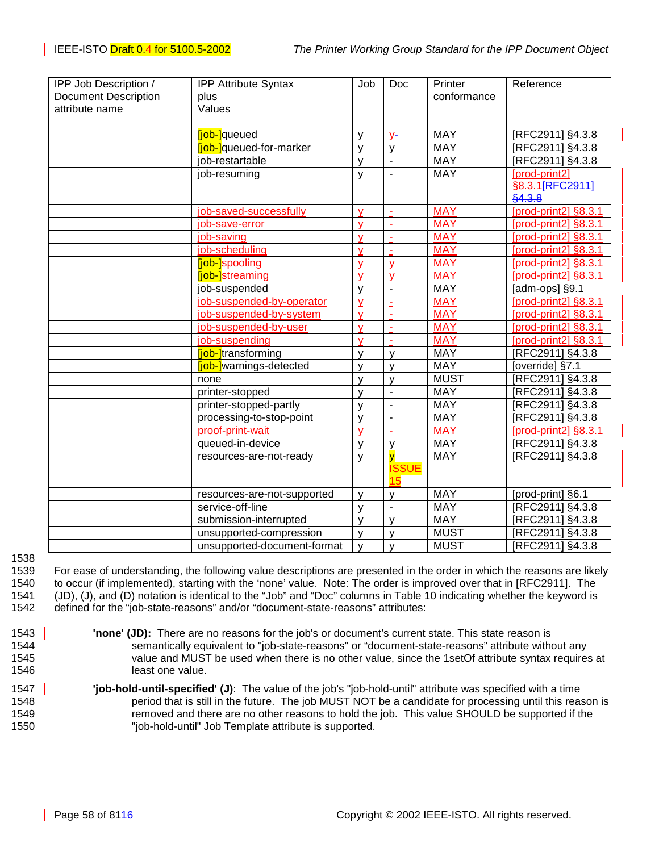| IPP Job Description /       | <b>IPP Attribute Syntax</b>     | Job                     | Doc                     | Printer     | Reference               |
|-----------------------------|---------------------------------|-------------------------|-------------------------|-------------|-------------------------|
| <b>Document Description</b> | plus                            |                         |                         | conformance |                         |
| attribute name              | Values                          |                         |                         |             |                         |
|                             |                                 |                         |                         |             |                         |
|                             | [job-]queued                    | V                       | $V -$                   | <b>MAY</b>  | [RFC2911] §4.3.8        |
|                             | <b>iob-l</b> queued-for-marker  | y                       | y                       | <b>MAY</b>  | [RFC2911] §4.3.8        |
|                             | job-restartable                 | y                       | $\blacksquare$          | <b>MAY</b>  | [RFC2911] §4.3.8        |
|                             | job-resuming                    | У                       | $\blacksquare$          | <b>MAY</b>  | [prod-print2]           |
|                             |                                 |                         |                         |             | §8.3.1 [RFC2911]        |
|                             |                                 |                         |                         |             | §4.3.8                  |
|                             | job-saved-successfully          | $\mathbf v$             | $\sim$                  | <b>MAY</b>  | [prod-print2] §8.3.1    |
|                             | job-save-error                  | v                       | $\tilde{\phantom{a}}$   | <b>MAY</b>  | [prod-print2] §8.3.1    |
|                             | job-saving                      | v                       | $\sim$                  | <b>MAY</b>  | [prod-print2] §8.3.1    |
|                             | job-scheduling                  | $\mathbf v$             | $\sim$                  | <b>MAY</b>  | [prod-print2] §8.3.1    |
|                             | <b>fiob-</b> spooling           | v                       | $\mathbf v$             | <b>MAY</b>  | [prod-print2] §8.3.1    |
|                             | <b>liob-</b> streaming          | v                       | $\mathsf{V}$            | <b>MAY</b>  | [prod-print2] §8.3.1    |
|                             | job-suspended                   | v                       | $\blacksquare$          | <b>MAY</b>  | [adm-ops] §9.1          |
|                             | job-suspended-by-operator       | v                       | ÷,                      | <b>MAY</b>  | [prod-print2] §8.3.1    |
|                             | job-suspended-by-system         | v                       |                         | <b>MAY</b>  | [prod-print2] §8.3.1    |
|                             | job-suspended-by-user           | $\mathsf{V}$            |                         | <b>MAY</b>  | [prod-print2] §8.3.1    |
|                             | job-suspending                  | $\mathbf v$             |                         | <b>MAY</b>  | [prod-print2] §8.3.1    |
|                             | <b>Tiob-</b> transforming       | $\mathsf{V}$            | $\mathsf{V}$            | <b>MAY</b>  | [RFC2911] §4.3.8        |
|                             | <b>fjob-</b> ]warnings-detected | v                       | $\mathsf{V}$            | <b>MAY</b>  | [override] §7.1         |
|                             | none                            | $\mathsf{V}$            | $\mathsf{V}$            | <b>MUST</b> | [RFC2911] §4.3.8        |
|                             | printer-stopped                 | v                       | $\blacksquare$          | <b>MAY</b>  | [RFC2911] §4.3.8        |
|                             | printer-stopped-partly          | V                       | $\sim$                  | <b>MAY</b>  | RFC2911] §4.3.8         |
|                             | processing-to-stop-point        | $\mathsf{v}$            | $\sim$                  | <b>MAY</b>  | RFC2911] §4.3.8         |
|                             | proof-print-wait                | $\overline{\mathsf{v}}$ |                         | <b>MAY</b>  | [prod-print2] §8.3.1    |
|                             | queued-in-device                | V                       | V                       | <b>MAY</b>  | [RFC2911] §4.3.8        |
|                             | resources-are-not-ready         | y                       | $\overline{\mathsf{v}}$ | <b>MAY</b>  | <b>IRFC2911] §4.3.8</b> |
|                             |                                 |                         | <b>ISSUE</b>            |             |                         |
|                             |                                 |                         | 15                      |             |                         |
|                             | resources-are-not-supported     | $\mathsf{V}$            | $\mathsf{V}$            | <b>MAY</b>  | [prod-print] §6.1       |
|                             | service-off-line                | $\mathsf{V}$            | ÷,                      | <b>MAY</b>  | [RFC2911] §4.3.8        |
|                             | submission-interrupted          | $\mathsf{V}$            | $\mathsf{V}$            | <b>MAY</b>  | [RFC2911] §4.3.8        |
|                             | unsupported-compression         | y                       | y                       | <b>MUST</b> | RFC2911] §4.3.8         |
|                             | unsupported-document-format     | y                       | y                       | <b>MUST</b> | [RFC2911] §4.3.8        |

1538

1539 For ease of understanding, the following value descriptions are presented in the order in which the reasons are likely 1540 to occur (if implemented), starting with the 'none' value. Note: The order is improved over that in [RFC2911]. The 1541 (JD), (J), and (D) notation is identical to the "Job" and "Doc" columns in [Table 10](#page-56-0) indicating whether the keyword is 1542 defined for the "job-state-reasons" and/or "document-state-reasons" attributes:

- 1543 **There are no reasons for the job's or document's current state. This state reason is** 1544 semantically equivalent to "job-state-reasons" or "document-state-reasons" attribute without any 1545 value and MUST be used when there is no other value, since the 1setOf attribute syntax requires at 1546 **least one value.**
- 1547 **'job-hold-until-specified' (J)**: The value of the job's "job-hold-until" attribute was specified with a time 1548 period that is still in the future. The job MUST NOT be a candidate for processing until this reason is 1549 removed and there are no other reasons to hold the job. This value SHOULD be supported if the 1550 "job-hold-until" Job Template attribute is supported.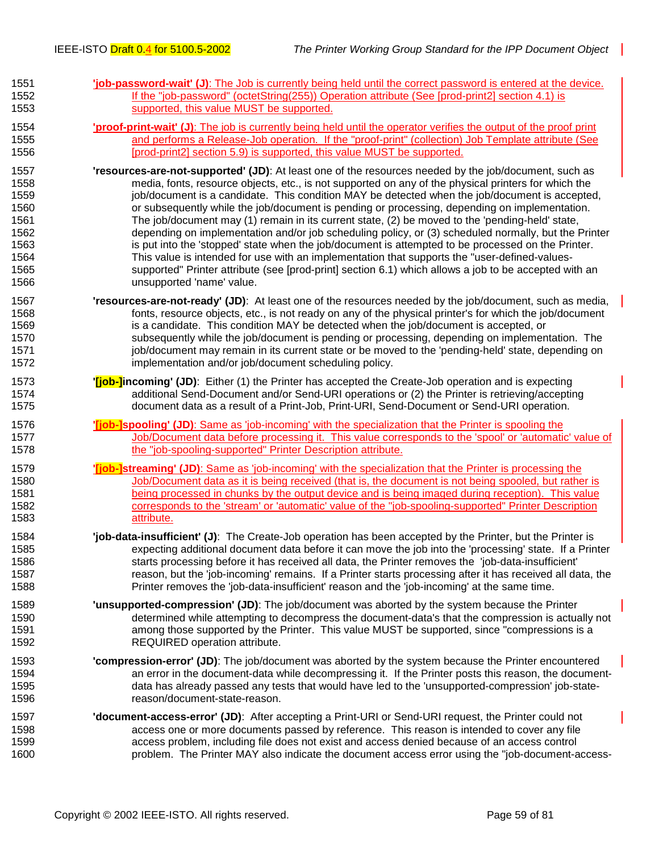| 1551 | 'job-password-wait' (J): The Job is currently being held until the correct password is entered at the device.            |
|------|--------------------------------------------------------------------------------------------------------------------------|
| 1552 | If the "job-password" (octetString(255)) Operation attribute (See [prod-print2] section 4.1) is                          |
| 1553 | supported, this value MUST be supported.                                                                                 |
| 1554 | <b>proof-print-wait' (J)</b> : The job is currently being held until the operator verifies the output of the proof print |
| 1555 | and performs a Release-Job operation. If the "proof-print" (collection) Job Template attribute (See                      |
| 1556 | [prod-print2] section 5.9) is supported, this value MUST be supported.                                                   |
| 1557 | 'resources-are-not-supported' (JD): At least one of the resources needed by the job/document, such as                    |
| 1558 | media, fonts, resource objects, etc., is not supported on any of the physical printers for which the                     |
| 1559 | job/document is a candidate. This condition MAY be detected when the job/document is accepted,                           |
| 1560 | or subsequently while the job/document is pending or processing, depending on implementation.                            |
| 1561 | The job/document may (1) remain in its current state, (2) be moved to the 'pending-held' state,                          |
| 1562 | depending on implementation and/or job scheduling policy, or (3) scheduled normally, but the Printer                     |
| 1563 | is put into the 'stopped' state when the job/document is attempted to be processed on the Printer.                       |
| 1564 | This value is intended for use with an implementation that supports the "user-defined-values-                            |
| 1565 | supported" Printer attribute (see [prod-print] section 6.1) which allows a job to be accepted with an                    |
| 1566 | unsupported 'name' value.                                                                                                |
| 1567 | 'resources-are-not-ready' (JD): At least one of the resources needed by the job/document, such as media,                 |
| 1568 | fonts, resource objects, etc., is not ready on any of the physical printer's for which the job/document                  |
| 1569 | is a candidate. This condition MAY be detected when the job/document is accepted, or                                     |
| 1570 | subsequently while the job/document is pending or processing, depending on implementation. The                           |
| 1571 | job/document may remain in its current state or be moved to the 'pending-held' state, depending on                       |
| 1572 | implementation and/or job/document scheduling policy.                                                                    |
| 1573 | " <b>[job-]incoming' (JD)</b> : Either (1) the Printer has accepted the Create-Job operation and is expecting            |
| 1574 | additional Send-Document and/or Send-URI operations or (2) the Printer is retrieving/accepting                           |
| 1575 | document data as a result of a Print-Job, Print-URI, Send-Document or Send-URI operation.                                |
| 1576 | <b>'<u>liob-Ispooling'</u></b> (JD): Same as 'job-incoming' with the specialization that the Printer is spooling the     |
| 1577 | Job/Document data before processing it. This value corresponds to the 'spool' or 'automatic' value of                    |
| 1578 | the "job-spooling-supported" Printer Description attribute.                                                              |
| 1579 | <b>'fiob-Istreaming' (JD)</b> : Same as 'job-incoming' with the specialization that the Printer is processing the        |
| 1580 | Job/Document data as it is being received (that is, the document is not being spooled, but rather is                     |
| 1581 | being processed in chunks by the output device and is being imaged during reception). This value                         |
| 1582 | corresponds to the 'stream' or 'automatic' value of the "job-spooling-supported" Printer Description                     |
| 1583 | attribute.                                                                                                               |
| 1584 | 'job-data-insufficient' (J): The Create-Job operation has been accepted by the Printer, but the Printer is               |
| 1585 | expecting additional document data before it can move the job into the 'processing' state. If a Printer                  |
| 1586 | starts processing before it has received all data, the Printer removes the 'job-data-insufficient'                       |
| 1587 | reason, but the 'job-incoming' remains. If a Printer starts processing after it has received all data, the               |
| 1588 | Printer removes the 'job-data-insufficient' reason and the 'job-incoming' at the same time.                              |
| 1589 | 'unsupported-compression' (JD): The job/document was aborted by the system because the Printer                           |
| 1590 | determined while attempting to decompress the document-data's that the compression is actually not                       |
| 1591 | among those supported by the Printer. This value MUST be supported, since "compressions is a                             |
| 1592 | REQUIRED operation attribute.                                                                                            |
| 1593 | "compression-error" (JD): The job/document was aborted by the system because the Printer encountered                     |
| 1594 | an error in the document-data while decompressing it. If the Printer posts this reason, the document-                    |
| 1595 | data has already passed any tests that would have led to the 'unsupported-compression' job-state-                        |
| 1596 | reason/document-state-reason.                                                                                            |
| 1597 | 'document-access-error' (JD): After accepting a Print-URI or Send-URI request, the Printer could not                     |
| 1598 | access one or more documents passed by reference. This reason is intended to cover any file                              |
| 1599 | access problem, including file does not exist and access denied because of an access control                             |
| 1600 | problem. The Printer MAY also indicate the document access error using the "job-document-access-                         |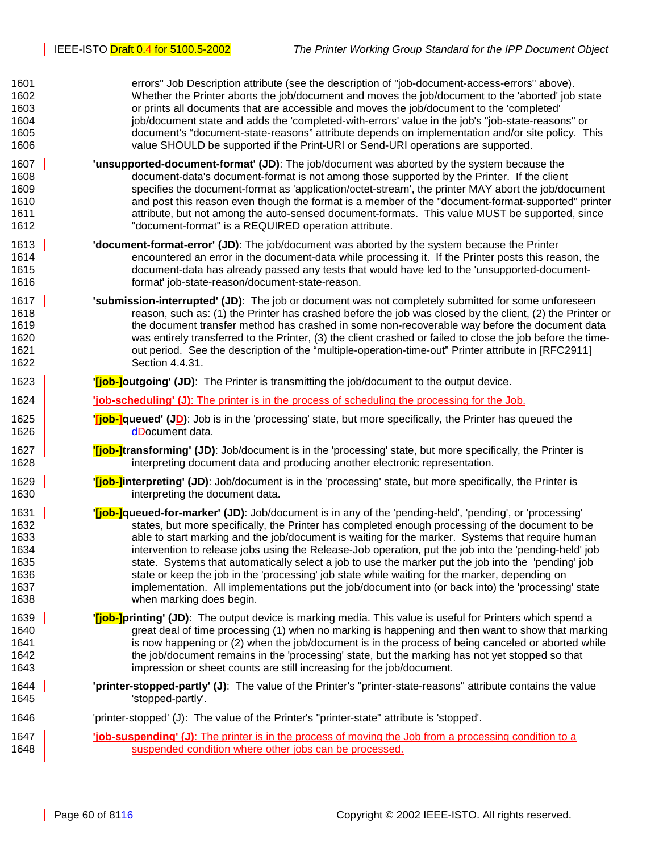1601 errors" Job Description attribute (see the description of "job-document-access-errors" above). 1602 Whether the Printer aborts the job/document and moves the job/document to the 'aborted' job state 1603 or prints all documents that are accessible and moves the job/document to the 'completed' 1604 job/document state and adds the 'completed-with-errors' value in the job's "job-state-reasons" or 1605 document's "document-state-reasons" attribute depends on implementation and/or site policy. This 1606 value SHOULD be supported if the Print-URI or Send-URI operations are supported. 1607 **'unsupported-document-format' (JD)**: The job/document was aborted by the system because the 1608 document-data's document-format is not among those supported by the Printer. If the client 1609 specifies the document-format as 'application/octet-stream', the printer MAY abort the job/document 1610 and post this reason even though the format is a member of the "document-format-supported" printer 1611 attribute, but not among the auto-sensed document-formats. This value MUST be supported, since 1612 "document-format" is a REQUIRED operation attribute. 1613 **'document-format-error' (JD)**: The job/document was aborted by the system because the Printer 1614 encountered an error in the document-data while processing it. If the Printer posts this reason, the 1615 document-data has already passed any tests that would have led to the 'unsupported-document-1616 format' job-state-reason/document-state-reason.

1617 **'submission-interrupted' (JD)**: The job or document was not completely submitted for some unforeseen 1618 reason, such as: (1) the Printer has crashed before the job was closed by the client, (2) the Printer or 1619 the document transfer method has crashed in some non-recoverable way before the document data 1620 was entirely transferred to the Printer, (3) the client crashed or failed to close the job before the time-1621 out period. See the description of the "multiple-operation-time-out" Printer attribute in [RFC2911] 1622 Section 4.4.31.

## 1623 **| Case in the Uppen Tipo-Joutgoing' (JD)**: The Printer is transmitting the job/document to the output device.

1624 **'job-scheduling' (J)**: The printer is in the process of scheduling the processing for the Job.

- 1625 **Tiob-lqueued' (JD)**: Job is in the 'processing' state, but more specifically, the Printer has queued the 1626 dDocument data.
- 1627 **'[job-]transforming' (JD)**: Job/document is in the 'processing' state, but more specifically, the Printer is 1628 interpreting document data and producing another electronic representation.
- 1629 **'[job-]interpreting' (JD)**: Job/document is in the 'processing' state, but more specifically, the Printer is 1630 interpreting the document data.
- 1631 **'[job-]queued-for-marker' (JD)**: Job/document is in any of the 'pending-held', 'pending', or 'processing' 1632 states, but more specifically, the Printer has completed enough processing of the document to be 1633 **able to start marking and the job/document is waiting for the marker.** Systems that require human 1634 intervention to release jobs using the Release-Job operation, put the job into the 'pending-held' job 1635 state. Systems that automatically select a job to use the marker put the job into the 'pending' job 1636 state or keep the job in the 'processing' job state while waiting for the marker, depending on 1637 implementation. All implementations put the job/document into (or back into) the 'processing' state 1638 when marking does begin.
- 1639 **'[job-]printing' (JD)**: The output device is marking media. This value is useful for Printers which spend a 1640 great deal of time processing (1) when no marking is happening and then want to show that marking 1641 is now happening or (2) when the job/document is in the process of being canceled or aborted while 1642 the job/document remains in the 'processing' state, but the marking has not yet stopped so that 1643 impression or sheet counts are still increasing for the job/document.
- 1644 **'printer-stopped-partly' (J)**: The value of the Printer's "printer-state-reasons" attribute contains the value 1645 'stopped-partly'.

### 1646 'printer-stopped' (J): The value of the Printer's "printer-state" attribute is 'stopped'.

1647 **'job-suspending' (J)**: The printer is in the process of moving the Job from a processing condition to a 1648 **Suspended condition where other jobs can be processed.**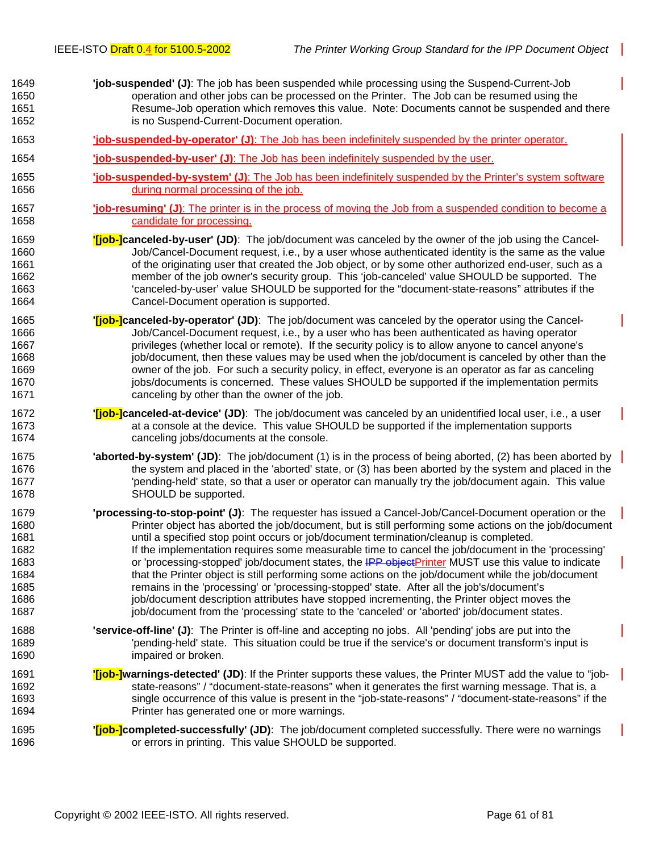- 1649 **'job-suspended' (J)**: The job has been suspended while processing using the Suspend-Current-Job 1650 operation and other jobs can be processed on the Printer. The Job can be resumed using the 1651 Resume-Job operation which removes this value. Note: Documents cannot be suspended and there 1652 is no Suspend-Current-Document operation.
- 1653 **'job-suspended-by-operator' (J)**: The Job has been indefinitely suspended by the printer operator.
- 1654 **'job-suspended-by-user' (J)**: The Job has been indefinitely suspended by the user.
- 1655 **'job-suspended-by-system' (J)**: The Job has been indefinitely suspended by the Printer's system software 1656 during normal processing of the job.
- 1657 **'job-resuming' (J)**: The printer is in the process of moving the Job from a suspended condition to become a 1658 candidate for processing.
- 1659 **'[job-]canceled-by-user' (JD)**: The job/document was canceled by the owner of the job using the Cancel-1660 Job/Cancel-Document request, i.e., by a user whose authenticated identity is the same as the value 1661 of the originating user that created the Job object, or by some other authorized end-user, such as a 1662 member of the job owner's security group. This 'job-canceled' value SHOULD be supported. The 1663 'canceled-by-user' value SHOULD be supported for the "document-state-reasons" attributes if the 1664 Cancel-Document operation is supported.
- 1665 **'[job-]canceled-by-operator' (JD)**: The job/document was canceled by the operator using the Cancel-1666 Job/Cancel-Document request, i.e., by a user who has been authenticated as having operator 1667 privileges (whether local or remote). If the security policy is to allow anyone to cancel anyone's 1668 job/document, then these values may be used when the job/document is canceled by other than the 1669 owner of the job. For such a security policy, in effect, everyone is an operator as far as canceling 1670 inclusion is concerned. These values SHOULD be supported if the implementation permits 1671 canceling by other than the owner of the job.
- 1672 **'[job-]canceled-at-device' (JD)**: The job/document was canceled by an unidentified local user, i.e., a user 1673 at a console at the device. This value SHOULD be supported if the implementation supports 1674 canceling jobs/documents at the console.
- 1675 **'aborted-by-system' (JD)**: The job/document (1) is in the process of being aborted, (2) has been aborted by 1676 the system and placed in the 'aborted' state, or (3) has been aborted by the system and placed in the 1677 'pending-held' state, so that a user or operator can manually try the job/document again. This value 1678 SHOULD be supported.
- 1679 **'processing-to-stop-point' (J)**: The requester has issued a Cancel-Job/Cancel-Document operation or the 1680 Printer object has aborted the job/document, but is still performing some actions on the job/document 1681 until a specified stop point occurs or job/document termination/cleanup is completed. 1682 If the implementation requires some measurable time to cancel the job/document in the 'processing' 1683 or 'processing-stopped' job/document states, the IPP objectPrinter MUST use this value to indicate 1684 that the Printer object is still performing some actions on the job/document while the job/document 1685 remains in the 'processing' or 'processing-stopped' state. After all the job's/document's 1686 job/document description attributes have stopped incrementing, the Printer object moves the 1687 includion-job/document from the 'processing' state to the 'canceled' or 'aborted' job/document states.
- 1688 **'service-off-line' (J)**: The Printer is off-line and accepting no jobs. All 'pending' jobs are put into the 1689 'pending-held' state. This situation could be true if the service's or document transform's input is 1690 **impaired or broken.**
- 1691 **'[job-]warnings-detected' (JD)**: If the Printer supports these values, the Printer MUST add the value to "job-1692 state-reasons" / "document-state-reasons" when it generates the first warning message. That is, a 1693 single occurrence of this value is present in the "job-state-reasons" / "document-state-reasons" if the 1694 Printer has generated one or more warnings.
- 1695 **'[job-]completed-successfully' (JD)**: The job/document completed successfully. There were no warnings 1696 or errors in printing. This value SHOULD be supported.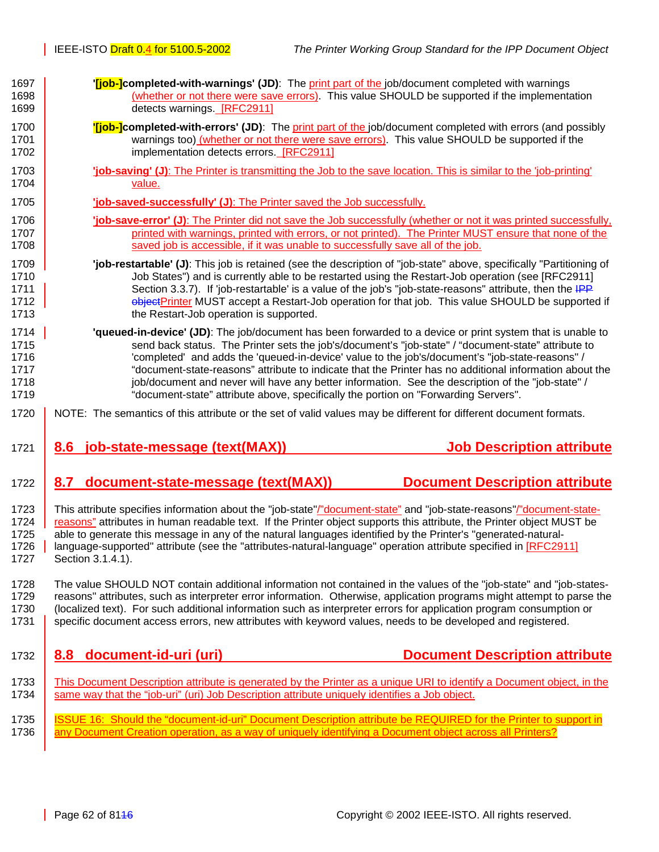<span id="page-61-0"></span>

| 1697 | " <b>[job-]completed-with-warnings' (JD)</b> : The print part of the job/document completed with warnings               |
|------|-------------------------------------------------------------------------------------------------------------------------|
| 1698 | (whether or not there were save errors). This value SHOULD be supported if the implementation                           |
| 1699 | detects warnings. [RFC2911]                                                                                             |
| 1700 | "[job-]completed-with-errors' (JD): The print part of the job/document completed with errors (and possibly              |
| 1701 | warnings too) (whether or not there were save errors). This value SHOULD be supported if the                            |
| 1702 | implementation detects errors. [RFC2911]                                                                                |
| 1703 | "job-saving" (J): The Printer is transmitting the Job to the save location. This is similar to the "job-printing"       |
| 1704 | value.                                                                                                                  |
| 1705 | 'job-saved-successfully' (J): The Printer saved the Job successfully.                                                   |
| 1706 | <b>job-save-error' (J)</b> : The Printer did not save the Job successfully (whether or not it was printed successfully, |
| 1707 | printed with warnings, printed with errors, or not printed). The Printer MUST ensure that none of the                   |
| 1708 | saved job is accessible, if it was unable to successfully save all of the job.                                          |
| 1709 | "job-restartable" (J): This job is retained (see the description of "job-state" above, specifically "Partitioning of    |
| 1710 | Job States") and is currently able to be restarted using the Restart-Job operation (see [RFC2911]                       |
| 1711 | Section 3.3.7). If 'job-restartable' is a value of the job's "job-state-reasons" attribute, then the IPP                |
| 1712 | ebjectPrinter MUST accept a Restart-Job operation for that job. This value SHOULD be supported if                       |
| 1713 | the Restart-Job operation is supported.                                                                                 |
| 1714 | 'queued-in-device' (JD): The job/document has been forwarded to a device or print system that is unable to              |
| 1715 | send back status. The Printer sets the job's/document's "job-state" / "document-state" attribute to                     |
| 1716 | 'completed' and adds the 'queued-in-device' value to the job's/document's "job-state-reasons" /                         |
| 1717 | "document-state-reasons" attribute to indicate that the Printer has no additional information about the                 |
| 1718 | job/document and never will have any better information. See the description of the "job-state" /                       |
| 1719 | "document-state" attribute above, specifically the portion on "Forwarding Servers".                                     |
| 1720 | NOTE: The semantics of this attribute or the set of valid values may be different for different document formats.       |
|      |                                                                                                                         |
| 1721 | <b>Job Description attribute</b><br>job-state-message (text(MAX))<br>8.6                                                |
| 1722 | <b>Document Description attribute</b><br>document-state-message (text(MAX))<br>8.7                                      |
| 1723 | This attribute specifies information about the "job-state"/"document-state" and "job-state-reasons"/"document-state-    |
| 1724 | reasons" attributes in human readable text. If the Printer object supports this attribute, the Printer object MUST be   |
| 1725 | able to generate this message in any of the natural languages identified by the Printer's "generated-natural-           |
| 1726 | language-supported" attribute (see the "attributes-natural-language" operation attribute specified in [RFC2911]         |
| 1727 | Section 3.1.4.1).                                                                                                       |
| 1728 | The value SHOULD NOT contain additional information not contained in the values of the "job-state" and "job-states-     |
| 1729 | reasons" attributes, such as interpreter error information. Otherwise, application programs might attempt to parse the  |
| 1730 | (localized text). For such additional information such as interpreter errors for application program consumption or     |
| 1731 | specific document access errors, new attributes with keyword values, needs to be developed and registered.              |
| 1732 | document-id-uri (uri)<br><b>Document Description attribute</b><br>8.8                                                   |
| 1733 | This Document Description attribute is generated by the Printer as a unique URI to identify a Document object, in the   |
| 1734 | same way that the "job-uri" (uri) Job Description attribute uniquely identifies a Job object.                           |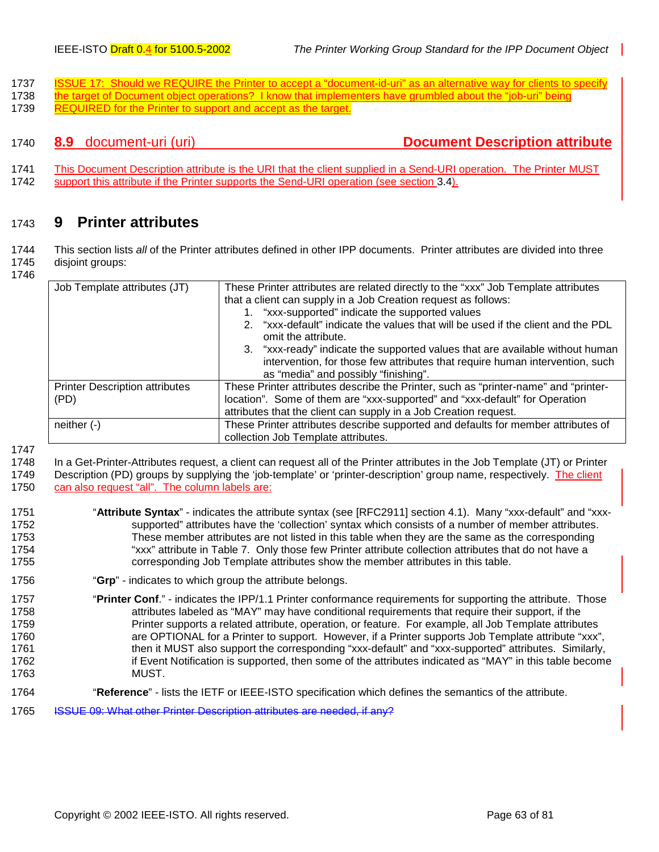- <span id="page-62-0"></span>1737 ISSUE 17: Should we REQUIRE the Printer to accept a "document-id-uri" as an alternative way for clients to specify 1738 the target of Document object operations? I know that implementers have grumbled about the "job-uri" being
- 1739 REQUIRED for the Printer to support and accept as the target.

1740 **8.9** document-uri (uri) **Document Description attribute**

1741 This Document Description attribute is the URI that the client supplied in a Send-URI operation. The Printer MUST 1742 support this attribute if the Printer supports the Send-URI operation (see section [3.4\)](#page-21-0).

# 1743 **9 Printer attributes**

1744 This section lists *all* of the Printer attributes defined in other IPP documents. Printer attributes are divided into three 1745 disjoint groups:

1746

| Job Template attributes (JT)                  | These Printer attributes are related directly to the "xxx" Job Template attributes<br>that a client can supply in a Job Creation request as follows:<br>1. "xxx-supported" indicate the supported values<br>2. "xxx-default" indicate the values that will be used if the client and the PDL<br>omit the attribute.<br>3. "xxx-ready" indicate the supported values that are available without human<br>intervention, for those few attributes that require human intervention, such<br>as "media" and possibly "finishing". |
|-----------------------------------------------|------------------------------------------------------------------------------------------------------------------------------------------------------------------------------------------------------------------------------------------------------------------------------------------------------------------------------------------------------------------------------------------------------------------------------------------------------------------------------------------------------------------------------|
| <b>Printer Description attributes</b><br>(PD) | These Printer attributes describe the Printer, such as "printer-name" and "printer-<br>location". Some of them are "xxx-supported" and "xxx-default" for Operation<br>attributes that the client can supply in a Job Creation request.                                                                                                                                                                                                                                                                                       |
| neither $(-)$                                 | These Printer attributes describe supported and defaults for member attributes of<br>collection Job Template attributes.                                                                                                                                                                                                                                                                                                                                                                                                     |

1747

1748 In a Get-Printer-Attributes request, a client can request all of the Printer attributes in the Job Template (JT) or Printer 1749 Description (PD) groups by supplying the 'job-template' or 'printer-description' group name, respectively. The client 1750 can also request "all". The column labels are:

- 1751 "**Attribute Syntax**" indicates the attribute syntax (see [RFC2911] section 4.1). Many "xxx-default" and "xxx-1752 supported" attributes have the 'collection' syntax which consists of a number of member attributes. 1753 These member attributes are not listed in this table when they are the same as the corresponding 1754 "xxx" attribute in [Table 7.](#page-42-0) Only those few Printer attribute collection attributes that do not have a 1755 corresponding Job Template attributes show the member attributes in this table.
- 1756 "**Grp**" indicates to which group the attribute belongs.
- 1757 "**Printer Conf**." indicates the IPP/1.1 Printer conformance requirements for supporting the attribute. Those 1758 **1758** attributes labeled as "MAY" may have conditional requirements that require their support, if the 1759 **Printer supports a related attribute, operation, or feature.** For example, all Job Template attributes 1760 are OPTIONAL for a Printer to support. However, if a Printer supports Job Template attribute "xxx", 1761 then it MUST also support the corresponding "xxx-default" and "xxx-supported" attributes. Similarly, 1762 if Event Notification is supported, then some of the attributes indicated as "MAY" in this table become 1763 MUST.
- 1764 "**Reference**" lists the IETF or IEEE-ISTO specification which defines the semantics of the attribute.
- 1765 ISSUE 09: What other Printer Description attributes are needed, if any?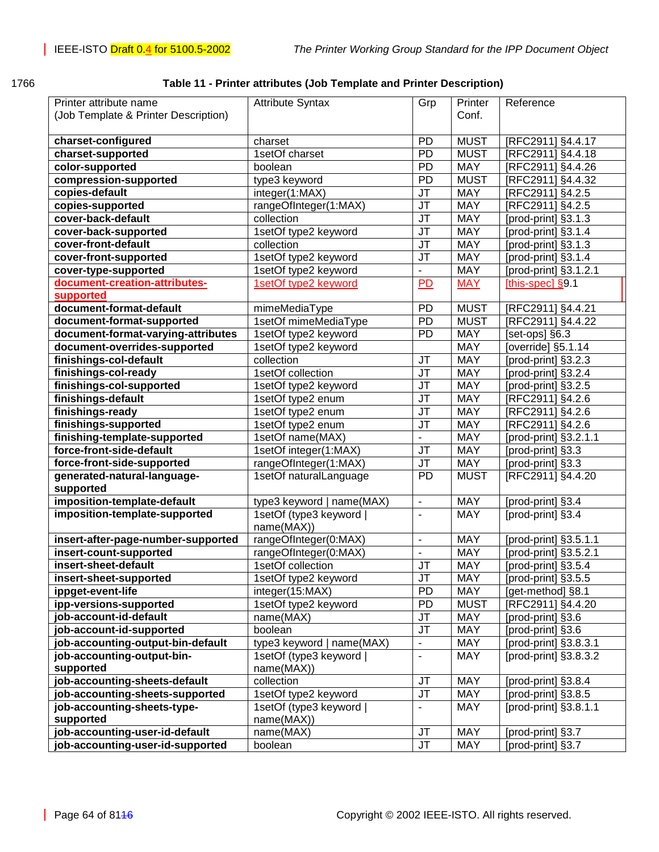| ×<br>×<br>۰.<br>۰, |
|--------------------|
|--------------------|

### 1766 **Table 11 - Printer attributes (Job Template and Printer Description)**

| Printer attribute name               | <b>Attribute Syntax</b>               | Grp                               | Printer     | Reference             |
|--------------------------------------|---------------------------------------|-----------------------------------|-------------|-----------------------|
| (Job Template & Printer Description) |                                       |                                   | Conf.       |                       |
|                                      |                                       |                                   |             |                       |
| charset-configured                   | charset                               | PD                                | <b>MUST</b> | [RFC2911] §4.4.17     |
| charset-supported                    | 1setOf charset                        | <b>PD</b>                         | <b>MUST</b> | [RFC2911] §4.4.18     |
| color-supported                      | boolean                               | PD                                | <b>MAY</b>  | [RFC2911] §4.4.26     |
| compression-supported                | type3 keyword                         | PD                                | <b>MUST</b> | [RFC2911] §4.4.32     |
| copies-default                       | integer(1:MAX)                        | JT                                | <b>MAY</b>  | [RFC2911] §4.2.5      |
| copies-supported                     | rangeOfInteger(1:MAX)                 | JT                                | <b>MAY</b>  | [RFC2911] §4.2.5      |
| cover-back-default                   | collection                            | JT                                | <b>MAY</b>  | [prod-print] §3.1.3   |
| cover-back-supported                 | 1setOf type2 keyword                  | JT                                | <b>MAY</b>  | [prod-print] §3.1.4   |
| cover-front-default                  | collection                            | JT                                | <b>MAY</b>  | [prod-print] §3.1.3   |
| cover-front-supported                | 1setOf type2 keyword                  | JT                                | <b>MAY</b>  | [prod-print] §3.1.4   |
| cover-type-supported                 | 1setOf type2 keyword                  | $\overline{\phantom{0}}$          | <b>MAY</b>  | [prod-print] §3.1.2.1 |
| document-creation-attributes-        | 1setOf type2 keyword                  | P <sub>D</sub>                    | <b>MAY</b>  | [this-spec] $§9.1$    |
| supported                            |                                       |                                   |             |                       |
| document-format-default              | mimeMediaType                         | PD                                | <b>MUST</b> | [RFC2911] §4.4.21     |
| document-format-supported            | 1setOf mimeMediaType                  | PD                                | <b>MUST</b> | [RFC2911] §4.4.22     |
| document-format-varying-attributes   | 1setOf type2 keyword                  | PD                                | MAY         | [set-ops] §6.3        |
| document-overrides-supported         | 1setOf type2 keyword                  |                                   | <b>MAY</b>  | [override] §5.1.14    |
| finishings-col-default               | collection                            | JT                                | MAY         | [prod-print] §3.2.3   |
| finishings-col-ready                 | 1setOf collection                     | JT                                | <b>MAY</b>  | [prod-print] §3.2.4   |
| finishings-col-supported             | 1setOf type2 keyword                  | JT                                | MAY         | [prod-print] §3.2.5   |
| finishings-default                   | 1setOf type2 enum                     | JT                                | MAY         | [RFC2911] §4.2.6      |
| finishings-ready                     | 1setOf type2 enum                     | JT                                | MAY         | [RFC2911] §4.2.6      |
| finishings-supported                 | 1setOf type2 enum                     | JT                                | MAY         | [RFC2911] §4.2.6      |
| finishing-template-supported         | 1setOf name(MAX)                      |                                   | MAY         | [prod-print] §3.2.1.1 |
| force-front-side-default             | 1setOf integer(1:MAX)                 | JT                                | MAY         | [prod-print] §3.3     |
| force-front-side-supported           | rangeOfInteger(1:MAX)                 | JT                                | MAY         | [prod-print] §3.3     |
| generated-natural-language-          | 1setOf naturalLanguage                | PD                                | <b>MUST</b> | [RFC2911] §4.4.20     |
| supported                            |                                       |                                   |             |                       |
| imposition-template-default          | type3 keyword   name(MAX)             | $\blacksquare$                    | <b>MAY</b>  | [prod-print] §3.4     |
| imposition-template-supported        | 1setOf (type3 keyword  <br>name(MAX)) | $\overline{a}$                    | <b>MAY</b>  | [prod-print] §3.4     |
| insert-after-page-number-supported   | rangeOfInteger(0:MAX)                 | $\overline{a}$                    | <b>MAY</b>  | [prod-print] §3.5.1.1 |
| insert-count-supported               | rangeOfInteger(0:MAX)                 | $\overline{\phantom{0}}$          | MAY         | [prod-print] §3.5.2.1 |
| insert-sheet-default                 | 1setOf collection                     | JT                                | MAY         | [prod-print] §3.5.4   |
| insert-sheet-supported               | 1setOf type2 keyword                  | $\overline{\mathsf{J}\mathsf{T}}$ | <b>MAY</b>  | [prod-print] §3.5.5   |
| ippget-event-life                    | integer(15:MAX)                       | PD                                | MAY         | [get-method] §8.1     |
| ipp-versions-supported               | 1setOf type2 keyword                  | PD                                | <b>MUST</b> | [RFC2911] §4.4.20     |
| job-account-id-default               | name(MAX)                             | JT                                | MAY         | [prod-print] §3.6     |
| job-account-id-supported             | boolean                               | JT                                | <b>MAY</b>  | [prod-print] §3.6     |
| job-accounting-output-bin-default    | type3 keyword   name(MAX)             | $\overline{\phantom{0}}$          | MAY         | [prod-print] §3.8.3.1 |
| job-accounting-output-bin-           | 1setOf (type3 keyword                 | $\overline{\phantom{0}}$          | <b>MAY</b>  | [prod-print] §3.8.3.2 |
| supported                            | name(MAX))                            |                                   |             |                       |
| job-accounting-sheets-default        | collection                            | JT                                | MAY         | [prod-print] §3.8.4   |
| job-accounting-sheets-supported      | 1setOf type2 keyword                  | JT                                | MAY         | [prod-print] §3.8.5   |
| job-accounting-sheets-type-          | 1setOf (type3 keyword                 | $\frac{1}{2}$                     | <b>MAY</b>  | [prod-print] §3.8.1.1 |
| supported                            | name(MAX))                            |                                   |             |                       |
| job-accounting-user-id-default       | name(MAX)                             | <b>JT</b>                         | MAY         | [prod-print] §3.7     |
| job-accounting-user-id-supported     | boolean                               | JT                                | MAY         | [prod-print] §3.7     |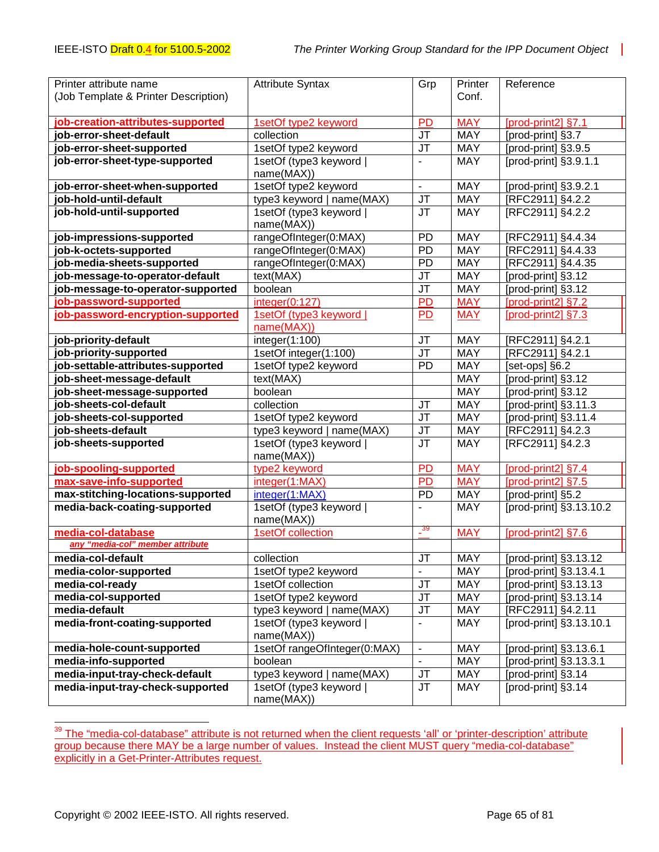| Printer attribute name               | <b>Attribute Syntax</b>               | Grp                               | Printer    | Reference               |
|--------------------------------------|---------------------------------------|-----------------------------------|------------|-------------------------|
| (Job Template & Printer Description) |                                       |                                   | Conf.      |                         |
|                                      |                                       |                                   |            |                         |
| job-creation-attributes-supported    | 1setOf type2 keyword                  | PD                                | <b>MAY</b> | [prod-print2] §7.1      |
| job-error-sheet-default              | collection                            | JT                                | <b>MAY</b> | [prod-print] §3.7       |
| job-error-sheet-supported            | 1setOf type2 keyword                  | JT                                | MAY        | [prod-print] §3.9.5     |
| job-error-sheet-type-supported       | 1setOf (type3 keyword                 | $\overline{\phantom{a}}$          | <b>MAY</b> | [prod-print] §3.9.1.1   |
|                                      | name(MAX))                            |                                   |            |                         |
| job-error-sheet-when-supported       | 1setOf type2 keyword                  | $\blacksquare$                    | <b>MAY</b> | [prod-print] §3.9.2.1   |
| job-hold-until-default               | type3 keyword   name(MAX)             | JT                                | <b>MAY</b> | [RFC2911] §4.2.2        |
| job-hold-until-supported             | 1setOf (type3 keyword                 | <b>JT</b>                         | <b>MAY</b> | [RFC2911] §4.2.2        |
|                                      | name(MAX))                            |                                   |            |                         |
| job-impressions-supported            | rangeOfInteger(0:MAX)                 | PD                                | <b>MAY</b> | [RFC2911] §4.4.34       |
| job-k-octets-supported               | rangeOfInteger(0:MAX)                 | PD                                | <b>MAY</b> | [RFC2911] §4.4.33       |
| job-media-sheets-supported           | rangeOfInteger(0:MAX)                 | PD                                | <b>MAY</b> | [RFC2911] §4.4.35       |
| job-message-to-operator-default      | text(MAX)                             | JT                                | <b>MAY</b> | [prod-print] §3.12      |
| job-message-to-operator-supported    | boolean                               | J <sub>T</sub>                    | <b>MAY</b> | [prod-print] §3.12      |
| job-password-supported               | integer(0:127)                        | <b>PD</b>                         | <b>MAY</b> | [prod-print2] §7.2      |
| job-password-encryption-supported    | 1setOf (type3 keyword                 | P <sub>D</sub>                    | <b>MAY</b> | $[prod-print2]$ §7.3    |
|                                      | name(MAX))                            |                                   |            |                         |
| job-priority-default                 | integer(1:100)                        | <b>JT</b>                         | <b>MAY</b> | [RFC2911] §4.2.1        |
| job-priority-supported               | 1setOf integer(1:100)                 | $\overline{\mathsf{J}\mathsf{T}}$ | <b>MAY</b> | [RFC2911] §4.2.1        |
| job-settable-attributes-supported    | 1setOf type2 keyword                  | PD                                | <b>MAY</b> | [set-ops] §6.2          |
| job-sheet-message-default            | text(MAX)                             |                                   | <b>MAY</b> | [prod-print] §3.12      |
| job-sheet-message-supported          | boolean                               |                                   | <b>MAY</b> | [prod-print] §3.12      |
| job-sheets-col-default               | collection                            | <b>JT</b>                         | <b>MAY</b> | [prod-print] §3.11.3    |
| job-sheets-col-supported             | 1setOf type2 keyword                  | <b>JT</b>                         | <b>MAY</b> | [prod-print] §3.11.4    |
| job-sheets-default                   | type3 keyword   name(MAX)             | <b>JT</b>                         | <b>MAY</b> | [RFC2911] §4.2.3        |
| job-sheets-supported                 | 1setOf (type3 keyword  <br>name(MAX)) | $\overline{\mathsf{J}\mathsf{T}}$ | <b>MAY</b> | [RFC2911] §4.2.3        |
| job-spooling-supported               | type2 keyword                         | <b>PD</b>                         | <b>MAY</b> | [prod-print2] §7.4      |
| max-save-info-supported              | integer(1:MAX)                        | <b>PD</b>                         | <b>MAY</b> | [prod-print2] §7.5      |
| max-stitching-locations-supported    | integer(1:MAX)                        | PD                                | <b>MAY</b> | [prod-print] §5.2       |
| media-back-coating-supported         | 1setOf (type3 keyword  <br>name(MAX)) |                                   | <b>MAY</b> | [prod-print] §3.13.10.2 |
| media-col-database                   | 1setOf collection                     | $\frac{39}{1}$                    | <b>MAY</b> | [prod-print2] §7.6      |
| any "media-col" member attribute     |                                       |                                   |            |                         |
| media-col-default                    | collection                            | $\overline{\mathsf{J}\mathsf{T}}$ | <b>MAY</b> | [prod-print] §3.13.12   |
| media-color-supported                | 1setOf type2 keyword                  |                                   | MAY        | [prod-print] §3.13.4.1  |
| media-col-ready                      | 1setOf collection                     | <b>JT</b>                         | <b>MAY</b> | [prod-print] §3.13.13   |
| media-col-supported                  | 1setOf type2 keyword                  | JT                                | <b>MAY</b> | [prod-print] §3.13.14   |
| media-default                        | type3 keyword   name(MAX)             | JT                                | <b>MAY</b> | [RFC2911] §4.2.11       |
| media-front-coating-supported        | 1setOf (type3 keyword                 | $\blacksquare$                    | <b>MAY</b> | [prod-print] §3.13.10.1 |
|                                      | name(MAX))                            |                                   |            |                         |
| media-hole-count-supported           | 1setOf rangeOfInteger(0:MAX)          | $\Box$                            | <b>MAY</b> | [prod-print] §3.13.6.1  |
| media-info-supported                 | boolean                               | $\mathbf{r}$                      | <b>MAY</b> | [prod-print] §3.13.3.1  |
| media-input-tray-check-default       | type3 keyword   name(MAX)             | <b>JT</b>                         | <b>MAY</b> | [prod-print] §3.14      |
| media-input-tray-check-supported     | 1setOf (type3 keyword                 | <b>JT</b>                         | MAY        | [prod-print] §3.14      |
|                                      | name(MAX))                            |                                   |            |                         |

<sup>&</sup>lt;sup>39</sup> The "media-col-database" attribute is not returned when the client requests 'all' or 'printer-description' attribute group because there MAY be a large number of values. Instead the client MUST query "media-col-database" explicitly in a Get-Printer-Attributes request.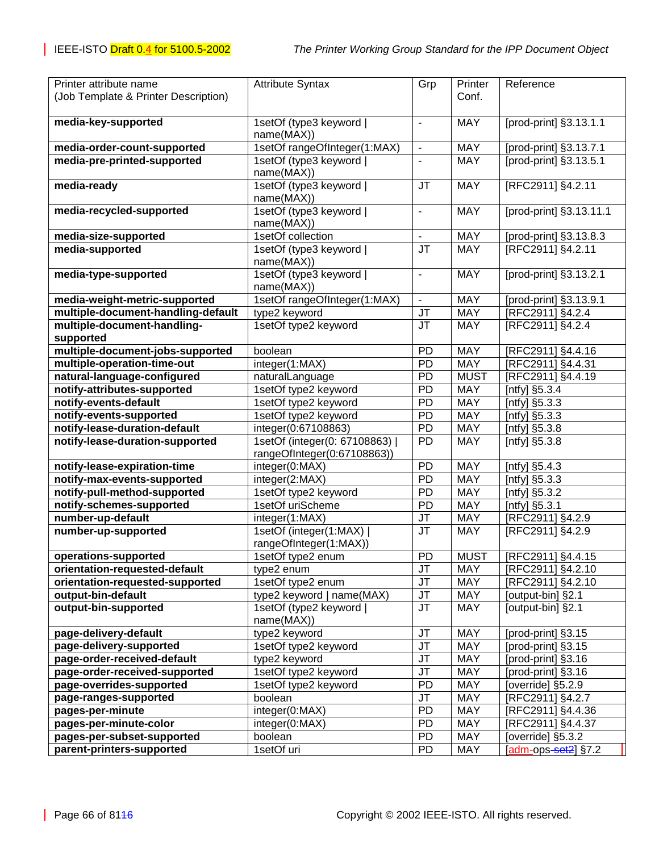| Printer attribute name                                   | <b>Attribute Syntax</b>                     | Grp                          | Printer                  | Reference                      |
|----------------------------------------------------------|---------------------------------------------|------------------------------|--------------------------|--------------------------------|
| (Job Template & Printer Description)                     |                                             |                              | Conf.                    |                                |
|                                                          |                                             |                              |                          |                                |
| media-key-supported                                      | 1setOf (type3 keyword                       | $\blacksquare$               | <b>MAY</b>               | [prod-print] §3.13.1.1         |
|                                                          | name(MAX))                                  |                              |                          |                                |
| media-order-count-supported                              | 1setOf rangeOfInteger(1:MAX)                | $\overline{\phantom{a}}$     | <b>MAY</b>               | [prod-print] §3.13.7.1         |
| media-pre-printed-supported                              | 1setOf (type3 keyword                       | $\overline{\phantom{a}}$     | <b>MAY</b>               | [prod-print] §3.13.5.1         |
| media-ready                                              | name(MAX))<br>1setOf (type3 keyword         | <b>JT</b>                    | <b>MAY</b>               | [RFC2911] §4.2.11              |
|                                                          | name(MAX))                                  |                              |                          |                                |
| media-recycled-supported                                 | 1setOf (type3 keyword                       | $\qquad \qquad \blacksquare$ | <b>MAY</b>               | [prod-print] §3.13.11.1        |
|                                                          | name(MAX))                                  |                              |                          |                                |
| media-size-supported                                     | 1setOf collection                           | $\overline{a}$               | <b>MAY</b>               | [prod-print] §3.13.8.3         |
| media-supported                                          | 1setOf (type3 keyword                       | JT                           | <b>MAY</b>               | [RFC2911] §4.2.11              |
|                                                          | name(MAX))                                  |                              |                          |                                |
| media-type-supported                                     | 1setOf (type3 keyword                       | $\blacksquare$               | <b>MAY</b>               | [prod-print] §3.13.2.1         |
|                                                          | name(MAX))                                  |                              |                          |                                |
| media-weight-metric-supported                            | 1setOf rangeOfInteger(1:MAX)                | ÷.                           | <b>MAY</b>               | [prod-print] §3.13.9.1         |
| multiple-document-handling-default                       | type2 keyword                               | JT                           | <b>MAY</b>               | [RFC2911] §4.2.4               |
| multiple-document-handling-                              | 1setOf type2 keyword                        | JT                           | <b>MAY</b>               | [RFC2911] §4.2.4               |
| supported                                                |                                             |                              |                          |                                |
| multiple-document-jobs-supported                         | boolean                                     | PD                           | <b>MAY</b>               | [RFC2911] §4.4.16              |
| multiple-operation-time-out                              | integer(1:MAX)                              | PD                           | <b>MAY</b>               | [RFC2911] §4.4.31              |
| natural-language-configured                              | naturalLanguage                             | <b>PD</b>                    | <b>MUST</b>              | [RFC2911] §4.4.19              |
| notify-attributes-supported                              | 1setOf type2 keyword                        | PD                           | <b>MAY</b>               | [ntfy] §5.3.4                  |
| notify-events-default                                    | 1setOf type2 keyword                        | PD                           | <b>MAY</b>               | [ntfy] §5.3.3                  |
| notify-events-supported<br>notify-lease-duration-default | 1setOf type2 keyword<br>integer(0:67108863) | <b>PD</b><br>PD              | <b>MAY</b><br><b>MAY</b> | [ntfy] §5.3.3                  |
| notify-lease-duration-supported                          | 1setOf (integer(0: 67108863)                | PD                           | <b>MAY</b>               | [ntfy] §5.3.8<br>[ntfy] §5.3.8 |
|                                                          | rangeOfInteger(0:67108863))                 |                              |                          |                                |
| notify-lease-expiration-time                             | integer(0:MAX)                              | PD                           | MAY                      | [ntfy] $§5.4.3$                |
| notify-max-events-supported                              | integer(2:MAX)                              | PD                           | <b>MAY</b>               | [ntfy] §5.3.3                  |
| notify-pull-method-supported                             | 1setOf type2 keyword                        | <b>PD</b>                    | MAY                      | [ntfy] §5.3.2                  |
| notify-schemes-supported                                 | 1setOf uriScheme                            | <b>PD</b>                    | MAY                      | [ntfy] §5.3.1                  |
| number-up-default                                        | integer(1:MAX)                              | JT                           | MAY                      | [RFC2911] §4.2.9               |
| number-up-supported                                      | 1setOf (integer(1:MAX)                      | JT                           | <b>MAY</b>               | [RFC2911] §4.2.9               |
|                                                          | rangeOfInteger(1:MAX))                      |                              |                          |                                |
| operations-supported                                     | 1setOf type2 enum                           | PD                           | <b>MUST</b>              | [RFC2911] §4.4.15              |
| orientation-requested-default                            | type2 enum                                  | JT                           | <b>MAY</b>               | [RFC2911] §4.2.10              |
| orientation-requested-supported                          | 1setOf type2 enum                           | JT                           | <b>MAY</b>               | [RFC2911] §4.2.10              |
| output-bin-default                                       | type2 keyword   name(MAX)                   | JT                           | <b>MAY</b>               | [output-bin] §2.1              |
| output-bin-supported                                     | 1setOf (type2 keyword  <br>name(MAX))       | JT                           | <b>MAY</b>               | [output-bin] §2.1              |
| page-delivery-default                                    | type2 keyword                               | JT                           | <b>MAY</b>               | [prod-print] §3.15             |
| page-delivery-supported                                  | 1setOf type2 keyword                        | JT                           | <b>MAY</b>               | [prod-print] §3.15             |
| page-order-received-default                              | type2 keyword                               | JT                           | <b>MAY</b>               | [prod-print] §3.16             |
| page-order-received-supported                            | 1setOf type2 keyword                        | JT                           | <b>MAY</b>               | [prod-print] §3.16             |
| page-overrides-supported                                 | 1setOf type2 keyword                        | <b>PD</b>                    | <b>MAY</b>               | [override] §5.2.9              |
| page-ranges-supported                                    | boolean                                     | JT                           | <b>MAY</b>               | [RFC2911] §4.2.7               |
| pages-per-minute                                         | integer(0:MAX)                              | <b>PD</b>                    | <b>MAY</b>               | [RFC2911] §4.4.36              |
| pages-per-minute-color                                   | integer(0:MAX)                              | <b>PD</b>                    | <b>MAY</b>               | [RFC2911] §4.4.37              |
| pages-per-subset-supported                               | boolean                                     | <b>PD</b>                    | <b>MAY</b>               | [override] §5.3.2              |
| parent-printers-supported                                | 1setOf uri                                  | PD                           | <b>MAY</b>               | [adm-ops-set2] §7.2            |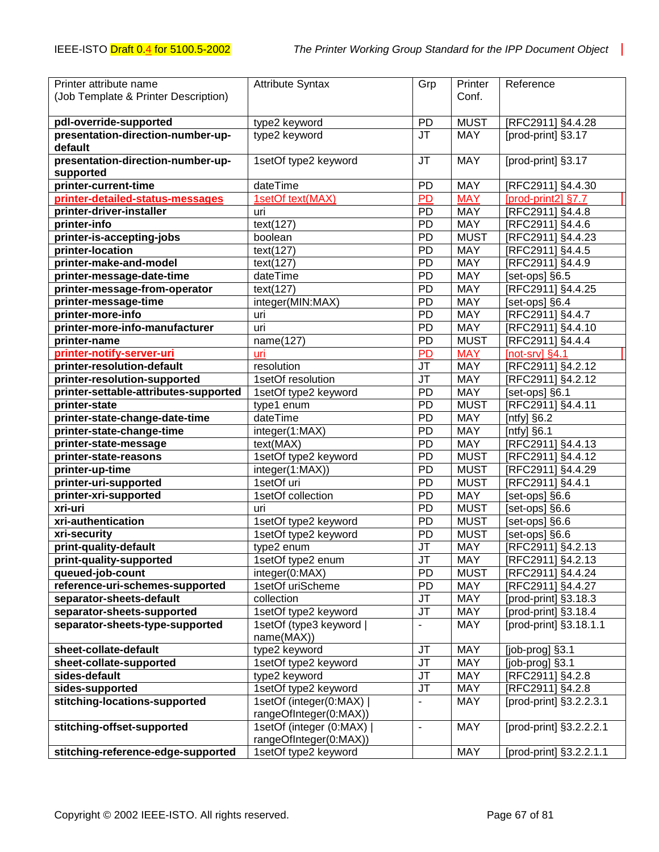| Printer attribute name                | <b>Attribute Syntax</b>               | Grp                               | Printer     | Reference               |
|---------------------------------------|---------------------------------------|-----------------------------------|-------------|-------------------------|
| (Job Template & Printer Description)  |                                       |                                   | Conf.       |                         |
|                                       |                                       |                                   |             |                         |
| pdl-override-supported                | type2 keyword                         | <b>PD</b>                         | <b>MUST</b> | [RFC2911] §4.4.28       |
| presentation-direction-number-up-     | type2 keyword                         | <b>JT</b>                         | <b>MAY</b>  | [prod-print] §3.17      |
| default                               |                                       |                                   |             |                         |
| presentation-direction-number-up-     | 1setOf type2 keyword                  | <b>JT</b>                         | <b>MAY</b>  | [prod-print] §3.17      |
| supported                             |                                       |                                   |             |                         |
| printer-current-time                  | dateTime                              | PD                                | <b>MAY</b>  | [RFC2911] §4.4.30       |
| printer-detailed-status-messages      | 1setOf text(MAX)                      | PD                                | <b>MAY</b>  | [prod-print2] §7.7      |
| printer-driver-installer              | uri                                   | PD                                | MAY         | [RFC2911] §4.4.8        |
| printer-info                          | text(127)                             | PD                                | MAY         | [RFC2911] §4.4.6        |
| printer-is-accepting-jobs             | boolean                               | PD                                | <b>MUST</b> | [RFC2911] §4.4.23       |
| printer-location                      | text(127)                             | PD                                | MAY         | [RFC2911] §4.4.5        |
| printer-make-and-model                | text(127)                             | PD                                | MAY         | [RFC2911] §4.4.9        |
| printer-message-date-time             | dateTime                              | PD                                | MAY         | [set-ops] §6.5          |
| printer-message-from-operator         | text(127)                             | PD                                | MAY         | [RFC2911] §4.4.25       |
| printer-message-time                  | integer(MIN:MAX)                      | PD                                | MAY         | [set-ops] §6.4          |
| printer-more-info                     | uri                                   | PD                                | MAY         | [RFC2911] §4.4.7        |
| printer-more-info-manufacturer        | uri                                   | PD                                | MAY         | [RFC2911] §4.4.10       |
| printer-name                          | name(127)                             | PD                                | <b>MUST</b> | [RFC2911] §4.4.4        |
| printer-notify-server-uri             | uri                                   | <b>PD</b>                         | <b>MAY</b>  | [ $not$ - $sv$ ] §4.1   |
| printer-resolution-default            | resolution                            | JT                                | MAY         | [RFC2911] §4.2.12       |
| printer-resolution-supported          | 1setOf resolution                     | <b>JT</b>                         | MAY         | [RFC2911] §4.2.12       |
| printer-settable-attributes-supported | 1setOf type2 keyword                  | PD                                | MAY         | [set-ops] §6.1          |
| printer-state                         | type1 enum                            | PD                                | <b>MUST</b> | [RFC2911] §4.4.11       |
| printer-state-change-date-time        | dateTime                              | PD                                | MAY         | [ntfy] $§6.2$           |
| printer-state-change-time             | integer(1:MAX)                        | PD                                | MAY         | [ $n$ tfy] $§6.1$       |
| printer-state-message                 | text(MAX)                             | PD                                | MAY         | [RFC2911] §4.4.13       |
| printer-state-reasons                 | 1setOf type2 keyword                  | PD                                | <b>MUST</b> | [RFC2911] §4.4.12       |
| printer-up-time                       | integer(1:MAX))                       | PD                                | <b>MUST</b> | [RFC2911] §4.4.29       |
| printer-uri-supported                 | 1setOf uri                            | PD                                | <b>MUST</b> | [RFC2911] §4.4.1        |
| printer-xri-supported                 | 1setOf collection                     | PD                                | MAY         | [set-ops] §6.6          |
| xri-uri                               | uri                                   | PD                                | <b>MUST</b> | [set-ops] §6.6          |
| xri-authentication                    | 1setOf type2 keyword                  | PD                                | <b>MUST</b> | [set-ops] §6.6          |
| xri-security                          | 1setOf type2 keyword                  | PD                                | <b>MUST</b> | [set-ops] §6.6          |
| print-quality-default                 | type2 enum                            | JT                                | MAY         | [RFC2911] §4.2.13       |
| print-quality-supported               | 1setOf type2 enum                     | $\overline{\mathsf{J}\mathsf{T}}$ | <b>MAY</b>  | [RFC2911] §4.2.13       |
| queued-job-count                      | integer(0:MAX)                        | PD                                | <b>MUST</b> | [RFC2911] §4.4.24       |
| reference-uri-schemes-supported       | 1setOf uriScheme                      | PD                                | MAY         | [RFC2911] §4.4.27       |
| separator-sheets-default              | collection                            | JT                                | MAY         | [prod-print] §3.18.3    |
| separator-sheets-supported            | 1setOf type2 keyword                  | JT                                | MAY         | [prod-print] §3.18.4    |
| separator-sheets-type-supported       | 1setOf (type3 keyword  <br>name(MAX)) | $\blacksquare$                    | <b>MAY</b>  | [prod-print] §3.18.1.1  |
| sheet-collate-default                 | type2 keyword                         | JT                                | <b>MAY</b>  | [job-prog] §3.1         |
| sheet-collate-supported               | 1setOf type2 keyword                  | <b>JT</b>                         | <b>MAY</b>  | [job-prog] §3.1         |
| sides-default                         | type2 keyword                         | JT                                | <b>MAY</b>  | [RFC2911] §4.2.8        |
| sides-supported                       | 1setOf type2 keyword                  | JT                                | <b>MAY</b>  | [RFC2911] §4.2.8        |
| stitching-locations-supported         | 1setOf (integer(0:MAX)                | $\blacksquare$                    | <b>MAY</b>  | [prod-print] §3.2.2.3.1 |
|                                       | rangeOfInteger(0:MAX))                |                                   |             |                         |
| stitching-offset-supported            | 1setOf (integer (0:MAX)               | $\blacksquare$                    | <b>MAY</b>  | [prod-print] §3.2.2.2.1 |
|                                       | rangeOfInteger(0:MAX))                |                                   |             |                         |
| stitching-reference-edge-supported    | 1setOf type2 keyword                  |                                   | <b>MAY</b>  | [prod-print] §3.2.2.1.1 |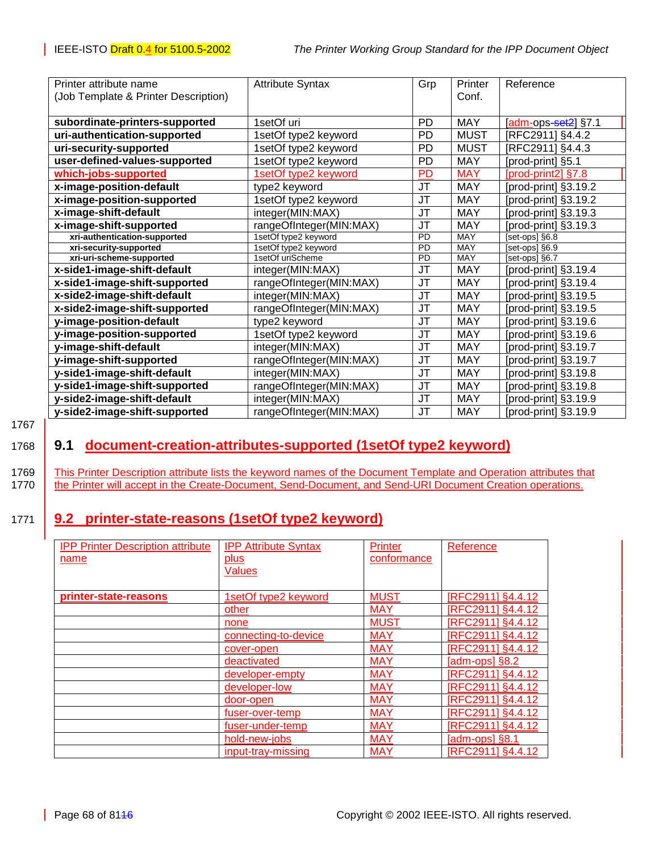<span id="page-67-0"></span>

| Printer attribute name               | <b>Attribute Syntax</b> | Grp       | Printer     | Reference             |
|--------------------------------------|-------------------------|-----------|-------------|-----------------------|
| (Job Template & Printer Description) |                         |           | Conf.       |                       |
|                                      |                         |           |             |                       |
| subordinate-printers-supported       | 1setOf uri              | <b>PD</b> | <b>MAY</b>  | $[adm-ops-set2]$ §7.1 |
| uri-authentication-supported         | 1setOf type2 keyword    | <b>PD</b> | <b>MUST</b> | [RFC2911] §4.4.2      |
| uri-security-supported               | 1setOf type2 keyword    | <b>PD</b> | <b>MUST</b> | [RFC2911] §4.4.3      |
| user-defined-values-supported        | 1setOf type2 keyword    | <b>PD</b> | <b>MAY</b>  | [prod-print] §5.1     |
| which-jobs-supported                 | 1setOf type2 keyword    | <b>PD</b> | <b>MAY</b>  | [prod-print2] §7.8    |
| x-image-position-default             | type2 keyword           | <b>JT</b> | <b>MAY</b>  | [prod-print] §3.19.2  |
| x-image-position-supported           | 1setOf type2 keyword    | JT        | <b>MAY</b>  | [prod-print] §3.19.2  |
| x-image-shift-default                | integer(MIN:MAX)        | JT        | <b>MAY</b>  | [prod-print] §3.19.3  |
| x-image-shift-supported              | rangeOfInteger(MIN:MAX) | JT        | <b>MAY</b>  | [prod-print] §3.19.3  |
| xri-authentication-supported         | 1setOf type2 keyword    | PD        | MAY         | [set-ops] §6.8        |
| xri-security-supported               | 1setOf type2 keyword    | <b>PD</b> | <b>MAY</b>  | [set-ops] §6.9        |
| xri-uri-scheme-supported             | 1setOf uriScheme        | <b>PD</b> | <b>MAY</b>  | [set-ops] §6.7        |
| x-side1-image-shift-default          | integer(MIN:MAX)        | JT        | <b>MAY</b>  | [prod-print] §3.19.4  |
| x-side1-image-shift-supported        | rangeOfInteger(MIN:MAX) | JT        | <b>MAY</b>  | [prod-print] §3.19.4  |
| x-side2-image-shift-default          | integer(MIN:MAX)        | JT        | <b>MAY</b>  | [prod-print] §3.19.5  |
| x-side2-image-shift-supported        | rangeOfInteger(MIN:MAX) | JT        | <b>MAY</b>  | [prod-print] §3.19.5  |
| y-image-position-default             | type2 keyword           | <b>JT</b> | <b>MAY</b>  | [prod-print] §3.19.6  |
| y-image-position-supported           | 1setOf type2 keyword    | <b>JT</b> | <b>MAY</b>  | [prod-print] §3.19.6  |
| y-image-shift-default                | integer(MIN:MAX)        | <b>JT</b> | <b>MAY</b>  | [prod-print] §3.19.7  |
| y-image-shift-supported              | rangeOfInteger(MIN:MAX) | JT        | <b>MAY</b>  | [prod-print] §3.19.7  |
| y-side1-image-shift-default          | integer(MIN:MAX)        | JT        | <b>MAY</b>  | [prod-print] §3.19.8  |
| y-side1-image-shift-supported        | rangeOfInteger(MIN:MAX) | <b>JT</b> | <b>MAY</b>  | [prod-print] §3.19.8  |
| y-side2-image-shift-default          | integer(MIN:MAX)        | <b>JT</b> | <b>MAY</b>  | [prod-print] §3.19.9  |
| y-side2-image-shift-supported        | rangeOfInteger(MIN:MAX) | JT        | <b>MAY</b>  | [prod-print] §3.19.9  |

1767

# 1768 **9.1 document-creation-attributes-supported (1setOf type2 keyword)**

1769 | This Printer Description attribute lists the keyword names of the Document Template and Operation attributes that 1770 **the Printer will accept in the Create-Document, Send-Document, and Send-URI Document Creation operations.** 

# 1771 **9.2 printer-state-reasons (1setOf type2 keyword)**

| <b>IPP Printer Description attribute</b> | <b>IPP Attribute Syntax</b> | Printer     | Reference         |
|------------------------------------------|-----------------------------|-------------|-------------------|
| name                                     | plus                        | conformance |                   |
|                                          | <b>Values</b>               |             |                   |
|                                          |                             |             |                   |
| printer-state-reasons                    | <u>1setOf type2 keyword</u> | <b>MUST</b> | [RFC2911] §4.4.12 |
|                                          | other                       | <b>MAY</b>  | [RFC2911] §4.4.12 |
|                                          | none                        | <b>MUST</b> | [RFC2911] §4.4.12 |
|                                          | connecting-to-device        | <b>MAY</b>  | [RFC2911] §4.4.12 |
|                                          | cover-open                  | <b>MAY</b>  | [RFC2911] §4.4.12 |
|                                          | <u>deactivated</u>          | <b>MAY</b>  | S8.2 [adm-ops]    |
|                                          | developer-empty             | <b>MAY</b>  | [RFC2911] §4.4.12 |
|                                          | developer-low               | <b>MAY</b>  | [RFC2911] §4.4.12 |
|                                          | door-open                   | <b>MAY</b>  | [RFC2911] §4.4.12 |
|                                          | fuser-over-temp             | <b>MAY</b>  | [RFC2911] §4.4.12 |
|                                          | fuser-under-temp            | <b>MAY</b>  | [RFC2911] §4.4.12 |
|                                          | hold-new-jobs               | <b>MAY</b>  | [adm-ops] §8.1    |
|                                          | input-tray-missing          | <b>MAY</b>  | [RFC2911] §4.4.12 |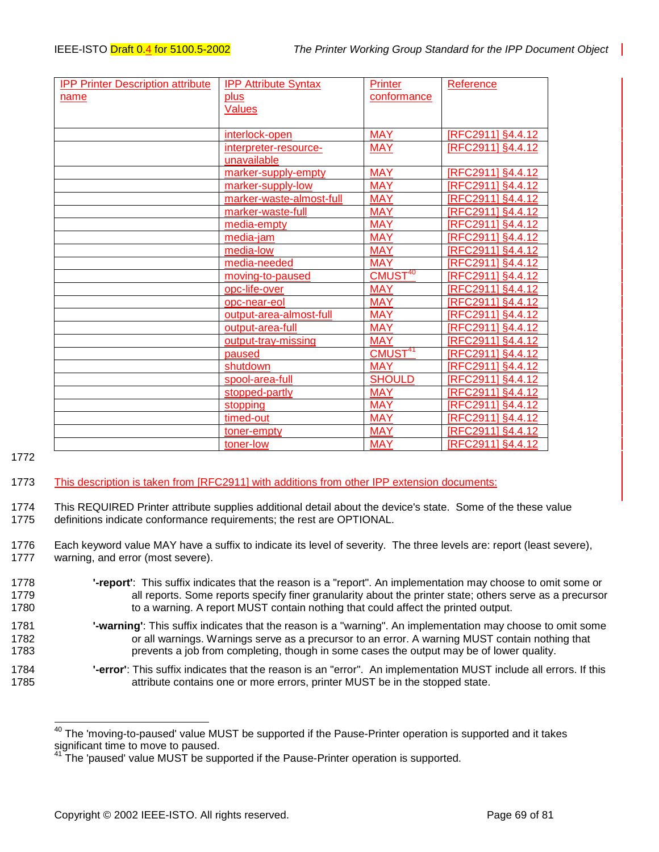| <b>IPP Printer Description attribute</b> | <b>IPP Attribute Syntax</b> | <b>Printer</b>      | Reference         |
|------------------------------------------|-----------------------------|---------------------|-------------------|
| name                                     | <b>plus</b>                 | conformance         |                   |
|                                          | Values                      |                     |                   |
|                                          |                             |                     |                   |
|                                          | interlock-open              | <b>MAY</b>          | [RFC2911] §4.4.12 |
|                                          | interpreter-resource-       | <b>MAY</b>          | [RFC2911] §4.4.12 |
|                                          | unavailable                 |                     |                   |
|                                          | marker-supply-empty         | <b>MAY</b>          | [RFC2911] §4.4.12 |
|                                          | marker-supply-low           | <b>MAY</b>          | [RFC2911] §4.4.12 |
|                                          | marker-waste-almost-full    | <b>MAY</b>          | [RFC2911] §4.4.12 |
|                                          | marker-waste-full           | <b>MAY</b>          | [RFC2911] §4.4.12 |
|                                          | media-empty                 | <b>MAY</b>          | [RFC2911] §4.4.12 |
|                                          | media-jam                   | <b>MAY</b>          | [RFC2911] §4.4.12 |
|                                          | media-low                   | <b>MAY</b>          | [RFC2911] §4.4.12 |
|                                          | media-needed                | <b>MAY</b>          | [RFC2911] §4.4.12 |
|                                          | moving-to-paused            | CMUST <sup>40</sup> | [RFC2911] §4.4.12 |
|                                          | opc-life-over               | <b>MAY</b>          | [RFC2911] §4.4.12 |
|                                          | opc-near-eol                | <b>MAY</b>          | [RFC2911] §4.4.12 |
|                                          | output-area-almost-full     | <b>MAY</b>          | [RFC2911] §4.4.12 |
|                                          | output-area-full            | <b>MAY</b>          | [RFC2911] §4.4.12 |
|                                          | output-tray-missing         | <b>MAY</b>          | [RFC2911] §4.4.12 |
|                                          | paused                      | CMUST <sup>41</sup> | [RFC2911] §4.4.12 |
|                                          | shutdown                    | <b>MAY</b>          | [RFC2911] §4.4.12 |
|                                          | spool-area-full             | <b>SHOULD</b>       | [RFC2911] §4.4.12 |
|                                          | stopped-partly              | <b>MAY</b>          | [RFC2911] §4.4.12 |
|                                          | stopping                    | <b>MAY</b>          | [RFC2911] §4.4.12 |
|                                          | timed-out                   | <b>MAY</b>          | [RFC2911] §4.4.12 |
|                                          | toner-empty                 | <b>MAY</b>          | [RFC2911] §4.4.12 |
|                                          | toner-low                   | <b>MAY</b>          | [RFC2911] §4.4.12 |

1772

l

### 1773 This description is taken from [RFC2911] with additions from other IPP extension documents:

1774 This REQUIRED Printer attribute supplies additional detail about the device's state. Some of the these value 1775 definitions indicate conformance requirements; the rest are OPTIONAL.

1776 Each keyword value MAY have a suffix to indicate its level of severity. The three levels are: report (least severe), 1777 warning, and error (most severe).

- 1778 **'-report'**: This suffix indicates that the reason is a "report". An implementation may choose to omit some or 1779 all reports. Some reports specify finer granularity about the printer state; others serve as a precursor 1780 to a warning. A report MUST contain nothing that could affect the printed output.
- 1781 **'-warning'**: This suffix indicates that the reason is a "warning". An implementation may choose to omit some 1782 **1782** or all warnings. Warnings serve as a precursor to an error. A warning MUST contain nothing that 1783 **prevents a job from completing, though in some cases the output may be of lower quality.**
- 1784 **'-error'**: This suffix indicates that the reason is an "error". An implementation MUST include all errors. If this 1785 attribute contains one or more errors, printer MUST be in the stopped state.

 $^{40}$  The 'moving-to-paused' value MUST be supported if the Pause-Printer operation is supported and it takes significant time to move to paused.

<sup>&</sup>lt;sup>41</sup> The 'paused' value MUST be supported if the Pause-Printer operation is supported.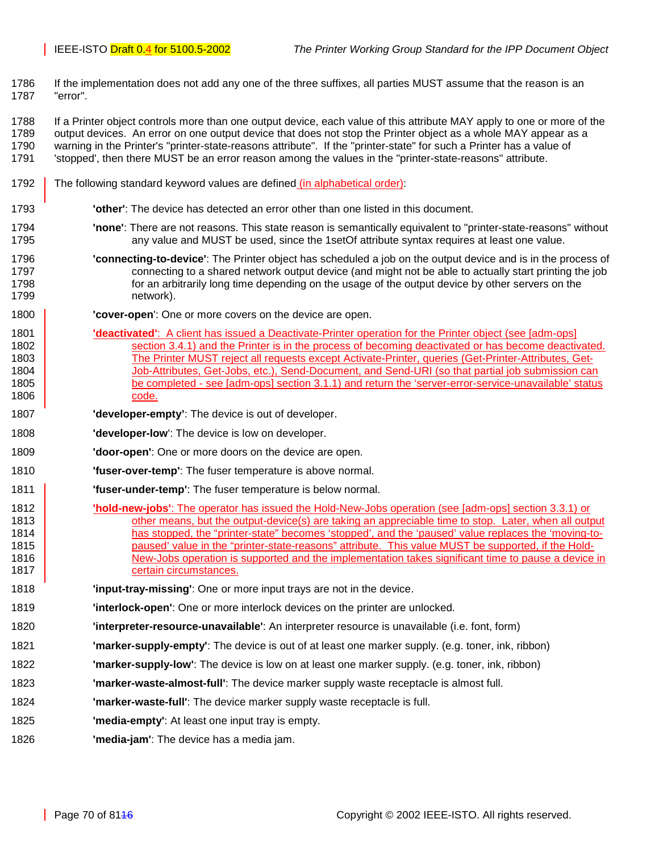1786 If the implementation does not add any one of the three suffixes, all parties MUST assume that the reason is an 1787 "error".

1788 If a Printer object controls more than one output device, each value of this attribute MAY apply to one or more of the 1789 output devices. An error on one output device that does not stop the Printer object as a whole MAY appear as a 1790 warning in the Printer's "printer-state-reasons attribute". If the "printer-state" for such a Printer has a value of 1791 'stopped', then there MUST be an error reason among the values in the "printer-state-reasons" attribute.

- 1792 The following standard keyword values are defined *(in alphabetical order)*:
- 1793 **'other'**: The device has detected an error other than one listed in this document.
- 1794 **'none'**: There are not reasons. This state reason is semantically equivalent to "printer-state-reasons" without 1795 any value and MUST be used, since the 1setOf attribute syntax requires at least one value.
- 1796 **'connecting-to-device'**: The Printer object has scheduled a job on the output device and is in the process of 1797 connecting to a shared network output device (and might not be able to actually start printing the job 1798 for an arbitrarily long time depending on the usage of the output device by other servers on the 1799 network).
- 1800 **'cover-open**': One or more covers on the device are open.
- 1801 **'deactivated'**: A client has issued a Deactivate-Printer operation for the Printer object (see [adm-ops] 1802 **Section 3.4.1)** and the Printer is in the process of becoming deactivated or has become deactivated. 1803 The Printer MUST reject all requests except Activate-Printer, queries (Get-Printer-Attributes, Get-1804 Job-Attributes, Get-Jobs, etc.), Send-Document, and Send-URI (so that partial job submission can 1805 be completed - see [adm-ops] section 3.1.1) and return the 'server-error-service-unavailable' status 1806 code.
- 1807 **'developer-empty'**: The device is out of developer.
- 1808 **'developer-low**': The device is low on developer.
- 1809 **'door-open'**: One or more doors on the device are open.
- 1810 **'fuser-over-temp'**: The fuser temperature is above normal.
- 1811 **'fuser-under-temp'**: The fuser temperature is below normal.
- 1812 **'hold-new-jobs'**: The operator has issued the Hold-New-Jobs operation (see [adm-ops] section 3.3.1) or 1813 **other means, but the output-device(s) are taking an appreciable time to stop. Later, when all output** 1814 **has stopped, the "printer-state" becomes 'stopped', and the 'paused' value replaces the 'moving-to-**1815 | paused' value in the "printer-state-reasons" attribute. This value MUST be supported, if the Hold-1816 **New-Jobs operation is supported and the implementation takes significant time to pause a device in** 1817 | certain circumstances.
- 1818 **'input-tray-missing'**: One or more input trays are not in the device.
- 1819 **'interlock-open'**: One or more interlock devices on the printer are unlocked.
- 1820 **'interpreter-resource-unavailable'**: An interpreter resource is unavailable (i.e. font, form)
- 1821 **'marker-supply-empty'**: The device is out of at least one marker supply. (e.g. toner, ink, ribbon)
- 1822 **'marker-supply-low'**: The device is low on at least one marker supply. (e.g. toner, ink, ribbon)
- 1823 **'marker-waste-almost-full'**: The device marker supply waste receptacle is almost full.
- 1824 **'marker-waste-full'**: The device marker supply waste receptacle is full.
- 1825 **'media-empty'**: At least one input tray is empty.
- 1826 **'media-jam'**: The device has a media jam.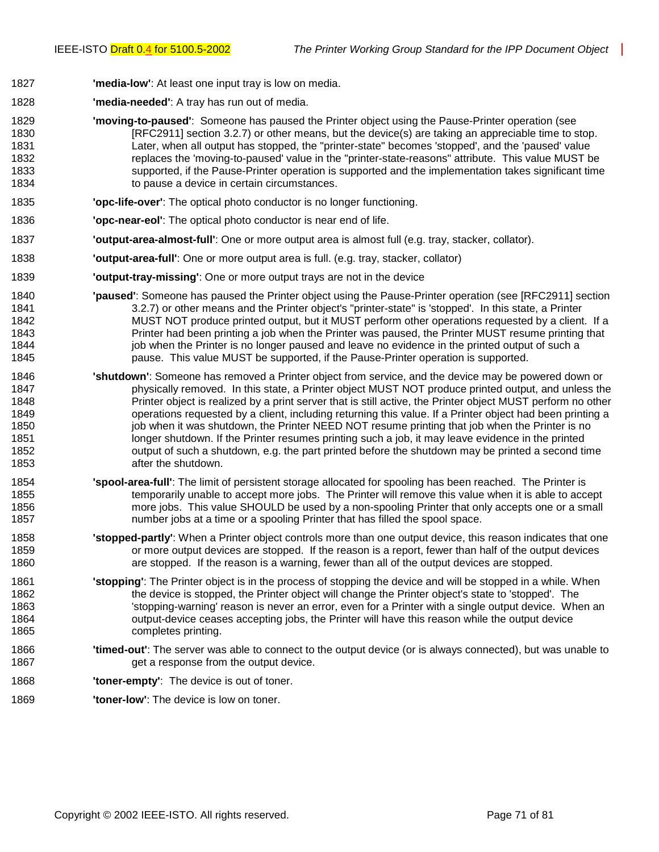- 1827 **'media-low'**: At least one input tray is low on media.
- 1828 **'media-needed'**: A tray has run out of media.
- 1829 **'moving-to-paused'**: Someone has paused the Printer object using the Pause-Printer operation (see 1830 [RFC2911] section 3.2.7) or other means, but the device(s) are taking an appreciable time to stop. 1831 Later, when all output has stopped, the "printer-state" becomes 'stopped', and the 'paused' value 1832 replaces the 'moving-to-paused' value in the "printer-state-reasons" attribute. This value MUST be 1833 supported, if the Pause-Printer operation is supported and the implementation takes significant time 1834 to pause a device in certain circumstances.
- 1835 **'opc-life-over'**: The optical photo conductor is no longer functioning.
- 1836 **'opc-near-eol'**: The optical photo conductor is near end of life.
- 1837 **'output-area-almost-full'**: One or more output area is almost full (e.g. tray, stacker, collator).
- 1838 **'output-area-full'**: One or more output area is full. (e.g. tray, stacker, collator)
- 1839 **'output-tray-missing'**: One or more output trays are not in the device
- 1840 **'paused'**: Someone has paused the Printer object using the Pause-Printer operation (see [RFC2911] section 1841 3.2.7) or other means and the Printer object's "printer-state" is 'stopped'. In this state, a Printer 1842 MUST NOT produce printed output, but it MUST perform other operations requested by a client. If a 1843 Printer had been printing a job when the Printer was paused, the Printer MUST resume printing that 1844 job when the Printer is no longer paused and leave no evidence in the printed output of such a 1845 pause. This value MUST be supported, if the Pause-Printer operation is supported.
- 1846 **'shutdown'**: Someone has removed a Printer object from service, and the device may be powered down or 1847 physically removed. In this state, a Printer object MUST NOT produce printed output, and unless the 1848 Printer object is realized by a print server that is still active, the Printer object MUST perform no other 1849 operations requested by a client, including returning this value. If a Printer object had been printing a 1850 job when it was shutdown, the Printer NEED NOT resume printing that job when the Printer is no 1851 longer shutdown. If the Printer resumes printing such a job, it may leave evidence in the printed 1852 output of such a shutdown, e.g. the part printed before the shutdown may be printed a second time 1853 after the shutdown.
- 1854 **'spool-area-full'**: The limit of persistent storage allocated for spooling has been reached. The Printer is 1855 temporarily unable to accept more jobs. The Printer will remove this value when it is able to accept 1856 more jobs. This value SHOULD be used by a non-spooling Printer that only accepts one or a small 1857 number jobs at a time or a spooling Printer that has filled the spool space.
- 1858 **'stopped-partly'**: When a Printer object controls more than one output device, this reason indicates that one 1859 or more output devices are stopped. If the reason is a report, fewer than half of the output devices 1860 are stopped. If the reason is a warning, fewer than all of the output devices are stopped.
- 1861 **'stopping'**: The Printer object is in the process of stopping the device and will be stopped in a while. When 1862 the device is stopped, the Printer object will change the Printer object's state to 'stopped'. The 1863 'stopping-warning' reason is never an error, even for a Printer with a single output device. When an 1864 output-device ceases accepting jobs, the Printer will have this reason while the output device 1865 completes printing.
- 1866 **'timed-out'**: The server was able to connect to the output device (or is always connected), but was unable to 1867 **get a response from the output device.**
- 1868 **'toner-empty'**: The device is out of toner.
- 1869 **'toner-low'**: The device is low on toner.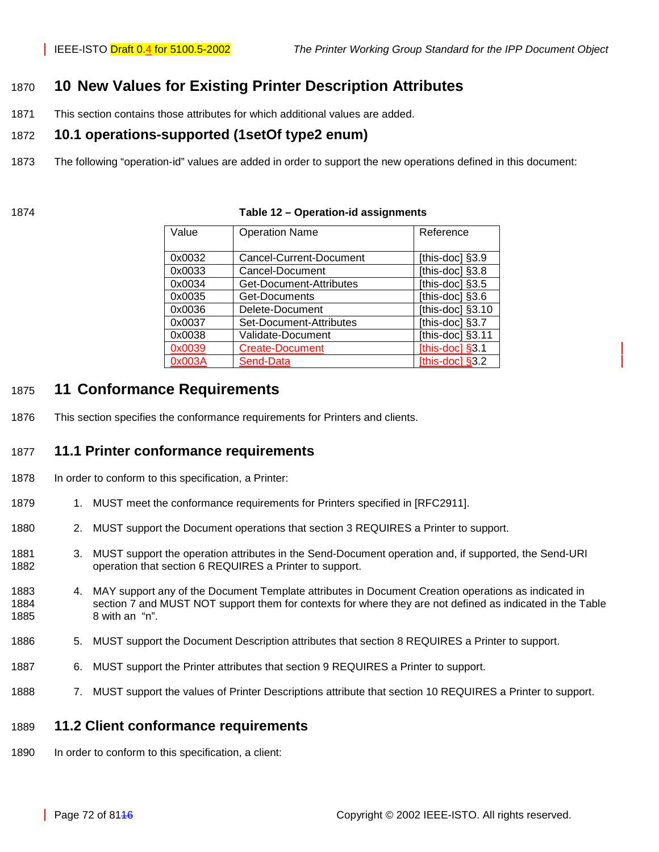# 1870 **10 New Values for Existing Printer Description Attributes**

1871 This section contains those attributes for which additional values are added.

### 1872 **10.1 operations-supported (1setOf type2 enum)**

- 1873 The following "operation-id" values are added in order to support the new operations defined in this document:
- 

| Value  | <b>Operation Name</b>   | Reference          |
|--------|-------------------------|--------------------|
|        |                         |                    |
|        |                         |                    |
| 0x0032 | Cancel-Current-Document | [this-doc] §3.9    |
| 0x0033 | Cancel-Document         | [this-doc] §3.8    |
| 0x0034 | Get-Document-Attributes | [this-doc] §3.5    |
| 0x0035 | Get-Documents           | [this-doc] §3.6    |
| 0x0036 | Delete-Document         | [this-doc] §3.10   |
| 0x0037 | Set-Document-Attributes | [this-doc] §3.7    |
| 0x0038 | Validate-Document       | [this-doc] §3.11   |
| 0x0039 | <b>Create-Document</b>  | [this-doc] $§$ 3.1 |
| 0x003A | Send-Data               | [this-doc] $§3.2$  |

#### 1874 **Table 12 – Operation-id assignments**

# 1875 **11 Conformance Requirements**

1876 This section specifies the conformance requirements for Printers and clients.

## 1877 **11.1 Printer conformance requirements**

- 1878 In order to conform to this specification, a Printer:
- 1879 1. MUST meet the conformance requirements for Printers specified in [RFC2911].
- 1880 2. MUST support the Document operations that section [3](#page-11-0) REQUIRES a Printer to support.
- 1881 3. MUST support the operation attributes in the Send-Document operation and, if supported, the Send-URI 1882 operation that section [6](#page-37-0) REQUIRES a Printer to support.
- 1883 4. MAY support any of the Document Template attributes in Document Creation operations as indicated in 1884 section [7](#page-40-0) and MUST NOT support them for contexts for where they are not defined as indicated in the [Table](#page-48-0)  1885 [8](#page-48-0) with an "n".
- 1886 5. MUST support the Document Description attributes that section [8](#page-48-0) REQUIRES a Printer to support.
- 1887 6. MUST support the Printer attributes that section [9](#page-62-0) REQUIRES a Printer to support.
- 1888 7. MUST support the values of Printer Descriptions attribute that section 10 REQUIRES a Printer to support.

### 1889 **11.2 Client conformance requirements**

1890 In order to conform to this specification, a client: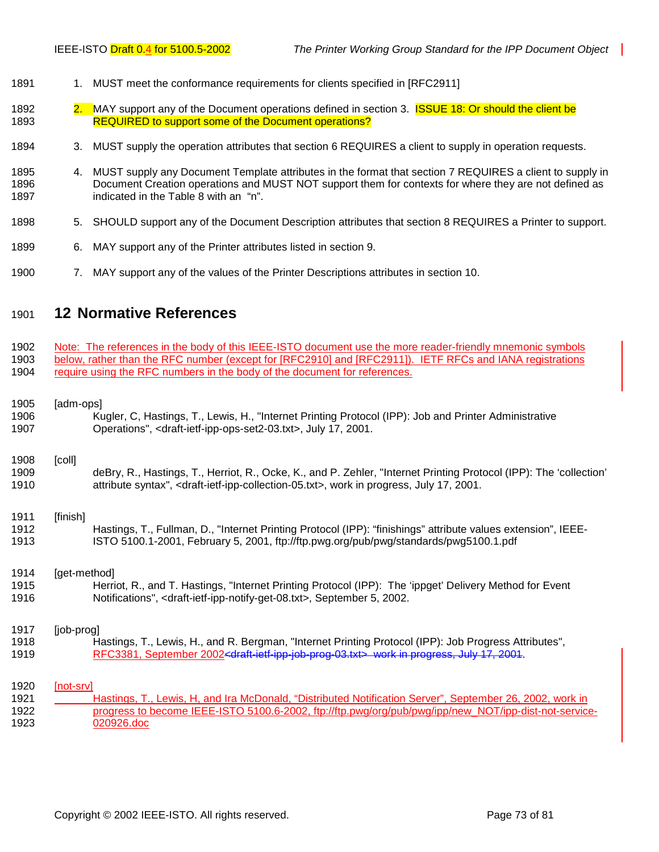- 1891 1. MUST meet the conformance requirements for clients specified in [RFC2911]
- 1892 2. MAY support any of the Document operations defined in section [3.](#page-11-0) **ISSUE 18: Or should the client be** 1893 REQUIRED to support some of the Document operations?
- 1894 3. MUST supply the operation attributes that section [6](#page-37-0) REQUIRES a client to supply in operation requests.
- 1895 4. MUST supply any Document Template attributes in the format that section [7](#page-40-0) REQUIRES a client to supply in 1896 Document Creation operations and MUST NOT support them for contexts for where they are not defined as 1897 indicated in the [Table 8](#page-48-0) with an "n".
- 1898 5. SHOULD support any of the Document Description attributes that section [8](#page-48-0) REQUIRES a Printer to support.
- 1899 6. MAY support any of the Printer attributes listed in section [9.](#page-62-0)
- 1900 7. MAY support any of the values of the Printer Descriptions attributes in section [10.](#page-71-0)

#### 1901 **12 Normative References**

1902 Note: The references in the body of this IEEE-ISTO document use the more reader-friendly mnemonic symbols 1903 below, rather than the RFC number (except for [RFC2910] and [RFC2911]). IETF RFCs and IANA registrations 1904 require using the RFC numbers in the body of the document for references.

- 1905 [adm-ops]
- 1906 Kugler, C, Hastings, T., Lewis, H., "Internet Printing Protocol (IPP): Job and Printer Administrative 1907 Operations", <draft-ietf-ipp-ops-set2-03.txt>, July 17, 2001.

1908 [coll]

1909 deBry, R., Hastings, T., Herriot, R., Ocke, K., and P. Zehler, "Internet Printing Protocol (IPP): The 'collection' 1910 attribute syntax", <draft-ietf-ipp-collection-05.txt>, work in progress, July 17, 2001.

1911 [finish] 1912 Hastings, T., Fullman, D., "Internet Printing Protocol (IPP): "finishings" attribute values extension", IEEE-1913 ISTO 5100.1-2001, February 5, 2001, ftp://ftp.pwg.org/pub/pwg/standards/pwg5100.1.pdf

1914 [get-method] 1915 Herriot, R., and T. Hastings, "Internet Printing Protocol (IPP): The 'ippget' Delivery Method for Event 1916 Notifications", <draft-ietf-ipp-notify-get-08.txt>, September 5, 2002.

#### 1917 [job-prog] 1918 Hastings, T., Lewis, H., and R. Bergman, "Internet Printing Protocol (IPP): Job Progress Attributes", 1919 RFC3381, September 2002<draft-ietf-ipp-job-prog-03.txt> work in progress, July 17, 2001.

1920 [not-srv] 1921 Hastings, T., Lewis, H, and Ira McDonald, "Distributed Notification Server", September 26, 2002, work in 1922 progress to become IEEE-ISTO 5100.6-2002, ftp://ftp.pwg/org/pub/pwg/ipp/new\_NOT/ipp-dist-not-service-1923 020926.doc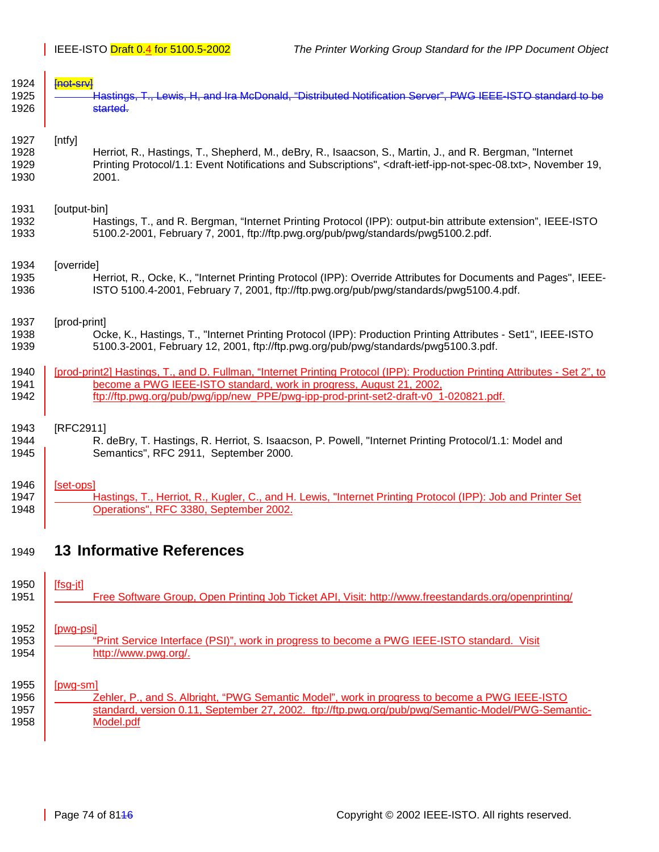| 1924 | <del>Inot-srv</del> l                                                                                                                          |
|------|------------------------------------------------------------------------------------------------------------------------------------------------|
| 1925 | Hastings, T., Lewis, H, and Ira McDonald, "Distributed Notification Server". PWG IEEE-ISTO standard to be                                      |
| 1926 | started.                                                                                                                                       |
| 1927 | [ntfy]                                                                                                                                         |
| 1928 | Herriot, R., Hastings, T., Shepherd, M., deBry, R., Isaacson, S., Martin, J., and R. Bergman, "Internet                                        |
| 1929 | Printing Protocol/1.1: Event Notifications and Subscriptions", <draft-ietf-ipp-not-spec-08.txt>, November 19,</draft-ietf-ipp-not-spec-08.txt> |
| 1930 | 2001.                                                                                                                                          |
| 1931 | [output-bin]                                                                                                                                   |
| 1932 | Hastings, T., and R. Bergman, "Internet Printing Protocol (IPP): output-bin attribute extension", IEEE-ISTO                                    |
| 1933 | 5100.2-2001, February 7, 2001, ftp://ftp.pwg.org/pub/pwg/standards/pwg5100.2.pdf.                                                              |
| 1934 | [override]                                                                                                                                     |
| 1935 | Herriot, R., Ocke, K., "Internet Printing Protocol (IPP): Override Attributes for Documents and Pages", IEEE-                                  |
| 1936 | ISTO 5100.4-2001, February 7, 2001, ftp://ftp.pwg.org/pub/pwg/standards/pwg5100.4.pdf.                                                         |
| 1937 | [prod-print]                                                                                                                                   |
| 1938 | Ocke, K., Hastings, T., "Internet Printing Protocol (IPP): Production Printing Attributes - Set1", IEEE-ISTO                                   |
| 1939 | 5100.3-2001, February 12, 2001, ftp://ftp.pwg.org/pub/pwg/standards/pwg5100.3.pdf.                                                             |
| 1940 | [prod-print2] Hastings, T., and D. Fullman, "Internet Printing Protocol (IPP): Production Printing Attributes - Set 2", to                     |
| 1941 | become a PWG IEEE-ISTO standard, work in progress, August 21, 2002,                                                                            |
| 1942 | ftp://ftp.pwg.org/pub/pwg/ipp/new_PPE/pwg-ipp-prod-print-set2-draft-v0_1-020821.pdf.                                                           |
| 1943 | [RFC2911]                                                                                                                                      |
| 1944 | R. deBry, T. Hastings, R. Herriot, S. Isaacson, P. Powell, "Internet Printing Protocol/1.1: Model and                                          |
| 1945 | Semantics", RFC 2911, September 2000.                                                                                                          |
| 1946 | [set-ops]                                                                                                                                      |
| 1947 | Hastings, T., Herriot, R., Kugler, C., and H. Lewis, "Internet Printing Protocol (IPP): Job and Printer Set                                    |
| 1948 | Operations", RFC 3380, September 2002.                                                                                                         |
| 1949 | <b>13 Informative References</b>                                                                                                               |
| 1950 | $[fsg-it]$                                                                                                                                     |
| 1951 | Free Software Group, Open Printing Job Ticket API, Visit: http://www.freestandards.org/openprinting/                                           |
| 1952 | [pwg-psi]                                                                                                                                      |
| 1953 | "Print Service Interface (PSI)", work in progress to become a PWG IEEE-ISTO standard. Visit                                                    |
| 1954 | http://www.pwg.org/.                                                                                                                           |

### 1955 **[pwg-sm]**

| 1956 | Zehler, P., and S. Albright, "PWG Semantic Model", work in progress to become a PWG IEEE-ISTO      |
|------|----------------------------------------------------------------------------------------------------|
| 1957 | standard, version 0.11, September 27, 2002. ftp://ftp.pwg.org/pub/pwg/Semantic-Model/PWG-Semantic- |
| 1958 | Model.pdf                                                                                          |
|      |                                                                                                    |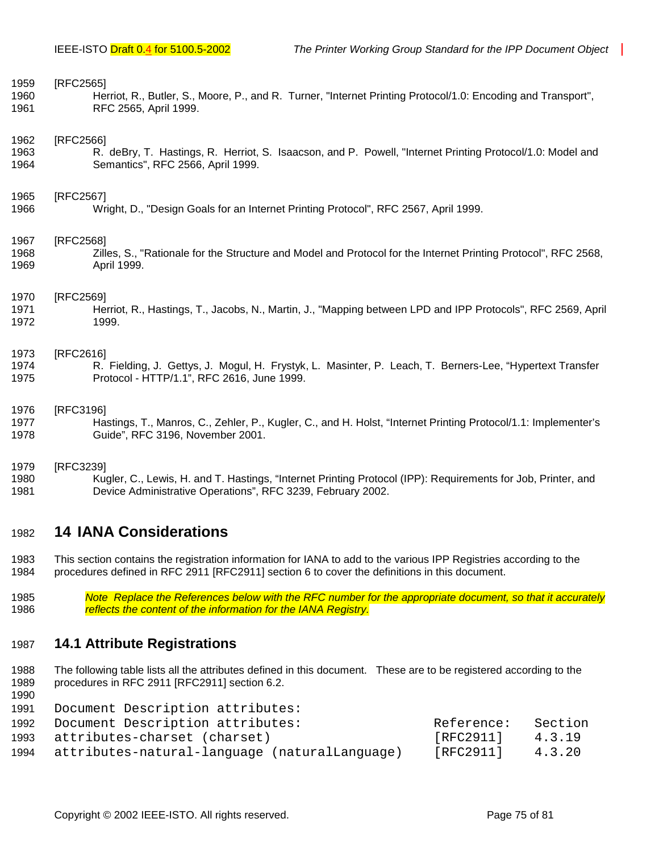<span id="page-74-0"></span>

| 1959 | [RFC2565]                                                                                                      |
|------|----------------------------------------------------------------------------------------------------------------|
| 1960 | Herriot, R., Butler, S., Moore, P., and R. Turner, "Internet Printing Protocol/1.0: Encoding and Transport",   |
| 1961 | RFC 2565, April 1999.                                                                                          |
| 1962 | [RFC2566]                                                                                                      |
| 1963 | R. deBry, T. Hastings, R. Herriot, S. Isaacson, and P. Powell, "Internet Printing Protocol/1.0: Model and      |
| 1964 | Semantics", RFC 2566, April 1999.                                                                              |
| 1965 | [RFC2567]                                                                                                      |
| 1966 | Wright, D., "Design Goals for an Internet Printing Protocol", RFC 2567, April 1999.                            |
| 1967 | [RFC2568]                                                                                                      |
| 1968 | Zilles, S., "Rationale for the Structure and Model and Protocol for the Internet Printing Protocol", RFC 2568, |
| 1969 | April 1999.                                                                                                    |
| 1970 | [RFC2569]                                                                                                      |
| 1971 | Herriot, R., Hastings, T., Jacobs, N., Martin, J., "Mapping between LPD and IPP Protocols", RFC 2569, April    |
| 1972 | 1999.                                                                                                          |
| 1973 | [RFC2616]                                                                                                      |
| 1974 | R. Fielding, J. Gettys, J. Mogul, H. Frystyk, L. Masinter, P. Leach, T. Berners-Lee, "Hypertext Transfer       |
| 1975 | Protocol - HTTP/1.1", RFC 2616, June 1999.                                                                     |
| 1976 | [RFC3196]                                                                                                      |
| 1977 | Hastings, T., Manros, C., Zehler, P., Kugler, C., and H. Holst, "Internet Printing Protocol/1.1: Implementer's |
| 1978 | Guide", RFC 3196, November 2001.                                                                               |
| 1979 | [RFC3239]                                                                                                      |
| 1980 | Kugler, C., Lewis, H. and T. Hastings, "Internet Printing Protocol (IPP): Requirements for Job, Printer, and   |
| 1981 | Device Administrative Operations", RFC 3239, February 2002.                                                    |

### 1982 **14 IANA Considerations**

1983 This section contains the registration information for IANA to add to the various IPP Registries according to the 1984 procedures defined in RFC 2911 [RFC2911] section 6 to cover the definitions in this document.

1985 *Note Replace the References below with the RFC number for the appropriate document, so that it accurately*  reflects the content of the information for the IANA Registry.

#### 1987 **14.1 Attribute Registrations**

1988 The following table lists all the attributes defined in this document. These are to be registered according to the 1989 procedures in RFC 2911 [RFC2911] section 6.2. 1990

| 1991 | Document Description attributes:              |            |         |
|------|-----------------------------------------------|------------|---------|
| 1992 | Document Description attributes:              | Reference: | Section |
| 1993 | attributes-charset (charset)                  | [RFC2911]  | 4.3.19  |
| 1994 | attributes-natural-language (naturalLanguage) | [RFC2911]  | 4.3.20  |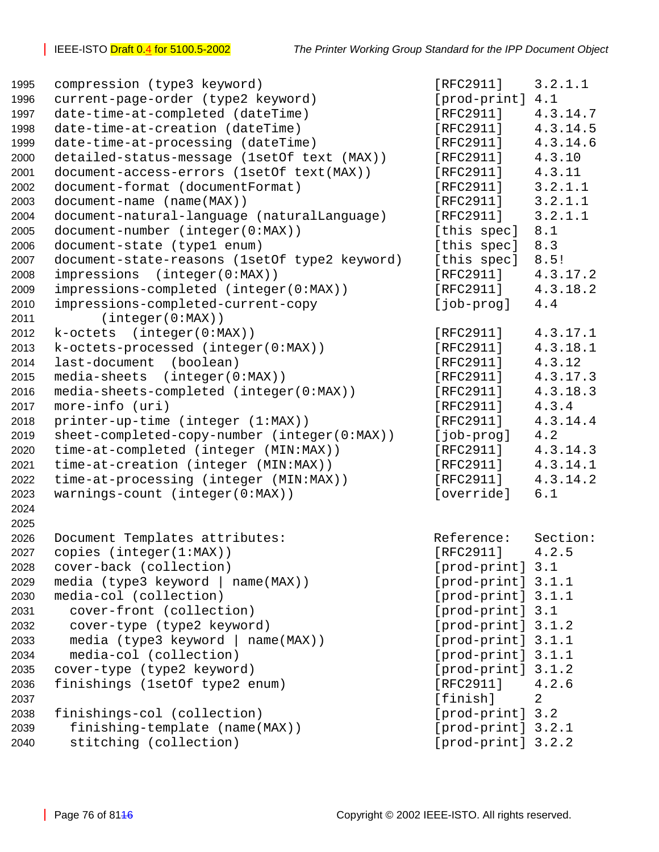| 1995 | compression (type3 keyword)                   | [RFC2911]          | 3.2.1.1  |
|------|-----------------------------------------------|--------------------|----------|
| 1996 | current-page-order (type2 keyword)            | [prod-print] 4.1   |          |
| 1997 | date-time-at-completed (dateTime)             | [RFC2911]          | 4.3.14.7 |
| 1998 | date-time-at-creation (dateTime)              | [RFC2911]          | 4.3.14.5 |
| 1999 | date-time-at-processing (dateTime)            | [RFC2911]          | 4.3.14.6 |
| 2000 | detailed-status-message (1setOf text (MAX))   | [RFC2911]          | 4.3.10   |
| 2001 | document-access-errors (1setOf text(MAX))     | [RFC2911]          | 4.3.11   |
| 2002 | document-format (documentFormat)              | [RFC2911]          | 3.2.1.1  |
| 2003 | document-name (name(MAX))                     | [RFC2911]          | 3.2.1.1  |
| 2004 | document-natural-language (naturalLanguage)   | [RFC2911]          | 3.2.1.1  |
| 2005 | document-number (integer(0:MAX))              | [this spec]        | 8.1      |
| 2006 | document-state (type1 enum)                   | [this spec]        | 8.3      |
| 2007 | document-state-reasons (1setOf type2 keyword) | [this spec]        | 8.5!     |
| 2008 | impressions (integer(0:MAX))                  | [RFC2911]          | 4.3.17.2 |
| 2009 | impressions-completed (integer(0:MAX))        | [RFC2911]          | 4.3.18.2 |
| 2010 | impressions-completed-current-copy            | [job-prog]         | 4.4      |
| 2011 | (integer(0:MAX))                              |                    |          |
| 2012 | $k-octets$ (integer( $0:MAX$ ))               | [RFC2911]          | 4.3.17.1 |
| 2013 | k-octets-processed (integer(0:MAX))           | [RFC2911]          | 4.3.18.1 |
| 2014 | last-document<br>(boolean)                    | [RFC2911]          | 4.3.12   |
| 2015 | $media-sheets$ (integer( $0:MAX$ ))           | [RFC2911]          | 4.3.17.3 |
| 2016 | media-sheets-completed (integer(0:MAX))       | [RTC2911]          | 4.3.18.3 |
| 2017 | more-info (uri)                               | [RFC2911]          | 4.3.4    |
| 2018 | printer-up-time (integer (1:MAX))             | [RFC2911]          | 4.3.14.4 |
| 2019 | sheet-completed-copy-number (integer(0:MAX))  | $[job-prog]$       | 4.2      |
| 2020 | time-at-completed (integer (MIN:MAX))         | [RFC2911]          | 4.3.14.3 |
| 2021 | time-at-creation (integer (MIN:MAX))          | [RFC2911]          | 4.3.14.1 |
| 2022 | time-at-processing (integer (MIN:MAX))        | [RFC2911]          | 4.3.14.2 |
| 2023 | warnings-count (integer(0:MAX))               | [override]         | 6.1      |
| 2024 |                                               |                    |          |
| 2025 |                                               |                    |          |
| 2026 | Document Templates attributes:                | Reference:         | Section: |
| 2027 | copies $(integer(1:MAX))$                     | [RFC2911]          | 4.2.5    |
| 2028 | cover-back (collection)                       | [prod-print] 3.1   |          |
| 2029 | media (type3 keyword   name(MAX))             | [prod-print] 3.1.1 |          |
| 2030 | media-col (collection)                        | [prod-print] 3.1.1 |          |
| 2031 | cover-front (collection)                      | [prod-print] 3.1   |          |
| 2032 | cover-type (type2 keyword)                    | [prod-print] 3.1.2 |          |
| 2033 | media (type3 keyword  <br>name(MAX))          | [prod-print] 3.1.1 |          |
| 2034 | media-col (collection)                        | [prod-print] 3.1.1 |          |
| 2035 | cover-type (type2 keyword)                    | [prod-print] 3.1.2 |          |
| 2036 | finishings (1setOf type2 enum)                | [RFC2911]          | 4.2.6    |
| 2037 |                                               | [finish]           | 2        |
| 2038 | finishings-col (collection)                   | [prod-print] 3.2   |          |
| 2039 | finishing-template (name(MAX))                | [prod-print] 3.2.1 |          |
| 2040 | stitching (collection)                        | [prod-print] 3.2.2 |          |
|      |                                               |                    |          |

| [prod-print]  | 4.1            |
|---------------|----------------|
| [RFC2911]     | 4.3.14.7       |
| [RFC2911]     | 4.3.14.5       |
| [RFC2911]     | 4.3.14.6       |
| [RFC2911]     | 4.3.10         |
| [RFC2911]     | 4.3.11         |
| [ $RFC2911$ ] | 3.2.1.1        |
| [RFC2911]     | 3.2.1.1        |
| [RFC2911]     | 3.2.1.1        |
| [this spec]   | 8.1            |
| [this spec]   | 8.3            |
| [this spec]   | 8.5!           |
| [RFC2911]     | 4.3.17.2       |
| [RFC2911]     | 4.3.18.2       |
| [job-prog]    | 4.4            |
| [RFC2911]     | 4.3.17.1       |
| [ $RFC2911$ ] | 4.3.18.1       |
| [RFC2911]     | 4.3.12         |
| [RFC2911]     | 4.3.17.3       |
| [RFC2911]     | 4.3.18.3       |
| [ $RFC2911$ ] | 4.3.4          |
| [RFC2911]     | 4.3.14.4       |
| [job-prog]    | 4.2            |
| [RFC2911]     | 4.3.14.3       |
| [RFC2911]     | 4.3.14.1       |
| [RFC2911]     | 4.3.14.2       |
| [override]    | 6.1            |
| Reference:    | Section:       |
| [RFC2911]     | 4.2.5          |
| [prod-print]  | 3.1            |
| [prod-print]  | 3.1.1          |
| [prod-print]  | 3.1.1          |
| [prod-print]  | 3.1            |
| [prod-print]  | 3.1.2          |
| [prod-print]  | 3.1.1          |
| [prod-print]  | 3.1.1          |
| [prod-print]  | 3.1.2          |
| [RFC2911]     | 4.2.6          |
| [finish]      | $\overline{a}$ |
| [prod-print]  | 3.2            |
| [prod-print]  | 3.2.1          |
| [prod-print]  | 3.2.2          |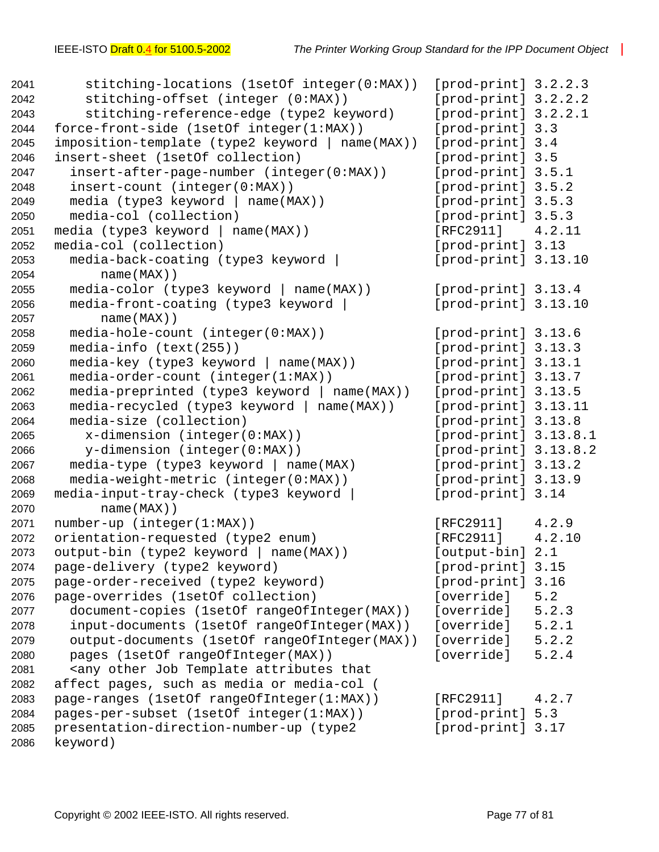```
2041 stitching-locations (1setOf integer(0:MAX)) [prod-print] 3.2.2.3
2042 stitching-offset (integer (0:MAX)) [prod-print] 3.2.2.2
2043 stitching-reference-edge (type2 keyword) [prod-print] 3.2.2.1
2044 force-front-side (1setOf integer(1:MAX)) [prod-print] 3.3
2045 imposition-template (type2 keyword | name(MAX)) [prod-print] 3.4
2046 insert-sheet (1setOf collection) [prod-print] 3.5
2047 insert-after-page-number (integer(0:MAX)) [prod-print] 3.5.1
2048 insert-count (integer(0:MAX)) [prod-print] 3.5.2
2049 media (type3 keyword | name(MAX)) [prod-print] 3.5.3
2050 media-col (collection) [prod-print] 3.5.3
2051 media (type3 keyword | name(MAX)) [RFC2911] 4.2.11
2052 media-col (collection) [prod-print] 3.13
2053 media-back-coating (type3 keyword | [prod-print] 3.13.10
2054 name(MAX))
2055 media-color (type3 keyword | name(MAX)) [prod-print] 3.13.4
2056 media-front-coating (type3 keyword | [prod-print] 3.13.10
2057 name(MAX))
2058 media-hole-count (integer(0:MAX)) [prod-print] 3.13.6
2059 media-info (text(255)) [prod-print] 3.13.3
2060 media-key (type3 keyword | name(MAX)) [prod-print] 3.13.1
2061 media-order-count (integer(1:MAX)) [prod-print] 3.13.7
2062 media-preprinted (type3 keyword | name(MAX)) [prod-print] 3.13.5
2063 media-recycled (type3 keyword | name(MAX)) [prod-print] 3.13.11
2064 media-size (collection) [prod-print] 3.13.8
2065 x-dimension (integer(0:MAX)) [prod-print] 3.13.8.1
2066 y-dimension (integer(0:MAX)) [prod-print] 3.13.8.2
2067 media-type (type3 keyword | name(MAX) [prod-print] 3.13.2
2068 media-weight-metric (integer(0:MAX)) [prod-print] 3.13.9
2069 media-input-tray-check (type3 keyword | [prod-print] 3.14
2070 name(MAX))
2071 number-up (integer(1:MAX)) [RFC2911] 4.2.9
2072 orientation-requested (type2 enum) [RFC2911] 4.2.10
2073 output-bin (type2 keyword | name(MAX)) [output-bin] 2.1
2074 page-delivery (type2 keyword) [prod-print] 3.15
2075 page-order-received (type2 keyword) [prod-print] 3.16
2076 page-overrides (1setOf collection) [override] 5.2
2077 document-copies (1setOf rangeOfInteger(MAX)) [override] 5.2.3
2078 input-documents (1setOf rangeOfInteger(MAX)) [override] 5.2.1
2079 output-documents (1setOf rangeOfInteger(MAX)) [override] 5.2.2
2080 pages (1setOf rangeOfInteger(MAX)) [override] 5.2.4
2081 <any other Job Template attributes that
2082 affect pages, such as media or media-col (
2083 page-ranges (1setOf rangeOfInteger(1:MAX)) [RFC2911] 4.2.7
2084 pages-per-subset (1setOf integer(1:MAX)) [prod-print] 5.3
2085 presentation-direction-number-up (type2 [prod-print] 3.17
2086 keyword)
```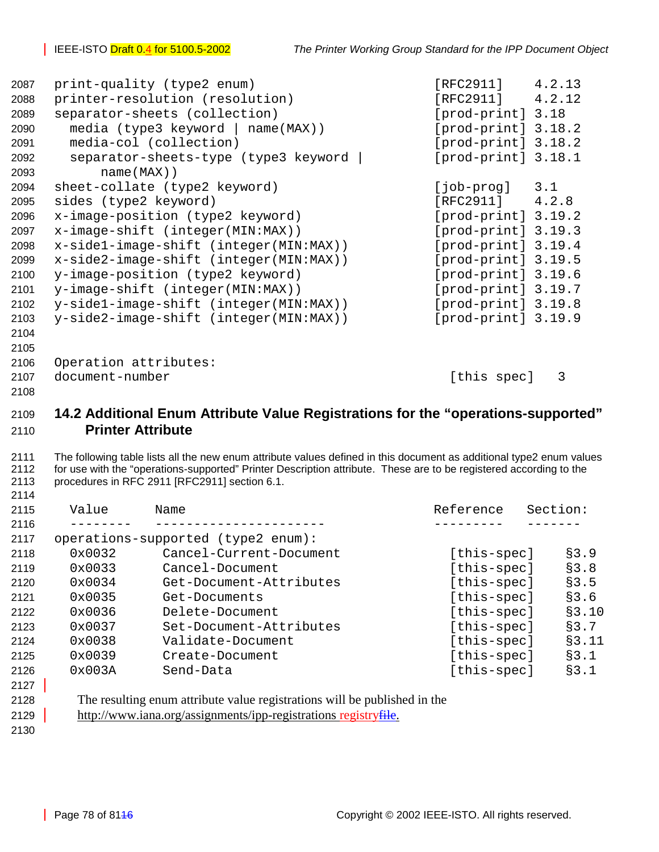| 2087 | print-quality (type2 enum)              | [RFC2911]             | 4.2.13 |
|------|-----------------------------------------|-----------------------|--------|
| 2088 | printer-resolution (resolution)         | [RFC2911]             | 4.2.12 |
| 2089 | separator-sheets (collection)           | [prod-print] 3.18     |        |
| 2090 | media (type3 keyword  <br>$name(MAX)$ ) | [prod-print] 3.18.2   |        |
| 2091 | media-col (collection)                  | $[prod-print]$ 3.18.2 |        |
| 2092 | separator-sheets-type (type3 keyword    | $[prod-print]$ 3.18.1 |        |
| 2093 | $name(MAX)$ )                           |                       |        |
| 2094 | sheet-collate (type2 keyword)           | [job-prog]            | 3.1    |
| 2095 | sides (type2 keyword)                   | $[RFC2911]$ 4.2.8     |        |
| 2096 | x-image-position (type2 keyword)        | [prod-print] 3.19.2   |        |
| 2097 | x-image-shift (integer(MIN:MAX))        | $[prod-print]$ 3.19.3 |        |
| 2098 | x-side1-image-shift (integer(MIN:MAX))  | [prod-print] 3.19.4   |        |
| 2099 | x-side2-image-shift (integer(MIN:MAX))  | $[prod-print]$ 3.19.5 |        |
| 2100 | y-image-position (type2 keyword)        | [product] 3.19.6      |        |
| 2101 | y-image-shift (integer(MIN:MAX))        | $[prod-print]$ 3.19.7 |        |
| 2102 | y-sidel-image-shift (integer(MIN:MAX))  | $[prod-print]$ 3.19.8 |        |
| 2103 | y-side2-image-shift (integer(MIN:MAX))  | [product] 3.19.9      |        |
| 2104 |                                         |                       |        |
| 2105 |                                         |                       |        |
| 2106 | Operation attributes:                   |                       |        |
| 2107 | document-number                         | [this spec]           | 3      |
| 2108 |                                         |                       |        |

## **14.2 Additional Enum Attribute Value Registrations for the "operations-supported" Printer Attribute**

2111 The following table lists all the new enum attribute values defined in this document as additional type2 enum values 2112 for use with the "operations-supported" Printer Description attribute. These are to be registered according to the 2113 procedures in RFC 2911 [RFC2911] section 6.1. 

| 2115 | Value  | Name                               | Reference   | Section: |
|------|--------|------------------------------------|-------------|----------|
| 2116 |        |                                    |             |          |
| 2117 |        | operations-supported (type2 enum): |             |          |
| 2118 | 0x0032 | Cancel-Current-Document            | [this-spec] | \$3.9    |
| 2119 | 0x0033 | Cancel-Document                    | [this-spec] | \$3.8    |
| 2120 | 0x0034 | Get-Document-Attributes            | [this-spec] | \$3.5    |
| 2121 | 0x0035 | Get-Documents                      | [this-spec] | \$3.6    |
| 2122 | 0x0036 | Delete-Document                    | [this-spec] | §3.10    |
| 2123 | 0x0037 | Set-Document-Attributes            | [this-spec] | §3.7     |
| 2124 | 0x0038 | Validate-Document                  | [this-spec] | §3.11    |
| 2125 | 0x0039 | Create-Document                    | [this-spec] | §3.1     |
| 2126 | 0x003A | Send-Data                          | [this-spec] | \$3.1    |
| 2127 |        |                                    |             |          |

| 2128 | The resulting enum attribute value registrations will be published in the |
|------|---------------------------------------------------------------------------|
| 2129 | http://www.iana.org/assignments/ipp-registrations registryfile.           |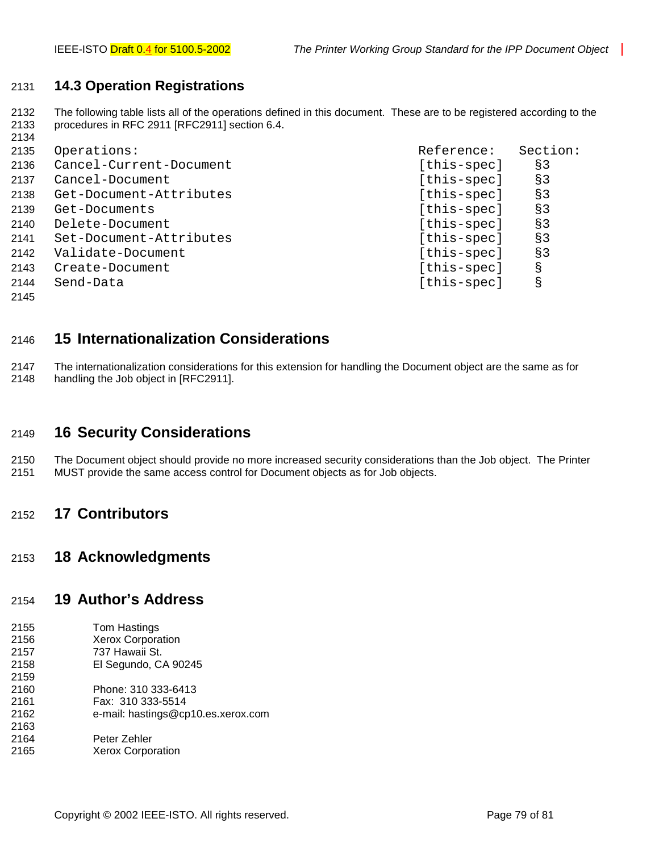#### 2131 **14.3 Operation Registrations**

2132 The following table lists all of the operations defined in this document. These are to be registered according to the 2133 procedures in RFC 2911 [RFC2911] section 6.4.

| 2134 |                         |             |          |
|------|-------------------------|-------------|----------|
| 2135 | Operations:             | Reference:  | Section: |
| 2136 | Cancel-Current-Document | [this-spec] | §3       |
| 2137 | Cancel-Document         | [this-spec] | $§$ 3    |
| 2138 | Get-Document-Attributes | [this-spec] | $§$ 3    |
| 2139 | Get-Documents           | [this-spec] | $§$ 3    |
| 2140 | Delete-Document         | [this-spec] | $§$ 3    |
| 2141 | Set-Document-Attributes | [this-spec] | 83       |
| 2142 | Validate-Document       | [this-spec] | $§$ 3    |
| 2143 | Create-Document         | [this-spec] | g        |
| 2144 | Send-Data               | [this-spec] | g        |

2145

### 2146 **15 Internationalization Considerations**

2147 The internationalization considerations for this extension for handling the Document object are the same as for 2148 handling the Job object in [RFC2911].

#### 2149 **16 Security Considerations**

2150 The Document object should provide no more increased security considerations than the Job object. The Printer 2151 MUST provide the same access control for Document objects as for Job objects.

#### 2152 **17 Contributors**

#### 2153 **18 Acknowledgments**

#### 2154 **19 Author's Address**

| 2155 | Tom Hastings                       |
|------|------------------------------------|
| 2156 | <b>Xerox Corporation</b>           |
| 2157 | 737 Hawaii St.                     |
| 2158 | El Segundo, CA 90245               |
| 2159 |                                    |
| 2160 | Phone: 310 333-6413                |
| 2161 | Fax: 310 333-5514                  |
| 2162 | e-mail: hastings@cp10.es.xerox.com |
| 2163 |                                    |
| 2164 | Peter Zehler                       |
| 2165 | <b>Xerox Corporation</b>           |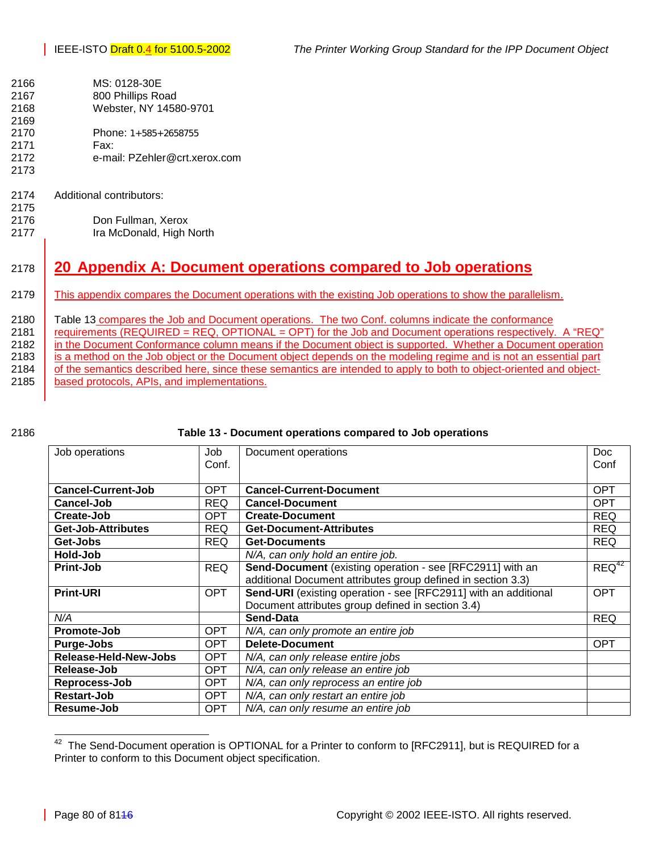- 2166 MS: 0128-30E
- 2167 800 Phillips Road 2168 Webster, NY 14580-9701
- 2169 2170 Phone: 1+585+2658755
- 2171 Fax:
- 2172 e-mail: PZehler@crt.xerox.com 2173
- 2174 Additional contributors:
- 2175 2176 Don Fullman, Xerox 2177 Ira McDonald, High North

# 2178 **20 Appendix A: Document operations compared to Job operations**

- 2179 This appendix compares the Document operations with the existing Job operations to show the parallelism.
- 2180 Table 1[3 c](#page-11-0)ompares the Job and Document operations. The two Conf. columns indicate the conformance 2181 requirements (REQUIRED = REQ, OPTIONAL = OPT) for the Job and Document operations respectively. A "REQ" 2182 in the Document Conformance column means if the Document object is supported. Whether a Document operation 2183 is a method on the Job object or the Document object depends on the modeling regime and is not an essential part 2184 of the semantics described here, since these semantics are intended to apply to both to object-oriented and object-2185 | based protocols, APIs, and implementations.
- 

#### 2186 **Table 13 - Document operations compared to Job operations**

| Job operations            | Job        | Document operations                                             | <b>Doc</b> |
|---------------------------|------------|-----------------------------------------------------------------|------------|
|                           | Conf.      |                                                                 | Conf       |
|                           |            |                                                                 |            |
| <b>Cancel-Current-Job</b> | <b>OPT</b> | <b>Cancel-Current-Document</b>                                  | <b>OPT</b> |
| Cancel-Job                | <b>REQ</b> | <b>Cancel-Document</b>                                          | <b>OPT</b> |
| Create-Job                | <b>OPT</b> | <b>Create-Document</b>                                          | <b>REQ</b> |
| Get-Job-Attributes        | REQ.       | <b>Get-Document-Attributes</b>                                  | <b>REQ</b> |
| Get-Jobs                  | REQ.       | <b>Get-Documents</b>                                            | <b>REQ</b> |
| Hold-Job                  |            | N/A, can only hold an entire job.                               |            |
| <b>Print-Job</b>          | <b>REQ</b> | Send-Document (existing operation - see [RFC2911] with an       | $REQ^{42}$ |
|                           |            | additional Document attributes group defined in section 3.3)    |            |
| <b>Print-URI</b>          | <b>OPT</b> | Send-URI (existing operation - see [RFC2911] with an additional | <b>OPT</b> |
|                           |            | Document attributes group defined in section 3.4)               |            |
| N/A                       |            | Send-Data                                                       | <b>REQ</b> |
| Promote-Job               | <b>OPT</b> | N/A, can only promote an entire job                             |            |
| <b>Purge-Jobs</b>         | <b>OPT</b> | <b>Delete-Document</b>                                          | <b>OPT</b> |
| Release-Held-New-Jobs     | <b>OPT</b> | N/A, can only release entire jobs                               |            |
| Release-Job               | <b>OPT</b> | N/A, can only release an entire job                             |            |
| Reprocess-Job             | <b>OPT</b> | N/A, can only reprocess an entire job                           |            |
| <b>Restart-Job</b>        | <b>OPT</b> | N/A, can only restart an entire job                             |            |
| Resume-Job                | <b>OPT</b> | N/A, can only resume an entire job                              |            |

<sup>42</sup> The Send-Document operation is OPTIONAL for a Printer to conform to [RFC2911], but is REQUIRED for a Printer to conform to this Document object specification.